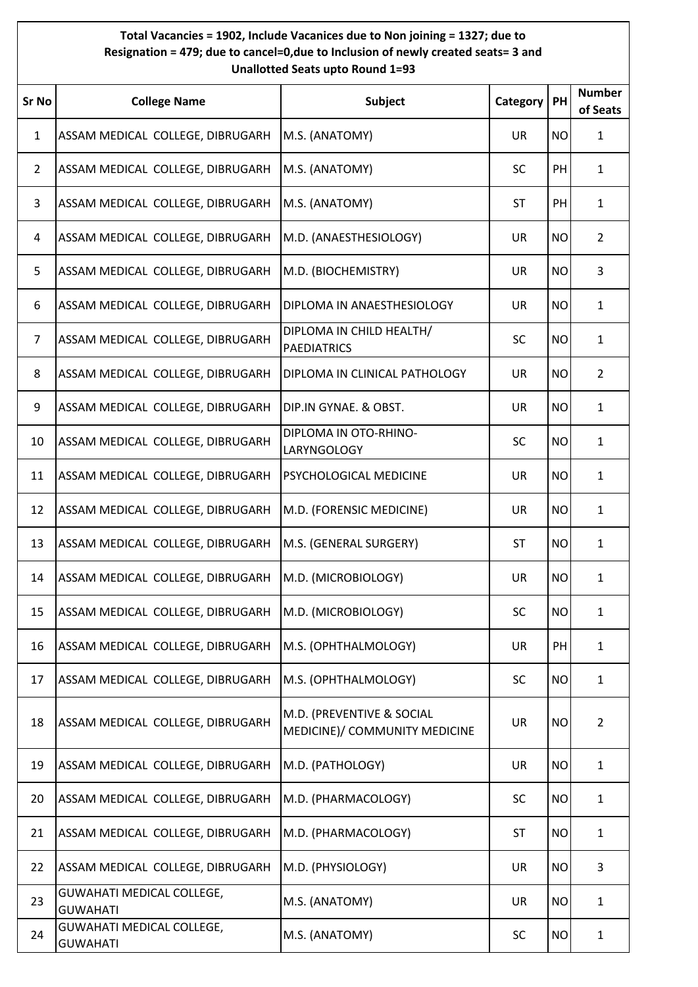## **Total Vacancies = 1902, Include Vacanices due to Non joining = 1327; due to Resignation = 479; due to cancel=0,due to Inclusion of newly created seats= 3 and Unallotted Seats upto Round 1=93**

| Sr No          | <b>College Name</b>                                 | Subject                                                    | Category  | PH        | <b>Number</b><br>of Seats |
|----------------|-----------------------------------------------------|------------------------------------------------------------|-----------|-----------|---------------------------|
| 1              | ASSAM MEDICAL COLLEGE, DIBRUGARH                    | M.S. (ANATOMY)                                             | UR        | <b>NO</b> | 1                         |
| $\overline{2}$ | ASSAM MEDICAL COLLEGE, DIBRUGARH                    | M.S. (ANATOMY)                                             | <b>SC</b> | PH        | $\mathbf{1}$              |
| 3              | ASSAM MEDICAL COLLEGE, DIBRUGARH                    | M.S. (ANATOMY)                                             | <b>ST</b> | PH        | 1                         |
| 4              | ASSAM MEDICAL COLLEGE, DIBRUGARH                    | M.D. (ANAESTHESIOLOGY)                                     | UR        | <b>NO</b> | $\overline{2}$            |
| 5              | ASSAM MEDICAL COLLEGE, DIBRUGARH                    | M.D. (BIOCHEMISTRY)                                        | UR        | <b>NO</b> | 3                         |
| 6              | ASSAM MEDICAL COLLEGE, DIBRUGARH                    | DIPLOMA IN ANAESTHESIOLOGY                                 | UR        | <b>NO</b> | $\mathbf{1}$              |
| 7              | ASSAM MEDICAL COLLEGE, DIBRUGARH                    | DIPLOMA IN CHILD HEALTH/<br><b>PAEDIATRICS</b>             | <b>SC</b> | <b>NO</b> | $\mathbf{1}$              |
| 8              | ASSAM MEDICAL COLLEGE, DIBRUGARH                    | DIPLOMA IN CLINICAL PATHOLOGY                              | UR        | <b>NO</b> | 2                         |
| 9              | ASSAM MEDICAL COLLEGE, DIBRUGARH                    | DIP.IN GYNAE. & OBST.                                      | UR        | <b>NO</b> | 1                         |
| 10             | ASSAM MEDICAL COLLEGE, DIBRUGARH                    | DIPLOMA IN OTO-RHINO-<br><b>LARYNGOLOGY</b>                | <b>SC</b> | <b>NO</b> | $\mathbf{1}$              |
| 11             | ASSAM MEDICAL COLLEGE, DIBRUGARH                    | PSYCHOLOGICAL MEDICINE                                     | UR        | <b>NO</b> | $\mathbf{1}$              |
| 12             | ASSAM MEDICAL COLLEGE, DIBRUGARH                    | M.D. (FORENSIC MEDICINE)                                   | UR        | <b>NO</b> | $\mathbf{1}$              |
| 13             | ASSAM MEDICAL COLLEGE, DIBRUGARH                    | M.S. (GENERAL SURGERY)                                     | <b>ST</b> | <b>NO</b> | $\mathbf{1}$              |
| 14             | ASSAM MEDICAL COLLEGE, DIBRUGARH                    | M.D. (MICROBIOLOGY)                                        | UR        | <b>NO</b> | $\mathbf{1}$              |
| 15             | ASSAM MEDICAL COLLEGE, DIBRUGARH                    | M.D. (MICROBIOLOGY)                                        | SC        | <b>NO</b> | 1                         |
| 16             | ASSAM MEDICAL COLLEGE, DIBRUGARH                    | M.S. (OPHTHALMOLOGY)                                       | <b>UR</b> | PH        | 1                         |
| 17             | ASSAM MEDICAL COLLEGE, DIBRUGARH                    | M.S. (OPHTHALMOLOGY)                                       | <b>SC</b> | <b>NO</b> | $\mathbf{1}$              |
| 18             | ASSAM MEDICAL COLLEGE, DIBRUGARH                    | M.D. (PREVENTIVE & SOCIAL<br>MEDICINE)/ COMMUNITY MEDICINE | UR        | <b>NO</b> | $\overline{2}$            |
| 19             | ASSAM MEDICAL COLLEGE, DIBRUGARH                    | M.D. (PATHOLOGY)                                           | <b>UR</b> | <b>NO</b> | $\mathbf{1}$              |
| 20             | ASSAM MEDICAL COLLEGE, DIBRUGARH                    | M.D. (PHARMACOLOGY)                                        | <b>SC</b> | <b>NO</b> | $\mathbf{1}$              |
| 21             | ASSAM MEDICAL COLLEGE, DIBRUGARH                    | M.D. (PHARMACOLOGY)                                        | <b>ST</b> | <b>NO</b> | $\mathbf{1}$              |
| 22             | ASSAM MEDICAL COLLEGE, DIBRUGARH                    | M.D. (PHYSIOLOGY)                                          | <b>UR</b> | <b>NO</b> | 3                         |
| 23             | GUWAHATI MEDICAL COLLEGE,<br><b>GUWAHATI</b>        | M.S. (ANATOMY)                                             | UR        | <b>NO</b> | $\mathbf{1}$              |
| 24             | <b>GUWAHATI MEDICAL COLLEGE,</b><br><b>GUWAHATI</b> | M.S. (ANATOMY)                                             | <b>SC</b> | <b>NO</b> | $\mathbf{1}$              |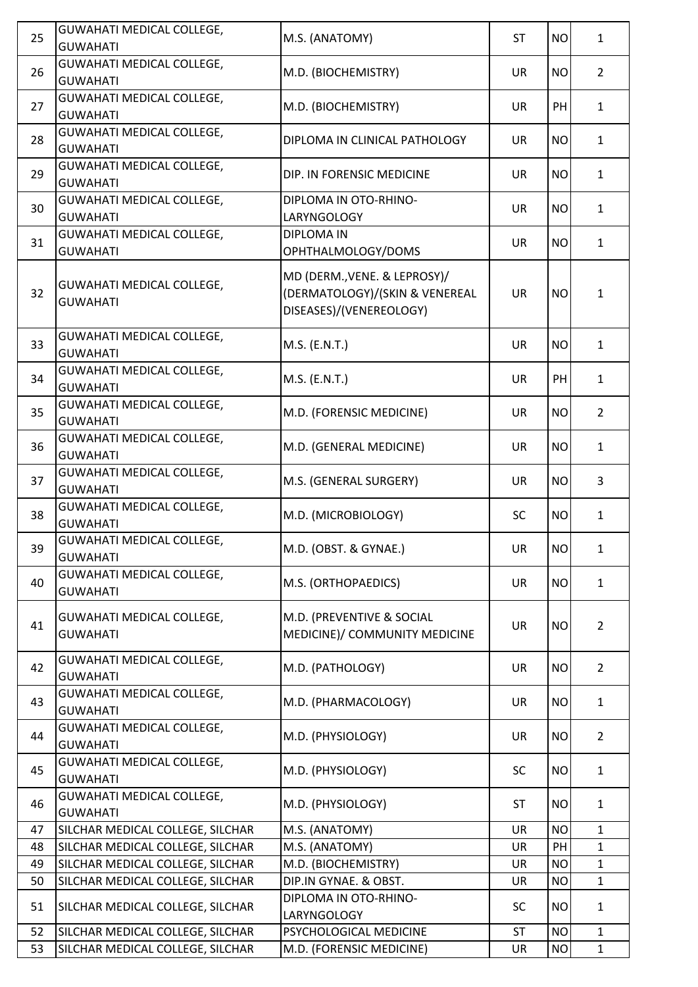| 25 | <b>GUWAHATI MEDICAL COLLEGE,</b><br><b>GUWAHATI</b> | M.S. (ANATOMY)                                                                            | <b>ST</b> | <b>NO</b> | $\mathbf{1}$   |
|----|-----------------------------------------------------|-------------------------------------------------------------------------------------------|-----------|-----------|----------------|
| 26 | <b>GUWAHATI MEDICAL COLLEGE,</b><br><b>GUWAHATI</b> | M.D. (BIOCHEMISTRY)                                                                       | <b>UR</b> | <b>NO</b> | $\overline{2}$ |
| 27 | GUWAHATI MEDICAL COLLEGE,<br><b>GUWAHATI</b>        | M.D. (BIOCHEMISTRY)                                                                       | <b>UR</b> | PH        | $\mathbf{1}$   |
| 28 | <b>GUWAHATI MEDICAL COLLEGE,</b><br><b>GUWAHATI</b> | DIPLOMA IN CLINICAL PATHOLOGY                                                             | <b>UR</b> | <b>NO</b> | $\mathbf{1}$   |
| 29 | GUWAHATI MEDICAL COLLEGE,<br><b>GUWAHATI</b>        | DIP. IN FORENSIC MEDICINE                                                                 | <b>UR</b> | <b>NO</b> | $\mathbf{1}$   |
| 30 | <b>GUWAHATI MEDICAL COLLEGE,</b><br><b>GUWAHATI</b> | DIPLOMA IN OTO-RHINO-<br>LARYNGOLOGY                                                      | <b>UR</b> | <b>NO</b> | $\mathbf{1}$   |
| 31 | <b>GUWAHATI MEDICAL COLLEGE,</b><br><b>GUWAHATI</b> | <b>DIPLOMA IN</b><br>OPHTHALMOLOGY/DOMS                                                   | <b>UR</b> | <b>NO</b> | $\mathbf{1}$   |
| 32 | GUWAHATI MEDICAL COLLEGE,<br><b>GUWAHATI</b>        | MD (DERM., VENE. & LEPROSY)/<br>(DERMATOLOGY)/(SKIN & VENEREAL<br>DISEASES)/(VENEREOLOGY) | <b>UR</b> | <b>NO</b> | 1              |
| 33 | <b>GUWAHATI MEDICAL COLLEGE,</b><br><b>GUWAHATI</b> | M.S. (E.N.T.)                                                                             | <b>UR</b> | <b>NO</b> | $\mathbf{1}$   |
| 34 | <b>GUWAHATI MEDICAL COLLEGE,</b><br><b>GUWAHATI</b> | M.S. (E.N.T.)                                                                             | <b>UR</b> | PH        | $\mathbf{1}$   |
| 35 | GUWAHATI MEDICAL COLLEGE,<br><b>GUWAHATI</b>        | M.D. (FORENSIC MEDICINE)                                                                  | <b>UR</b> | <b>NO</b> | $\overline{2}$ |
| 36 | <b>GUWAHATI MEDICAL COLLEGE,</b><br><b>GUWAHATI</b> | M.D. (GENERAL MEDICINE)                                                                   | <b>UR</b> | <b>NO</b> | $\mathbf{1}$   |
| 37 | <b>GUWAHATI MEDICAL COLLEGE,</b><br><b>GUWAHATI</b> | M.S. (GENERAL SURGERY)                                                                    | <b>UR</b> | <b>NO</b> | $\overline{3}$ |
| 38 | GUWAHATI MEDICAL COLLEGE,<br><b>GUWAHATI</b>        | M.D. (MICROBIOLOGY)                                                                       | <b>SC</b> | <b>NO</b> | $\mathbf{1}$   |
| 39 | GUWAHATI MEDICAL COLLEGE,<br><b>GUWAHATI</b>        | M.D. (OBST. & GYNAE.)                                                                     | UR        | <b>NO</b> | 1              |
| 40 | GUWAHATI MEDICAL COLLEGE,<br><b>GUWAHATI</b>        | M.S. (ORTHOPAEDICS)                                                                       | <b>UR</b> | <b>NO</b> | $\mathbf{1}$   |
| 41 | GUWAHATI MEDICAL COLLEGE,<br><b>GUWAHATI</b>        | M.D. (PREVENTIVE & SOCIAL<br>MEDICINE)/ COMMUNITY MEDICINE                                | <b>UR</b> | <b>NO</b> | $\overline{2}$ |
| 42 | <b>GUWAHATI MEDICAL COLLEGE,</b><br><b>GUWAHATI</b> | M.D. (PATHOLOGY)                                                                          | <b>UR</b> | <b>NO</b> | $\overline{2}$ |
| 43 | GUWAHATI MEDICAL COLLEGE,<br><b>GUWAHATI</b>        | M.D. (PHARMACOLOGY)                                                                       | <b>UR</b> | <b>NO</b> | $\mathbf{1}$   |
| 44 | GUWAHATI MEDICAL COLLEGE,<br><b>GUWAHATI</b>        | M.D. (PHYSIOLOGY)                                                                         | <b>UR</b> | <b>NO</b> | $\overline{2}$ |
| 45 | GUWAHATI MEDICAL COLLEGE,<br><b>GUWAHATI</b>        | M.D. (PHYSIOLOGY)                                                                         | <b>SC</b> | <b>NO</b> | $\mathbf{1}$   |
| 46 | GUWAHATI MEDICAL COLLEGE,<br><b>GUWAHATI</b>        | M.D. (PHYSIOLOGY)                                                                         | <b>ST</b> | <b>NO</b> | $\mathbf{1}$   |
| 47 | SILCHAR MEDICAL COLLEGE, SILCHAR                    | M.S. (ANATOMY)                                                                            | <b>UR</b> | <b>NO</b> | $\mathbf{1}$   |
| 48 | SILCHAR MEDICAL COLLEGE, SILCHAR                    | M.S. (ANATOMY)                                                                            | <b>UR</b> | PH        | $\mathbf{1}$   |
| 49 | SILCHAR MEDICAL COLLEGE, SILCHAR                    | M.D. (BIOCHEMISTRY)                                                                       | <b>UR</b> | <b>NO</b> | $\mathbf{1}$   |
| 50 | SILCHAR MEDICAL COLLEGE, SILCHAR                    | DIP.IN GYNAE. & OBST.                                                                     | UR        | <b>NO</b> | $\mathbf{1}$   |
| 51 | SILCHAR MEDICAL COLLEGE, SILCHAR                    | DIPLOMA IN OTO-RHINO-<br>LARYNGOLOGY                                                      | <b>SC</b> | <b>NO</b> | $\mathbf{1}$   |
| 52 | SILCHAR MEDICAL COLLEGE, SILCHAR                    | PSYCHOLOGICAL MEDICINE                                                                    | <b>ST</b> | <b>NO</b> | $\mathbf{1}$   |
| 53 | SILCHAR MEDICAL COLLEGE, SILCHAR                    | M.D. (FORENSIC MEDICINE)                                                                  | UR        | <b>NO</b> | $\mathbf{1}$   |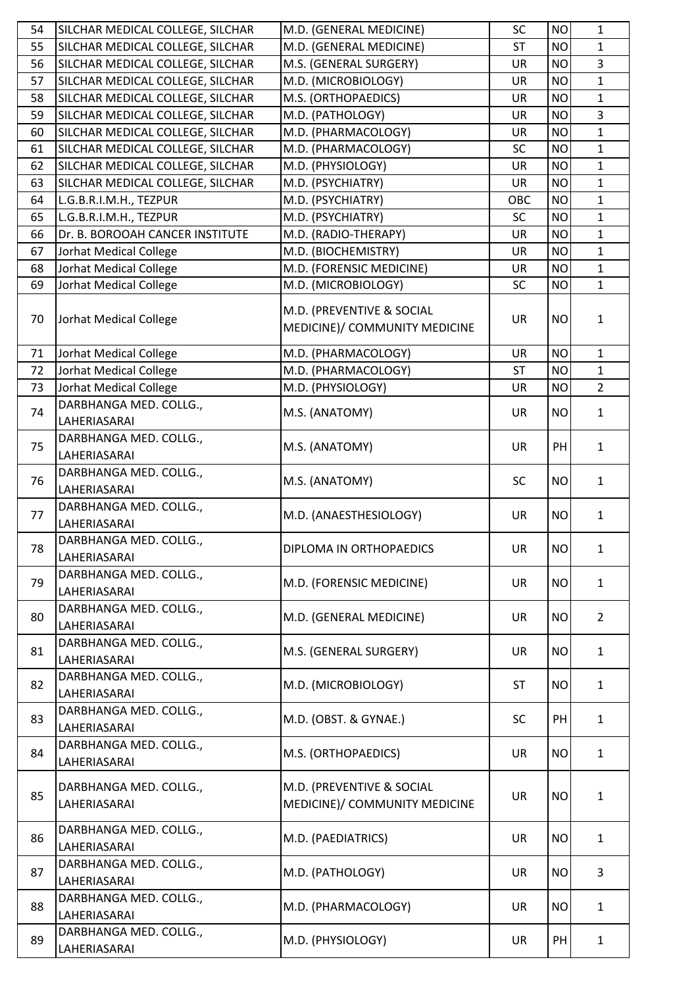| 54 | SILCHAR MEDICAL COLLEGE, SILCHAR       | M.D. (GENERAL MEDICINE)                                    | SC        | <b>NO</b> | $\mathbf{1}$   |
|----|----------------------------------------|------------------------------------------------------------|-----------|-----------|----------------|
| 55 | SILCHAR MEDICAL COLLEGE, SILCHAR       | M.D. (GENERAL MEDICINE)                                    | <b>ST</b> | <b>NO</b> | $\mathbf{1}$   |
| 56 | SILCHAR MEDICAL COLLEGE, SILCHAR       | M.S. (GENERAL SURGERY)                                     | UR        | <b>NO</b> | $\overline{3}$ |
| 57 | SILCHAR MEDICAL COLLEGE, SILCHAR       | M.D. (MICROBIOLOGY)                                        | <b>UR</b> | <b>NO</b> | $\mathbf{1}$   |
| 58 | SILCHAR MEDICAL COLLEGE, SILCHAR       | M.S. (ORTHOPAEDICS)                                        | <b>UR</b> | <b>NO</b> | $\mathbf{1}$   |
| 59 | SILCHAR MEDICAL COLLEGE, SILCHAR       | M.D. (PATHOLOGY)                                           | <b>UR</b> | <b>NO</b> | 3              |
| 60 | SILCHAR MEDICAL COLLEGE, SILCHAR       | M.D. (PHARMACOLOGY)                                        | <b>UR</b> | <b>NO</b> | $\mathbf{1}$   |
| 61 | SILCHAR MEDICAL COLLEGE, SILCHAR       | M.D. (PHARMACOLOGY)                                        | <b>SC</b> | <b>NO</b> | $\mathbf{1}$   |
| 62 | SILCHAR MEDICAL COLLEGE, SILCHAR       | M.D. (PHYSIOLOGY)                                          | UR        | <b>NO</b> | $\mathbf{1}$   |
| 63 | SILCHAR MEDICAL COLLEGE, SILCHAR       | M.D. (PSYCHIATRY)                                          | <b>UR</b> | <b>NO</b> | $\mathbf{1}$   |
| 64 | L.G.B.R.I.M.H., TEZPUR                 | M.D. (PSYCHIATRY)                                          | OBC       | <b>NO</b> | $\mathbf{1}$   |
| 65 | L.G.B.R.I.M.H., TEZPUR                 | M.D. (PSYCHIATRY)                                          | <b>SC</b> | <b>NO</b> | $\mathbf{1}$   |
| 66 | Dr. B. BOROOAH CANCER INSTITUTE        | M.D. (RADIO-THERAPY)                                       | <b>UR</b> | <b>NO</b> | $\mathbf{1}$   |
| 67 | Jorhat Medical College                 | M.D. (BIOCHEMISTRY)                                        | UR        | <b>NO</b> | $\mathbf{1}$   |
| 68 | Jorhat Medical College                 | M.D. (FORENSIC MEDICINE)                                   | UR        | <b>NO</b> | $\mathbf{1}$   |
| 69 | Jorhat Medical College                 | M.D. (MICROBIOLOGY)                                        | <b>SC</b> | <b>NO</b> | $\mathbf{1}$   |
| 70 | Jorhat Medical College                 | M.D. (PREVENTIVE & SOCIAL<br>MEDICINE)/ COMMUNITY MEDICINE | <b>UR</b> | <b>NO</b> | $\mathbf{1}$   |
| 71 | Jorhat Medical College                 | M.D. (PHARMACOLOGY)                                        | UR        | <b>NO</b> | $\mathbf{1}$   |
| 72 | Jorhat Medical College                 | M.D. (PHARMACOLOGY)                                        | <b>ST</b> | <b>NO</b> | $\mathbf{1}$   |
| 73 | Jorhat Medical College                 | M.D. (PHYSIOLOGY)                                          | <b>UR</b> | <b>NO</b> | $\overline{2}$ |
| 74 | DARBHANGA MED. COLLG.,<br>LAHERIASARAI | M.S. (ANATOMY)                                             | <b>UR</b> | <b>NO</b> | $\mathbf{1}$   |
| 75 | DARBHANGA MED. COLLG.,<br>LAHERIASARAI | M.S. (ANATOMY)                                             | <b>UR</b> | PH        | $\mathbf{1}$   |
| 76 | DARBHANGA MED. COLLG.,<br>LAHERIASARAI | M.S. (ANATOMY)                                             | <b>SC</b> | <b>NO</b> | $\mathbf{1}$   |
| 77 | DARBHANGA MED. COLLG.,<br>LAHERIASARAI | M.D. (ANAESTHESIOLOGY)                                     | <b>UR</b> | <b>NO</b> | $\mathbf{1}$   |
| 78 | DARBHANGA MED. COLLG.,<br>LAHERIASARAI | DIPLOMA IN ORTHOPAEDICS                                    | UR        | <b>NO</b> | 1              |
| 79 | DARBHANGA MED. COLLG.,<br>LAHERIASARAI | M.D. (FORENSIC MEDICINE)                                   | <b>UR</b> | <b>NO</b> | $\mathbf{1}$   |
| 80 | DARBHANGA MED. COLLG.,<br>LAHERIASARAI | M.D. (GENERAL MEDICINE)                                    | UR        | <b>NO</b> | $\overline{2}$ |
| 81 | DARBHANGA MED. COLLG.,<br>LAHERIASARAI | M.S. (GENERAL SURGERY)                                     | <b>UR</b> | <b>NO</b> | $\mathbf{1}$   |
| 82 | DARBHANGA MED. COLLG.,<br>LAHERIASARAI | M.D. (MICROBIOLOGY)                                        | <b>ST</b> | <b>NO</b> | $\mathbf{1}$   |
| 83 | DARBHANGA MED. COLLG.,<br>LAHERIASARAI | M.D. (OBST. & GYNAE.)                                      | <b>SC</b> | PH        | $\mathbf{1}$   |
| 84 | DARBHANGA MED. COLLG.,<br>LAHERIASARAI | M.S. (ORTHOPAEDICS)                                        | <b>UR</b> | <b>NO</b> | $\mathbf{1}$   |
| 85 | DARBHANGA MED. COLLG.,<br>LAHERIASARAI | M.D. (PREVENTIVE & SOCIAL<br>MEDICINE)/ COMMUNITY MEDICINE | <b>UR</b> | <b>NO</b> | $\mathbf{1}$   |
| 86 | DARBHANGA MED. COLLG.,<br>LAHERIASARAI | M.D. (PAEDIATRICS)                                         | <b>UR</b> | <b>NO</b> | $\mathbf{1}$   |
| 87 | DARBHANGA MED. COLLG.,<br>LAHERIASARAI | M.D. (PATHOLOGY)                                           | <b>UR</b> | <b>NO</b> | 3              |
| 88 | DARBHANGA MED. COLLG.,<br>LAHERIASARAI | M.D. (PHARMACOLOGY)                                        | UR        | <b>NO</b> | $\mathbf{1}$   |
| 89 | DARBHANGA MED. COLLG.,<br>LAHERIASARAI | M.D. (PHYSIOLOGY)                                          | <b>UR</b> | PH        | $\mathbf{1}$   |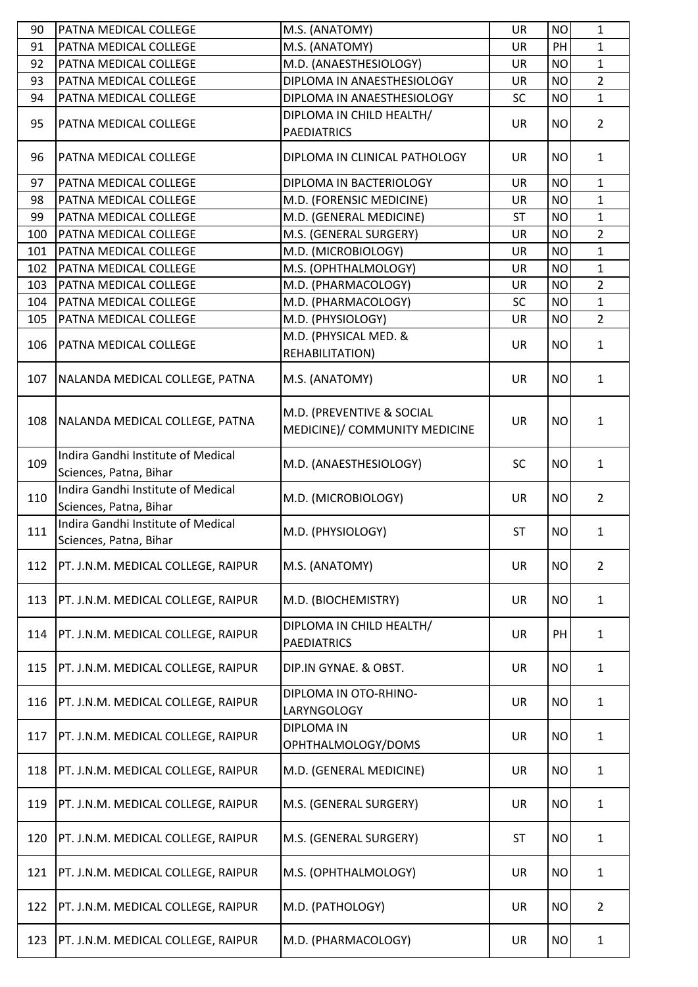| 90  | PATNA MEDICAL COLLEGE                                        | M.S. (ANATOMY)                          | <b>UR</b> | <b>NO</b> | $\mathbf{1}$   |
|-----|--------------------------------------------------------------|-----------------------------------------|-----------|-----------|----------------|
| 91  | PATNA MEDICAL COLLEGE                                        | M.S. (ANATOMY)                          | <b>UR</b> | PH        | $\mathbf{1}$   |
| 92  | PATNA MEDICAL COLLEGE                                        | M.D. (ANAESTHESIOLOGY)                  | <b>UR</b> | <b>NO</b> | $\mathbf{1}$   |
| 93  | PATNA MEDICAL COLLEGE                                        | DIPLOMA IN ANAESTHESIOLOGY              | <b>UR</b> | <b>NO</b> | $\overline{2}$ |
| 94  | PATNA MEDICAL COLLEGE                                        | DIPLOMA IN ANAESTHESIOLOGY              | <b>SC</b> | <b>NO</b> | $\mathbf{1}$   |
|     |                                                              | DIPLOMA IN CHILD HEALTH/                |           |           |                |
| 95  | PATNA MEDICAL COLLEGE                                        | <b>PAEDIATRICS</b>                      | <b>UR</b> | <b>NO</b> | $\overline{2}$ |
| 96  | PATNA MEDICAL COLLEGE                                        | DIPLOMA IN CLINICAL PATHOLOGY           | <b>UR</b> | <b>NO</b> | $\mathbf{1}$   |
| 97  | PATNA MEDICAL COLLEGE                                        | DIPLOMA IN BACTERIOLOGY                 | <b>UR</b> | <b>NO</b> | $\mathbf{1}$   |
| 98  | PATNA MEDICAL COLLEGE                                        | M.D. (FORENSIC MEDICINE)                | <b>UR</b> | <b>NO</b> | $\mathbf{1}$   |
| 99  | PATNA MEDICAL COLLEGE                                        | M.D. (GENERAL MEDICINE)                 | <b>ST</b> | <b>NO</b> | $\mathbf{1}$   |
| 100 | PATNA MEDICAL COLLEGE                                        | M.S. (GENERAL SURGERY)                  | <b>UR</b> | <b>NO</b> | $\overline{2}$ |
| 101 | PATNA MEDICAL COLLEGE                                        | M.D. (MICROBIOLOGY)                     | <b>UR</b> | <b>NO</b> | $\mathbf{1}$   |
| 102 | PATNA MEDICAL COLLEGE                                        | M.S. (OPHTHALMOLOGY)                    | <b>UR</b> | <b>NO</b> | $\mathbf{1}$   |
| 103 | PATNA MEDICAL COLLEGE                                        | M.D. (PHARMACOLOGY)                     | <b>UR</b> | <b>NO</b> | $\overline{2}$ |
| 104 | PATNA MEDICAL COLLEGE                                        | M.D. (PHARMACOLOGY)                     | <b>SC</b> | <b>NO</b> | $\mathbf{1}$   |
| 105 | PATNA MEDICAL COLLEGE                                        | M.D. (PHYSIOLOGY)                       | <b>UR</b> | <b>NO</b> | $\overline{2}$ |
|     |                                                              | M.D. (PHYSICAL MED. &                   |           |           |                |
| 106 | PATNA MEDICAL COLLEGE                                        |                                         | <b>UR</b> | <b>NO</b> | $\mathbf{1}$   |
|     |                                                              | REHABILITATION)                         |           |           |                |
| 107 | NALANDA MEDICAL COLLEGE, PATNA                               | M.S. (ANATOMY)                          | <b>UR</b> | <b>NO</b> | $\mathbf{1}$   |
|     |                                                              | M.D. (PREVENTIVE & SOCIAL               |           |           |                |
| 108 | NALANDA MEDICAL COLLEGE, PATNA                               | MEDICINE)/ COMMUNITY MEDICINE           | <b>UR</b> | <b>NO</b> | $\mathbf{1}$   |
|     |                                                              |                                         |           |           |                |
| 109 | Indira Gandhi Institute of Medical<br>Sciences, Patna, Bihar | M.D. (ANAESTHESIOLOGY)                  | <b>SC</b> | <b>NO</b> | $\mathbf{1}$   |
|     | Indira Gandhi Institute of Medical                           |                                         |           |           |                |
| 110 | Sciences, Patna, Bihar                                       | M.D. (MICROBIOLOGY)                     | <b>UR</b> | <b>NO</b> | $\overline{2}$ |
|     | Indira Gandhi Institute of Medical                           |                                         |           |           |                |
| 111 | Sciences, Patna, Bihar                                       | M.D. (PHYSIOLOGY)                       | <b>ST</b> | <b>NO</b> | $\mathbf{1}$   |
| 112 | PT. J.N.M. MEDICAL COLLEGE, RAIPUR                           | M.S. (ANATOMY)                          | <b>UR</b> | <b>NO</b> | $\overline{2}$ |
| 113 | PT. J.N.M. MEDICAL COLLEGE, RAIPUR                           | M.D. (BIOCHEMISTRY)                     | UR        | <b>NO</b> | $\mathbf{1}$   |
|     |                                                              | DIPLOMA IN CHILD HEALTH/                |           |           |                |
| 114 | PT. J.N.M. MEDICAL COLLEGE, RAIPUR                           | <b>PAEDIATRICS</b>                      | <b>UR</b> | PH        | $\mathbf{1}$   |
| 115 | PT. J.N.M. MEDICAL COLLEGE, RAIPUR                           | DIP.IN GYNAE. & OBST.                   | <b>UR</b> | <b>NO</b> | $\mathbf{1}$   |
| 116 | PT. J.N.M. MEDICAL COLLEGE, RAIPUR                           | DIPLOMA IN OTO-RHINO-<br>LARYNGOLOGY    | <b>UR</b> | <b>NO</b> | $\mathbf{1}$   |
| 117 | PT. J.N.M. MEDICAL COLLEGE, RAIPUR                           | <b>DIPLOMA IN</b><br>OPHTHALMOLOGY/DOMS | <b>UR</b> | <b>NO</b> | $\mathbf{1}$   |
|     |                                                              |                                         |           |           |                |
| 118 | PT. J.N.M. MEDICAL COLLEGE, RAIPUR                           | M.D. (GENERAL MEDICINE)                 | <b>UR</b> | <b>NO</b> | $\mathbf{1}$   |
| 119 | PT. J.N.M. MEDICAL COLLEGE, RAIPUR                           | M.S. (GENERAL SURGERY)                  | <b>UR</b> | <b>NO</b> | $\mathbf{1}$   |
| 120 | PT. J.N.M. MEDICAL COLLEGE, RAIPUR                           | M.S. (GENERAL SURGERY)                  | <b>ST</b> | <b>NO</b> | $\mathbf{1}$   |
| 121 | PT. J.N.M. MEDICAL COLLEGE, RAIPUR                           | M.S. (OPHTHALMOLOGY)                    | <b>UR</b> | <b>NO</b> | $\mathbf{1}$   |
| 122 | PT. J.N.M. MEDICAL COLLEGE, RAIPUR                           | M.D. (PATHOLOGY)                        | <b>UR</b> | <b>NO</b> | $\overline{2}$ |
| 123 | PT. J.N.M. MEDICAL COLLEGE, RAIPUR                           | M.D. (PHARMACOLOGY)                     | UR        | <b>NO</b> | $\mathbf{1}$   |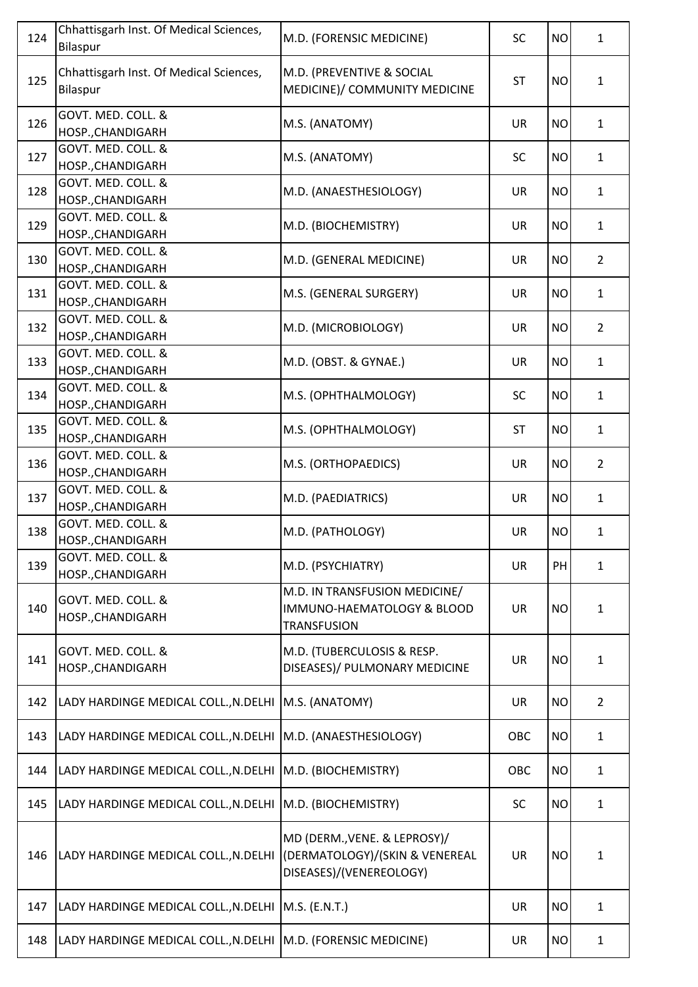| 124 | Chhattisgarh Inst. Of Medical Sciences,<br>Bilaspur            | M.D. (FORENSIC MEDICINE)                                                                  | <b>SC</b>  | <b>NO</b> | $\mathbf{1}$   |
|-----|----------------------------------------------------------------|-------------------------------------------------------------------------------------------|------------|-----------|----------------|
| 125 | Chhattisgarh Inst. Of Medical Sciences,<br>Bilaspur            | M.D. (PREVENTIVE & SOCIAL<br>MEDICINE)/ COMMUNITY MEDICINE                                | <b>ST</b>  | <b>NO</b> | $\mathbf{1}$   |
| 126 | GOVT. MED. COLL. &<br>HOSP., CHANDIGARH                        | M.S. (ANATOMY)                                                                            | <b>UR</b>  | <b>NO</b> | $\mathbf{1}$   |
| 127 | GOVT. MED. COLL. &<br>HOSP., CHANDIGARH                        | M.S. (ANATOMY)                                                                            | <b>SC</b>  | <b>NO</b> | $\mathbf{1}$   |
| 128 | GOVT. MED. COLL. &<br>HOSP., CHANDIGARH                        | M.D. (ANAESTHESIOLOGY)                                                                    | <b>UR</b>  | <b>NO</b> | $\mathbf{1}$   |
| 129 | GOVT. MED. COLL. &<br>HOSP., CHANDIGARH                        | M.D. (BIOCHEMISTRY)                                                                       | <b>UR</b>  | <b>NO</b> | $\mathbf{1}$   |
| 130 | GOVT. MED. COLL. &<br>HOSP., CHANDIGARH                        | M.D. (GENERAL MEDICINE)                                                                   | <b>UR</b>  | <b>NO</b> | $\overline{2}$ |
| 131 | GOVT. MED. COLL. &<br>HOSP., CHANDIGARH                        | M.S. (GENERAL SURGERY)                                                                    | <b>UR</b>  | <b>NO</b> | $\mathbf{1}$   |
| 132 | GOVT. MED. COLL. &<br>HOSP., CHANDIGARH                        | M.D. (MICROBIOLOGY)                                                                       | <b>UR</b>  | <b>NO</b> | $\overline{2}$ |
| 133 | GOVT. MED. COLL. &<br>HOSP., CHANDIGARH                        | M.D. (OBST. & GYNAE.)                                                                     | <b>UR</b>  | <b>NO</b> | $\mathbf{1}$   |
| 134 | GOVT. MED. COLL. &<br>HOSP., CHANDIGARH                        | M.S. (OPHTHALMOLOGY)                                                                      | <b>SC</b>  | <b>NO</b> | $\mathbf{1}$   |
| 135 | GOVT. MED. COLL. &<br>HOSP., CHANDIGARH                        | M.S. (OPHTHALMOLOGY)                                                                      | <b>ST</b>  | <b>NO</b> | $\mathbf{1}$   |
| 136 | GOVT. MED. COLL. &<br>HOSP., CHANDIGARH                        | M.S. (ORTHOPAEDICS)                                                                       | <b>UR</b>  | <b>NO</b> | $\overline{2}$ |
| 137 | GOVT. MED. COLL. &<br>HOSP., CHANDIGARH                        | M.D. (PAEDIATRICS)                                                                        | <b>UR</b>  | <b>NO</b> | $\mathbf{1}$   |
| 138 | GOVT. MED. COLL. &<br>HOSP., CHANDIGARH                        | M.D. (PATHOLOGY)                                                                          | <b>UR</b>  | <b>NO</b> | $\mathbf{1}$   |
| 139 | GOVT. MED. COLL. &<br>HOSP., CHANDIGARH                        | M.D. (PSYCHIATRY)                                                                         | <b>UR</b>  | PH        | $\mathbf{1}$   |
| 140 | GOVT. MED. COLL. &<br>HOSP., CHANDIGARH                        | M.D. IN TRANSFUSION MEDICINE/<br>IMMUNO-HAEMATOLOGY & BLOOD<br><b>TRANSFUSION</b>         | <b>UR</b>  | <b>NO</b> | 1              |
| 141 | GOVT. MED. COLL. &<br>HOSP., CHANDIGARH                        | M.D. (TUBERCULOSIS & RESP.<br>DISEASES)/ PULMONARY MEDICINE                               | <b>UR</b>  | <b>NO</b> | 1              |
| 142 | LADY HARDINGE MEDICAL COLL., N. DELHI   M.S. (ANATOMY)         |                                                                                           | <b>UR</b>  | <b>NO</b> | $\overline{2}$ |
| 143 | LADY HARDINGE MEDICAL COLL., N.DELHI   M.D. (ANAESTHESIOLOGY)  |                                                                                           | <b>OBC</b> | <b>NO</b> | $\mathbf{1}$   |
| 144 | LADY HARDINGE MEDICAL COLL., N.DELHI                           | M.D. (BIOCHEMISTRY)                                                                       | OBC        | <b>NO</b> | $\mathbf{1}$   |
| 145 | LADY HARDINGE MEDICAL COLL., N.DELHI                           | M.D. (BIOCHEMISTRY)                                                                       | <b>SC</b>  | <b>NO</b> | $\mathbf{1}$   |
| 146 | LADY HARDINGE MEDICAL COLL., N.DELHI                           | MD (DERM., VENE. & LEPROSY)/<br>(DERMATOLOGY)/(SKIN & VENEREAL<br>DISEASES)/(VENEREOLOGY) | <b>UR</b>  | <b>NO</b> | 1              |
| 147 | LADY HARDINGE MEDICAL COLL., N.DELHI   M.S. (E.N.T.)           |                                                                                           | <b>UR</b>  | <b>NO</b> | $\mathbf{1}$   |
| 148 | LADY HARDINGE MEDICAL COLL., N. DELHI M.D. (FORENSIC MEDICINE) |                                                                                           | UR         | <b>NO</b> | $\mathbf 1$    |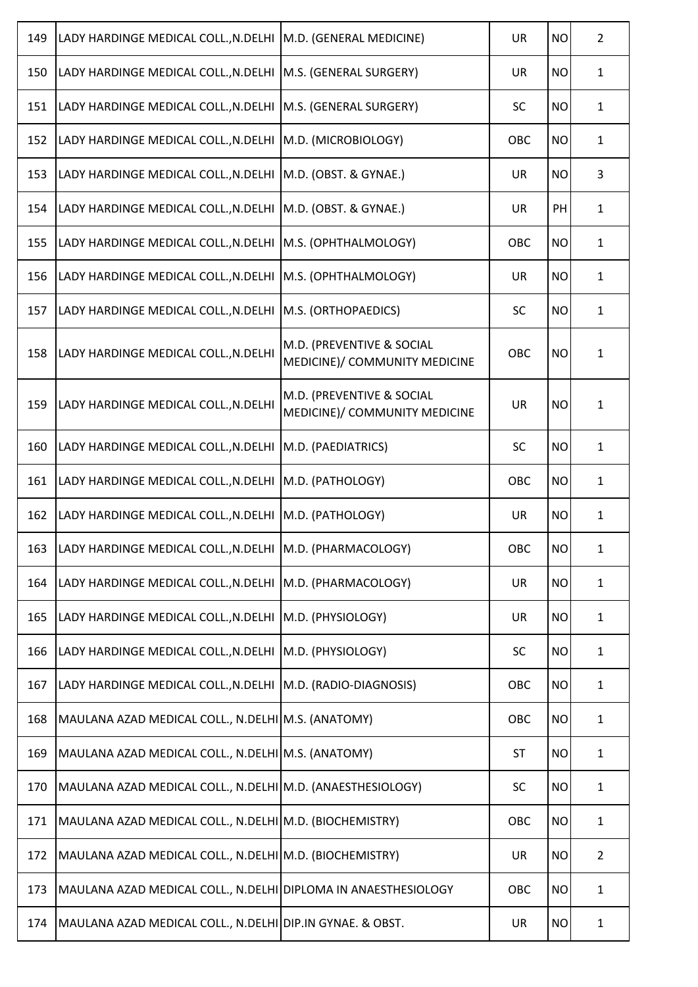| 149 | LADY HARDINGE MEDICAL COLL., N. DELHI                            | M.D. (GENERAL MEDICINE)                                    | <b>UR</b> | <b>NO</b> | $\overline{2}$ |
|-----|------------------------------------------------------------------|------------------------------------------------------------|-----------|-----------|----------------|
| 150 | LADY HARDINGE MEDICAL COLL., N.DELHI                             | M.S. (GENERAL SURGERY)                                     | <b>UR</b> | <b>NO</b> | $\mathbf{1}$   |
| 151 | LADY HARDINGE MEDICAL COLL., N.DELHI                             | M.S. (GENERAL SURGERY)                                     | <b>SC</b> | <b>NO</b> | $\mathbf{1}$   |
| 152 | LADY HARDINGE MEDICAL COLL., N.DELHI                             | M.D. (MICROBIOLOGY)                                        | OBC       | <b>NO</b> | $\mathbf{1}$   |
| 153 | LADY HARDINGE MEDICAL COLL., N.DELHI                             | M.D. (OBST. & GYNAE.)                                      | <b>UR</b> | <b>NO</b> | 3              |
| 154 | LADY HARDINGE MEDICAL COLL., N.DELHI                             | M.D. (OBST. & GYNAE.)                                      | <b>UR</b> | PH        | $\mathbf{1}$   |
| 155 | LADY HARDINGE MEDICAL COLL., N.DELHI                             | M.S. (OPHTHALMOLOGY)                                       | OBC       | <b>NO</b> | $\mathbf{1}$   |
| 156 | LADY HARDINGE MEDICAL COLL., N.DELHI                             | M.S. (OPHTHALMOLOGY)                                       | <b>UR</b> | <b>NO</b> | $\mathbf{1}$   |
| 157 | LADY HARDINGE MEDICAL COLL., N.DELHI                             | M.S. (ORTHOPAEDICS)                                        | SC        | <b>NO</b> | $\mathbf{1}$   |
| 158 | LADY HARDINGE MEDICAL COLL., N. DELHI                            | M.D. (PREVENTIVE & SOCIAL<br>MEDICINE)/ COMMUNITY MEDICINE | OBC       | <b>NO</b> | $\mathbf{1}$   |
| 159 | LADY HARDINGE MEDICAL COLL., N.DELHI                             | M.D. (PREVENTIVE & SOCIAL<br>MEDICINE)/ COMMUNITY MEDICINE | <b>UR</b> | <b>NO</b> | $\mathbf{1}$   |
| 160 | LADY HARDINGE MEDICAL COLL., N.DELHI                             | M.D. (PAEDIATRICS)                                         | <b>SC</b> | <b>NO</b> | $\mathbf{1}$   |
| 161 | LADY HARDINGE MEDICAL COLL., N.DELHI                             | M.D. (PATHOLOGY)                                           | OBC       | <b>NO</b> | $\mathbf{1}$   |
| 162 | LADY HARDINGE MEDICAL COLL., N.DELHI                             | M.D. (PATHOLOGY)                                           | <b>UR</b> | <b>NO</b> | $\mathbf{1}$   |
|     | 163   LADY HARDINGE MEDICAL COLL., N.DELHI   M.D. (PHARMACOLOGY) |                                                            | OBC       | <b>NO</b> | 1              |
| 164 | LADY HARDINGE MEDICAL COLL., N.DELHI                             | M.D. (PHARMACOLOGY)                                        | <b>UR</b> | <b>NO</b> | $\mathbf{1}$   |
| 165 | LADY HARDINGE MEDICAL COLL., N.DELHI                             | M.D. (PHYSIOLOGY)                                          | <b>UR</b> | <b>NO</b> | $\mathbf{1}$   |
| 166 | LADY HARDINGE MEDICAL COLL., N.DELHI                             | M.D. (PHYSIOLOGY)                                          | <b>SC</b> | <b>NO</b> | $\mathbf{1}$   |
| 167 | LADY HARDINGE MEDICAL COLL., N.DELHI                             | M.D. (RADIO-DIAGNOSIS)                                     | OBC       | <b>NO</b> | $\mathbf{1}$   |
| 168 | MAULANA AZAD MEDICAL COLL., N.DELHI M.S. (ANATOMY)               |                                                            | OBC       | <b>NO</b> | $\mathbf{1}$   |
| 169 | MAULANA AZAD MEDICAL COLL., N.DELHI M.S. (ANATOMY)               |                                                            | <b>ST</b> | <b>NO</b> | $\mathbf{1}$   |
| 170 | MAULANA AZAD MEDICAL COLL., N.DELHI M.D. (ANAESTHESIOLOGY)       |                                                            | <b>SC</b> | <b>NO</b> | $\mathbf{1}$   |
| 171 | MAULANA AZAD MEDICAL COLL., N.DELHI M.D. (BIOCHEMISTRY)          |                                                            | OBC       | <b>NO</b> | $\mathbf{1}$   |
| 172 | MAULANA AZAD MEDICAL COLL., N.DELHI M.D. (BIOCHEMISTRY)          |                                                            | <b>UR</b> | <b>NO</b> | $\overline{2}$ |
| 173 | MAULANA AZAD MEDICAL COLL., N.DELHI DIPLOMA IN ANAESTHESIOLOGY   |                                                            | OBC       | <b>NO</b> | $\mathbf{1}$   |
| 174 | MAULANA AZAD MEDICAL COLL., N.DELHI DIP.IN GYNAE. & OBST.        |                                                            | UR        | <b>NO</b> | $\mathbf{1}$   |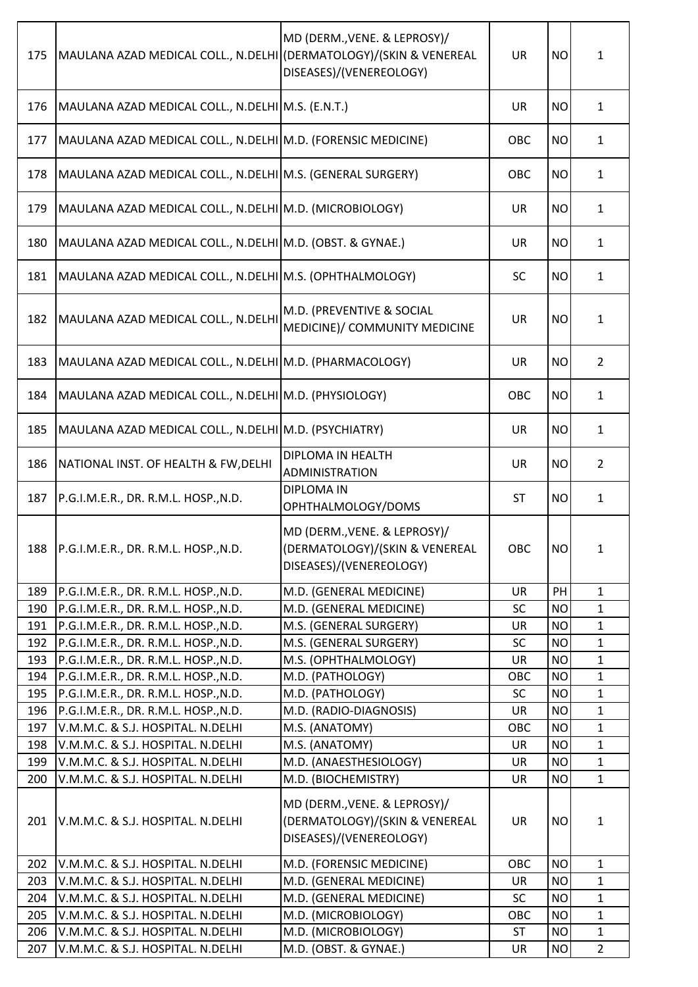| 175        | MAULANA AZAD MEDICAL COLL., N.DELHI                                    | MD (DERM., VENE. & LEPROSY)/<br>(DERMATOLOGY)/(SKIN & VENEREAL<br>DISEASES)/(VENEREOLOGY) | <b>UR</b> | <b>NO</b>              | $\mathbf{1}$                 |
|------------|------------------------------------------------------------------------|-------------------------------------------------------------------------------------------|-----------|------------------------|------------------------------|
| 176        | MAULANA AZAD MEDICAL COLL., N.DELHI M.S. (E.N.T.)                      |                                                                                           | <b>UR</b> | <b>NO</b>              | $\mathbf{1}$                 |
| 177        | MAULANA AZAD MEDICAL COLL., N.DELHI M.D. (FORENSIC MEDICINE)           |                                                                                           | OBC       | <b>NO</b>              | $\mathbf{1}$                 |
| 178        | MAULANA AZAD MEDICAL COLL., N.DELHI M.S. (GENERAL SURGERY)             |                                                                                           | OBC       | <b>NO</b>              | $\mathbf{1}$                 |
| 179        | MAULANA AZAD MEDICAL COLL., N.DELHI M.D. (MICROBIOLOGY)                |                                                                                           | <b>UR</b> | <b>NO</b>              | $\mathbf{1}$                 |
| 180        | MAULANA AZAD MEDICAL COLL., N.DELHI M.D. (OBST. & GYNAE.)              |                                                                                           | <b>UR</b> | <b>NO</b>              | $\mathbf{1}$                 |
| 181        | MAULANA AZAD MEDICAL COLL., N.DELHI M.S. (OPHTHALMOLOGY)               |                                                                                           | <b>SC</b> | <b>NO</b>              | $\mathbf{1}$                 |
| 182        | MAULANA AZAD MEDICAL COLL., N.DELHI                                    | M.D. (PREVENTIVE & SOCIAL<br>MEDICINE)/ COMMUNITY MEDICINE                                | <b>UR</b> | <b>NO</b>              | $\mathbf{1}$                 |
| 183        | MAULANA AZAD MEDICAL COLL., N.DELHI M.D. (PHARMACOLOGY)                |                                                                                           | <b>UR</b> | <b>NO</b>              | $\overline{2}$               |
| 184        | MAULANA AZAD MEDICAL COLL., N.DELHI M.D. (PHYSIOLOGY)                  |                                                                                           | OBC       | <b>NO</b>              | $\mathbf{1}$                 |
| 185        | MAULANA AZAD MEDICAL COLL., N.DELHI M.D. (PSYCHIATRY)                  |                                                                                           | <b>UR</b> | <b>NO</b>              | $\mathbf{1}$                 |
| 186        | NATIONAL INST. OF HEALTH & FW, DELHI                                   | DIPLOMA IN HEALTH<br><b>ADMINISTRATION</b>                                                | <b>UR</b> | <b>NO</b>              | $\overline{2}$               |
| 187        | P.G.I.M.E.R., DR. R.M.L. HOSP., N.D.                                   | <b>DIPLOMA IN</b><br>OPHTHALMOLOGY/DOMS                                                   | ST        | <b>NO</b>              | $\mathbf{1}$                 |
| 188        | P.G.I.M.E.R., DR. R.M.L. HOSP., N.D.                                   | MD (DERM., VENE. & LEPROSY)/<br>(DERMATOLOGY)/(SKIN & VENEREAL<br>DISEASES)/(VENEREOLOGY) | OBC       | <b>NO</b>              | 1                            |
| 189        | P.G.I.M.E.R., DR. R.M.L. HOSP., N.D.                                   | M.D. (GENERAL MEDICINE)                                                                   | UR        | <b>PH</b>              | $\mathbf{1}$                 |
| 190        | P.G.I.M.E.R., DR. R.M.L. HOSP., N.D.                                   | M.D. (GENERAL MEDICINE)                                                                   | <b>SC</b> | <b>NO</b>              | $\mathbf{1}$                 |
| 191        | P.G.I.M.E.R., DR. R.M.L. HOSP., N.D.                                   | M.S. (GENERAL SURGERY)                                                                    | UR        | <b>NO</b>              | $\mathbf{1}$                 |
| 192        | P.G.I.M.E.R., DR. R.M.L. HOSP., N.D.                                   | M.S. (GENERAL SURGERY)                                                                    | <b>SC</b> | <b>NO</b>              | $\mathbf{1}$                 |
| 193        | P.G.I.M.E.R., DR. R.M.L. HOSP., N.D.                                   | M.S. (OPHTHALMOLOGY)                                                                      | UR        | <b>NO</b>              | $\mathbf{1}$                 |
| 194        | P.G.I.M.E.R., DR. R.M.L. HOSP., N.D.                                   | M.D. (PATHOLOGY)                                                                          | OBC       | <b>NO</b>              | $\mathbf{1}$                 |
| 195        | P.G.I.M.E.R., DR. R.M.L. HOSP., N.D.                                   | M.D. (PATHOLOGY)                                                                          | <b>SC</b> | <b>NO</b>              | $\mathbf{1}$                 |
| 196        | P.G.I.M.E.R., DR. R.M.L. HOSP., N.D.                                   | M.D. (RADIO-DIAGNOSIS)                                                                    | <b>UR</b> | <b>NO</b>              | $\mathbf{1}$                 |
| 197<br>198 | V.M.M.C. & S.J. HOSPITAL. N.DELHI<br>V.M.M.C. & S.J. HOSPITAL. N.DELHI | M.S. (ANATOMY)<br>M.S. (ANATOMY)                                                          | OBC<br>UR | <b>NO</b><br><b>NO</b> | $\mathbf{1}$<br>$\mathbf{1}$ |
| 199        | V.M.M.C. & S.J. HOSPITAL. N.DELHI                                      | M.D. (ANAESTHESIOLOGY)                                                                    | <b>UR</b> | <b>NO</b>              | $\mathbf{1}$                 |
| 200        | V.M.M.C. & S.J. HOSPITAL. N.DELHI                                      | M.D. (BIOCHEMISTRY)                                                                       | UR        | <b>NO</b>              | $\mathbf{1}$                 |
| 201        | V.M.M.C. & S.J. HOSPITAL. N.DELHI                                      | MD (DERM., VENE. & LEPROSY)/<br>(DERMATOLOGY)/(SKIN & VENEREAL<br>DISEASES)/(VENEREOLOGY) | <b>UR</b> | <b>NO</b>              | $\mathbf 1$                  |
| 202        | V.M.M.C. & S.J. HOSPITAL. N.DELHI                                      | M.D. (FORENSIC MEDICINE)                                                                  | OBC       | <b>NO</b>              | $\mathbf{1}$                 |
| 203        | V.M.M.C. & S.J. HOSPITAL. N.DELHI                                      | M.D. (GENERAL MEDICINE)                                                                   | <b>UR</b> | <b>NO</b>              | $\mathbf{1}$                 |
| 204        | V.M.M.C. & S.J. HOSPITAL. N.DELHI                                      | M.D. (GENERAL MEDICINE)                                                                   | <b>SC</b> | <b>NO</b>              | $\mathbf{1}$                 |
| 205        | V.M.M.C. & S.J. HOSPITAL. N.DELHI                                      | M.D. (MICROBIOLOGY)                                                                       | OBC       | <b>NO</b>              | $\mathbf{1}$                 |
| 206        | V.M.M.C. & S.J. HOSPITAL. N.DELHI                                      | M.D. (MICROBIOLOGY)                                                                       | <b>ST</b> | <b>NO</b>              | $\mathbf{1}$                 |
| 207        | V.M.M.C. & S.J. HOSPITAL. N.DELHI                                      | M.D. (OBST. & GYNAE.)                                                                     | UR        | <b>NO</b>              | $\overline{2}$               |
|            |                                                                        |                                                                                           |           |                        |                              |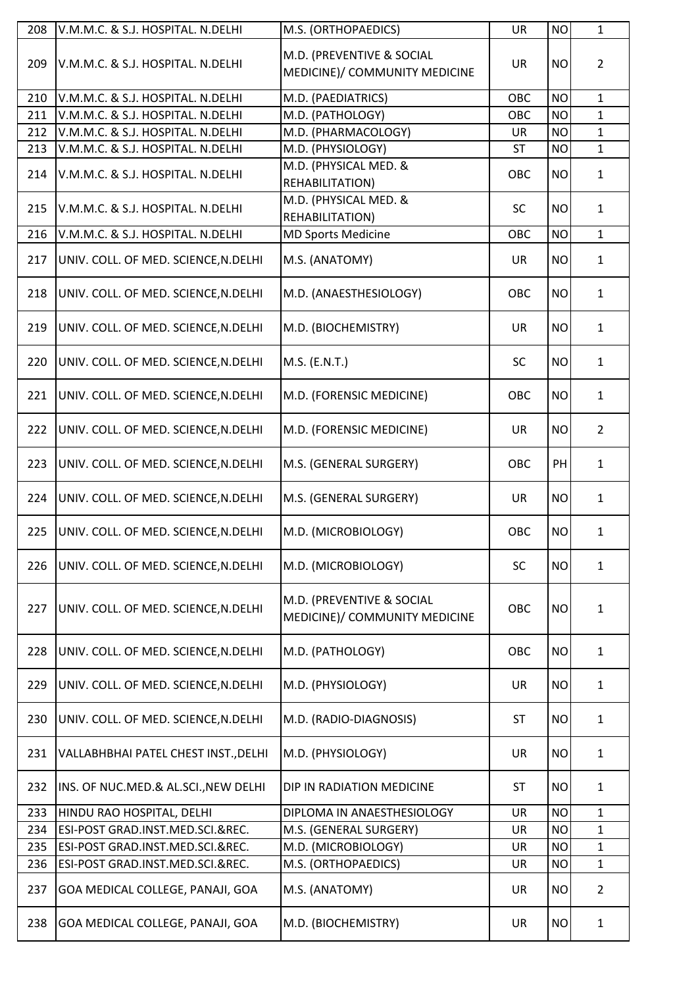| M.D. (PREVENTIVE & SOCIAL<br>209<br>V.M.M.C. & S.J. HOSPITAL. N.DELHI<br><b>UR</b><br><b>NO</b><br>$\overline{2}$<br>MEDICINE)/ COMMUNITY MEDICINE<br>M.D. (PAEDIATRICS)<br><b>NO</b><br>$\mathbf{1}$<br>210<br>V.M.M.C. & S.J. HOSPITAL. N.DELHI<br>OBC<br>M.D. (PATHOLOGY)<br>$\mathbf{1}$<br>211<br>V.M.M.C. & S.J. HOSPITAL. N.DELHI<br>OBC<br><b>NO</b><br>$\mathbf{1}$<br><b>NO</b><br>212<br>V.M.M.C. & S.J. HOSPITAL. N.DELHI<br>M.D. (PHARMACOLOGY)<br><b>UR</b><br>M.D. (PHYSIOLOGY)<br>$\mathbf{1}$<br>213<br>V.M.M.C. & S.J. HOSPITAL. N.DELHI<br><b>ST</b><br><b>NO</b><br>M.D. (PHYSICAL MED. &<br>214<br>V.M.M.C. & S.J. HOSPITAL. N.DELHI<br><b>OBC</b><br><b>NO</b><br>$\mathbf{1}$<br>REHABILITATION)<br>M.D. (PHYSICAL MED. &<br><b>SC</b><br>215<br>V.M.M.C. & S.J. HOSPITAL. N.DELHI<br><b>NO</b><br>$\mathbf{1}$<br><b>REHABILITATION)</b><br><b>MD Sports Medicine</b><br>$\mathbf{1}$<br>216<br>V.M.M.C. & S.J. HOSPITAL. N.DELHI<br>OBC<br><b>NO</b><br>217<br>M.S. (ANATOMY)<br><b>UR</b><br><b>NO</b><br>UNIV. COLL. OF MED. SCIENCE, N. DELHI<br>$\mathbf{1}$<br>218<br>M.D. (ANAESTHESIOLOGY)<br><b>OBC</b><br><b>NO</b><br>$\mathbf{1}$<br>UNIV. COLL. OF MED. SCIENCE, N. DELHI<br>219<br>M.D. (BIOCHEMISTRY)<br><b>UR</b><br><b>NO</b><br>$\mathbf{1}$<br>UNIV. COLL. OF MED. SCIENCE, N. DELHI<br>220<br>M.S. (E.N.T.)<br><b>SC</b><br><b>NO</b><br>UNIV. COLL. OF MED. SCIENCE, N. DELHI<br>$\mathbf{1}$<br>221<br><b>OBC</b><br><b>NO</b><br>$\mathbf{1}$<br>UNIV. COLL. OF MED. SCIENCE, N. DELHI<br>M.D. (FORENSIC MEDICINE)<br>222<br>$\overline{2}$<br>UNIV. COLL. OF MED. SCIENCE, N. DELHI<br>M.D. (FORENSIC MEDICINE)<br>UR<br><b>NO</b><br>223<br>M.S. (GENERAL SURGERY)<br>PH<br>UNIV. COLL. OF MED. SCIENCE, N. DELHI<br>OBC<br>$\mathbf{1}$<br>224<br>M.S. (GENERAL SURGERY)<br><b>UR</b><br><b>NO</b><br>$\mathbf{1}$<br>UNIV. COLL. OF MED. SCIENCE, N. DELHI<br>225<br>UNIV. COLL. OF MED. SCIENCE, N. DELHI<br>M.D. (MICROBIOLOGY)<br>OBC<br><b>NO</b><br>$\mathbf{1}$<br>226<br>UNIV. COLL. OF MED. SCIENCE, N. DELHI<br>M.D. (MICROBIOLOGY)<br><b>SC</b><br><b>NO</b><br>$\mathbf{1}$<br>M.D. (PREVENTIVE & SOCIAL<br>227<br>UNIV. COLL. OF MED. SCIENCE, N. DELHI<br><b>OBC</b><br><b>NO</b><br>$\mathbf{1}$<br>MEDICINE)/ COMMUNITY MEDICINE<br>228<br>UNIV. COLL. OF MED. SCIENCE, N. DELHI<br>M.D. (PATHOLOGY)<br><b>OBC</b><br><b>NO</b><br>$\mathbf{1}$<br>229<br>UNIV. COLL. OF MED. SCIENCE, N. DELHI<br>M.D. (PHYSIOLOGY)<br><b>UR</b><br><b>NO</b><br>1<br>230<br>UNIV. COLL. OF MED. SCIENCE, N. DELHI<br>M.D. (RADIO-DIAGNOSIS)<br>ST<br><b>NO</b><br>$\mathbf{1}$<br>231<br>VALLABHBHAI PATEL CHEST INST., DELHI<br>M.D. (PHYSIOLOGY)<br><b>UR</b><br><b>NO</b><br>$\mathbf{1}$<br>232<br>INS. OF NUC.MED.& AL.SCI., NEW DELHI<br>DIP IN RADIATION MEDICINE<br><b>ST</b><br><b>NO</b><br>$\mathbf{1}$<br>233<br><b>NO</b><br>HINDU RAO HOSPITAL, DELHI<br>DIPLOMA IN ANAESTHESIOLOGY<br><b>UR</b><br>$\mathbf{1}$<br>234<br>$\mathbf{1}$<br>ESI-POST GRAD.INST.MED.SCI.&REC.<br>M.S. (GENERAL SURGERY)<br><b>UR</b><br><b>NO</b><br>235<br>M.D. (MICROBIOLOGY)<br>$\mathbf 1$<br>ESI-POST GRAD.INST.MED.SCI.&REC.<br><b>UR</b><br><b>NO</b><br>M.S. (ORTHOPAEDICS)<br><b>NO</b><br>$\mathbf{1}$<br>236<br>ESI-POST GRAD.INST.MED.SCI.&REC.<br>UR | 208 | V.M.M.C. & S.J. HOSPITAL. N.DELHI | M.S. (ORTHOPAEDICS) | <b>UR</b> | <b>NO</b> | $\mathbf{1}$   |
|-------------------------------------------------------------------------------------------------------------------------------------------------------------------------------------------------------------------------------------------------------------------------------------------------------------------------------------------------------------------------------------------------------------------------------------------------------------------------------------------------------------------------------------------------------------------------------------------------------------------------------------------------------------------------------------------------------------------------------------------------------------------------------------------------------------------------------------------------------------------------------------------------------------------------------------------------------------------------------------------------------------------------------------------------------------------------------------------------------------------------------------------------------------------------------------------------------------------------------------------------------------------------------------------------------------------------------------------------------------------------------------------------------------------------------------------------------------------------------------------------------------------------------------------------------------------------------------------------------------------------------------------------------------------------------------------------------------------------------------------------------------------------------------------------------------------------------------------------------------------------------------------------------------------------------------------------------------------------------------------------------------------------------------------------------------------------------------------------------------------------------------------------------------------------------------------------------------------------------------------------------------------------------------------------------------------------------------------------------------------------------------------------------------------------------------------------------------------------------------------------------------------------------------------------------------------------------------------------------------------------------------------------------------------------------------------------------------------------------------------------------------------------------------------------------------------------------------------------------------------------------------------------------------------------------------------------------------------------------------------------------------------------------------------------------------------------------------------------------------------------------------------------------------------------------------------------------------------------------------------------------------------------------------------------------------------|-----|-----------------------------------|---------------------|-----------|-----------|----------------|
|                                                                                                                                                                                                                                                                                                                                                                                                                                                                                                                                                                                                                                                                                                                                                                                                                                                                                                                                                                                                                                                                                                                                                                                                                                                                                                                                                                                                                                                                                                                                                                                                                                                                                                                                                                                                                                                                                                                                                                                                                                                                                                                                                                                                                                                                                                                                                                                                                                                                                                                                                                                                                                                                                                                                                                                                                                                                                                                                                                                                                                                                                                                                                                                                                                                                                                                   |     |                                   |                     |           |           |                |
|                                                                                                                                                                                                                                                                                                                                                                                                                                                                                                                                                                                                                                                                                                                                                                                                                                                                                                                                                                                                                                                                                                                                                                                                                                                                                                                                                                                                                                                                                                                                                                                                                                                                                                                                                                                                                                                                                                                                                                                                                                                                                                                                                                                                                                                                                                                                                                                                                                                                                                                                                                                                                                                                                                                                                                                                                                                                                                                                                                                                                                                                                                                                                                                                                                                                                                                   |     |                                   |                     |           |           |                |
|                                                                                                                                                                                                                                                                                                                                                                                                                                                                                                                                                                                                                                                                                                                                                                                                                                                                                                                                                                                                                                                                                                                                                                                                                                                                                                                                                                                                                                                                                                                                                                                                                                                                                                                                                                                                                                                                                                                                                                                                                                                                                                                                                                                                                                                                                                                                                                                                                                                                                                                                                                                                                                                                                                                                                                                                                                                                                                                                                                                                                                                                                                                                                                                                                                                                                                                   |     |                                   |                     |           |           |                |
|                                                                                                                                                                                                                                                                                                                                                                                                                                                                                                                                                                                                                                                                                                                                                                                                                                                                                                                                                                                                                                                                                                                                                                                                                                                                                                                                                                                                                                                                                                                                                                                                                                                                                                                                                                                                                                                                                                                                                                                                                                                                                                                                                                                                                                                                                                                                                                                                                                                                                                                                                                                                                                                                                                                                                                                                                                                                                                                                                                                                                                                                                                                                                                                                                                                                                                                   |     |                                   |                     |           |           |                |
|                                                                                                                                                                                                                                                                                                                                                                                                                                                                                                                                                                                                                                                                                                                                                                                                                                                                                                                                                                                                                                                                                                                                                                                                                                                                                                                                                                                                                                                                                                                                                                                                                                                                                                                                                                                                                                                                                                                                                                                                                                                                                                                                                                                                                                                                                                                                                                                                                                                                                                                                                                                                                                                                                                                                                                                                                                                                                                                                                                                                                                                                                                                                                                                                                                                                                                                   |     |                                   |                     |           |           |                |
|                                                                                                                                                                                                                                                                                                                                                                                                                                                                                                                                                                                                                                                                                                                                                                                                                                                                                                                                                                                                                                                                                                                                                                                                                                                                                                                                                                                                                                                                                                                                                                                                                                                                                                                                                                                                                                                                                                                                                                                                                                                                                                                                                                                                                                                                                                                                                                                                                                                                                                                                                                                                                                                                                                                                                                                                                                                                                                                                                                                                                                                                                                                                                                                                                                                                                                                   |     |                                   |                     |           |           |                |
|                                                                                                                                                                                                                                                                                                                                                                                                                                                                                                                                                                                                                                                                                                                                                                                                                                                                                                                                                                                                                                                                                                                                                                                                                                                                                                                                                                                                                                                                                                                                                                                                                                                                                                                                                                                                                                                                                                                                                                                                                                                                                                                                                                                                                                                                                                                                                                                                                                                                                                                                                                                                                                                                                                                                                                                                                                                                                                                                                                                                                                                                                                                                                                                                                                                                                                                   |     |                                   |                     |           |           |                |
|                                                                                                                                                                                                                                                                                                                                                                                                                                                                                                                                                                                                                                                                                                                                                                                                                                                                                                                                                                                                                                                                                                                                                                                                                                                                                                                                                                                                                                                                                                                                                                                                                                                                                                                                                                                                                                                                                                                                                                                                                                                                                                                                                                                                                                                                                                                                                                                                                                                                                                                                                                                                                                                                                                                                                                                                                                                                                                                                                                                                                                                                                                                                                                                                                                                                                                                   |     |                                   |                     |           |           |                |
|                                                                                                                                                                                                                                                                                                                                                                                                                                                                                                                                                                                                                                                                                                                                                                                                                                                                                                                                                                                                                                                                                                                                                                                                                                                                                                                                                                                                                                                                                                                                                                                                                                                                                                                                                                                                                                                                                                                                                                                                                                                                                                                                                                                                                                                                                                                                                                                                                                                                                                                                                                                                                                                                                                                                                                                                                                                                                                                                                                                                                                                                                                                                                                                                                                                                                                                   |     |                                   |                     |           |           |                |
|                                                                                                                                                                                                                                                                                                                                                                                                                                                                                                                                                                                                                                                                                                                                                                                                                                                                                                                                                                                                                                                                                                                                                                                                                                                                                                                                                                                                                                                                                                                                                                                                                                                                                                                                                                                                                                                                                                                                                                                                                                                                                                                                                                                                                                                                                                                                                                                                                                                                                                                                                                                                                                                                                                                                                                                                                                                                                                                                                                                                                                                                                                                                                                                                                                                                                                                   |     |                                   |                     |           |           |                |
|                                                                                                                                                                                                                                                                                                                                                                                                                                                                                                                                                                                                                                                                                                                                                                                                                                                                                                                                                                                                                                                                                                                                                                                                                                                                                                                                                                                                                                                                                                                                                                                                                                                                                                                                                                                                                                                                                                                                                                                                                                                                                                                                                                                                                                                                                                                                                                                                                                                                                                                                                                                                                                                                                                                                                                                                                                                                                                                                                                                                                                                                                                                                                                                                                                                                                                                   |     |                                   |                     |           |           |                |
|                                                                                                                                                                                                                                                                                                                                                                                                                                                                                                                                                                                                                                                                                                                                                                                                                                                                                                                                                                                                                                                                                                                                                                                                                                                                                                                                                                                                                                                                                                                                                                                                                                                                                                                                                                                                                                                                                                                                                                                                                                                                                                                                                                                                                                                                                                                                                                                                                                                                                                                                                                                                                                                                                                                                                                                                                                                                                                                                                                                                                                                                                                                                                                                                                                                                                                                   |     |                                   |                     |           |           |                |
|                                                                                                                                                                                                                                                                                                                                                                                                                                                                                                                                                                                                                                                                                                                                                                                                                                                                                                                                                                                                                                                                                                                                                                                                                                                                                                                                                                                                                                                                                                                                                                                                                                                                                                                                                                                                                                                                                                                                                                                                                                                                                                                                                                                                                                                                                                                                                                                                                                                                                                                                                                                                                                                                                                                                                                                                                                                                                                                                                                                                                                                                                                                                                                                                                                                                                                                   |     |                                   |                     |           |           |                |
|                                                                                                                                                                                                                                                                                                                                                                                                                                                                                                                                                                                                                                                                                                                                                                                                                                                                                                                                                                                                                                                                                                                                                                                                                                                                                                                                                                                                                                                                                                                                                                                                                                                                                                                                                                                                                                                                                                                                                                                                                                                                                                                                                                                                                                                                                                                                                                                                                                                                                                                                                                                                                                                                                                                                                                                                                                                                                                                                                                                                                                                                                                                                                                                                                                                                                                                   |     |                                   |                     |           |           |                |
|                                                                                                                                                                                                                                                                                                                                                                                                                                                                                                                                                                                                                                                                                                                                                                                                                                                                                                                                                                                                                                                                                                                                                                                                                                                                                                                                                                                                                                                                                                                                                                                                                                                                                                                                                                                                                                                                                                                                                                                                                                                                                                                                                                                                                                                                                                                                                                                                                                                                                                                                                                                                                                                                                                                                                                                                                                                                                                                                                                                                                                                                                                                                                                                                                                                                                                                   |     |                                   |                     |           |           |                |
|                                                                                                                                                                                                                                                                                                                                                                                                                                                                                                                                                                                                                                                                                                                                                                                                                                                                                                                                                                                                                                                                                                                                                                                                                                                                                                                                                                                                                                                                                                                                                                                                                                                                                                                                                                                                                                                                                                                                                                                                                                                                                                                                                                                                                                                                                                                                                                                                                                                                                                                                                                                                                                                                                                                                                                                                                                                                                                                                                                                                                                                                                                                                                                                                                                                                                                                   |     |                                   |                     |           |           |                |
|                                                                                                                                                                                                                                                                                                                                                                                                                                                                                                                                                                                                                                                                                                                                                                                                                                                                                                                                                                                                                                                                                                                                                                                                                                                                                                                                                                                                                                                                                                                                                                                                                                                                                                                                                                                                                                                                                                                                                                                                                                                                                                                                                                                                                                                                                                                                                                                                                                                                                                                                                                                                                                                                                                                                                                                                                                                                                                                                                                                                                                                                                                                                                                                                                                                                                                                   |     |                                   |                     |           |           |                |
|                                                                                                                                                                                                                                                                                                                                                                                                                                                                                                                                                                                                                                                                                                                                                                                                                                                                                                                                                                                                                                                                                                                                                                                                                                                                                                                                                                                                                                                                                                                                                                                                                                                                                                                                                                                                                                                                                                                                                                                                                                                                                                                                                                                                                                                                                                                                                                                                                                                                                                                                                                                                                                                                                                                                                                                                                                                                                                                                                                                                                                                                                                                                                                                                                                                                                                                   |     |                                   |                     |           |           |                |
|                                                                                                                                                                                                                                                                                                                                                                                                                                                                                                                                                                                                                                                                                                                                                                                                                                                                                                                                                                                                                                                                                                                                                                                                                                                                                                                                                                                                                                                                                                                                                                                                                                                                                                                                                                                                                                                                                                                                                                                                                                                                                                                                                                                                                                                                                                                                                                                                                                                                                                                                                                                                                                                                                                                                                                                                                                                                                                                                                                                                                                                                                                                                                                                                                                                                                                                   |     |                                   |                     |           |           |                |
|                                                                                                                                                                                                                                                                                                                                                                                                                                                                                                                                                                                                                                                                                                                                                                                                                                                                                                                                                                                                                                                                                                                                                                                                                                                                                                                                                                                                                                                                                                                                                                                                                                                                                                                                                                                                                                                                                                                                                                                                                                                                                                                                                                                                                                                                                                                                                                                                                                                                                                                                                                                                                                                                                                                                                                                                                                                                                                                                                                                                                                                                                                                                                                                                                                                                                                                   |     |                                   |                     |           |           |                |
|                                                                                                                                                                                                                                                                                                                                                                                                                                                                                                                                                                                                                                                                                                                                                                                                                                                                                                                                                                                                                                                                                                                                                                                                                                                                                                                                                                                                                                                                                                                                                                                                                                                                                                                                                                                                                                                                                                                                                                                                                                                                                                                                                                                                                                                                                                                                                                                                                                                                                                                                                                                                                                                                                                                                                                                                                                                                                                                                                                                                                                                                                                                                                                                                                                                                                                                   |     |                                   |                     |           |           |                |
|                                                                                                                                                                                                                                                                                                                                                                                                                                                                                                                                                                                                                                                                                                                                                                                                                                                                                                                                                                                                                                                                                                                                                                                                                                                                                                                                                                                                                                                                                                                                                                                                                                                                                                                                                                                                                                                                                                                                                                                                                                                                                                                                                                                                                                                                                                                                                                                                                                                                                                                                                                                                                                                                                                                                                                                                                                                                                                                                                                                                                                                                                                                                                                                                                                                                                                                   |     |                                   |                     |           |           |                |
|                                                                                                                                                                                                                                                                                                                                                                                                                                                                                                                                                                                                                                                                                                                                                                                                                                                                                                                                                                                                                                                                                                                                                                                                                                                                                                                                                                                                                                                                                                                                                                                                                                                                                                                                                                                                                                                                                                                                                                                                                                                                                                                                                                                                                                                                                                                                                                                                                                                                                                                                                                                                                                                                                                                                                                                                                                                                                                                                                                                                                                                                                                                                                                                                                                                                                                                   |     |                                   |                     |           |           |                |
|                                                                                                                                                                                                                                                                                                                                                                                                                                                                                                                                                                                                                                                                                                                                                                                                                                                                                                                                                                                                                                                                                                                                                                                                                                                                                                                                                                                                                                                                                                                                                                                                                                                                                                                                                                                                                                                                                                                                                                                                                                                                                                                                                                                                                                                                                                                                                                                                                                                                                                                                                                                                                                                                                                                                                                                                                                                                                                                                                                                                                                                                                                                                                                                                                                                                                                                   |     |                                   |                     |           |           |                |
|                                                                                                                                                                                                                                                                                                                                                                                                                                                                                                                                                                                                                                                                                                                                                                                                                                                                                                                                                                                                                                                                                                                                                                                                                                                                                                                                                                                                                                                                                                                                                                                                                                                                                                                                                                                                                                                                                                                                                                                                                                                                                                                                                                                                                                                                                                                                                                                                                                                                                                                                                                                                                                                                                                                                                                                                                                                                                                                                                                                                                                                                                                                                                                                                                                                                                                                   |     |                                   |                     |           |           |                |
|                                                                                                                                                                                                                                                                                                                                                                                                                                                                                                                                                                                                                                                                                                                                                                                                                                                                                                                                                                                                                                                                                                                                                                                                                                                                                                                                                                                                                                                                                                                                                                                                                                                                                                                                                                                                                                                                                                                                                                                                                                                                                                                                                                                                                                                                                                                                                                                                                                                                                                                                                                                                                                                                                                                                                                                                                                                                                                                                                                                                                                                                                                                                                                                                                                                                                                                   |     |                                   |                     |           |           |                |
|                                                                                                                                                                                                                                                                                                                                                                                                                                                                                                                                                                                                                                                                                                                                                                                                                                                                                                                                                                                                                                                                                                                                                                                                                                                                                                                                                                                                                                                                                                                                                                                                                                                                                                                                                                                                                                                                                                                                                                                                                                                                                                                                                                                                                                                                                                                                                                                                                                                                                                                                                                                                                                                                                                                                                                                                                                                                                                                                                                                                                                                                                                                                                                                                                                                                                                                   |     |                                   |                     |           |           |                |
|                                                                                                                                                                                                                                                                                                                                                                                                                                                                                                                                                                                                                                                                                                                                                                                                                                                                                                                                                                                                                                                                                                                                                                                                                                                                                                                                                                                                                                                                                                                                                                                                                                                                                                                                                                                                                                                                                                                                                                                                                                                                                                                                                                                                                                                                                                                                                                                                                                                                                                                                                                                                                                                                                                                                                                                                                                                                                                                                                                                                                                                                                                                                                                                                                                                                                                                   |     |                                   |                     |           |           |                |
| <b>UR</b><br><b>NO</b>                                                                                                                                                                                                                                                                                                                                                                                                                                                                                                                                                                                                                                                                                                                                                                                                                                                                                                                                                                                                                                                                                                                                                                                                                                                                                                                                                                                                                                                                                                                                                                                                                                                                                                                                                                                                                                                                                                                                                                                                                                                                                                                                                                                                                                                                                                                                                                                                                                                                                                                                                                                                                                                                                                                                                                                                                                                                                                                                                                                                                                                                                                                                                                                                                                                                                            | 237 | GOA MEDICAL COLLEGE, PANAJI, GOA  | M.S. (ANATOMY)      |           |           | $\overline{2}$ |
| 238<br><b>NO</b><br>GOA MEDICAL COLLEGE, PANAJI, GOA<br>M.D. (BIOCHEMISTRY)<br>UR<br>$\mathbf{1}$                                                                                                                                                                                                                                                                                                                                                                                                                                                                                                                                                                                                                                                                                                                                                                                                                                                                                                                                                                                                                                                                                                                                                                                                                                                                                                                                                                                                                                                                                                                                                                                                                                                                                                                                                                                                                                                                                                                                                                                                                                                                                                                                                                                                                                                                                                                                                                                                                                                                                                                                                                                                                                                                                                                                                                                                                                                                                                                                                                                                                                                                                                                                                                                                                 |     |                                   |                     |           |           |                |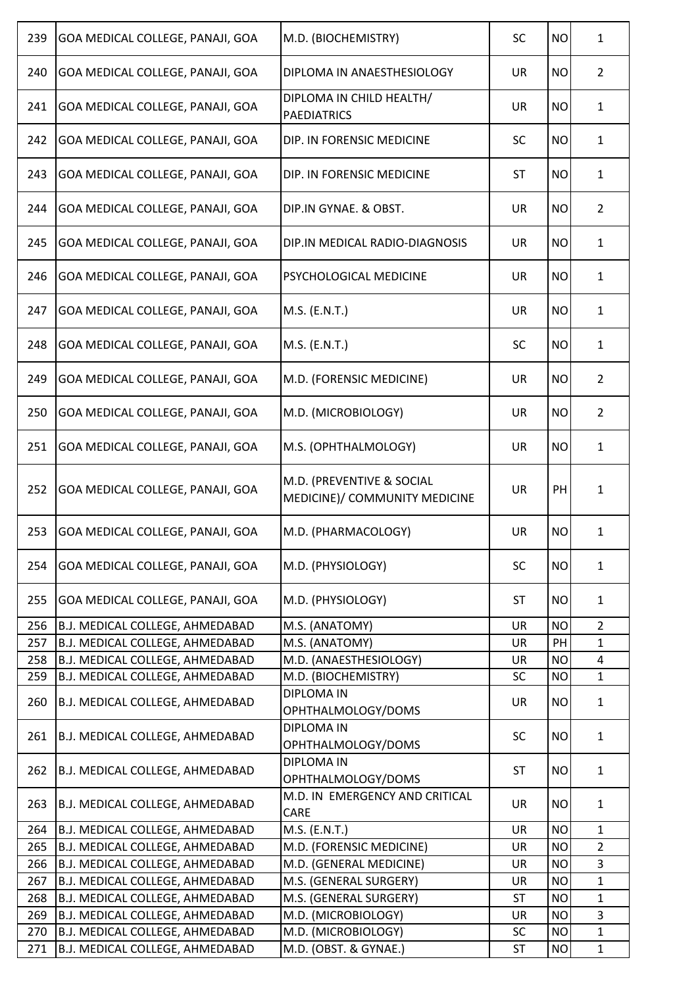| 239 | GOA MEDICAL COLLEGE, PANAJI, GOA | M.D. (BIOCHEMISTRY)                                        | <b>SC</b> | <b>NO</b> | $\mathbf{1}$   |
|-----|----------------------------------|------------------------------------------------------------|-----------|-----------|----------------|
| 240 | GOA MEDICAL COLLEGE, PANAJI, GOA | DIPLOMA IN ANAESTHESIOLOGY                                 | <b>UR</b> | <b>NO</b> | $\overline{2}$ |
| 241 | GOA MEDICAL COLLEGE, PANAJI, GOA | DIPLOMA IN CHILD HEALTH/<br><b>PAEDIATRICS</b>             | <b>UR</b> | <b>NO</b> | $\mathbf{1}$   |
| 242 | GOA MEDICAL COLLEGE, PANAJI, GOA | DIP. IN FORENSIC MEDICINE                                  | <b>SC</b> | <b>NO</b> | $\mathbf{1}$   |
| 243 | GOA MEDICAL COLLEGE, PANAJI, GOA | DIP. IN FORENSIC MEDICINE                                  | <b>ST</b> | <b>NO</b> | $\mathbf{1}$   |
| 244 | GOA MEDICAL COLLEGE, PANAJI, GOA | DIP.IN GYNAE. & OBST.                                      | <b>UR</b> | <b>NO</b> | $\overline{2}$ |
| 245 | GOA MEDICAL COLLEGE, PANAJI, GOA | DIP.IN MEDICAL RADIO-DIAGNOSIS                             | <b>UR</b> | <b>NO</b> | $\mathbf{1}$   |
| 246 | GOA MEDICAL COLLEGE, PANAJI, GOA | PSYCHOLOGICAL MEDICINE                                     | <b>UR</b> | <b>NO</b> | $\mathbf{1}$   |
| 247 | GOA MEDICAL COLLEGE, PANAJI, GOA | M.S. (E.N.T.)                                              | <b>UR</b> | <b>NO</b> | $\mathbf{1}$   |
| 248 | GOA MEDICAL COLLEGE, PANAJI, GOA | M.S. (E.N.T.)                                              | <b>SC</b> | <b>NO</b> | $\mathbf{1}$   |
| 249 | GOA MEDICAL COLLEGE, PANAJI, GOA | M.D. (FORENSIC MEDICINE)                                   | <b>UR</b> | <b>NO</b> | $\overline{2}$ |
| 250 | GOA MEDICAL COLLEGE, PANAJI, GOA | M.D. (MICROBIOLOGY)                                        | <b>UR</b> | <b>NO</b> | $\overline{2}$ |
| 251 | GOA MEDICAL COLLEGE, PANAJI, GOA | M.S. (OPHTHALMOLOGY)                                       | <b>UR</b> | <b>NO</b> | $\mathbf{1}$   |
| 252 | GOA MEDICAL COLLEGE, PANAJI, GOA | M.D. (PREVENTIVE & SOCIAL<br>MEDICINE)/ COMMUNITY MEDICINE | <b>UR</b> | PH        | 1              |
| 253 | GOA MEDICAL COLLEGE, PANAJI, GOA | M.D. (PHARMACOLOGY)                                        | <b>UR</b> | <b>NO</b> | 1              |
| 254 | GOA MEDICAL COLLEGE, PANAJI, GOA | M.D. (PHYSIOLOGY)                                          | <b>SC</b> | <b>NO</b> | $\mathbf{1}$   |
| 255 | GOA MEDICAL COLLEGE, PANAJI, GOA | M.D. (PHYSIOLOGY)                                          | ST        | <b>NO</b> | $\mathbf{1}$   |
| 256 | B.J. MEDICAL COLLEGE, AHMEDABAD  | M.S. (ANATOMY)                                             | <b>UR</b> | <b>NO</b> | $\overline{2}$ |
| 257 | B.J. MEDICAL COLLEGE, AHMEDABAD  | M.S. (ANATOMY)                                             | UR        | PH        | $\mathbf{1}$   |
| 258 | B.J. MEDICAL COLLEGE, AHMEDABAD  | M.D. (ANAESTHESIOLOGY)                                     | <b>UR</b> | <b>NO</b> | 4              |
| 259 | B.J. MEDICAL COLLEGE, AHMEDABAD  | M.D. (BIOCHEMISTRY)                                        | <b>SC</b> | <b>NO</b> | $\mathbf{1}$   |
| 260 | B.J. MEDICAL COLLEGE, AHMEDABAD  | <b>DIPLOMA IN</b><br>OPHTHALMOLOGY/DOMS                    | <b>UR</b> | <b>NO</b> | $\mathbf{1}$   |
| 261 | B.J. MEDICAL COLLEGE, AHMEDABAD  | <b>DIPLOMA IN</b><br>OPHTHALMOLOGY/DOMS                    | <b>SC</b> | <b>NO</b> | $\mathbf{1}$   |
| 262 | B.J. MEDICAL COLLEGE, AHMEDABAD  | <b>DIPLOMA IN</b><br>OPHTHALMOLOGY/DOMS                    | <b>ST</b> | <b>NO</b> | 1              |
| 263 | B.J. MEDICAL COLLEGE, AHMEDABAD  | M.D. IN EMERGENCY AND CRITICAL<br>CARE                     | <b>UR</b> | <b>NO</b> | $\mathbf{1}$   |
| 264 | B.J. MEDICAL COLLEGE, AHMEDABAD  | M.S. (E.N.T.)                                              | <b>UR</b> | <b>NO</b> | $\mathbf{1}$   |
| 265 | B.J. MEDICAL COLLEGE, AHMEDABAD  | M.D. (FORENSIC MEDICINE)                                   | <b>UR</b> | <b>NO</b> | $\overline{2}$ |
| 266 | B.J. MEDICAL COLLEGE, AHMEDABAD  | M.D. (GENERAL MEDICINE)                                    | UR        | <b>NO</b> | 3              |
| 267 | B.J. MEDICAL COLLEGE, AHMEDABAD  | M.S. (GENERAL SURGERY)                                     | UR        | <b>NO</b> | $\mathbf{1}$   |
| 268 | B.J. MEDICAL COLLEGE, AHMEDABAD  | M.S. (GENERAL SURGERY)                                     | <b>ST</b> | <b>NO</b> | $\mathbf{1}$   |
| 269 | B.J. MEDICAL COLLEGE, AHMEDABAD  | M.D. (MICROBIOLOGY)                                        | UR        | <b>NO</b> | 3              |
| 270 | B.J. MEDICAL COLLEGE, AHMEDABAD  | M.D. (MICROBIOLOGY)                                        | <b>SC</b> | <b>NO</b> | $\mathbf{1}$   |
| 271 | B.J. MEDICAL COLLEGE, AHMEDABAD  | M.D. (OBST. & GYNAE.)                                      | <b>ST</b> | <b>NO</b> | $\mathbf{1}$   |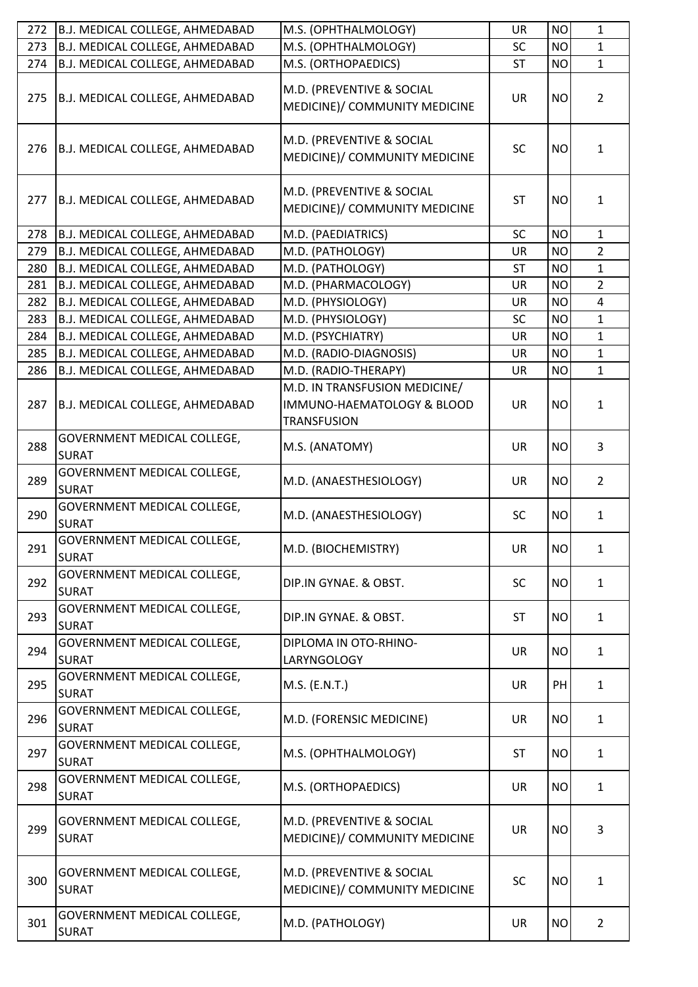| 272 | B.J. MEDICAL COLLEGE, AHMEDABAD                    | M.S. (OPHTHALMOLOGY)                                        | UR        | <b>NO</b> | $\mathbf{1}$   |
|-----|----------------------------------------------------|-------------------------------------------------------------|-----------|-----------|----------------|
| 273 | B.J. MEDICAL COLLEGE, AHMEDABAD                    | M.S. (OPHTHALMOLOGY)                                        | <b>SC</b> | <b>NO</b> | $\mathbf{1}$   |
| 274 | B.J. MEDICAL COLLEGE, AHMEDABAD                    | M.S. (ORTHOPAEDICS)                                         | <b>ST</b> | <b>NO</b> | $\mathbf{1}$   |
| 275 | B.J. MEDICAL COLLEGE, AHMEDABAD                    | M.D. (PREVENTIVE & SOCIAL<br>MEDICINE)/ COMMUNITY MEDICINE  | <b>UR</b> | <b>NO</b> | $\overline{2}$ |
| 276 | B.J. MEDICAL COLLEGE, AHMEDABAD                    | M.D. (PREVENTIVE & SOCIAL<br>MEDICINE)/ COMMUNITY MEDICINE  | <b>SC</b> | <b>NO</b> | $\mathbf{1}$   |
| 277 | B.J. MEDICAL COLLEGE, AHMEDABAD                    | M.D. (PREVENTIVE & SOCIAL<br>MEDICINE)/ COMMUNITY MEDICINE  | <b>ST</b> | <b>NO</b> | 1              |
| 278 | B.J. MEDICAL COLLEGE, AHMEDABAD                    | M.D. (PAEDIATRICS)                                          | <b>SC</b> | <b>NO</b> | $\mathbf{1}$   |
| 279 | B.J. MEDICAL COLLEGE, AHMEDABAD                    | M.D. (PATHOLOGY)                                            | <b>UR</b> | <b>NO</b> | $\overline{2}$ |
| 280 | B.J. MEDICAL COLLEGE, AHMEDABAD                    | M.D. (PATHOLOGY)                                            | <b>ST</b> | <b>NO</b> | $\mathbf{1}$   |
| 281 | B.J. MEDICAL COLLEGE, AHMEDABAD                    | M.D. (PHARMACOLOGY)                                         | <b>UR</b> | <b>NO</b> | $\overline{2}$ |
| 282 | B.J. MEDICAL COLLEGE, AHMEDABAD                    | M.D. (PHYSIOLOGY)                                           | <b>UR</b> | <b>NO</b> | $\overline{4}$ |
| 283 | B.J. MEDICAL COLLEGE, AHMEDABAD                    | M.D. (PHYSIOLOGY)                                           | <b>SC</b> | <b>NO</b> | $\mathbf{1}$   |
| 284 | B.J. MEDICAL COLLEGE, AHMEDABAD                    | M.D. (PSYCHIATRY)                                           | <b>UR</b> | <b>NO</b> | $\mathbf{1}$   |
| 285 | B.J. MEDICAL COLLEGE, AHMEDABAD                    | M.D. (RADIO-DIAGNOSIS)                                      | UR        | <b>NO</b> | $\mathbf{1}$   |
| 286 | B.J. MEDICAL COLLEGE, AHMEDABAD                    | M.D. (RADIO-THERAPY)                                        | <b>UR</b> | <b>NO</b> | $\mathbf{1}$   |
| 287 | B.J. MEDICAL COLLEGE, AHMEDABAD                    | M.D. IN TRANSFUSION MEDICINE/<br>IMMUNO-HAEMATOLOGY & BLOOD | <b>UR</b> | <b>NO</b> | 1              |
| 288 | GOVERNMENT MEDICAL COLLEGE,<br><b>SURAT</b>        | <b>TRANSFUSION</b><br>M.S. (ANATOMY)                        | <b>UR</b> | <b>NO</b> | 3              |
| 289 | GOVERNMENT MEDICAL COLLEGE,<br><b>SURAT</b>        | M.D. (ANAESTHESIOLOGY)                                      | <b>UR</b> | <b>NO</b> | $\overline{2}$ |
| 290 | GOVERNMENT MEDICAL COLLEGE,<br><b>SURAT</b>        | M.D. (ANAESTHESIOLOGY)                                      | <b>SC</b> | <b>NO</b> | $\mathbf{1}$   |
| 291 | GOVERNMENT MEDICAL COLLEGE,<br><b>SURAT</b>        | M.D. (BIOCHEMISTRY)                                         | <b>UR</b> | <b>NO</b> | 1              |
| 292 | <b>GOVERNMENT MEDICAL COLLEGE,</b><br><b>SURAT</b> | DIP.IN GYNAE. & OBST.                                       | <b>SC</b> | <b>NO</b> | $\mathbf{1}$   |
| 293 | GOVERNMENT MEDICAL COLLEGE,<br><b>SURAT</b>        | DIP.IN GYNAE. & OBST.                                       | ST        | <b>NO</b> | $\mathbf{1}$   |
| 294 | GOVERNMENT MEDICAL COLLEGE,<br><b>SURAT</b>        | DIPLOMA IN OTO-RHINO-<br>LARYNGOLOGY                        | <b>UR</b> | <b>NO</b> | $\mathbf{1}$   |
| 295 | GOVERNMENT MEDICAL COLLEGE,<br><b>SURAT</b>        | M.S. (E.N.T.)                                               | <b>UR</b> | PH        | $\mathbf{1}$   |
| 296 | GOVERNMENT MEDICAL COLLEGE,<br><b>SURAT</b>        | M.D. (FORENSIC MEDICINE)                                    | UR        | <b>NO</b> | $\mathbf{1}$   |
| 297 | GOVERNMENT MEDICAL COLLEGE,<br><b>SURAT</b>        | M.S. (OPHTHALMOLOGY)                                        | <b>ST</b> | <b>NO</b> | $\mathbf{1}$   |
| 298 | GOVERNMENT MEDICAL COLLEGE,<br><b>SURAT</b>        | M.S. (ORTHOPAEDICS)                                         | <b>UR</b> | <b>NO</b> | $\mathbf{1}$   |
| 299 | GOVERNMENT MEDICAL COLLEGE,<br><b>SURAT</b>        | M.D. (PREVENTIVE & SOCIAL<br>MEDICINE)/ COMMUNITY MEDICINE  | <b>UR</b> | <b>NO</b> | 3              |
| 300 | GOVERNMENT MEDICAL COLLEGE,<br><b>SURAT</b>        | M.D. (PREVENTIVE & SOCIAL<br>MEDICINE)/ COMMUNITY MEDICINE  | <b>SC</b> | <b>NO</b> | $\mathbf{1}$   |
| 301 | GOVERNMENT MEDICAL COLLEGE,<br><b>SURAT</b>        | M.D. (PATHOLOGY)                                            | UR        | <b>NO</b> | $\overline{2}$ |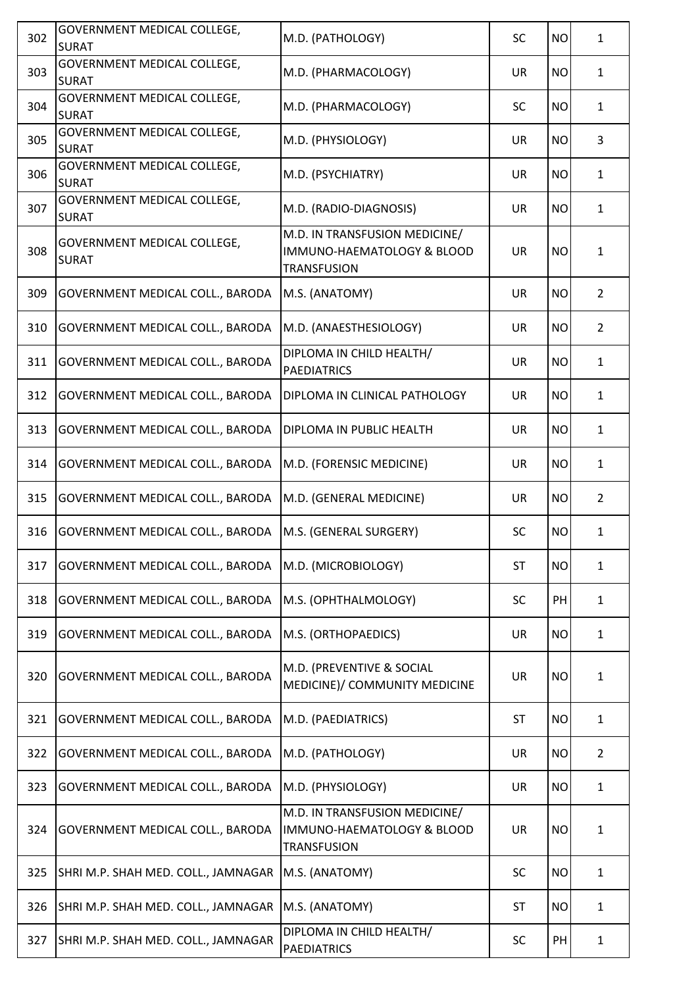| 302 | GOVERNMENT MEDICAL COLLEGE,<br><b>SURAT</b> | M.D. (PATHOLOGY)                                                                  | <b>SC</b> | <b>NO</b> | $\mathbf{1}$   |
|-----|---------------------------------------------|-----------------------------------------------------------------------------------|-----------|-----------|----------------|
| 303 | GOVERNMENT MEDICAL COLLEGE,<br><b>SURAT</b> | M.D. (PHARMACOLOGY)                                                               | <b>UR</b> | <b>NO</b> | $\mathbf{1}$   |
| 304 | GOVERNMENT MEDICAL COLLEGE,<br><b>SURAT</b> | M.D. (PHARMACOLOGY)                                                               | <b>SC</b> | <b>NO</b> | $\mathbf{1}$   |
| 305 | GOVERNMENT MEDICAL COLLEGE,<br><b>SURAT</b> | M.D. (PHYSIOLOGY)                                                                 | <b>UR</b> | <b>NO</b> | 3              |
| 306 | GOVERNMENT MEDICAL COLLEGE,<br><b>SURAT</b> | M.D. (PSYCHIATRY)                                                                 | <b>UR</b> | <b>NO</b> | $\mathbf{1}$   |
| 307 | GOVERNMENT MEDICAL COLLEGE,<br><b>SURAT</b> | M.D. (RADIO-DIAGNOSIS)                                                            | <b>UR</b> | <b>NO</b> | $\mathbf{1}$   |
| 308 | GOVERNMENT MEDICAL COLLEGE,<br><b>SURAT</b> | M.D. IN TRANSFUSION MEDICINE/<br>IMMUNO-HAEMATOLOGY & BLOOD<br><b>TRANSFUSION</b> | <b>UR</b> | <b>NO</b> | 1              |
| 309 | GOVERNMENT MEDICAL COLL., BARODA            | M.S. (ANATOMY)                                                                    | <b>UR</b> | <b>NO</b> | $\overline{2}$ |
| 310 | GOVERNMENT MEDICAL COLL., BARODA            | M.D. (ANAESTHESIOLOGY)                                                            | <b>UR</b> | <b>NO</b> | $\overline{2}$ |
| 311 | GOVERNMENT MEDICAL COLL., BARODA            | DIPLOMA IN CHILD HEALTH/<br><b>PAEDIATRICS</b>                                    | <b>UR</b> | <b>NO</b> | $\mathbf{1}$   |
| 312 | GOVERNMENT MEDICAL COLL., BARODA            | DIPLOMA IN CLINICAL PATHOLOGY                                                     | <b>UR</b> | <b>NO</b> | $\mathbf{1}$   |
| 313 | GOVERNMENT MEDICAL COLL., BARODA            | DIPLOMA IN PUBLIC HEALTH                                                          | <b>UR</b> | <b>NO</b> | $\mathbf{1}$   |
| 314 | GOVERNMENT MEDICAL COLL., BARODA            | M.D. (FORENSIC MEDICINE)                                                          | <b>UR</b> | <b>NO</b> | $\mathbf{1}$   |
| 315 | GOVERNMENT MEDICAL COLL., BARODA            | M.D. (GENERAL MEDICINE)                                                           | <b>UR</b> | <b>NO</b> | $\overline{2}$ |
| 316 | GOVERNMENT MEDICAL COLL., BARODA            | M.S. (GENERAL SURGERY)                                                            | <b>SC</b> | <b>NO</b> | $\mathbf{1}$   |
| 317 | GOVERNMENT MEDICAL COLL., BARODA            | M.D. (MICROBIOLOGY)                                                               | <b>ST</b> | <b>NO</b> | $\mathbf{1}$   |
| 318 | GOVERNMENT MEDICAL COLL., BARODA            | M.S. (OPHTHALMOLOGY)                                                              | <b>SC</b> | PH        | $\mathbf{1}$   |
| 319 | GOVERNMENT MEDICAL COLL., BARODA            | M.S. (ORTHOPAEDICS)                                                               | <b>UR</b> | <b>NO</b> | $\mathbf{1}$   |
| 320 | GOVERNMENT MEDICAL COLL., BARODA            | M.D. (PREVENTIVE & SOCIAL<br>MEDICINE)/ COMMUNITY MEDICINE                        | <b>UR</b> | <b>NO</b> | $\mathbf{1}$   |
| 321 | GOVERNMENT MEDICAL COLL., BARODA            | M.D. (PAEDIATRICS)                                                                | <b>ST</b> | <b>NO</b> | $\mathbf{1}$   |
| 322 | GOVERNMENT MEDICAL COLL., BARODA            | M.D. (PATHOLOGY)                                                                  | <b>UR</b> | <b>NO</b> | $\overline{2}$ |
| 323 | GOVERNMENT MEDICAL COLL., BARODA            | M.D. (PHYSIOLOGY)                                                                 | <b>UR</b> | <b>NO</b> | $\mathbf{1}$   |
| 324 | GOVERNMENT MEDICAL COLL., BARODA            | M.D. IN TRANSFUSION MEDICINE/<br>IMMUNO-HAEMATOLOGY & BLOOD<br><b>TRANSFUSION</b> | <b>UR</b> | <b>NO</b> | $\mathbf{1}$   |
| 325 | SHRI M.P. SHAH MED. COLL., JAMNAGAR         | M.S. (ANATOMY)                                                                    | <b>SC</b> | <b>NO</b> | $\mathbf{1}$   |
| 326 | SHRI M.P. SHAH MED. COLL., JAMNAGAR         | M.S. (ANATOMY)                                                                    | <b>ST</b> | <b>NO</b> | $\mathbf{1}$   |
| 327 | SHRI M.P. SHAH MED. COLL., JAMNAGAR         | DIPLOMA IN CHILD HEALTH/<br><b>PAEDIATRICS</b>                                    | <b>SC</b> | PH        | $\mathbf{1}$   |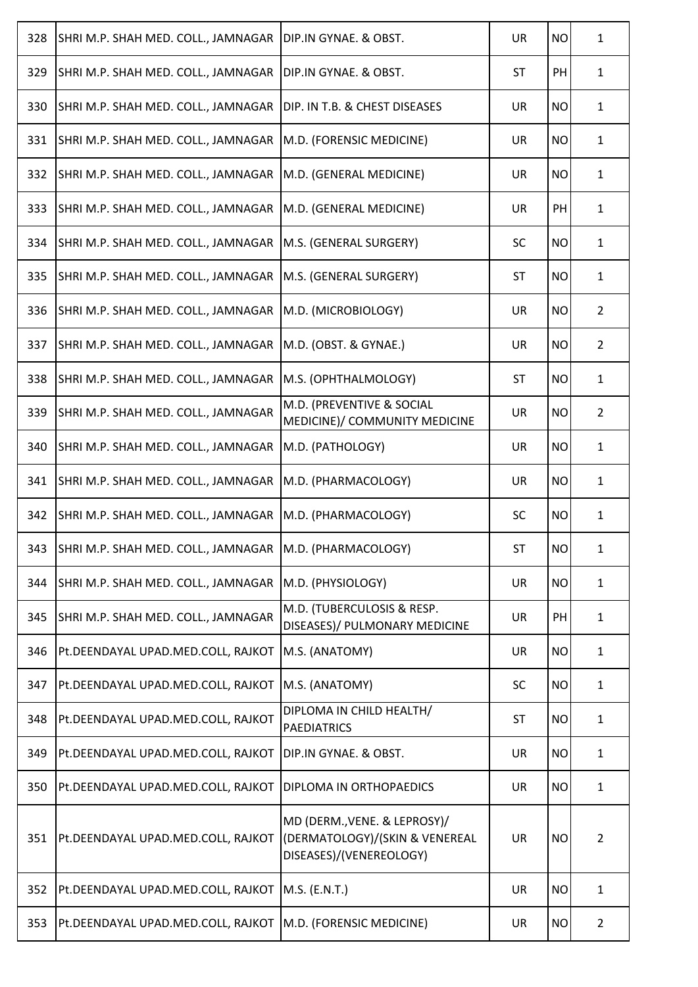| 328 | SHRI M.P. SHAH MED. COLL., JAMNAGAR                       | DIP.IN GYNAE. & OBST.                                                                     | <b>UR</b> | <b>NO</b> | $\mathbf{1}$   |
|-----|-----------------------------------------------------------|-------------------------------------------------------------------------------------------|-----------|-----------|----------------|
| 329 | SHRI M.P. SHAH MED. COLL., JAMNAGAR                       | DIP.IN GYNAE. & OBST.                                                                     | <b>ST</b> | PH        | $\mathbf{1}$   |
| 330 | SHRI M.P. SHAH MED. COLL., JAMNAGAR                       | DIP. IN T.B. & CHEST DISEASES                                                             | <b>UR</b> | <b>NO</b> | $\mathbf{1}$   |
| 331 | SHRI M.P. SHAH MED. COLL., JAMNAGAR                       | M.D. (FORENSIC MEDICINE)                                                                  | <b>UR</b> | <b>NO</b> | $\mathbf{1}$   |
| 332 | SHRI M.P. SHAH MED. COLL., JAMNAGAR                       | M.D. (GENERAL MEDICINE)                                                                   | <b>UR</b> | <b>NO</b> | $\mathbf{1}$   |
| 333 | SHRI M.P. SHAH MED. COLL., JAMNAGAR                       | M.D. (GENERAL MEDICINE)                                                                   | <b>UR</b> | PH        | $\mathbf{1}$   |
| 334 | SHRI M.P. SHAH MED. COLL., JAMNAGAR                       | M.S. (GENERAL SURGERY)                                                                    | <b>SC</b> | <b>NO</b> | $\mathbf{1}$   |
| 335 | SHRI M.P. SHAH MED. COLL., JAMNAGAR                       | M.S. (GENERAL SURGERY)                                                                    | <b>ST</b> | <b>NO</b> | $\mathbf{1}$   |
| 336 | SHRI M.P. SHAH MED. COLL., JAMNAGAR                       | M.D. (MICROBIOLOGY)                                                                       | UR        | <b>NO</b> | $\overline{2}$ |
| 337 | SHRI M.P. SHAH MED. COLL., JAMNAGAR                       | M.D. (OBST. & GYNAE.)                                                                     | <b>UR</b> | <b>NO</b> | $\overline{2}$ |
| 338 | SHRI M.P. SHAH MED. COLL., JAMNAGAR                       | M.S. (OPHTHALMOLOGY)                                                                      | ST        | <b>NO</b> | $\mathbf{1}$   |
| 339 | SHRI M.P. SHAH MED. COLL., JAMNAGAR                       | M.D. (PREVENTIVE & SOCIAL<br>MEDICINE)/ COMMUNITY MEDICINE                                | <b>UR</b> | <b>NO</b> | $\overline{2}$ |
| 340 | SHRI M.P. SHAH MED. COLL., JAMNAGAR                       | M.D. (PATHOLOGY)                                                                          | <b>UR</b> | <b>NO</b> | $\mathbf{1}$   |
| 341 | SHRI M.P. SHAH MED. COLL., JAMNAGAR                       | M.D. (PHARMACOLOGY)                                                                       | <b>UR</b> | <b>NO</b> | $\mathbf{1}$   |
| 342 | SHRI M.P. SHAH MED. COLL., JAMNAGAR                       | M.D. (PHARMACOLOGY)                                                                       | <b>SC</b> | <b>NO</b> | $\mathbf{1}$   |
| 343 | SHRI M.P. SHAH MED. COLL., JAMNAGAR   M.D. (PHARMACOLOGY) |                                                                                           | <b>ST</b> | <b>NO</b> | 1              |
| 344 | SHRI M.P. SHAH MED. COLL., JAMNAGAR                       | M.D. (PHYSIOLOGY)                                                                         | <b>UR</b> | <b>NO</b> | $\mathbf{1}$   |
| 345 | SHRI M.P. SHAH MED. COLL., JAMNAGAR                       | M.D. (TUBERCULOSIS & RESP.<br>DISEASES)/ PULMONARY MEDICINE                               | <b>UR</b> | PH        | $\mathbf{1}$   |
| 346 | Pt.DEENDAYAL UPAD.MED.COLL, RAJKOT                        | M.S. (ANATOMY)                                                                            | <b>UR</b> | <b>NO</b> | $\mathbf{1}$   |
| 347 | Pt.DEENDAYAL UPAD.MED.COLL, RAJKOT                        | M.S. (ANATOMY)                                                                            | <b>SC</b> | <b>NO</b> | $\mathbf{1}$   |
| 348 | Pt.DEENDAYAL UPAD.MED.COLL, RAJKOT                        | DIPLOMA IN CHILD HEALTH/<br><b>PAEDIATRICS</b>                                            | <b>ST</b> | <b>NO</b> | $\mathbf{1}$   |
| 349 | Pt.DEENDAYAL UPAD.MED.COLL, RAJKOT                        | DIP.IN GYNAE. & OBST.                                                                     | <b>UR</b> | <b>NO</b> | $\mathbf{1}$   |
| 350 | Pt.DEENDAYAL UPAD.MED.COLL, RAJKOT                        | DIPLOMA IN ORTHOPAEDICS                                                                   | <b>UR</b> | <b>NO</b> | $\mathbf{1}$   |
| 351 | Pt.DEENDAYAL UPAD.MED.COLL, RAJKOT                        | MD (DERM., VENE. & LEPROSY)/<br>(DERMATOLOGY)/(SKIN & VENEREAL<br>DISEASES)/(VENEREOLOGY) | <b>UR</b> | <b>NO</b> | $\overline{2}$ |
| 352 | Pt.DEENDAYAL UPAD.MED.COLL, RAJKOT                        | M.S. (E.N.T.)                                                                             | <b>UR</b> | <b>NO</b> | $\mathbf{1}$   |
| 353 | Pt.DEENDAYAL UPAD.MED.COLL, RAJKOT                        | M.D. (FORENSIC MEDICINE)                                                                  | UR        | <b>NO</b> | $\overline{2}$ |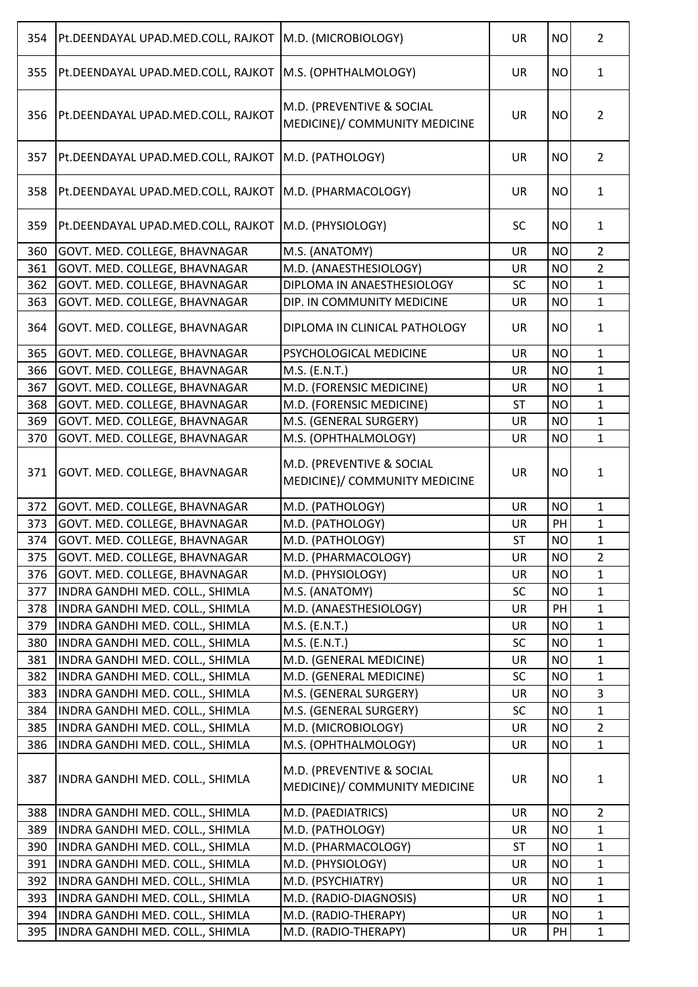| 355<br>M.S. (OPHTHALMOLOGY)<br><b>UR</b><br><b>NO</b><br>Pt.DEENDAYAL UPAD.MED.COLL, RAJKOT<br>$\mathbf{1}$<br>M.D. (PREVENTIVE & SOCIAL<br>356<br>Pt.DEENDAYAL UPAD.MED.COLL, RAJKOT<br><b>UR</b><br><b>NO</b><br>$\overline{2}$<br>MEDICINE)/ COMMUNITY MEDICINE<br>357<br><b>UR</b><br><b>NO</b><br>$\overline{2}$<br>Pt.DEENDAYAL UPAD.MED.COLL, RAJKOT<br>M.D. (PATHOLOGY)<br>358<br>M.D. (PHARMACOLOGY)<br><b>UR</b><br><b>NO</b><br>Pt.DEENDAYAL UPAD.MED.COLL, RAJKOT<br>$\mathbf{1}$<br>359<br>M.D. (PHYSIOLOGY)<br><b>SC</b><br>Pt.DEENDAYAL UPAD.MED.COLL, RAJKOT<br><b>NO</b><br>$\mathbf{1}$<br>$\overline{2}$<br>360<br>GOVT. MED. COLLEGE, BHAVNAGAR<br>M.S. (ANATOMY)<br><b>UR</b><br><b>NO</b><br>$\overline{2}$<br>361<br>GOVT. MED. COLLEGE, BHAVNAGAR<br>M.D. (ANAESTHESIOLOGY)<br><b>NO</b><br><b>UR</b><br>GOVT. MED. COLLEGE, BHAVNAGAR<br>DIPLOMA IN ANAESTHESIOLOGY<br>362<br><b>NO</b><br>$\mathbf{1}$<br><b>SC</b><br>$\mathbf{1}$<br>363<br>GOVT. MED. COLLEGE, BHAVNAGAR<br>DIP. IN COMMUNITY MEDICINE<br><b>UR</b><br><b>NO</b><br>364<br>GOVT. MED. COLLEGE, BHAVNAGAR<br><b>UR</b><br><b>NO</b><br>DIPLOMA IN CLINICAL PATHOLOGY<br>$\mathbf{1}$<br>GOVT. MED. COLLEGE, BHAVNAGAR<br>$\mathbf{1}$<br>365<br>PSYCHOLOGICAL MEDICINE<br><b>NO</b><br><b>UR</b><br>GOVT. MED. COLLEGE, BHAVNAGAR<br>$\mathbf{1}$<br>366<br>M.S. (E.N.T.)<br><b>UR</b><br><b>NO</b><br>$\mathbf 1$<br><b>GOVT. MED. COLLEGE, BHAVNAGAR</b><br>M.D. (FORENSIC MEDICINE)<br><b>NO</b><br>367<br><b>UR</b><br>368<br>GOVT. MED. COLLEGE, BHAVNAGAR<br>M.D. (FORENSIC MEDICINE)<br>$\mathbf{1}$<br><b>ST</b><br><b>NO</b><br><b>NO</b><br>$\mathbf{1}$<br>369<br>GOVT. MED. COLLEGE, BHAVNAGAR<br>M.S. (GENERAL SURGERY)<br><b>UR</b><br>M.S. (OPHTHALMOLOGY)<br>370<br>GOVT. MED. COLLEGE, BHAVNAGAR<br><b>NO</b><br>$\mathbf{1}$<br>UR<br>M.D. (PREVENTIVE & SOCIAL<br>371<br>GOVT. MED. COLLEGE, BHAVNAGAR<br><b>UR</b><br><b>NO</b><br>$\mathbf{1}$<br>MEDICINE)/ COMMUNITY MEDICINE<br><b>NO</b><br>$\mathbf{1}$<br>372<br>GOVT. MED. COLLEGE, BHAVNAGAR<br>M.D. (PATHOLOGY)<br><b>UR</b><br>373<br><b>GOVT. MED. COLLEGE, BHAVNAGAR</b><br>$\mathbf 1$<br>M.D. (PATHOLOGY)<br>PH<br>UR<br><b>NO</b><br>$\mathbf{1}$<br>374<br>M.D. (PATHOLOGY)<br><b>ST</b><br>GOVT. MED. COLLEGE, BHAVNAGAR<br><b>NO</b><br>375<br>GOVT. MED. COLLEGE, BHAVNAGAR<br>M.D. (PHARMACOLOGY)<br>UR<br>$\overline{2}$<br>$\mathbf{1}$<br>376<br>GOVT. MED. COLLEGE, BHAVNAGAR<br>M.D. (PHYSIOLOGY)<br><b>UR</b><br><b>NO</b><br>377<br><b>SC</b><br><b>NO</b><br>$\mathbf{1}$<br>INDRA GANDHI MED. COLL., SHIMLA<br>M.S. (ANATOMY)<br>INDRA GANDHI MED. COLL., SHIMLA<br>M.D. (ANAESTHESIOLOGY)<br>$\mathbf{1}$<br>378<br><b>UR</b><br>PH<br>$\mathbf{1}$<br><b>NO</b><br>379<br>INDRA GANDHI MED. COLL., SHIMLA<br>M.S. (E.N.T.)<br><b>UR</b><br>M.S. (E.N.T.)<br>SC<br>380<br>INDRA GANDHI MED. COLL., SHIMLA<br><b>NO</b><br>$\mathbf{1}$<br>381<br>M.D. (GENERAL MEDICINE)<br>$\mathbf{1}$<br>INDRA GANDHI MED. COLL., SHIMLA<br><b>NO</b><br>UR<br>382<br><b>SC</b><br>INDRA GANDHI MED. COLL., SHIMLA<br>M.D. (GENERAL MEDICINE)<br><b>NO</b><br>$\mathbf{1}$<br>$\overline{3}$<br>383<br>INDRA GANDHI MED. COLL., SHIMLA<br>M.S. (GENERAL SURGERY)<br><b>UR</b><br><b>NO</b><br><b>NO</b><br>$\mathbf{1}$<br>384<br>INDRA GANDHI MED. COLL., SHIMLA<br>M.S. (GENERAL SURGERY)<br><b>SC</b><br>385<br>INDRA GANDHI MED. COLL., SHIMLA<br>M.D. (MICROBIOLOGY)<br>$2^{\circ}$<br>UR<br><b>NO</b><br>$\mathbf{1}$<br>386<br>INDRA GANDHI MED. COLL., SHIMLA<br>M.S. (OPHTHALMOLOGY)<br><b>NO</b><br>UR<br>M.D. (PREVENTIVE & SOCIAL<br>387<br><b>UR</b><br>INDRA GANDHI MED. COLL., SHIMLA<br><b>NO</b><br>$\mathbf{1}$<br>MEDICINE)/ COMMUNITY MEDICINE<br>388<br>INDRA GANDHI MED. COLL., SHIMLA<br><b>UR</b><br>$\overline{2}$<br>M.D. (PAEDIATRICS)<br><b>NO</b><br>$\mathbf 1$<br>389<br><b>UR</b><br><b>NO</b><br>INDRA GANDHI MED. COLL., SHIMLA<br>M.D. (PATHOLOGY)<br>390<br>INDRA GANDHI MED. COLL., SHIMLA<br>M.D. (PHARMACOLOGY)<br><b>ST</b><br>$\mathbf{1}$<br><b>NO</b><br>$\mathbf{1}$<br>391<br>INDRA GANDHI MED. COLL., SHIMLA<br>M.D. (PHYSIOLOGY)<br><b>NO</b><br>UR<br>392<br>M.D. (PSYCHIATRY)<br>INDRA GANDHI MED. COLL., SHIMLA<br>UR<br><b>NO</b><br>$\mathbf{1}$<br>393<br>INDRA GANDHI MED. COLL., SHIMLA<br>M.D. (RADIO-DIAGNOSIS)<br><b>NO</b><br>$\mathbf{1}$<br><b>UR</b><br>394<br>INDRA GANDHI MED. COLL., SHIMLA<br>M.D. (RADIO-THERAPY)<br><b>NO</b><br>$\mathbf{1}$<br>UR | 354 | Pt.DEENDAYAL UPAD.MED.COLL, RAJKOT | M.D. (MICROBIOLOGY) | <b>UR</b> | <b>NO</b> | $\overline{2}$ |
|-----------------------------------------------------------------------------------------------------------------------------------------------------------------------------------------------------------------------------------------------------------------------------------------------------------------------------------------------------------------------------------------------------------------------------------------------------------------------------------------------------------------------------------------------------------------------------------------------------------------------------------------------------------------------------------------------------------------------------------------------------------------------------------------------------------------------------------------------------------------------------------------------------------------------------------------------------------------------------------------------------------------------------------------------------------------------------------------------------------------------------------------------------------------------------------------------------------------------------------------------------------------------------------------------------------------------------------------------------------------------------------------------------------------------------------------------------------------------------------------------------------------------------------------------------------------------------------------------------------------------------------------------------------------------------------------------------------------------------------------------------------------------------------------------------------------------------------------------------------------------------------------------------------------------------------------------------------------------------------------------------------------------------------------------------------------------------------------------------------------------------------------------------------------------------------------------------------------------------------------------------------------------------------------------------------------------------------------------------------------------------------------------------------------------------------------------------------------------------------------------------------------------------------------------------------------------------------------------------------------------------------------------------------------------------------------------------------------------------------------------------------------------------------------------------------------------------------------------------------------------------------------------------------------------------------------------------------------------------------------------------------------------------------------------------------------------------------------------------------------------------------------------------------------------------------------------------------------------------------------------------------------------------------------------------------------------------------------------------------------------------------------------------------------------------------------------------------------------------------------------------------------------------------------------------------------------------------------------------------------------------------------------------------------------------------------------------------------------------------------------------------------------------------------------------------------------------------------------------------------------------------------------------------------------------------------------------------------------------------------------------------------------------------------------------------------------------------------------------------------------------------------------------------------------------------------------------------------------------------------------------------------------------------------------------------------------------------------------------------------------------------------------------------------------------------------------------------------------------------------------------------|-----|------------------------------------|---------------------|-----------|-----------|----------------|
|                                                                                                                                                                                                                                                                                                                                                                                                                                                                                                                                                                                                                                                                                                                                                                                                                                                                                                                                                                                                                                                                                                                                                                                                                                                                                                                                                                                                                                                                                                                                                                                                                                                                                                                                                                                                                                                                                                                                                                                                                                                                                                                                                                                                                                                                                                                                                                                                                                                                                                                                                                                                                                                                                                                                                                                                                                                                                                                                                                                                                                                                                                                                                                                                                                                                                                                                                                                                                                                                                                                                                                                                                                                                                                                                                                                                                                                                                                                                                                                                                                                                                                                                                                                                                                                                                                                                                                                                                                                                                                           |     |                                    |                     |           |           |                |
|                                                                                                                                                                                                                                                                                                                                                                                                                                                                                                                                                                                                                                                                                                                                                                                                                                                                                                                                                                                                                                                                                                                                                                                                                                                                                                                                                                                                                                                                                                                                                                                                                                                                                                                                                                                                                                                                                                                                                                                                                                                                                                                                                                                                                                                                                                                                                                                                                                                                                                                                                                                                                                                                                                                                                                                                                                                                                                                                                                                                                                                                                                                                                                                                                                                                                                                                                                                                                                                                                                                                                                                                                                                                                                                                                                                                                                                                                                                                                                                                                                                                                                                                                                                                                                                                                                                                                                                                                                                                                                           |     |                                    |                     |           |           |                |
|                                                                                                                                                                                                                                                                                                                                                                                                                                                                                                                                                                                                                                                                                                                                                                                                                                                                                                                                                                                                                                                                                                                                                                                                                                                                                                                                                                                                                                                                                                                                                                                                                                                                                                                                                                                                                                                                                                                                                                                                                                                                                                                                                                                                                                                                                                                                                                                                                                                                                                                                                                                                                                                                                                                                                                                                                                                                                                                                                                                                                                                                                                                                                                                                                                                                                                                                                                                                                                                                                                                                                                                                                                                                                                                                                                                                                                                                                                                                                                                                                                                                                                                                                                                                                                                                                                                                                                                                                                                                                                           |     |                                    |                     |           |           |                |
|                                                                                                                                                                                                                                                                                                                                                                                                                                                                                                                                                                                                                                                                                                                                                                                                                                                                                                                                                                                                                                                                                                                                                                                                                                                                                                                                                                                                                                                                                                                                                                                                                                                                                                                                                                                                                                                                                                                                                                                                                                                                                                                                                                                                                                                                                                                                                                                                                                                                                                                                                                                                                                                                                                                                                                                                                                                                                                                                                                                                                                                                                                                                                                                                                                                                                                                                                                                                                                                                                                                                                                                                                                                                                                                                                                                                                                                                                                                                                                                                                                                                                                                                                                                                                                                                                                                                                                                                                                                                                                           |     |                                    |                     |           |           |                |
|                                                                                                                                                                                                                                                                                                                                                                                                                                                                                                                                                                                                                                                                                                                                                                                                                                                                                                                                                                                                                                                                                                                                                                                                                                                                                                                                                                                                                                                                                                                                                                                                                                                                                                                                                                                                                                                                                                                                                                                                                                                                                                                                                                                                                                                                                                                                                                                                                                                                                                                                                                                                                                                                                                                                                                                                                                                                                                                                                                                                                                                                                                                                                                                                                                                                                                                                                                                                                                                                                                                                                                                                                                                                                                                                                                                                                                                                                                                                                                                                                                                                                                                                                                                                                                                                                                                                                                                                                                                                                                           |     |                                    |                     |           |           |                |
|                                                                                                                                                                                                                                                                                                                                                                                                                                                                                                                                                                                                                                                                                                                                                                                                                                                                                                                                                                                                                                                                                                                                                                                                                                                                                                                                                                                                                                                                                                                                                                                                                                                                                                                                                                                                                                                                                                                                                                                                                                                                                                                                                                                                                                                                                                                                                                                                                                                                                                                                                                                                                                                                                                                                                                                                                                                                                                                                                                                                                                                                                                                                                                                                                                                                                                                                                                                                                                                                                                                                                                                                                                                                                                                                                                                                                                                                                                                                                                                                                                                                                                                                                                                                                                                                                                                                                                                                                                                                                                           |     |                                    |                     |           |           |                |
|                                                                                                                                                                                                                                                                                                                                                                                                                                                                                                                                                                                                                                                                                                                                                                                                                                                                                                                                                                                                                                                                                                                                                                                                                                                                                                                                                                                                                                                                                                                                                                                                                                                                                                                                                                                                                                                                                                                                                                                                                                                                                                                                                                                                                                                                                                                                                                                                                                                                                                                                                                                                                                                                                                                                                                                                                                                                                                                                                                                                                                                                                                                                                                                                                                                                                                                                                                                                                                                                                                                                                                                                                                                                                                                                                                                                                                                                                                                                                                                                                                                                                                                                                                                                                                                                                                                                                                                                                                                                                                           |     |                                    |                     |           |           |                |
|                                                                                                                                                                                                                                                                                                                                                                                                                                                                                                                                                                                                                                                                                                                                                                                                                                                                                                                                                                                                                                                                                                                                                                                                                                                                                                                                                                                                                                                                                                                                                                                                                                                                                                                                                                                                                                                                                                                                                                                                                                                                                                                                                                                                                                                                                                                                                                                                                                                                                                                                                                                                                                                                                                                                                                                                                                                                                                                                                                                                                                                                                                                                                                                                                                                                                                                                                                                                                                                                                                                                                                                                                                                                                                                                                                                                                                                                                                                                                                                                                                                                                                                                                                                                                                                                                                                                                                                                                                                                                                           |     |                                    |                     |           |           |                |
|                                                                                                                                                                                                                                                                                                                                                                                                                                                                                                                                                                                                                                                                                                                                                                                                                                                                                                                                                                                                                                                                                                                                                                                                                                                                                                                                                                                                                                                                                                                                                                                                                                                                                                                                                                                                                                                                                                                                                                                                                                                                                                                                                                                                                                                                                                                                                                                                                                                                                                                                                                                                                                                                                                                                                                                                                                                                                                                                                                                                                                                                                                                                                                                                                                                                                                                                                                                                                                                                                                                                                                                                                                                                                                                                                                                                                                                                                                                                                                                                                                                                                                                                                                                                                                                                                                                                                                                                                                                                                                           |     |                                    |                     |           |           |                |
|                                                                                                                                                                                                                                                                                                                                                                                                                                                                                                                                                                                                                                                                                                                                                                                                                                                                                                                                                                                                                                                                                                                                                                                                                                                                                                                                                                                                                                                                                                                                                                                                                                                                                                                                                                                                                                                                                                                                                                                                                                                                                                                                                                                                                                                                                                                                                                                                                                                                                                                                                                                                                                                                                                                                                                                                                                                                                                                                                                                                                                                                                                                                                                                                                                                                                                                                                                                                                                                                                                                                                                                                                                                                                                                                                                                                                                                                                                                                                                                                                                                                                                                                                                                                                                                                                                                                                                                                                                                                                                           |     |                                    |                     |           |           |                |
|                                                                                                                                                                                                                                                                                                                                                                                                                                                                                                                                                                                                                                                                                                                                                                                                                                                                                                                                                                                                                                                                                                                                                                                                                                                                                                                                                                                                                                                                                                                                                                                                                                                                                                                                                                                                                                                                                                                                                                                                                                                                                                                                                                                                                                                                                                                                                                                                                                                                                                                                                                                                                                                                                                                                                                                                                                                                                                                                                                                                                                                                                                                                                                                                                                                                                                                                                                                                                                                                                                                                                                                                                                                                                                                                                                                                                                                                                                                                                                                                                                                                                                                                                                                                                                                                                                                                                                                                                                                                                                           |     |                                    |                     |           |           |                |
|                                                                                                                                                                                                                                                                                                                                                                                                                                                                                                                                                                                                                                                                                                                                                                                                                                                                                                                                                                                                                                                                                                                                                                                                                                                                                                                                                                                                                                                                                                                                                                                                                                                                                                                                                                                                                                                                                                                                                                                                                                                                                                                                                                                                                                                                                                                                                                                                                                                                                                                                                                                                                                                                                                                                                                                                                                                                                                                                                                                                                                                                                                                                                                                                                                                                                                                                                                                                                                                                                                                                                                                                                                                                                                                                                                                                                                                                                                                                                                                                                                                                                                                                                                                                                                                                                                                                                                                                                                                                                                           |     |                                    |                     |           |           |                |
|                                                                                                                                                                                                                                                                                                                                                                                                                                                                                                                                                                                                                                                                                                                                                                                                                                                                                                                                                                                                                                                                                                                                                                                                                                                                                                                                                                                                                                                                                                                                                                                                                                                                                                                                                                                                                                                                                                                                                                                                                                                                                                                                                                                                                                                                                                                                                                                                                                                                                                                                                                                                                                                                                                                                                                                                                                                                                                                                                                                                                                                                                                                                                                                                                                                                                                                                                                                                                                                                                                                                                                                                                                                                                                                                                                                                                                                                                                                                                                                                                                                                                                                                                                                                                                                                                                                                                                                                                                                                                                           |     |                                    |                     |           |           |                |
|                                                                                                                                                                                                                                                                                                                                                                                                                                                                                                                                                                                                                                                                                                                                                                                                                                                                                                                                                                                                                                                                                                                                                                                                                                                                                                                                                                                                                                                                                                                                                                                                                                                                                                                                                                                                                                                                                                                                                                                                                                                                                                                                                                                                                                                                                                                                                                                                                                                                                                                                                                                                                                                                                                                                                                                                                                                                                                                                                                                                                                                                                                                                                                                                                                                                                                                                                                                                                                                                                                                                                                                                                                                                                                                                                                                                                                                                                                                                                                                                                                                                                                                                                                                                                                                                                                                                                                                                                                                                                                           |     |                                    |                     |           |           |                |
|                                                                                                                                                                                                                                                                                                                                                                                                                                                                                                                                                                                                                                                                                                                                                                                                                                                                                                                                                                                                                                                                                                                                                                                                                                                                                                                                                                                                                                                                                                                                                                                                                                                                                                                                                                                                                                                                                                                                                                                                                                                                                                                                                                                                                                                                                                                                                                                                                                                                                                                                                                                                                                                                                                                                                                                                                                                                                                                                                                                                                                                                                                                                                                                                                                                                                                                                                                                                                                                                                                                                                                                                                                                                                                                                                                                                                                                                                                                                                                                                                                                                                                                                                                                                                                                                                                                                                                                                                                                                                                           |     |                                    |                     |           |           |                |
|                                                                                                                                                                                                                                                                                                                                                                                                                                                                                                                                                                                                                                                                                                                                                                                                                                                                                                                                                                                                                                                                                                                                                                                                                                                                                                                                                                                                                                                                                                                                                                                                                                                                                                                                                                                                                                                                                                                                                                                                                                                                                                                                                                                                                                                                                                                                                                                                                                                                                                                                                                                                                                                                                                                                                                                                                                                                                                                                                                                                                                                                                                                                                                                                                                                                                                                                                                                                                                                                                                                                                                                                                                                                                                                                                                                                                                                                                                                                                                                                                                                                                                                                                                                                                                                                                                                                                                                                                                                                                                           |     |                                    |                     |           |           |                |
|                                                                                                                                                                                                                                                                                                                                                                                                                                                                                                                                                                                                                                                                                                                                                                                                                                                                                                                                                                                                                                                                                                                                                                                                                                                                                                                                                                                                                                                                                                                                                                                                                                                                                                                                                                                                                                                                                                                                                                                                                                                                                                                                                                                                                                                                                                                                                                                                                                                                                                                                                                                                                                                                                                                                                                                                                                                                                                                                                                                                                                                                                                                                                                                                                                                                                                                                                                                                                                                                                                                                                                                                                                                                                                                                                                                                                                                                                                                                                                                                                                                                                                                                                                                                                                                                                                                                                                                                                                                                                                           |     |                                    |                     |           |           |                |
|                                                                                                                                                                                                                                                                                                                                                                                                                                                                                                                                                                                                                                                                                                                                                                                                                                                                                                                                                                                                                                                                                                                                                                                                                                                                                                                                                                                                                                                                                                                                                                                                                                                                                                                                                                                                                                                                                                                                                                                                                                                                                                                                                                                                                                                                                                                                                                                                                                                                                                                                                                                                                                                                                                                                                                                                                                                                                                                                                                                                                                                                                                                                                                                                                                                                                                                                                                                                                                                                                                                                                                                                                                                                                                                                                                                                                                                                                                                                                                                                                                                                                                                                                                                                                                                                                                                                                                                                                                                                                                           |     |                                    |                     |           |           |                |
|                                                                                                                                                                                                                                                                                                                                                                                                                                                                                                                                                                                                                                                                                                                                                                                                                                                                                                                                                                                                                                                                                                                                                                                                                                                                                                                                                                                                                                                                                                                                                                                                                                                                                                                                                                                                                                                                                                                                                                                                                                                                                                                                                                                                                                                                                                                                                                                                                                                                                                                                                                                                                                                                                                                                                                                                                                                                                                                                                                                                                                                                                                                                                                                                                                                                                                                                                                                                                                                                                                                                                                                                                                                                                                                                                                                                                                                                                                                                                                                                                                                                                                                                                                                                                                                                                                                                                                                                                                                                                                           |     |                                    |                     |           |           |                |
|                                                                                                                                                                                                                                                                                                                                                                                                                                                                                                                                                                                                                                                                                                                                                                                                                                                                                                                                                                                                                                                                                                                                                                                                                                                                                                                                                                                                                                                                                                                                                                                                                                                                                                                                                                                                                                                                                                                                                                                                                                                                                                                                                                                                                                                                                                                                                                                                                                                                                                                                                                                                                                                                                                                                                                                                                                                                                                                                                                                                                                                                                                                                                                                                                                                                                                                                                                                                                                                                                                                                                                                                                                                                                                                                                                                                                                                                                                                                                                                                                                                                                                                                                                                                                                                                                                                                                                                                                                                                                                           |     |                                    |                     |           |           |                |
|                                                                                                                                                                                                                                                                                                                                                                                                                                                                                                                                                                                                                                                                                                                                                                                                                                                                                                                                                                                                                                                                                                                                                                                                                                                                                                                                                                                                                                                                                                                                                                                                                                                                                                                                                                                                                                                                                                                                                                                                                                                                                                                                                                                                                                                                                                                                                                                                                                                                                                                                                                                                                                                                                                                                                                                                                                                                                                                                                                                                                                                                                                                                                                                                                                                                                                                                                                                                                                                                                                                                                                                                                                                                                                                                                                                                                                                                                                                                                                                                                                                                                                                                                                                                                                                                                                                                                                                                                                                                                                           |     |                                    |                     |           |           |                |
|                                                                                                                                                                                                                                                                                                                                                                                                                                                                                                                                                                                                                                                                                                                                                                                                                                                                                                                                                                                                                                                                                                                                                                                                                                                                                                                                                                                                                                                                                                                                                                                                                                                                                                                                                                                                                                                                                                                                                                                                                                                                                                                                                                                                                                                                                                                                                                                                                                                                                                                                                                                                                                                                                                                                                                                                                                                                                                                                                                                                                                                                                                                                                                                                                                                                                                                                                                                                                                                                                                                                                                                                                                                                                                                                                                                                                                                                                                                                                                                                                                                                                                                                                                                                                                                                                                                                                                                                                                                                                                           |     |                                    |                     |           |           |                |
|                                                                                                                                                                                                                                                                                                                                                                                                                                                                                                                                                                                                                                                                                                                                                                                                                                                                                                                                                                                                                                                                                                                                                                                                                                                                                                                                                                                                                                                                                                                                                                                                                                                                                                                                                                                                                                                                                                                                                                                                                                                                                                                                                                                                                                                                                                                                                                                                                                                                                                                                                                                                                                                                                                                                                                                                                                                                                                                                                                                                                                                                                                                                                                                                                                                                                                                                                                                                                                                                                                                                                                                                                                                                                                                                                                                                                                                                                                                                                                                                                                                                                                                                                                                                                                                                                                                                                                                                                                                                                                           |     |                                    |                     |           |           |                |
|                                                                                                                                                                                                                                                                                                                                                                                                                                                                                                                                                                                                                                                                                                                                                                                                                                                                                                                                                                                                                                                                                                                                                                                                                                                                                                                                                                                                                                                                                                                                                                                                                                                                                                                                                                                                                                                                                                                                                                                                                                                                                                                                                                                                                                                                                                                                                                                                                                                                                                                                                                                                                                                                                                                                                                                                                                                                                                                                                                                                                                                                                                                                                                                                                                                                                                                                                                                                                                                                                                                                                                                                                                                                                                                                                                                                                                                                                                                                                                                                                                                                                                                                                                                                                                                                                                                                                                                                                                                                                                           |     |                                    |                     |           |           |                |
|                                                                                                                                                                                                                                                                                                                                                                                                                                                                                                                                                                                                                                                                                                                                                                                                                                                                                                                                                                                                                                                                                                                                                                                                                                                                                                                                                                                                                                                                                                                                                                                                                                                                                                                                                                                                                                                                                                                                                                                                                                                                                                                                                                                                                                                                                                                                                                                                                                                                                                                                                                                                                                                                                                                                                                                                                                                                                                                                                                                                                                                                                                                                                                                                                                                                                                                                                                                                                                                                                                                                                                                                                                                                                                                                                                                                                                                                                                                                                                                                                                                                                                                                                                                                                                                                                                                                                                                                                                                                                                           |     |                                    |                     |           |           |                |
|                                                                                                                                                                                                                                                                                                                                                                                                                                                                                                                                                                                                                                                                                                                                                                                                                                                                                                                                                                                                                                                                                                                                                                                                                                                                                                                                                                                                                                                                                                                                                                                                                                                                                                                                                                                                                                                                                                                                                                                                                                                                                                                                                                                                                                                                                                                                                                                                                                                                                                                                                                                                                                                                                                                                                                                                                                                                                                                                                                                                                                                                                                                                                                                                                                                                                                                                                                                                                                                                                                                                                                                                                                                                                                                                                                                                                                                                                                                                                                                                                                                                                                                                                                                                                                                                                                                                                                                                                                                                                                           |     |                                    |                     |           |           |                |
|                                                                                                                                                                                                                                                                                                                                                                                                                                                                                                                                                                                                                                                                                                                                                                                                                                                                                                                                                                                                                                                                                                                                                                                                                                                                                                                                                                                                                                                                                                                                                                                                                                                                                                                                                                                                                                                                                                                                                                                                                                                                                                                                                                                                                                                                                                                                                                                                                                                                                                                                                                                                                                                                                                                                                                                                                                                                                                                                                                                                                                                                                                                                                                                                                                                                                                                                                                                                                                                                                                                                                                                                                                                                                                                                                                                                                                                                                                                                                                                                                                                                                                                                                                                                                                                                                                                                                                                                                                                                                                           |     |                                    |                     |           |           |                |
|                                                                                                                                                                                                                                                                                                                                                                                                                                                                                                                                                                                                                                                                                                                                                                                                                                                                                                                                                                                                                                                                                                                                                                                                                                                                                                                                                                                                                                                                                                                                                                                                                                                                                                                                                                                                                                                                                                                                                                                                                                                                                                                                                                                                                                                                                                                                                                                                                                                                                                                                                                                                                                                                                                                                                                                                                                                                                                                                                                                                                                                                                                                                                                                                                                                                                                                                                                                                                                                                                                                                                                                                                                                                                                                                                                                                                                                                                                                                                                                                                                                                                                                                                                                                                                                                                                                                                                                                                                                                                                           |     |                                    |                     |           |           |                |
|                                                                                                                                                                                                                                                                                                                                                                                                                                                                                                                                                                                                                                                                                                                                                                                                                                                                                                                                                                                                                                                                                                                                                                                                                                                                                                                                                                                                                                                                                                                                                                                                                                                                                                                                                                                                                                                                                                                                                                                                                                                                                                                                                                                                                                                                                                                                                                                                                                                                                                                                                                                                                                                                                                                                                                                                                                                                                                                                                                                                                                                                                                                                                                                                                                                                                                                                                                                                                                                                                                                                                                                                                                                                                                                                                                                                                                                                                                                                                                                                                                                                                                                                                                                                                                                                                                                                                                                                                                                                                                           |     |                                    |                     |           |           |                |
|                                                                                                                                                                                                                                                                                                                                                                                                                                                                                                                                                                                                                                                                                                                                                                                                                                                                                                                                                                                                                                                                                                                                                                                                                                                                                                                                                                                                                                                                                                                                                                                                                                                                                                                                                                                                                                                                                                                                                                                                                                                                                                                                                                                                                                                                                                                                                                                                                                                                                                                                                                                                                                                                                                                                                                                                                                                                                                                                                                                                                                                                                                                                                                                                                                                                                                                                                                                                                                                                                                                                                                                                                                                                                                                                                                                                                                                                                                                                                                                                                                                                                                                                                                                                                                                                                                                                                                                                                                                                                                           |     |                                    |                     |           |           |                |
|                                                                                                                                                                                                                                                                                                                                                                                                                                                                                                                                                                                                                                                                                                                                                                                                                                                                                                                                                                                                                                                                                                                                                                                                                                                                                                                                                                                                                                                                                                                                                                                                                                                                                                                                                                                                                                                                                                                                                                                                                                                                                                                                                                                                                                                                                                                                                                                                                                                                                                                                                                                                                                                                                                                                                                                                                                                                                                                                                                                                                                                                                                                                                                                                                                                                                                                                                                                                                                                                                                                                                                                                                                                                                                                                                                                                                                                                                                                                                                                                                                                                                                                                                                                                                                                                                                                                                                                                                                                                                                           |     |                                    |                     |           |           |                |
|                                                                                                                                                                                                                                                                                                                                                                                                                                                                                                                                                                                                                                                                                                                                                                                                                                                                                                                                                                                                                                                                                                                                                                                                                                                                                                                                                                                                                                                                                                                                                                                                                                                                                                                                                                                                                                                                                                                                                                                                                                                                                                                                                                                                                                                                                                                                                                                                                                                                                                                                                                                                                                                                                                                                                                                                                                                                                                                                                                                                                                                                                                                                                                                                                                                                                                                                                                                                                                                                                                                                                                                                                                                                                                                                                                                                                                                                                                                                                                                                                                                                                                                                                                                                                                                                                                                                                                                                                                                                                                           |     |                                    |                     |           |           |                |
|                                                                                                                                                                                                                                                                                                                                                                                                                                                                                                                                                                                                                                                                                                                                                                                                                                                                                                                                                                                                                                                                                                                                                                                                                                                                                                                                                                                                                                                                                                                                                                                                                                                                                                                                                                                                                                                                                                                                                                                                                                                                                                                                                                                                                                                                                                                                                                                                                                                                                                                                                                                                                                                                                                                                                                                                                                                                                                                                                                                                                                                                                                                                                                                                                                                                                                                                                                                                                                                                                                                                                                                                                                                                                                                                                                                                                                                                                                                                                                                                                                                                                                                                                                                                                                                                                                                                                                                                                                                                                                           |     |                                    |                     |           |           |                |
|                                                                                                                                                                                                                                                                                                                                                                                                                                                                                                                                                                                                                                                                                                                                                                                                                                                                                                                                                                                                                                                                                                                                                                                                                                                                                                                                                                                                                                                                                                                                                                                                                                                                                                                                                                                                                                                                                                                                                                                                                                                                                                                                                                                                                                                                                                                                                                                                                                                                                                                                                                                                                                                                                                                                                                                                                                                                                                                                                                                                                                                                                                                                                                                                                                                                                                                                                                                                                                                                                                                                                                                                                                                                                                                                                                                                                                                                                                                                                                                                                                                                                                                                                                                                                                                                                                                                                                                                                                                                                                           |     |                                    |                     |           |           |                |
|                                                                                                                                                                                                                                                                                                                                                                                                                                                                                                                                                                                                                                                                                                                                                                                                                                                                                                                                                                                                                                                                                                                                                                                                                                                                                                                                                                                                                                                                                                                                                                                                                                                                                                                                                                                                                                                                                                                                                                                                                                                                                                                                                                                                                                                                                                                                                                                                                                                                                                                                                                                                                                                                                                                                                                                                                                                                                                                                                                                                                                                                                                                                                                                                                                                                                                                                                                                                                                                                                                                                                                                                                                                                                                                                                                                                                                                                                                                                                                                                                                                                                                                                                                                                                                                                                                                                                                                                                                                                                                           |     |                                    |                     |           |           |                |
|                                                                                                                                                                                                                                                                                                                                                                                                                                                                                                                                                                                                                                                                                                                                                                                                                                                                                                                                                                                                                                                                                                                                                                                                                                                                                                                                                                                                                                                                                                                                                                                                                                                                                                                                                                                                                                                                                                                                                                                                                                                                                                                                                                                                                                                                                                                                                                                                                                                                                                                                                                                                                                                                                                                                                                                                                                                                                                                                                                                                                                                                                                                                                                                                                                                                                                                                                                                                                                                                                                                                                                                                                                                                                                                                                                                                                                                                                                                                                                                                                                                                                                                                                                                                                                                                                                                                                                                                                                                                                                           |     |                                    |                     |           |           |                |
|                                                                                                                                                                                                                                                                                                                                                                                                                                                                                                                                                                                                                                                                                                                                                                                                                                                                                                                                                                                                                                                                                                                                                                                                                                                                                                                                                                                                                                                                                                                                                                                                                                                                                                                                                                                                                                                                                                                                                                                                                                                                                                                                                                                                                                                                                                                                                                                                                                                                                                                                                                                                                                                                                                                                                                                                                                                                                                                                                                                                                                                                                                                                                                                                                                                                                                                                                                                                                                                                                                                                                                                                                                                                                                                                                                                                                                                                                                                                                                                                                                                                                                                                                                                                                                                                                                                                                                                                                                                                                                           |     |                                    |                     |           |           |                |
|                                                                                                                                                                                                                                                                                                                                                                                                                                                                                                                                                                                                                                                                                                                                                                                                                                                                                                                                                                                                                                                                                                                                                                                                                                                                                                                                                                                                                                                                                                                                                                                                                                                                                                                                                                                                                                                                                                                                                                                                                                                                                                                                                                                                                                                                                                                                                                                                                                                                                                                                                                                                                                                                                                                                                                                                                                                                                                                                                                                                                                                                                                                                                                                                                                                                                                                                                                                                                                                                                                                                                                                                                                                                                                                                                                                                                                                                                                                                                                                                                                                                                                                                                                                                                                                                                                                                                                                                                                                                                                           |     |                                    |                     |           |           |                |
|                                                                                                                                                                                                                                                                                                                                                                                                                                                                                                                                                                                                                                                                                                                                                                                                                                                                                                                                                                                                                                                                                                                                                                                                                                                                                                                                                                                                                                                                                                                                                                                                                                                                                                                                                                                                                                                                                                                                                                                                                                                                                                                                                                                                                                                                                                                                                                                                                                                                                                                                                                                                                                                                                                                                                                                                                                                                                                                                                                                                                                                                                                                                                                                                                                                                                                                                                                                                                                                                                                                                                                                                                                                                                                                                                                                                                                                                                                                                                                                                                                                                                                                                                                                                                                                                                                                                                                                                                                                                                                           |     |                                    |                     |           |           |                |
|                                                                                                                                                                                                                                                                                                                                                                                                                                                                                                                                                                                                                                                                                                                                                                                                                                                                                                                                                                                                                                                                                                                                                                                                                                                                                                                                                                                                                                                                                                                                                                                                                                                                                                                                                                                                                                                                                                                                                                                                                                                                                                                                                                                                                                                                                                                                                                                                                                                                                                                                                                                                                                                                                                                                                                                                                                                                                                                                                                                                                                                                                                                                                                                                                                                                                                                                                                                                                                                                                                                                                                                                                                                                                                                                                                                                                                                                                                                                                                                                                                                                                                                                                                                                                                                                                                                                                                                                                                                                                                           |     |                                    |                     |           |           |                |
| INDRA GANDHI MED. COLL., SHIMLA<br>395<br>M.D. (RADIO-THERAPY)<br><b>UR</b><br>PH<br>$\mathbf{1}$                                                                                                                                                                                                                                                                                                                                                                                                                                                                                                                                                                                                                                                                                                                                                                                                                                                                                                                                                                                                                                                                                                                                                                                                                                                                                                                                                                                                                                                                                                                                                                                                                                                                                                                                                                                                                                                                                                                                                                                                                                                                                                                                                                                                                                                                                                                                                                                                                                                                                                                                                                                                                                                                                                                                                                                                                                                                                                                                                                                                                                                                                                                                                                                                                                                                                                                                                                                                                                                                                                                                                                                                                                                                                                                                                                                                                                                                                                                                                                                                                                                                                                                                                                                                                                                                                                                                                                                                         |     |                                    |                     |           |           |                |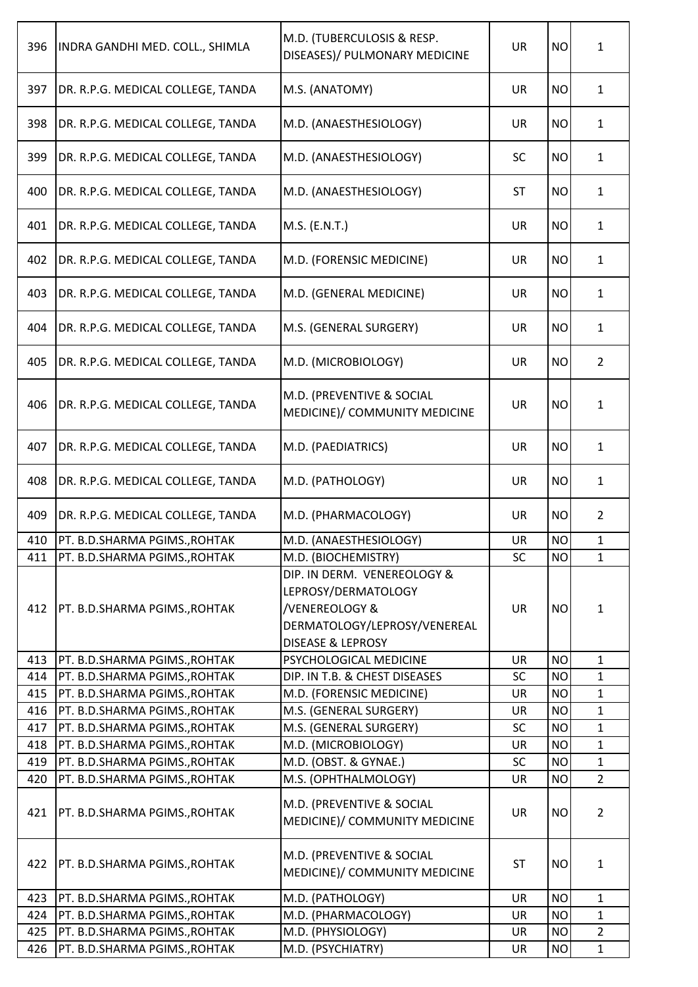| 396 | INDRA GANDHI MED. COLL., SHIMLA   | M.D. (TUBERCULOSIS & RESP.<br>DISEASES)/ PULMONARY MEDICINE                                                                          | <b>UR</b> | <b>NO</b> | 1              |
|-----|-----------------------------------|--------------------------------------------------------------------------------------------------------------------------------------|-----------|-----------|----------------|
| 397 | DR. R.P.G. MEDICAL COLLEGE, TANDA | M.S. (ANATOMY)                                                                                                                       | <b>UR</b> | <b>NO</b> | $\mathbf{1}$   |
| 398 | DR. R.P.G. MEDICAL COLLEGE, TANDA | M.D. (ANAESTHESIOLOGY)                                                                                                               | UR        | <b>NO</b> | $\mathbf{1}$   |
| 399 | DR. R.P.G. MEDICAL COLLEGE, TANDA | M.D. (ANAESTHESIOLOGY)                                                                                                               | <b>SC</b> | <b>NO</b> | $\mathbf{1}$   |
| 400 | DR. R.P.G. MEDICAL COLLEGE, TANDA | M.D. (ANAESTHESIOLOGY)                                                                                                               | <b>ST</b> | <b>NO</b> | $\mathbf{1}$   |
| 401 | DR. R.P.G. MEDICAL COLLEGE, TANDA | M.S. (E.N.T.)                                                                                                                        | <b>UR</b> | <b>NO</b> | $\mathbf{1}$   |
| 402 | DR. R.P.G. MEDICAL COLLEGE, TANDA | M.D. (FORENSIC MEDICINE)                                                                                                             | UR        | <b>NO</b> | $\mathbf{1}$   |
| 403 | DR. R.P.G. MEDICAL COLLEGE, TANDA | M.D. (GENERAL MEDICINE)                                                                                                              | <b>UR</b> | <b>NO</b> | $\mathbf{1}$   |
| 404 | DR. R.P.G. MEDICAL COLLEGE, TANDA | M.S. (GENERAL SURGERY)                                                                                                               | UR        | <b>NO</b> | $\mathbf{1}$   |
| 405 | DR. R.P.G. MEDICAL COLLEGE, TANDA | M.D. (MICROBIOLOGY)                                                                                                                  | UR        | <b>NO</b> | $\overline{2}$ |
| 406 | DR. R.P.G. MEDICAL COLLEGE, TANDA | M.D. (PREVENTIVE & SOCIAL<br>MEDICINE)/ COMMUNITY MEDICINE                                                                           | <b>UR</b> | <b>NO</b> | $\mathbf{1}$   |
| 407 | DR. R.P.G. MEDICAL COLLEGE, TANDA | M.D. (PAEDIATRICS)                                                                                                                   | <b>UR</b> | <b>NO</b> | $\mathbf{1}$   |
| 408 | DR. R.P.G. MEDICAL COLLEGE, TANDA | M.D. (PATHOLOGY)                                                                                                                     | UR        | <b>NO</b> | $\mathbf{1}$   |
| 409 | DR. R.P.G. MEDICAL COLLEGE, TANDA | M.D. (PHARMACOLOGY)                                                                                                                  | UR        | <b>NO</b> | $\overline{2}$ |
| 410 | PT. B.D.SHARMA PGIMS., ROHTAK     | M.D. (ANAESTHESIOLOGY)                                                                                                               | UR        | <b>NO</b> | $\mathbf{1}$   |
| 411 | PT. B.D.SHARMA PGIMS., ROHTAK     | M.D. (BIOCHEMISTRY)                                                                                                                  | SC        | <b>NO</b> | $\mathbf{1}$   |
| 412 | PT. B.D.SHARMA PGIMS., ROHTAK     | DIP. IN DERM. VENEREOLOGY &<br>LEPROSY/DERMATOLOGY<br>/VENEREOLOGY &<br>DERMATOLOGY/LEPROSY/VENEREAL<br><b>DISEASE &amp; LEPROSY</b> | <b>UR</b> | <b>NO</b> | $\mathbf{1}$   |
| 413 | PT. B.D.SHARMA PGIMS., ROHTAK     | PSYCHOLOGICAL MEDICINE                                                                                                               | <b>UR</b> | <b>NO</b> | $\mathbf{1}$   |
| 414 | PT. B.D.SHARMA PGIMS., ROHTAK     | DIP. IN T.B. & CHEST DISEASES                                                                                                        | SC        | <b>NO</b> | $\mathbf{1}$   |
| 415 | PT. B.D.SHARMA PGIMS., ROHTAK     | M.D. (FORENSIC MEDICINE)                                                                                                             | <b>UR</b> | <b>NO</b> | $\mathbf{1}$   |
| 416 | PT. B.D.SHARMA PGIMS., ROHTAK     | M.S. (GENERAL SURGERY)                                                                                                               | <b>UR</b> | <b>NO</b> | $\mathbf 1$    |
| 417 | PT. B.D.SHARMA PGIMS., ROHTAK     | M.S. (GENERAL SURGERY)                                                                                                               | <b>SC</b> | <b>NO</b> | $\mathbf{1}$   |
| 418 | PT. B.D.SHARMA PGIMS., ROHTAK     | M.D. (MICROBIOLOGY)                                                                                                                  | <b>UR</b> | <b>NO</b> | $\mathbf{1}$   |
| 419 | PT. B.D.SHARMA PGIMS., ROHTAK     | M.D. (OBST. & GYNAE.)                                                                                                                | SC        | <b>NO</b> | $\mathbf{1}$   |
| 420 | PT. B.D.SHARMA PGIMS., ROHTAK     | M.S. (OPHTHALMOLOGY)                                                                                                                 | <b>UR</b> | <b>NO</b> | $\overline{2}$ |
| 421 | PT. B.D.SHARMA PGIMS., ROHTAK     | M.D. (PREVENTIVE & SOCIAL<br>MEDICINE)/ COMMUNITY MEDICINE                                                                           | <b>UR</b> | <b>NO</b> | $\overline{2}$ |
| 422 | PT. B.D.SHARMA PGIMS., ROHTAK     | M.D. (PREVENTIVE & SOCIAL<br>MEDICINE)/ COMMUNITY MEDICINE                                                                           | <b>ST</b> | <b>NO</b> | $\mathbf{1}$   |
| 423 | PT. B.D.SHARMA PGIMS., ROHTAK     | M.D. (PATHOLOGY)                                                                                                                     | <b>UR</b> | <b>NO</b> | $\mathbf{1}$   |
| 424 | PT. B.D.SHARMA PGIMS., ROHTAK     | M.D. (PHARMACOLOGY)                                                                                                                  | <b>UR</b> | <b>NO</b> | $\mathbf{1}$   |
| 425 | PT. B.D.SHARMA PGIMS., ROHTAK     | M.D. (PHYSIOLOGY)                                                                                                                    | UR        | <b>NO</b> | $\overline{2}$ |
| 426 | PT. B.D.SHARMA PGIMS., ROHTAK     | M.D. (PSYCHIATRY)                                                                                                                    | UR        | <b>NO</b> | $\mathbf{1}$   |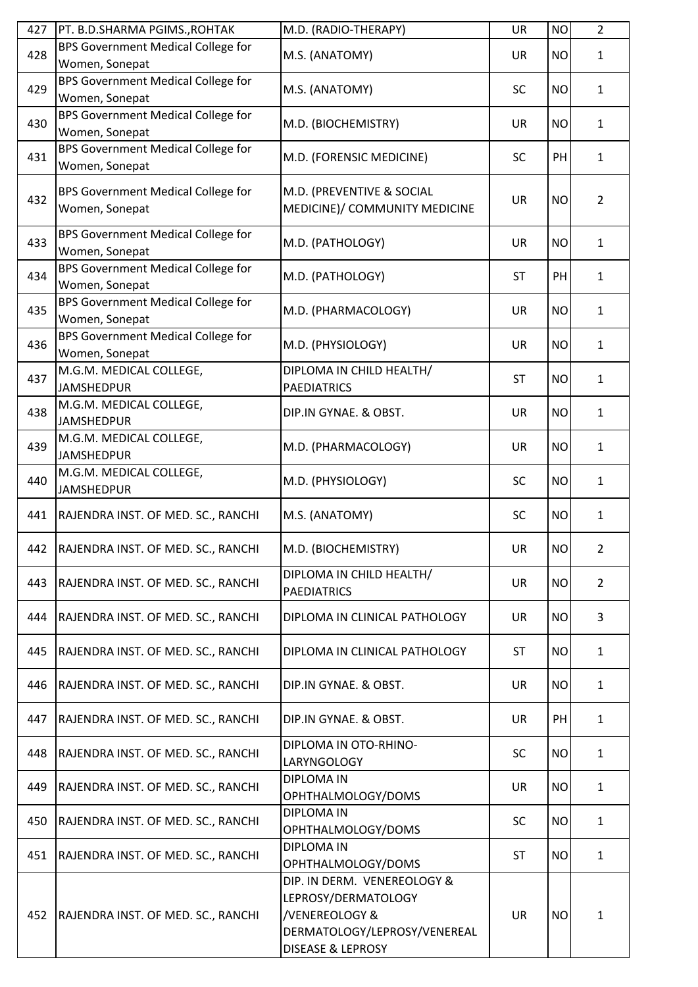| 427 | PT. B.D.SHARMA PGIMS., ROHTAK                        | M.D. (RADIO-THERAPY)                                                                                                                                                  | <b>UR</b> | <b>NO</b> | $\overline{2}$ |
|-----|------------------------------------------------------|-----------------------------------------------------------------------------------------------------------------------------------------------------------------------|-----------|-----------|----------------|
| 428 | BPS Government Medical College for<br>Women, Sonepat | M.S. (ANATOMY)                                                                                                                                                        | <b>UR</b> | <b>NO</b> | $\mathbf{1}$   |
| 429 | BPS Government Medical College for<br>Women, Sonepat | M.S. (ANATOMY)                                                                                                                                                        | SC        | <b>NO</b> | $\mathbf{1}$   |
| 430 | BPS Government Medical College for<br>Women, Sonepat | M.D. (BIOCHEMISTRY)                                                                                                                                                   | <b>UR</b> | <b>NO</b> | $\mathbf{1}$   |
| 431 | BPS Government Medical College for<br>Women, Sonepat | M.D. (FORENSIC MEDICINE)                                                                                                                                              | <b>SC</b> | PH        | $\mathbf{1}$   |
| 432 | BPS Government Medical College for<br>Women, Sonepat | M.D. (PREVENTIVE & SOCIAL<br>MEDICINE)/ COMMUNITY MEDICINE                                                                                                            | <b>UR</b> | <b>NO</b> | $\overline{2}$ |
| 433 | BPS Government Medical College for<br>Women, Sonepat | M.D. (PATHOLOGY)                                                                                                                                                      | <b>UR</b> | <b>NO</b> | $\mathbf{1}$   |
| 434 | BPS Government Medical College for<br>Women, Sonepat | M.D. (PATHOLOGY)                                                                                                                                                      | <b>ST</b> | PH        | $\mathbf{1}$   |
| 435 | BPS Government Medical College for<br>Women, Sonepat | M.D. (PHARMACOLOGY)                                                                                                                                                   | UR        | <b>NO</b> | $\mathbf{1}$   |
| 436 | BPS Government Medical College for<br>Women, Sonepat | M.D. (PHYSIOLOGY)                                                                                                                                                     | <b>UR</b> | <b>NO</b> | $\mathbf{1}$   |
| 437 | M.G.M. MEDICAL COLLEGE,<br><b>JAMSHEDPUR</b>         | DIPLOMA IN CHILD HEALTH/<br><b>PAEDIATRICS</b>                                                                                                                        | <b>ST</b> | <b>NO</b> | $\mathbf{1}$   |
| 438 | M.G.M. MEDICAL COLLEGE,<br><b>JAMSHEDPUR</b>         | DIP.IN GYNAE. & OBST.                                                                                                                                                 | <b>UR</b> | <b>NO</b> | $\mathbf{1}$   |
| 439 | M.G.M. MEDICAL COLLEGE,<br><b>JAMSHEDPUR</b>         | M.D. (PHARMACOLOGY)                                                                                                                                                   | <b>UR</b> | <b>NO</b> | $\mathbf{1}$   |
| 440 | M.G.M. MEDICAL COLLEGE,<br><b>JAMSHEDPUR</b>         | M.D. (PHYSIOLOGY)                                                                                                                                                     | <b>SC</b> | <b>NO</b> | $\mathbf{1}$   |
| 441 | RAJENDRA INST. OF MED. SC., RANCHI                   | M.S. (ANATOMY)                                                                                                                                                        | SC        | <b>NO</b> | $\mathbf{1}$   |
| 442 | [RAJENDRA INST. OF MED. SC., RANCHI                  | M.D. (BIOCHEMISTRY)                                                                                                                                                   | UR.       | NO.       | 2              |
| 443 | RAJENDRA INST. OF MED. SC., RANCHI                   | DIPLOMA IN CHILD HEALTH/<br><b>PAEDIATRICS</b>                                                                                                                        | <b>UR</b> | <b>NO</b> | $\overline{2}$ |
| 444 | RAJENDRA INST. OF MED. SC., RANCHI                   | DIPLOMA IN CLINICAL PATHOLOGY                                                                                                                                         | <b>UR</b> | <b>NO</b> | 3              |
| 445 | RAJENDRA INST. OF MED. SC., RANCHI                   | DIPLOMA IN CLINICAL PATHOLOGY                                                                                                                                         | <b>ST</b> | <b>NO</b> | $\mathbf{1}$   |
| 446 | RAJENDRA INST. OF MED. SC., RANCHI                   | DIP.IN GYNAE. & OBST.                                                                                                                                                 | UR        | <b>NO</b> | $\mathbf{1}$   |
| 447 | RAJENDRA INST. OF MED. SC., RANCHI                   | DIP.IN GYNAE. & OBST.                                                                                                                                                 | UR        | PH        | $\mathbf{1}$   |
| 448 | RAJENDRA INST. OF MED. SC., RANCHI                   | DIPLOMA IN OTO-RHINO-<br>LARYNGOLOGY                                                                                                                                  | <b>SC</b> | <b>NO</b> | $\mathbf{1}$   |
| 449 | RAJENDRA INST. OF MED. SC., RANCHI                   | <b>DIPLOMA IN</b><br>OPHTHALMOLOGY/DOMS                                                                                                                               | UR        | <b>NO</b> | $\mathbf{1}$   |
| 450 | RAJENDRA INST. OF MED. SC., RANCHI                   | <b>DIPLOMA IN</b><br>OPHTHALMOLOGY/DOMS                                                                                                                               | <b>SC</b> | <b>NO</b> | $\mathbf{1}$   |
| 451 | RAJENDRA INST. OF MED. SC., RANCHI                   | <b>DIPLOMA IN</b>                                                                                                                                                     | <b>ST</b> | <b>NO</b> | $\mathbf{1}$   |
| 452 | RAJENDRA INST. OF MED. SC., RANCHI                   | OPHTHALMOLOGY/DOMS<br>DIP. IN DERM. VENEREOLOGY &<br>LEPROSY/DERMATOLOGY<br><b>/VENEREOLOGY &amp;</b><br>DERMATOLOGY/LEPROSY/VENEREAL<br><b>DISEASE &amp; LEPROSY</b> | <b>UR</b> | <b>NO</b> | $\mathbf{1}$   |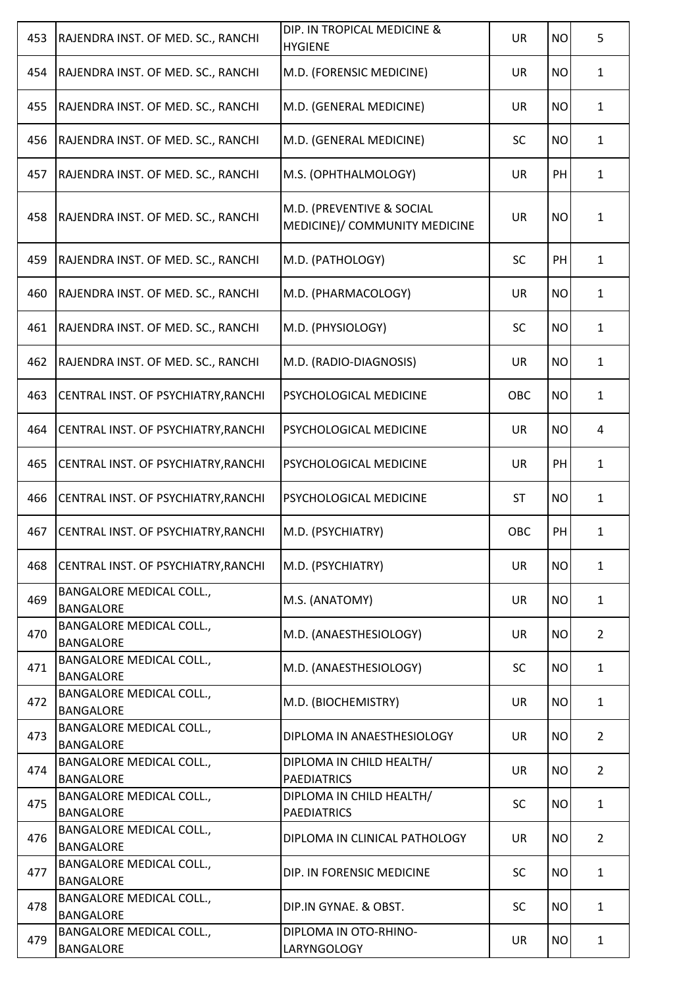| RAJENDRA INST. OF MED. SC., RANCHI                  | DIP. IN TROPICAL MEDICINE &<br><b>HYGIENE</b>                                                                                                                | <b>UR</b>                                | <b>NO</b> | 5              |
|-----------------------------------------------------|--------------------------------------------------------------------------------------------------------------------------------------------------------------|------------------------------------------|-----------|----------------|
| RAJENDRA INST. OF MED. SC., RANCHI                  | M.D. (FORENSIC MEDICINE)                                                                                                                                     | UR                                       | <b>NO</b> | $\mathbf{1}$   |
| RAJENDRA INST. OF MED. SC., RANCHI                  | M.D. (GENERAL MEDICINE)                                                                                                                                      | <b>UR</b>                                | <b>NO</b> | $\mathbf{1}$   |
| RAJENDRA INST. OF MED. SC., RANCHI                  | M.D. (GENERAL MEDICINE)                                                                                                                                      | <b>SC</b>                                | <b>NO</b> | $\mathbf{1}$   |
| RAJENDRA INST. OF MED. SC., RANCHI                  | M.S. (OPHTHALMOLOGY)                                                                                                                                         | <b>UR</b>                                | PH        | $\mathbf{1}$   |
| RAJENDRA INST. OF MED. SC., RANCHI                  | M.D. (PREVENTIVE & SOCIAL<br>MEDICINE)/ COMMUNITY MEDICINE                                                                                                   | <b>UR</b>                                | <b>NO</b> | $\mathbf{1}$   |
| RAJENDRA INST. OF MED. SC., RANCHI                  | M.D. (PATHOLOGY)                                                                                                                                             | <b>SC</b>                                | PH        | $\mathbf{1}$   |
| RAJENDRA INST. OF MED. SC., RANCHI                  | M.D. (PHARMACOLOGY)                                                                                                                                          | UR                                       | <b>NO</b> | $\mathbf{1}$   |
| RAJENDRA INST. OF MED. SC., RANCHI                  | M.D. (PHYSIOLOGY)                                                                                                                                            | <b>SC</b>                                | <b>NO</b> | $\mathbf{1}$   |
| RAJENDRA INST. OF MED. SC., RANCHI                  | M.D. (RADIO-DIAGNOSIS)                                                                                                                                       | UR                                       | <b>NO</b> | $\mathbf{1}$   |
| CENTRAL INST. OF PSYCHIATRY, RANCHI                 | PSYCHOLOGICAL MEDICINE                                                                                                                                       | OBC                                      | <b>NO</b> | $\mathbf{1}$   |
| CENTRAL INST. OF PSYCHIATRY, RANCHI                 | PSYCHOLOGICAL MEDICINE                                                                                                                                       | <b>UR</b>                                | <b>NO</b> | 4              |
| CENTRAL INST. OF PSYCHIATRY, RANCHI                 | PSYCHOLOGICAL MEDICINE                                                                                                                                       | <b>UR</b>                                | PH        | $\mathbf{1}$   |
| CENTRAL INST. OF PSYCHIATRY, RANCHI                 | PSYCHOLOGICAL MEDICINE                                                                                                                                       | <b>ST</b>                                | <b>NO</b> | $\mathbf{1}$   |
| CENTRAL INST. OF PSYCHIATRY, RANCHI                 | M.D. (PSYCHIATRY)                                                                                                                                            | OBC                                      | PH        | $\mathbf{1}$   |
| CENTRAL INST. OF PSYCHIATRY, RANCHI                 | M.D. (PSYCHIATRY)                                                                                                                                            | UR                                       | <b>NO</b> | $\mathbf{1}$   |
| <b>BANGALORE MEDICAL COLL.,</b><br><b>BANGALORE</b> | M.S. (ANATOMY)                                                                                                                                               | UR                                       | <b>NO</b> | $\mathbf{1}$   |
| <b>BANGALORE MEDICAL COLL.,</b><br><b>BANGALORE</b> | M.D. (ANAESTHESIOLOGY)                                                                                                                                       | UR                                       | <b>NO</b> | $\overline{2}$ |
| <b>BANGALORE MEDICAL COLL.,</b>                     | M.D. (ANAESTHESIOLOGY)                                                                                                                                       | <b>SC</b>                                | <b>NO</b> | $\mathbf{1}$   |
| <b>BANGALORE MEDICAL COLL.,</b>                     | M.D. (BIOCHEMISTRY)                                                                                                                                          | UR                                       | <b>NO</b> | $\mathbf{1}$   |
| <b>BANGALORE MEDICAL COLL.,</b>                     | DIPLOMA IN ANAESTHESIOLOGY                                                                                                                                   | UR                                       | <b>NO</b> | $\overline{2}$ |
| <b>BANGALORE MEDICAL COLL.,</b>                     | DIPLOMA IN CHILD HEALTH/                                                                                                                                     | <b>UR</b>                                | <b>NO</b> | $\overline{2}$ |
| <b>BANGALORE MEDICAL COLL.,</b>                     | DIPLOMA IN CHILD HEALTH/                                                                                                                                     | <b>SC</b>                                | <b>NO</b> | $\mathbf{1}$   |
| <b>BANGALORE MEDICAL COLL.,</b>                     | DIPLOMA IN CLINICAL PATHOLOGY                                                                                                                                | <b>UR</b>                                | <b>NO</b> | $\overline{2}$ |
| <b>BANGALORE MEDICAL COLL.,</b>                     | DIP. IN FORENSIC MEDICINE                                                                                                                                    | <b>SC</b>                                | <b>NO</b> | $\mathbf{1}$   |
| <b>BANGALORE MEDICAL COLL.,</b>                     | DIP.IN GYNAE. & OBST.                                                                                                                                        | <b>SC</b>                                | <b>NO</b> | $\mathbf{1}$   |
| <b>BANGALORE MEDICAL COLL.,</b><br><b>BANGALORE</b> | DIPLOMA IN OTO-RHINO-<br>LARYNGOLOGY                                                                                                                         | UR                                       | <b>NO</b> | $\mathbf{1}$   |
|                                                     | <b>BANGALORE</b><br><b>BANGALORE</b><br><b>BANGALORE</b><br><b>BANGALORE</b><br><b>BANGALORE</b><br><b>BANGALORE</b><br><b>BANGALORE</b><br><b>BANGALORE</b> | <b>PAEDIATRICS</b><br><b>PAEDIATRICS</b> |           |                |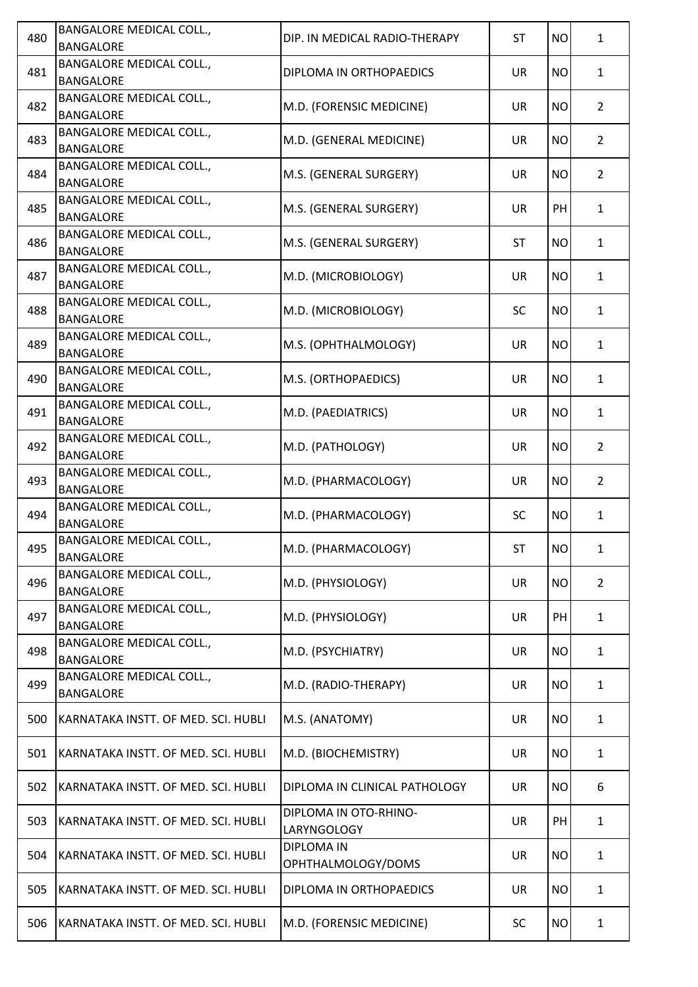| 480 | <b>BANGALORE MEDICAL COLL.,</b><br><b>BANGALORE</b> | DIP. IN MEDICAL RADIO-THERAPY           | <b>ST</b> | <b>NO</b> | $\mathbf{1}$   |
|-----|-----------------------------------------------------|-----------------------------------------|-----------|-----------|----------------|
| 481 | <b>BANGALORE MEDICAL COLL.,</b><br><b>BANGALORE</b> | DIPLOMA IN ORTHOPAEDICS                 | <b>UR</b> | <b>NO</b> | $\mathbf{1}$   |
| 482 | BANGALORE MEDICAL COLL.,<br><b>BANGALORE</b>        | M.D. (FORENSIC MEDICINE)                | UR        | <b>NO</b> | $\overline{2}$ |
| 483 | <b>BANGALORE MEDICAL COLL.,</b><br><b>BANGALORE</b> | M.D. (GENERAL MEDICINE)                 | UR        | <b>NO</b> | $\overline{2}$ |
| 484 | <b>BANGALORE MEDICAL COLL.,</b><br><b>BANGALORE</b> | M.S. (GENERAL SURGERY)                  | UR        | <b>NO</b> | $\overline{2}$ |
| 485 | <b>BANGALORE MEDICAL COLL.,</b><br><b>BANGALORE</b> | M.S. (GENERAL SURGERY)                  | UR        | PH        | $\mathbf{1}$   |
| 486 | <b>BANGALORE MEDICAL COLL.,</b><br><b>BANGALORE</b> | M.S. (GENERAL SURGERY)                  | <b>ST</b> | <b>NO</b> | $\mathbf{1}$   |
| 487 | <b>BANGALORE MEDICAL COLL.,</b><br><b>BANGALORE</b> | M.D. (MICROBIOLOGY)                     | UR        | <b>NO</b> | $\mathbf{1}$   |
| 488 | <b>BANGALORE MEDICAL COLL.,</b><br><b>BANGALORE</b> | M.D. (MICROBIOLOGY)                     | <b>SC</b> | <b>NO</b> | $\mathbf{1}$   |
| 489 | <b>BANGALORE MEDICAL COLL.,</b><br><b>BANGALORE</b> | M.S. (OPHTHALMOLOGY)                    | UR        | <b>NO</b> | $\mathbf{1}$   |
| 490 | <b>BANGALORE MEDICAL COLL.,</b><br><b>BANGALORE</b> | M.S. (ORTHOPAEDICS)                     | UR        | <b>NO</b> | $\mathbf{1}$   |
| 491 | <b>BANGALORE MEDICAL COLL.,</b><br><b>BANGALORE</b> | M.D. (PAEDIATRICS)                      | UR        | <b>NO</b> | $\mathbf{1}$   |
| 492 | <b>BANGALORE MEDICAL COLL.,</b><br><b>BANGALORE</b> | M.D. (PATHOLOGY)                        | UR        | <b>NO</b> | $\overline{2}$ |
| 493 | <b>BANGALORE MEDICAL COLL.,</b><br><b>BANGALORE</b> | M.D. (PHARMACOLOGY)                     | UR        | <b>NO</b> | $\overline{2}$ |
| 494 | <b>BANGALORE MEDICAL COLL.,</b><br><b>BANGALORE</b> | M.D. (PHARMACOLOGY)                     | <b>SC</b> | <b>NO</b> | $\mathbf{1}$   |
| 495 | <b>BANGALORE MEDICAL COLL.,</b><br><b>BANGALORE</b> | M.D. (PHARMACOLOGY)                     | ST        | NO        | $\mathbf{1}$   |
| 496 | <b>BANGALORE MEDICAL COLL.,</b><br><b>BANGALORE</b> | M.D. (PHYSIOLOGY)                       | <b>UR</b> | <b>NO</b> | $\overline{2}$ |
| 497 | <b>BANGALORE MEDICAL COLL.,</b><br><b>BANGALORE</b> | M.D. (PHYSIOLOGY)                       | UR        | PH        | $\mathbf{1}$   |
| 498 | <b>BANGALORE MEDICAL COLL.,</b><br><b>BANGALORE</b> | M.D. (PSYCHIATRY)                       | UR        | <b>NO</b> | $\mathbf{1}$   |
| 499 | <b>BANGALORE MEDICAL COLL.,</b><br><b>BANGALORE</b> | M.D. (RADIO-THERAPY)                    | UR        | <b>NO</b> | $\mathbf{1}$   |
| 500 | KARNATAKA INSTT. OF MED. SCI. HUBLI                 | M.S. (ANATOMY)                          | UR        | <b>NO</b> | $\mathbf{1}$   |
| 501 | KARNATAKA INSTT. OF MED. SCI. HUBLI                 | M.D. (BIOCHEMISTRY)                     | UR        | <b>NO</b> | $\mathbf{1}$   |
| 502 | KARNATAKA INSTT. OF MED. SCI. HUBLI                 | DIPLOMA IN CLINICAL PATHOLOGY           | UR        | <b>NO</b> | 6              |
| 503 | KARNATAKA INSTT. OF MED. SCI. HUBLI                 | DIPLOMA IN OTO-RHINO-<br>LARYNGOLOGY    | UR        | PH        | $\mathbf{1}$   |
| 504 | KARNATAKA INSTT. OF MED. SCI. HUBLI                 | <b>DIPLOMA IN</b><br>OPHTHALMOLOGY/DOMS | UR        | <b>NO</b> | $\mathbf{1}$   |
| 505 | KARNATAKA INSTT. OF MED. SCI. HUBLI                 | DIPLOMA IN ORTHOPAEDICS                 | UR        | <b>NO</b> | $\mathbf{1}$   |
| 506 | KARNATAKA INSTT. OF MED. SCI. HUBLI                 | M.D. (FORENSIC MEDICINE)                | SC        | <b>NO</b> | $\mathbf{1}$   |
|     |                                                     |                                         |           |           |                |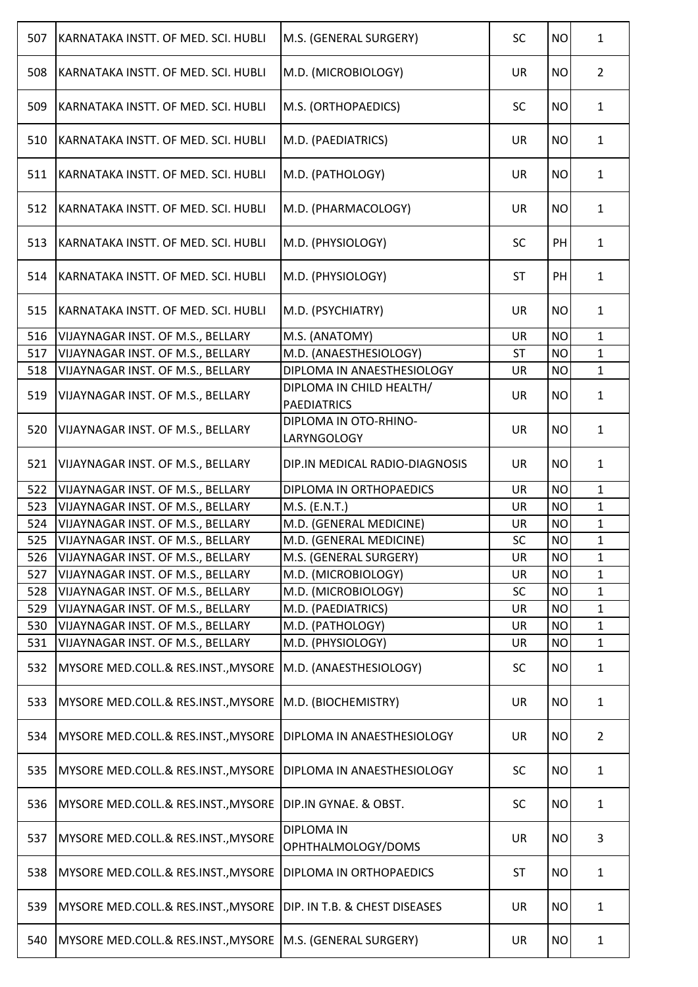| 507 | KARNATAKA INSTT. OF MED. SCI. HUBLI | M.S. (GENERAL SURGERY)                         | <b>SC</b> | <b>NO</b> | $\mathbf{1}$   |
|-----|-------------------------------------|------------------------------------------------|-----------|-----------|----------------|
| 508 | KARNATAKA INSTT. OF MED. SCI. HUBLI | M.D. (MICROBIOLOGY)                            | <b>UR</b> | <b>NO</b> | $\overline{2}$ |
| 509 | KARNATAKA INSTT. OF MED. SCI. HUBLI | M.S. (ORTHOPAEDICS)                            | <b>SC</b> | <b>NO</b> | $\mathbf{1}$   |
| 510 | KARNATAKA INSTT. OF MED. SCI. HUBLI | M.D. (PAEDIATRICS)                             | <b>UR</b> | <b>NO</b> | $\mathbf{1}$   |
| 511 | KARNATAKA INSTT. OF MED. SCI. HUBLI | M.D. (PATHOLOGY)                               | <b>UR</b> | <b>NO</b> | $\mathbf{1}$   |
| 512 | KARNATAKA INSTT. OF MED. SCI. HUBLI | M.D. (PHARMACOLOGY)                            | <b>UR</b> | <b>NO</b> | $\mathbf{1}$   |
| 513 | KARNATAKA INSTT. OF MED. SCI. HUBLI | M.D. (PHYSIOLOGY)                              | <b>SC</b> | PH        | $\mathbf{1}$   |
| 514 | KARNATAKA INSTT. OF MED. SCI. HUBLI | M.D. (PHYSIOLOGY)                              | <b>ST</b> | PH        | $\mathbf{1}$   |
| 515 | KARNATAKA INSTT. OF MED. SCI. HUBLI | M.D. (PSYCHIATRY)                              | UR        | <b>NO</b> | $\mathbf{1}$   |
| 516 | VIJAYNAGAR INST. OF M.S., BELLARY   | M.S. (ANATOMY)                                 | <b>UR</b> | <b>NO</b> | $\mathbf{1}$   |
| 517 | VIJAYNAGAR INST. OF M.S., BELLARY   | M.D. (ANAESTHESIOLOGY)                         | <b>ST</b> | <b>NO</b> | $\mathbf{1}$   |
| 518 | VIJAYNAGAR INST. OF M.S., BELLARY   | DIPLOMA IN ANAESTHESIOLOGY                     | <b>UR</b> | <b>NO</b> | $\mathbf{1}$   |
| 519 | VIJAYNAGAR INST. OF M.S., BELLARY   | DIPLOMA IN CHILD HEALTH/<br><b>PAEDIATRICS</b> | <b>UR</b> | <b>NO</b> | $\mathbf{1}$   |
| 520 | VIJAYNAGAR INST. OF M.S., BELLARY   | DIPLOMA IN OTO-RHINO-<br>LARYNGOLOGY           | <b>UR</b> | <b>NO</b> | $\mathbf{1}$   |
| 521 | VIJAYNAGAR INST. OF M.S., BELLARY   | DIP.IN MEDICAL RADIO-DIAGNOSIS                 | <b>UR</b> | <b>NO</b> | $\mathbf{1}$   |
| 522 | VIJAYNAGAR INST. OF M.S., BELLARY   | DIPLOMA IN ORTHOPAEDICS                        | UR        | <b>NO</b> | $\mathbf{1}$   |
| 523 | VIJAYNAGAR INST. OF M.S., BELLARY   | M.S. (E.N.T.)                                  | <b>UR</b> | <b>NO</b> | $\mathbf{1}$   |
| 524 | VIJAYNAGAR INST. OF M.S., BELLARY   | M.D. (GENERAL MEDICINE)                        | UR        | <b>NO</b> | $\mathbf{1}$   |
| 525 | VIJAYNAGAR INST. OF M.S., BELLARY   | M.D. (GENERAL MEDICINE)                        | <b>SC</b> | <b>NO</b> | $\mathbf{1}$   |
| 526 | VIJAYNAGAR INST. OF M.S., BELLARY   | M.S. (GENERAL SURGERY)                         | <b>UR</b> | <b>NO</b> | $\mathbf 1$    |
| 527 | VIJAYNAGAR INST. OF M.S., BELLARY   | M.D. (MICROBIOLOGY)                            | <b>UR</b> | <b>NO</b> | $\mathbf 1$    |
| 528 | VIJAYNAGAR INST. OF M.S., BELLARY   | M.D. (MICROBIOLOGY)                            | <b>SC</b> | <b>NO</b> | $\mathbf 1$    |
| 529 | VIJAYNAGAR INST. OF M.S., BELLARY   | M.D. (PAEDIATRICS)                             | <b>UR</b> | <b>NO</b> | $\mathbf{1}$   |
| 530 | VIJAYNAGAR INST. OF M.S., BELLARY   | M.D. (PATHOLOGY)                               | UR        | <b>NO</b> | $\mathbf{1}$   |
| 531 | VIJAYNAGAR INST. OF M.S., BELLARY   | M.D. (PHYSIOLOGY)                              | UR        | <b>NO</b> | 1              |
| 532 | MYSORE MED.COLL.& RES.INST., MYSORE | M.D. (ANAESTHESIOLOGY)                         | <b>SC</b> | <b>NO</b> | $\mathbf{1}$   |
| 533 | MYSORE MED.COLL.& RES.INST., MYSORE | M.D. (BIOCHEMISTRY)                            | UR        | <b>NO</b> | $\mathbf{1}$   |
| 534 | MYSORE MED.COLL.& RES.INST., MYSORE | DIPLOMA IN ANAESTHESIOLOGY                     | UR        | <b>NO</b> | $\overline{2}$ |
| 535 | MYSORE MED.COLL.& RES.INST., MYSORE | DIPLOMA IN ANAESTHESIOLOGY                     | <b>SC</b> | <b>NO</b> | $\mathbf{1}$   |
| 536 | MYSORE MED.COLL.& RES.INST., MYSORE | DIP.IN GYNAE. & OBST.                          | <b>SC</b> | <b>NO</b> | $\mathbf{1}$   |
| 537 | MYSORE MED.COLL.& RES.INST., MYSORE | <b>DIPLOMA IN</b><br>OPHTHALMOLOGY/DOMS        | UR        | <b>NO</b> | 3              |
| 538 | MYSORE MED.COLL.& RES.INST., MYSORE | DIPLOMA IN ORTHOPAEDICS                        | <b>ST</b> | <b>NO</b> | $\mathbf{1}$   |
| 539 | MYSORE MED.COLL.& RES.INST., MYSORE | DIP. IN T.B. & CHEST DISEASES                  | <b>UR</b> | <b>NO</b> | $\mathbf{1}$   |
| 540 | MYSORE MED.COLL.& RES.INST., MYSORE | M.S. (GENERAL SURGERY)                         | <b>UR</b> | <b>NO</b> | $\mathbf{1}$   |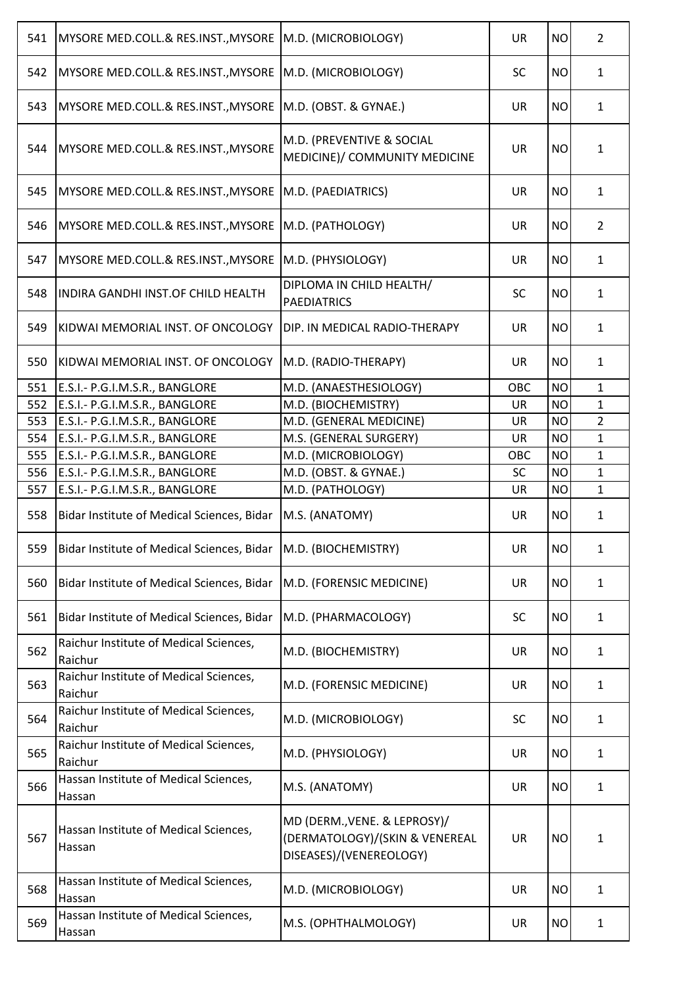| 541 | MYSORE MED.COLL.& RES.INST., MYSORE                                    | M.D. (MICROBIOLOGY)                                                                       | <b>UR</b> | <b>NO</b> | $\overline{2}$ |
|-----|------------------------------------------------------------------------|-------------------------------------------------------------------------------------------|-----------|-----------|----------------|
| 542 | MYSORE MED.COLL.& RES.INST., MYSORE                                    | M.D. (MICROBIOLOGY)                                                                       | <b>SC</b> | <b>NO</b> | $\mathbf{1}$   |
| 543 | MYSORE MED.COLL.& RES.INST., MYSORE                                    | M.D. (OBST. & GYNAE.)                                                                     | <b>UR</b> | <b>NO</b> | $\mathbf{1}$   |
| 544 | MYSORE MED.COLL.& RES.INST., MYSORE                                    | M.D. (PREVENTIVE & SOCIAL<br>MEDICINE)/ COMMUNITY MEDICINE                                | <b>UR</b> | <b>NO</b> | $\mathbf{1}$   |
| 545 | MYSORE MED.COLL.& RES.INST., MYSORE                                    | M.D. (PAEDIATRICS)                                                                        | <b>UR</b> | <b>NO</b> | $\mathbf{1}$   |
| 546 | MYSORE MED.COLL.& RES.INST., MYSORE                                    | M.D. (PATHOLOGY)                                                                          | <b>UR</b> | <b>NO</b> | $\overline{2}$ |
| 547 | MYSORE MED.COLL.& RES.INST., MYSORE                                    | M.D. (PHYSIOLOGY)                                                                         | <b>UR</b> | <b>NO</b> | $\mathbf{1}$   |
| 548 | INDIRA GANDHI INST.OF CHILD HEALTH                                     | DIPLOMA IN CHILD HEALTH/<br><b>PAEDIATRICS</b>                                            | <b>SC</b> | <b>NO</b> | $\mathbf{1}$   |
| 549 | KIDWAI MEMORIAL INST. OF ONCOLOGY                                      | DIP. IN MEDICAL RADIO-THERAPY                                                             | <b>UR</b> | <b>NO</b> | $\mathbf{1}$   |
| 550 | KIDWAI MEMORIAL INST. OF ONCOLOGY                                      | M.D. (RADIO-THERAPY)                                                                      | <b>UR</b> | <b>NO</b> | $\mathbf{1}$   |
| 551 | E.S.I.- P.G.I.M.S.R., BANGLORE                                         | M.D. (ANAESTHESIOLOGY)                                                                    | OBC       | <b>NO</b> | $\mathbf{1}$   |
| 552 | E.S.I.- P.G.I.M.S.R., BANGLORE                                         | M.D. (BIOCHEMISTRY)                                                                       | UR        | <b>NO</b> | $\mathbf{1}$   |
| 553 | E.S.I.- P.G.I.M.S.R., BANGLORE                                         | M.D. (GENERAL MEDICINE)                                                                   | UR        | <b>NO</b> | $\overline{2}$ |
| 554 | E.S.I.- P.G.I.M.S.R., BANGLORE                                         | M.S. (GENERAL SURGERY)                                                                    | <b>UR</b> | <b>NO</b> | $\mathbf{1}$   |
| 555 | E.S.I.- P.G.I.M.S.R., BANGLORE                                         | M.D. (MICROBIOLOGY)                                                                       | OBC       | <b>NO</b> | $\mathbf{1}$   |
| 556 | E.S.I.- P.G.I.M.S.R., BANGLORE                                         | M.D. (OBST. & GYNAE.)                                                                     | <b>SC</b> | <b>NO</b> | $\mathbf{1}$   |
| 557 | E.S.I.- P.G.I.M.S.R., BANGLORE                                         | M.D. (PATHOLOGY)                                                                          | <b>UR</b> | <b>NO</b> | $\mathbf{1}$   |
| 558 | Bidar Institute of Medical Sciences, Bidar                             | M.S. (ANATOMY)                                                                            | UR        | <b>NO</b> | $\mathbf{1}$   |
|     | 559   Bidar Institute of Medical Sciences, Bidar   M.D. (BIOCHEMISTRY) |                                                                                           | UR        | NO        | 1              |
| 560 | Bidar Institute of Medical Sciences, Bidar                             | M.D. (FORENSIC MEDICINE)                                                                  | <b>UR</b> | <b>NO</b> | $\mathbf{1}$   |
| 561 | Bidar Institute of Medical Sciences, Bidar                             | M.D. (PHARMACOLOGY)                                                                       | <b>SC</b> | <b>NO</b> | $\mathbf{1}$   |
| 562 | Raichur Institute of Medical Sciences,<br>Raichur                      | M.D. (BIOCHEMISTRY)                                                                       | <b>UR</b> | <b>NO</b> | $\mathbf{1}$   |
| 563 | Raichur Institute of Medical Sciences,<br>Raichur                      | M.D. (FORENSIC MEDICINE)                                                                  | <b>UR</b> | <b>NO</b> | $\mathbf{1}$   |
| 564 | Raichur Institute of Medical Sciences,<br>Raichur                      | M.D. (MICROBIOLOGY)                                                                       | <b>SC</b> | <b>NO</b> | $\mathbf{1}$   |
| 565 | Raichur Institute of Medical Sciences,<br>Raichur                      | M.D. (PHYSIOLOGY)                                                                         | <b>UR</b> | <b>NO</b> | $\mathbf{1}$   |
| 566 | Hassan Institute of Medical Sciences,<br>Hassan                        | M.S. (ANATOMY)                                                                            | <b>UR</b> | <b>NO</b> | $\mathbf{1}$   |
| 567 | Hassan Institute of Medical Sciences,<br>Hassan                        | MD (DERM., VENE. & LEPROSY)/<br>(DERMATOLOGY)/(SKIN & VENEREAL<br>DISEASES)/(VENEREOLOGY) | <b>UR</b> | <b>NO</b> | 1              |
| 568 | Hassan Institute of Medical Sciences,<br>Hassan                        | M.D. (MICROBIOLOGY)                                                                       | <b>UR</b> | <b>NO</b> | $\mathbf{1}$   |
| 569 | Hassan Institute of Medical Sciences,<br>Hassan                        | M.S. (OPHTHALMOLOGY)                                                                      | <b>UR</b> | <b>NO</b> | $\mathbf{1}$   |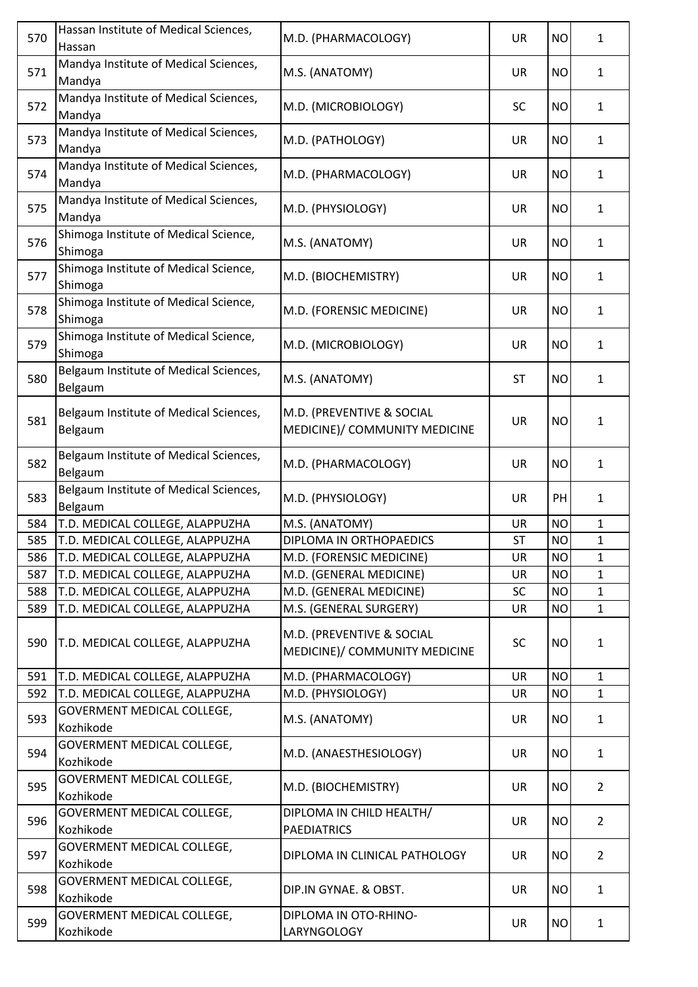| 570 | Hassan Institute of Medical Sciences,<br>Hassan   | M.D. (PHARMACOLOGY)                                        | <b>UR</b> | <b>NO</b> | $\mathbf{1}$   |
|-----|---------------------------------------------------|------------------------------------------------------------|-----------|-----------|----------------|
| 571 | Mandya Institute of Medical Sciences,<br>Mandya   | M.S. (ANATOMY)                                             | <b>UR</b> | <b>NO</b> | $\mathbf{1}$   |
| 572 | Mandya Institute of Medical Sciences,<br>Mandya   | M.D. (MICROBIOLOGY)                                        | <b>SC</b> | <b>NO</b> | $\mathbf{1}$   |
| 573 | Mandya Institute of Medical Sciences,<br>Mandya   | M.D. (PATHOLOGY)                                           | <b>UR</b> | <b>NO</b> | $\mathbf{1}$   |
| 574 | Mandya Institute of Medical Sciences,<br>Mandya   | M.D. (PHARMACOLOGY)                                        | <b>UR</b> | <b>NO</b> | $\mathbf{1}$   |
| 575 | Mandya Institute of Medical Sciences,<br>Mandya   | M.D. (PHYSIOLOGY)                                          | <b>UR</b> | <b>NO</b> | $\mathbf{1}$   |
| 576 | Shimoga Institute of Medical Science,<br>Shimoga  | M.S. (ANATOMY)                                             | UR        | <b>NO</b> | $\mathbf{1}$   |
| 577 | Shimoga Institute of Medical Science,<br>Shimoga  | M.D. (BIOCHEMISTRY)                                        | UR        | <b>NO</b> | $\mathbf{1}$   |
| 578 | Shimoga Institute of Medical Science,<br>Shimoga  | M.D. (FORENSIC MEDICINE)                                   | <b>UR</b> | <b>NO</b> | $\mathbf{1}$   |
| 579 | Shimoga Institute of Medical Science,<br>Shimoga  | M.D. (MICROBIOLOGY)                                        | <b>UR</b> | <b>NO</b> | $\mathbf{1}$   |
| 580 | Belgaum Institute of Medical Sciences,<br>Belgaum | M.S. (ANATOMY)                                             | <b>ST</b> | <b>NO</b> | $\mathbf{1}$   |
| 581 | Belgaum Institute of Medical Sciences,<br>Belgaum | M.D. (PREVENTIVE & SOCIAL<br>MEDICINE)/ COMMUNITY MEDICINE | <b>UR</b> | <b>NO</b> | $\mathbf{1}$   |
| 582 | Belgaum Institute of Medical Sciences,<br>Belgaum | M.D. (PHARMACOLOGY)                                        | <b>UR</b> | <b>NO</b> | $\mathbf{1}$   |
| 583 | Belgaum Institute of Medical Sciences,<br>Belgaum | M.D. (PHYSIOLOGY)                                          | <b>UR</b> | PH        | $\mathbf{1}$   |
| 584 | T.D. MEDICAL COLLEGE, ALAPPUZHA                   | M.S. (ANATOMY)                                             | UR        | <b>NO</b> | 1              |
| 585 | T.D. MEDICAL COLLEGE, ALAPPUZHA                   | DIPLOMA IN ORTHOPAEDICS                                    | <b>ST</b> | <b>NO</b> | $\mathbf{1}$   |
| 586 | T.D. MEDICAL COLLEGE, ALAPPUZHA                   | M.D. (FORENSIC MEDICINE)                                   | <b>UR</b> | <b>NO</b> | $\mathbf{1}$   |
| 587 | T.D. MEDICAL COLLEGE, ALAPPUZHA                   | M.D. (GENERAL MEDICINE)                                    | <b>UR</b> | <b>NO</b> | 1              |
| 588 | T.D. MEDICAL COLLEGE, ALAPPUZHA                   | M.D. (GENERAL MEDICINE)                                    | <b>SC</b> | <b>NO</b> | $\mathbf{1}$   |
| 589 | T.D. MEDICAL COLLEGE, ALAPPUZHA                   | M.S. (GENERAL SURGERY)                                     | UR        | <b>NO</b> | $\mathbf{1}$   |
| 590 | T.D. MEDICAL COLLEGE, ALAPPUZHA                   | M.D. (PREVENTIVE & SOCIAL<br>MEDICINE)/ COMMUNITY MEDICINE | <b>SC</b> | <b>NO</b> | $\mathbf{1}$   |
| 591 | T.D. MEDICAL COLLEGE, ALAPPUZHA                   | M.D. (PHARMACOLOGY)                                        | <b>UR</b> | <b>NO</b> | $\mathbf{1}$   |
| 592 | T.D. MEDICAL COLLEGE, ALAPPUZHA                   | M.D. (PHYSIOLOGY)                                          | <b>UR</b> | <b>NO</b> | $\mathbf{1}$   |
| 593 | GOVERMENT MEDICAL COLLEGE,<br>Kozhikode           | M.S. (ANATOMY)                                             | <b>UR</b> | <b>NO</b> | $\mathbf{1}$   |
| 594 | GOVERMENT MEDICAL COLLEGE,<br>Kozhikode           | M.D. (ANAESTHESIOLOGY)                                     | <b>UR</b> | <b>NO</b> | $\mathbf{1}$   |
| 595 | GOVERMENT MEDICAL COLLEGE,<br>Kozhikode           | M.D. (BIOCHEMISTRY)                                        | <b>UR</b> | <b>NO</b> | $\overline{2}$ |
| 596 | GOVERMENT MEDICAL COLLEGE,<br>Kozhikode           | DIPLOMA IN CHILD HEALTH/<br><b>PAEDIATRICS</b>             | <b>UR</b> | <b>NO</b> | $\overline{2}$ |
| 597 | GOVERMENT MEDICAL COLLEGE,<br>Kozhikode           | DIPLOMA IN CLINICAL PATHOLOGY                              | UR        | <b>NO</b> | $\overline{2}$ |
| 598 | GOVERMENT MEDICAL COLLEGE,<br>Kozhikode           | DIP.IN GYNAE. & OBST.                                      | UR        | <b>NO</b> | $\mathbf{1}$   |
| 599 | GOVERMENT MEDICAL COLLEGE,<br>Kozhikode           | DIPLOMA IN OTO-RHINO-<br>LARYNGOLOGY                       | UR        | <b>NO</b> | $\mathbf{1}$   |
|     |                                                   |                                                            |           |           |                |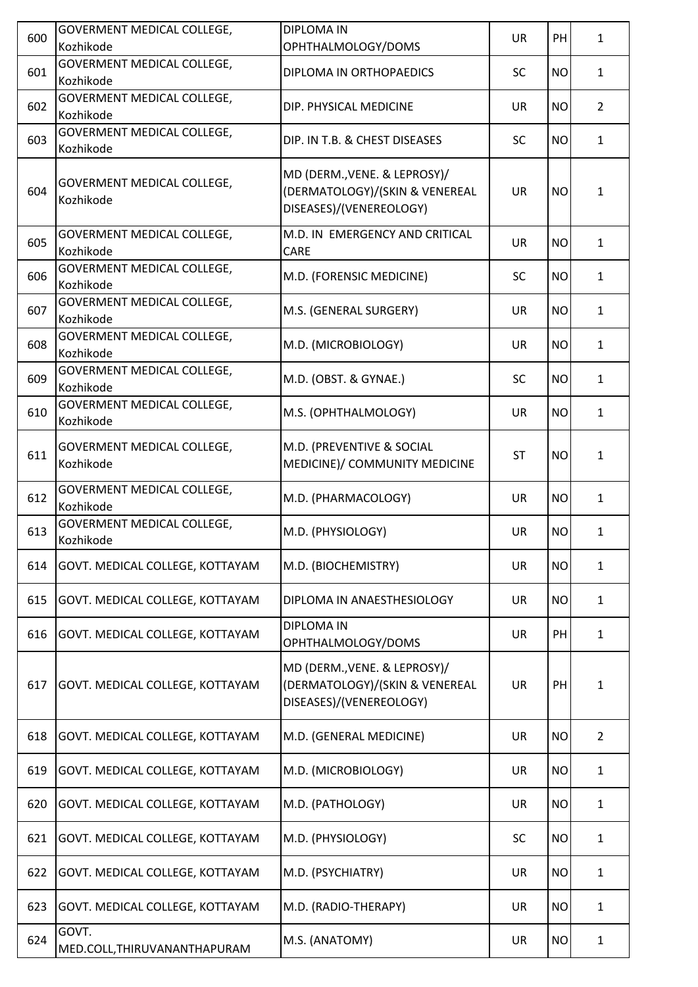| 600 | GOVERMENT MEDICAL COLLEGE,                     | <b>DIPLOMA IN</b>                                                                         | <b>UR</b> | PH        |                |
|-----|------------------------------------------------|-------------------------------------------------------------------------------------------|-----------|-----------|----------------|
|     | Kozhikode                                      | OPHTHALMOLOGY/DOMS                                                                        |           |           | $\mathbf{1}$   |
| 601 | <b>GOVERMENT MEDICAL COLLEGE,</b><br>Kozhikode | DIPLOMA IN ORTHOPAEDICS                                                                   | <b>SC</b> | <b>NO</b> | $\mathbf{1}$   |
| 602 | GOVERMENT MEDICAL COLLEGE,<br>Kozhikode        | DIP. PHYSICAL MEDICINE                                                                    | <b>UR</b> | <b>NO</b> | $\overline{2}$ |
| 603 | GOVERMENT MEDICAL COLLEGE,<br>Kozhikode        | DIP. IN T.B. & CHEST DISEASES                                                             | <b>SC</b> | <b>NO</b> | $\mathbf{1}$   |
| 604 | GOVERMENT MEDICAL COLLEGE,<br>Kozhikode        | MD (DERM., VENE. & LEPROSY)/<br>(DERMATOLOGY)/(SKIN & VENEREAL<br>DISEASES)/(VENEREOLOGY) | <b>UR</b> | <b>NO</b> | $\mathbf{1}$   |
| 605 | GOVERMENT MEDICAL COLLEGE,<br>Kozhikode        | M.D. IN EMERGENCY AND CRITICAL<br>CARE                                                    | <b>UR</b> | <b>NO</b> | $\mathbf{1}$   |
| 606 | <b>GOVERMENT MEDICAL COLLEGE,</b><br>Kozhikode | M.D. (FORENSIC MEDICINE)                                                                  | <b>SC</b> | <b>NO</b> | $\mathbf{1}$   |
| 607 | GOVERMENT MEDICAL COLLEGE,<br>Kozhikode        | M.S. (GENERAL SURGERY)                                                                    | <b>UR</b> | <b>NO</b> | $\mathbf{1}$   |
| 608 | GOVERMENT MEDICAL COLLEGE,<br>Kozhikode        | M.D. (MICROBIOLOGY)                                                                       | <b>UR</b> | <b>NO</b> | $\mathbf{1}$   |
| 609 | GOVERMENT MEDICAL COLLEGE,<br>Kozhikode        | M.D. (OBST. & GYNAE.)                                                                     | <b>SC</b> | <b>NO</b> | $\mathbf{1}$   |
| 610 | GOVERMENT MEDICAL COLLEGE,<br>Kozhikode        | M.S. (OPHTHALMOLOGY)                                                                      | <b>UR</b> | <b>NO</b> | $\mathbf{1}$   |
| 611 | GOVERMENT MEDICAL COLLEGE,<br>Kozhikode        | M.D. (PREVENTIVE & SOCIAL<br>MEDICINE)/ COMMUNITY MEDICINE                                | <b>ST</b> | <b>NO</b> | $\mathbf{1}$   |
| 612 | GOVERMENT MEDICAL COLLEGE,<br>Kozhikode        | M.D. (PHARMACOLOGY)                                                                       | <b>UR</b> | <b>NO</b> | $\mathbf{1}$   |
| 613 | GOVERMENT MEDICAL COLLEGE,<br>Kozhikode        | M.D. (PHYSIOLOGY)                                                                         | <b>UR</b> | <b>NO</b> | $\mathbf{1}$   |
| 614 | GOVT. MEDICAL COLLEGE, KOTTAYAM                | M.D. (BIOCHEMISTRY)                                                                       | <b>UR</b> | <b>NO</b> | $\mathbf{1}$   |
| 615 | GOVT. MEDICAL COLLEGE, KOTTAYAM                | DIPLOMA IN ANAESTHESIOLOGY                                                                | UR        | <b>NO</b> | 1              |
| 616 | GOVT. MEDICAL COLLEGE, KOTTAYAM                | <b>DIPLOMA IN</b><br>OPHTHALMOLOGY/DOMS                                                   | <b>UR</b> | PH        | $\mathbf{1}$   |
| 617 | GOVT. MEDICAL COLLEGE, KOTTAYAM                | MD (DERM., VENE. & LEPROSY)/<br>(DERMATOLOGY)/(SKIN & VENEREAL<br>DISEASES)/(VENEREOLOGY) | <b>UR</b> | PH        | 1              |
| 618 | GOVT. MEDICAL COLLEGE, KOTTAYAM                | M.D. (GENERAL MEDICINE)                                                                   | <b>UR</b> | <b>NO</b> | $\overline{2}$ |
| 619 | GOVT. MEDICAL COLLEGE, KOTTAYAM                | M.D. (MICROBIOLOGY)                                                                       | <b>UR</b> | <b>NO</b> | $\mathbf{1}$   |
| 620 | GOVT. MEDICAL COLLEGE, KOTTAYAM                | M.D. (PATHOLOGY)                                                                          | <b>UR</b> | <b>NO</b> | $\mathbf{1}$   |
| 621 | GOVT. MEDICAL COLLEGE, KOTTAYAM                | M.D. (PHYSIOLOGY)                                                                         | <b>SC</b> | <b>NO</b> | $\mathbf{1}$   |
| 622 | GOVT. MEDICAL COLLEGE, KOTTAYAM                | M.D. (PSYCHIATRY)                                                                         | <b>UR</b> | <b>NO</b> | $\mathbf{1}$   |
| 623 | GOVT. MEDICAL COLLEGE, KOTTAYAM                | M.D. (RADIO-THERAPY)                                                                      | <b>UR</b> | <b>NO</b> | $\mathbf{1}$   |
| 624 | GOVT.<br>MED.COLL, THIRUVANANTHAPURAM          | M.S. (ANATOMY)                                                                            | <b>UR</b> | <b>NO</b> | $\mathbf{1}$   |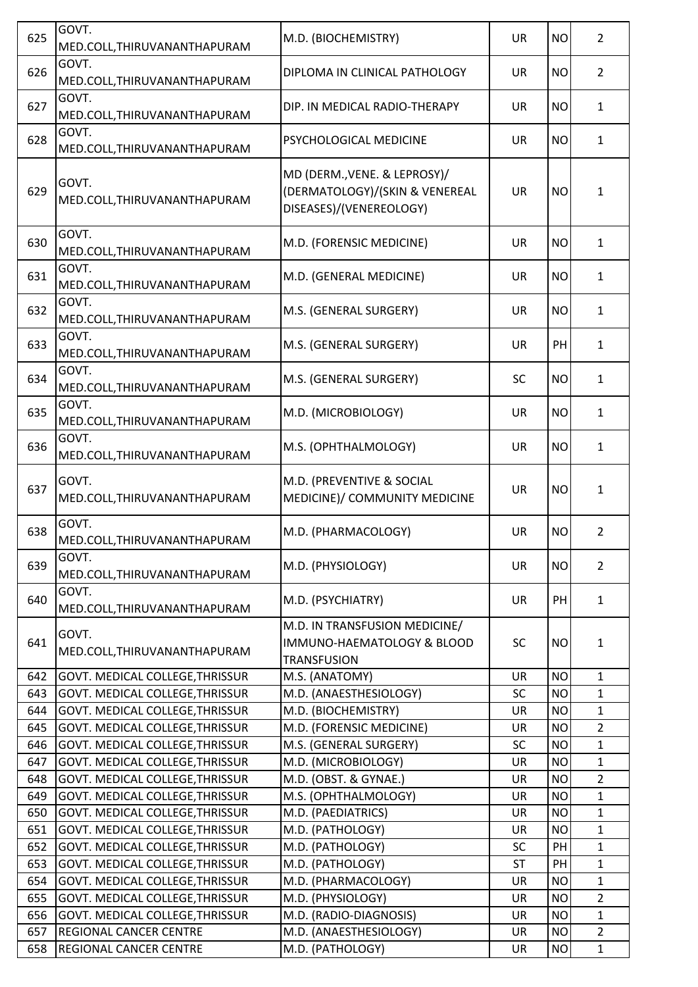| GOVT.<br>626<br><b>UR</b><br>DIPLOMA IN CLINICAL PATHOLOGY<br>MED.COLL, THIRUVANANTHAPURAM<br>GOVT.<br>627<br><b>UR</b><br>DIP. IN MEDICAL RADIO-THERAPY<br>MED.COLL, THIRUVANANTHAPURAM | <b>NO</b><br><b>NO</b><br><b>NO</b> | $\overline{2}$<br>$\mathbf{1}$<br>$\mathbf{1}$ |
|------------------------------------------------------------------------------------------------------------------------------------------------------------------------------------------|-------------------------------------|------------------------------------------------|
|                                                                                                                                                                                          |                                     |                                                |
|                                                                                                                                                                                          |                                     |                                                |
| GOVT.<br>628<br>PSYCHOLOGICAL MEDICINE<br>UR<br>MED.COLL, THIRUVANANTHAPURAM                                                                                                             |                                     |                                                |
| MD (DERM., VENE. & LEPROSY)/<br>GOVT.<br>(DERMATOLOGY)/(SKIN & VENEREAL<br>629<br><b>UR</b><br>MED.COLL, THIRUVANANTHAPURAM<br>DISEASES)/(VENEREOLOGY)                                   | <b>NO</b>                           | $\mathbf{1}$                                   |
| GOVT.<br>630<br>M.D. (FORENSIC MEDICINE)<br><b>UR</b><br>MED.COLL, THIRUVANANTHAPURAM                                                                                                    | <b>NO</b>                           | $\mathbf{1}$                                   |
| GOVT.<br>631<br><b>UR</b><br>M.D. (GENERAL MEDICINE)<br>MED.COLL, THIRUVANANTHAPURAM                                                                                                     | <b>NO</b>                           | $\mathbf{1}$                                   |
| GOVT.<br>632<br>M.S. (GENERAL SURGERY)<br>UR<br>MED.COLL, THIRUVANANTHAPURAM                                                                                                             | <b>NO</b>                           | $\mathbf{1}$                                   |
| GOVT.<br>633<br>M.S. (GENERAL SURGERY)<br><b>UR</b><br>MED.COLL, THIRUVANANTHAPURAM                                                                                                      | PH                                  | $\mathbf{1}$                                   |
| GOVT.<br>634<br>M.S. (GENERAL SURGERY)<br><b>SC</b><br>MED.COLL, THIRUVANANTHAPURAM                                                                                                      | <b>NO</b>                           | $\mathbf{1}$                                   |
| GOVT.<br>635<br>M.D. (MICROBIOLOGY)<br><b>UR</b><br>MED.COLL, THIRUVANANTHAPURAM                                                                                                         | <b>NO</b>                           | $\mathbf{1}$                                   |
| GOVT.<br>636<br>M.S. (OPHTHALMOLOGY)<br><b>UR</b><br>MED.COLL, THIRUVANANTHAPURAM                                                                                                        | <b>NO</b>                           | $\mathbf{1}$                                   |
| GOVT.<br>M.D. (PREVENTIVE & SOCIAL<br>637<br><b>UR</b><br>MEDICINE)/ COMMUNITY MEDICINE<br>MED.COLL, THIRUVANANTHAPURAM                                                                  | <b>NO</b>                           | $\mathbf{1}$                                   |
| GOVT.<br>638<br>M.D. (PHARMACOLOGY)<br><b>UR</b><br>MED.COLL, THIRUVANANTHAPURAM                                                                                                         | <b>NO</b>                           | $\overline{2}$                                 |
| GOVT.<br>639<br>M.D. (PHYSIOLOGY)<br><b>UR</b><br>MED.COLL, THIRUVANANTHAPURAM                                                                                                           | <b>NO</b>                           | $\overline{2}$                                 |
| GOVT.<br>640<br>M.D. (PSYCHIATRY)<br><b>UR</b><br>MED.COLL, THIRUVANANTHAPURAM                                                                                                           | PH                                  | $\mathbf{1}$                                   |
| M.D. IN TRANSFUSION MEDICINE/<br>GOVT.<br>641<br>IMMUNO-HAEMATOLOGY & BLOOD<br><b>SC</b><br>MED.COLL, THIRUVANANTHAPURAM<br><b>TRANSFUSION</b>                                           | <b>NO</b>                           | $\mathbf{1}$                                   |
| 642<br>GOVT. MEDICAL COLLEGE, THRISSUR<br>M.S. (ANATOMY)<br><b>UR</b>                                                                                                                    | <b>NO</b>                           | $\mathbf{1}$                                   |
| <b>SC</b><br>643<br>GOVT. MEDICAL COLLEGE, THRISSUR<br>M.D. (ANAESTHESIOLOGY)                                                                                                            | <b>NO</b>                           | $\mathbf{1}$                                   |
| 644<br>GOVT. MEDICAL COLLEGE, THRISSUR<br>M.D. (BIOCHEMISTRY)<br><b>UR</b>                                                                                                               | <b>NO</b>                           | $\mathbf{1}$                                   |
| M.D. (FORENSIC MEDICINE)<br>645<br>GOVT. MEDICAL COLLEGE, THRISSUR<br><b>UR</b>                                                                                                          | <b>NO</b>                           | $\overline{2}$                                 |
| 646<br>GOVT. MEDICAL COLLEGE, THRISSUR<br>M.S. (GENERAL SURGERY)<br>SC                                                                                                                   | <b>NO</b>                           | $\mathbf{1}$                                   |
| M.D. (MICROBIOLOGY)<br>647<br>GOVT. MEDICAL COLLEGE, THRISSUR<br><b>UR</b>                                                                                                               | <b>NO</b>                           | $\mathbf{1}$                                   |
| M.D. (OBST. & GYNAE.)<br>GOVT. MEDICAL COLLEGE, THRISSUR<br><b>UR</b><br>648                                                                                                             | <b>NO</b>                           | $\overline{2}$                                 |
| M.S. (OPHTHALMOLOGY)<br>649<br>GOVT. MEDICAL COLLEGE, THRISSUR<br><b>UR</b>                                                                                                              | <b>NO</b>                           | $\mathbf{1}$                                   |
| 650<br>GOVT. MEDICAL COLLEGE, THRISSUR<br>M.D. (PAEDIATRICS)<br><b>UR</b>                                                                                                                | <b>NO</b>                           | $\mathbf{1}$                                   |
| 651<br>GOVT. MEDICAL COLLEGE, THRISSUR<br>M.D. (PATHOLOGY)<br>UR                                                                                                                         | <b>NO</b>                           | $\mathbf{1}$                                   |
| 652<br>M.D. (PATHOLOGY)<br>SC<br>GOVT. MEDICAL COLLEGE, THRISSUR                                                                                                                         | PH<br>PH                            | $\mathbf{1}$                                   |
| M.D. (PATHOLOGY)<br>653<br>GOVT. MEDICAL COLLEGE, THRISSUR<br><b>ST</b><br>654<br>GOVT. MEDICAL COLLEGE, THRISSUR<br>M.D. (PHARMACOLOGY)<br><b>UR</b>                                    | <b>NO</b>                           | $\mathbf 1$<br>$\mathbf{1}$                    |
| 655<br>GOVT. MEDICAL COLLEGE, THRISSUR<br>M.D. (PHYSIOLOGY)<br><b>UR</b>                                                                                                                 | <b>NO</b>                           | $\overline{2}$                                 |
| 656<br>GOVT. MEDICAL COLLEGE, THRISSUR<br>M.D. (RADIO-DIAGNOSIS)<br><b>UR</b>                                                                                                            | <b>NO</b>                           | $\mathbf{1}$                                   |
| 657<br><b>REGIONAL CANCER CENTRE</b><br>M.D. (ANAESTHESIOLOGY)<br><b>UR</b>                                                                                                              | <b>NO</b>                           | $\overline{2}$                                 |
| 658<br>M.D. (PATHOLOGY)<br>REGIONAL CANCER CENTRE<br>UR                                                                                                                                  | <b>NO</b>                           | $\mathbf{1}$                                   |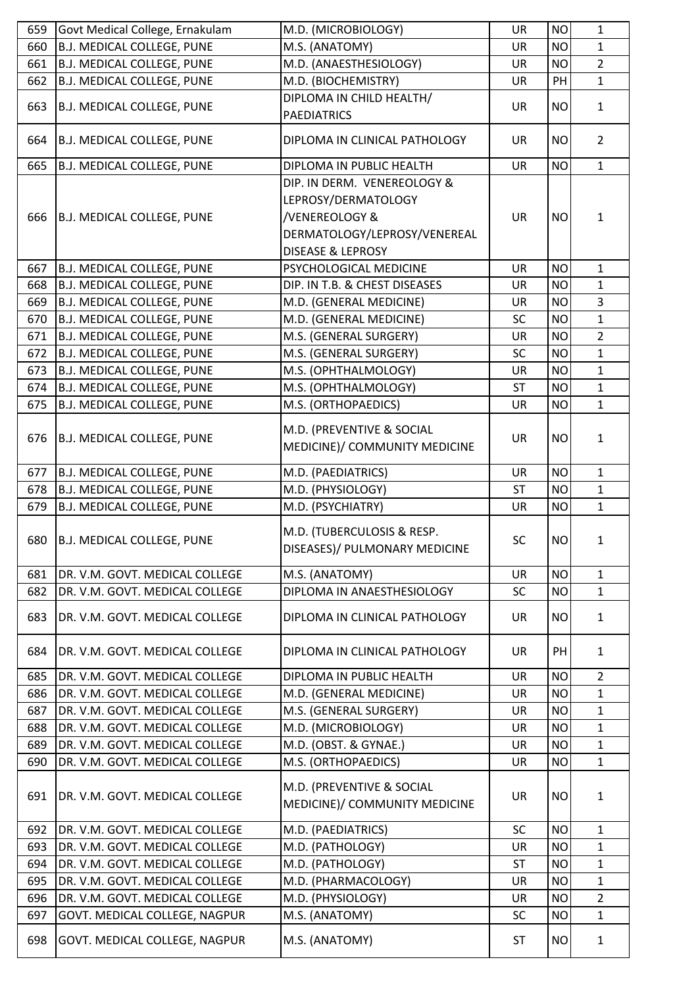| 659 | Govt Medical College, Ernakulam   | M.D. (MICROBIOLOGY)                                                                                                                  | <b>UR</b> | <b>NO</b> | $\mathbf{1}$                 |
|-----|-----------------------------------|--------------------------------------------------------------------------------------------------------------------------------------|-----------|-----------|------------------------------|
| 660 | <b>B.J. MEDICAL COLLEGE, PUNE</b> | M.S. (ANATOMY)                                                                                                                       | <b>UR</b> | <b>NO</b> | $\mathbf{1}$                 |
| 661 | <b>B.J. MEDICAL COLLEGE, PUNE</b> | M.D. (ANAESTHESIOLOGY)                                                                                                               | <b>UR</b> | <b>NO</b> | $\overline{2}$               |
| 662 | <b>B.J. MEDICAL COLLEGE, PUNE</b> | M.D. (BIOCHEMISTRY)                                                                                                                  | <b>UR</b> | PH        | $\mathbf{1}$                 |
| 663 | <b>B.J. MEDICAL COLLEGE, PUNE</b> | DIPLOMA IN CHILD HEALTH/                                                                                                             | <b>UR</b> | <b>NO</b> | $\mathbf{1}$                 |
|     |                                   | <b>PAEDIATRICS</b>                                                                                                                   |           |           |                              |
| 664 | B.J. MEDICAL COLLEGE, PUNE        | DIPLOMA IN CLINICAL PATHOLOGY                                                                                                        | <b>UR</b> | <b>NO</b> | $\overline{2}$               |
| 665 | <b>B.J. MEDICAL COLLEGE, PUNE</b> | DIPLOMA IN PUBLIC HEALTH                                                                                                             | <b>UR</b> | <b>NO</b> | $\mathbf{1}$                 |
| 666 | <b>B.J. MEDICAL COLLEGE, PUNE</b> | DIP. IN DERM. VENEREOLOGY &<br>LEPROSY/DERMATOLOGY<br>/VENEREOLOGY &<br>DERMATOLOGY/LEPROSY/VENEREAL<br><b>DISEASE &amp; LEPROSY</b> | <b>UR</b> | <b>NO</b> | 1                            |
| 667 | <b>B.J. MEDICAL COLLEGE, PUNE</b> | PSYCHOLOGICAL MEDICINE                                                                                                               | <b>UR</b> | <b>NO</b> | $\mathbf{1}$                 |
| 668 | <b>B.J. MEDICAL COLLEGE, PUNE</b> | DIP. IN T.B. & CHEST DISEASES                                                                                                        | <b>UR</b> | <b>NO</b> | $\mathbf{1}$                 |
| 669 | <b>B.J. MEDICAL COLLEGE, PUNE</b> | M.D. (GENERAL MEDICINE)                                                                                                              | <b>UR</b> | <b>NO</b> | $\overline{3}$               |
| 670 | <b>B.J. MEDICAL COLLEGE, PUNE</b> | M.D. (GENERAL MEDICINE)                                                                                                              | SC        | <b>NO</b> | $\mathbf{1}$                 |
| 671 | <b>B.J. MEDICAL COLLEGE, PUNE</b> | M.S. (GENERAL SURGERY)                                                                                                               | <b>UR</b> | <b>NO</b> | $\overline{2}$               |
| 672 | <b>B.J. MEDICAL COLLEGE, PUNE</b> | M.S. (GENERAL SURGERY)                                                                                                               | <b>SC</b> | <b>NO</b> | $\mathbf{1}$                 |
| 673 | <b>B.J. MEDICAL COLLEGE, PUNE</b> | M.S. (OPHTHALMOLOGY)                                                                                                                 | <b>UR</b> | <b>NO</b> | $\mathbf{1}$                 |
| 674 | B.J. MEDICAL COLLEGE, PUNE        | M.S. (OPHTHALMOLOGY)                                                                                                                 | <b>ST</b> | <b>NO</b> | $\mathbf{1}$<br>$\mathbf{1}$ |
| 675 | <b>B.J. MEDICAL COLLEGE, PUNE</b> | M.S. (ORTHOPAEDICS)                                                                                                                  | <b>UR</b> | <b>NO</b> |                              |
| 676 | B.J. MEDICAL COLLEGE, PUNE        | M.D. (PREVENTIVE & SOCIAL<br>MEDICINE)/ COMMUNITY MEDICINE                                                                           | <b>UR</b> | <b>NO</b> | $\mathbf{1}$                 |
| 677 | B.J. MEDICAL COLLEGE, PUNE        | M.D. (PAEDIATRICS)                                                                                                                   | <b>UR</b> | <b>NO</b> | $\mathbf{1}$                 |
| 678 | <b>B.J. MEDICAL COLLEGE, PUNE</b> | M.D. (PHYSIOLOGY)                                                                                                                    | <b>ST</b> | <b>NO</b> | $\mathbf{1}$                 |
| 679 | <b>B.J. MEDICAL COLLEGE, PUNE</b> | M.D. (PSYCHIATRY)                                                                                                                    | UR        | <b>NO</b> | $\mathbf{1}$                 |
|     | 680 B.J. MEDICAL COLLEGE, PUNE    | M.D. (TUBERCULOSIS & RESP.<br>DISEASES)/ PULMONARY MEDICINE                                                                          | <b>SC</b> | <b>NO</b> | 1                            |
| 681 | DR. V.M. GOVT. MEDICAL COLLEGE    | M.S. (ANATOMY)                                                                                                                       | <b>UR</b> | <b>NO</b> | $\mathbf{1}$                 |
| 682 | DR. V.M. GOVT. MEDICAL COLLEGE    | DIPLOMA IN ANAESTHESIOLOGY                                                                                                           | <b>SC</b> | <b>NO</b> | $\mathbf{1}$                 |
| 683 | DR. V.M. GOVT. MEDICAL COLLEGE    | DIPLOMA IN CLINICAL PATHOLOGY                                                                                                        | UR        | <b>NO</b> | $\mathbf{1}$                 |
| 684 | DR. V.M. GOVT. MEDICAL COLLEGE    | DIPLOMA IN CLINICAL PATHOLOGY                                                                                                        | UR        | PH        | $\mathbf{1}$                 |
| 685 | DR. V.M. GOVT. MEDICAL COLLEGE    | DIPLOMA IN PUBLIC HEALTH                                                                                                             | <b>UR</b> | <b>NO</b> | $\overline{2}$               |
| 686 | DR. V.M. GOVT. MEDICAL COLLEGE    | M.D. (GENERAL MEDICINE)                                                                                                              | <b>UR</b> | <b>NO</b> | $\mathbf{1}$                 |
| 687 | DR. V.M. GOVT. MEDICAL COLLEGE    | M.S. (GENERAL SURGERY)                                                                                                               | <b>UR</b> | <b>NO</b> | $\mathbf{1}$                 |
| 688 | DR. V.M. GOVT. MEDICAL COLLEGE    | M.D. (MICROBIOLOGY)                                                                                                                  | <b>UR</b> | <b>NO</b> | $\mathbf{1}$                 |
| 689 | DR. V.M. GOVT. MEDICAL COLLEGE    | M.D. (OBST. & GYNAE.)                                                                                                                | <b>UR</b> | <b>NO</b> | $\mathbf{1}$                 |
| 690 | DR. V.M. GOVT. MEDICAL COLLEGE    | M.S. (ORTHOPAEDICS)                                                                                                                  | UR        | NO.       | $\mathbf{1}$                 |
| 691 | DR. V.M. GOVT. MEDICAL COLLEGE    | M.D. (PREVENTIVE & SOCIAL<br>MEDICINE)/ COMMUNITY MEDICINE                                                                           | UR        | <b>NO</b> | $\mathbf{1}$                 |
| 692 | DR. V.M. GOVT. MEDICAL COLLEGE    | M.D. (PAEDIATRICS)                                                                                                                   | <b>SC</b> | <b>NO</b> | $\mathbf{1}$                 |
| 693 | DR. V.M. GOVT. MEDICAL COLLEGE    | M.D. (PATHOLOGY)                                                                                                                     | UR        | <b>NO</b> | $\mathbf{1}$                 |
| 694 | DR. V.M. GOVT. MEDICAL COLLEGE    | M.D. (PATHOLOGY)                                                                                                                     | <b>ST</b> | <b>NO</b> | $\mathbf{1}$                 |
| 695 | DR. V.M. GOVT. MEDICAL COLLEGE    | M.D. (PHARMACOLOGY)                                                                                                                  | <b>UR</b> | <b>NO</b> | $\mathbf{1}$                 |
| 696 | DR. V.M. GOVT. MEDICAL COLLEGE    | M.D. (PHYSIOLOGY)                                                                                                                    | <b>UR</b> | <b>NO</b> | $\overline{2}$               |
| 697 | GOVT. MEDICAL COLLEGE, NAGPUR     | M.S. (ANATOMY)                                                                                                                       | <b>SC</b> | <b>NO</b> | $\mathbf{1}$                 |
| 698 | GOVT. MEDICAL COLLEGE, NAGPUR     | M.S. (ANATOMY)                                                                                                                       | <b>ST</b> | <b>NO</b> | $\mathbf{1}$                 |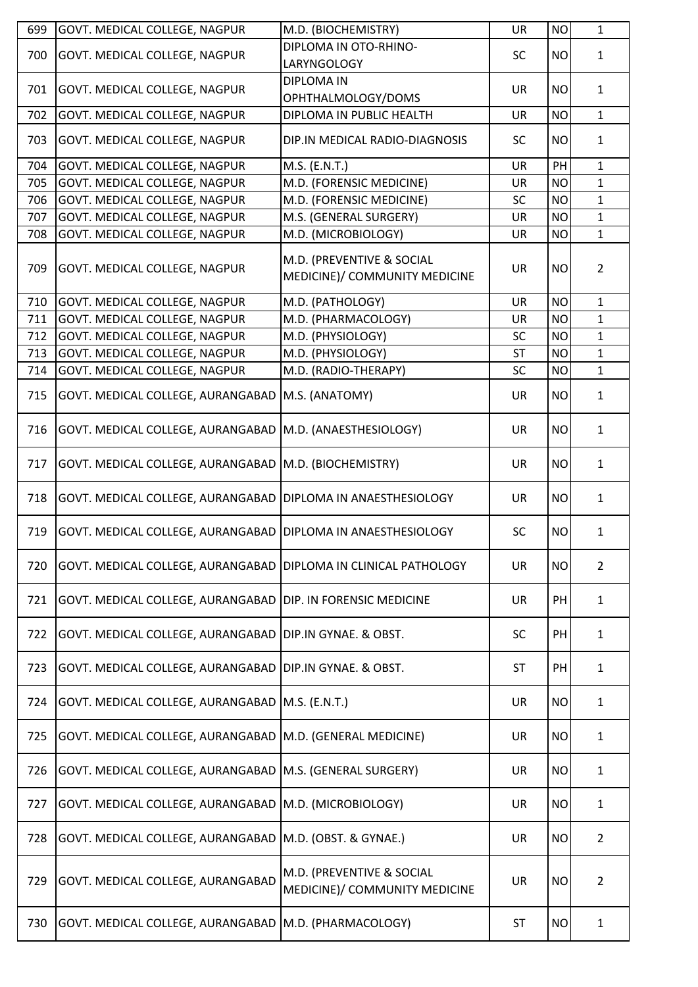| 699 | GOVT. MEDICAL COLLEGE, NAGPUR                                  | M.D. (BIOCHEMISTRY)                                        | <b>UR</b> | <b>NO</b> | $\mathbf{1}$   |
|-----|----------------------------------------------------------------|------------------------------------------------------------|-----------|-----------|----------------|
| 700 | GOVT. MEDICAL COLLEGE, NAGPUR                                  | DIPLOMA IN OTO-RHINO-<br>LARYNGOLOGY                       | SC        | <b>NO</b> | $\mathbf{1}$   |
| 701 | GOVT. MEDICAL COLLEGE, NAGPUR                                  | <b>DIPLOMA IN</b><br>OPHTHALMOLOGY/DOMS                    | <b>UR</b> | <b>NO</b> | $\mathbf{1}$   |
| 702 | GOVT. MEDICAL COLLEGE, NAGPUR                                  | DIPLOMA IN PUBLIC HEALTH                                   | UR        | <b>NO</b> | $\mathbf{1}$   |
| 703 | GOVT. MEDICAL COLLEGE, NAGPUR                                  | DIP.IN MEDICAL RADIO-DIAGNOSIS                             | <b>SC</b> | <b>NO</b> | $\mathbf{1}$   |
| 704 | GOVT. MEDICAL COLLEGE, NAGPUR                                  | M.S. (E.N.T.)                                              | <b>UR</b> | PH        | $\mathbf{1}$   |
| 705 | GOVT. MEDICAL COLLEGE, NAGPUR                                  | M.D. (FORENSIC MEDICINE)                                   | <b>UR</b> | <b>NO</b> | $\mathbf{1}$   |
| 706 | GOVT. MEDICAL COLLEGE, NAGPUR                                  | M.D. (FORENSIC MEDICINE)                                   | SC        | <b>NO</b> | $\mathbf{1}$   |
| 707 | GOVT. MEDICAL COLLEGE, NAGPUR                                  | M.S. (GENERAL SURGERY)                                     | <b>UR</b> | <b>NO</b> | $\mathbf{1}$   |
| 708 | GOVT. MEDICAL COLLEGE, NAGPUR                                  | M.D. (MICROBIOLOGY)                                        | UR        | <b>NO</b> | $\mathbf{1}$   |
| 709 | GOVT. MEDICAL COLLEGE, NAGPUR                                  | M.D. (PREVENTIVE & SOCIAL<br>MEDICINE)/ COMMUNITY MEDICINE | <b>UR</b> | <b>NO</b> | $\overline{2}$ |
| 710 | GOVT. MEDICAL COLLEGE, NAGPUR                                  | M.D. (PATHOLOGY)                                           | <b>UR</b> | <b>NO</b> | $\mathbf{1}$   |
| 711 | GOVT. MEDICAL COLLEGE, NAGPUR                                  | M.D. (PHARMACOLOGY)                                        | <b>UR</b> | <b>NO</b> | $\mathbf{1}$   |
| 712 | GOVT. MEDICAL COLLEGE, NAGPUR                                  | M.D. (PHYSIOLOGY)                                          | SC        | <b>NO</b> | $\mathbf{1}$   |
| 713 | GOVT. MEDICAL COLLEGE, NAGPUR                                  | M.D. (PHYSIOLOGY)                                          | <b>ST</b> | <b>NO</b> | $\mathbf{1}$   |
| 714 | GOVT. MEDICAL COLLEGE, NAGPUR                                  | M.D. (RADIO-THERAPY)                                       | <b>SC</b> | <b>NO</b> | $\mathbf{1}$   |
| 715 | GOVT. MEDICAL COLLEGE, AURANGABAD                              | M.S. (ANATOMY)                                             | <b>UR</b> | <b>NO</b> | $\mathbf{1}$   |
| 716 | GOVT. MEDICAL COLLEGE, AURANGABAD   M.D. (ANAESTHESIOLOGY)     |                                                            | <b>UR</b> | <b>NO</b> | $\mathbf{1}$   |
| 717 | GOVT. MEDICAL COLLEGE, AURANGABAD   M.D. (BIOCHEMISTRY)        |                                                            | <b>UR</b> | <b>NO</b> | $\mathbf{1}$   |
| 718 | GOVT. MEDICAL COLLEGE, AURANGABAD   DIPLOMA IN ANAESTHESIOLOGY |                                                            | <b>UR</b> | <b>NO</b> | $\mathbf{1}$   |
| 719 | GOVT. MEDICAL COLLEGE, AURANGABAD   DIPLOMA IN ANAESTHESIOLOGY |                                                            | <b>SC</b> | <b>NO</b> | $\mathbf{1}$   |
| 720 | GOVT. MEDICAL COLLEGE, AURANGABAD                              | DIPLOMA IN CLINICAL PATHOLOGY                              | <b>UR</b> | <b>NO</b> | $\overline{2}$ |
| 721 | GOVT. MEDICAL COLLEGE, AURANGABAD                              | DIP. IN FORENSIC MEDICINE                                  | <b>UR</b> | PH        | $\mathbf{1}$   |
| 722 | GOVT. MEDICAL COLLEGE, AURANGABAD                              | DIP.IN GYNAE. & OBST.                                      | <b>SC</b> | PH        | $\mathbf{1}$   |
| 723 | GOVT. MEDICAL COLLEGE, AURANGABAD                              | DIP.IN GYNAE. & OBST.                                      | <b>ST</b> | PH        | $\mathbf{1}$   |
| 724 | GOVT. MEDICAL COLLEGE, AURANGABAD                              | M.S. (E.N.T.)                                              | <b>UR</b> | <b>NO</b> | $\mathbf{1}$   |
| 725 | GOVT. MEDICAL COLLEGE, AURANGABAD                              | M.D. (GENERAL MEDICINE)                                    | <b>UR</b> | <b>NO</b> | $\mathbf{1}$   |
| 726 | GOVT. MEDICAL COLLEGE, AURANGABAD                              | M.S. (GENERAL SURGERY)                                     | <b>UR</b> | <b>NO</b> | $\mathbf{1}$   |
| 727 | GOVT. MEDICAL COLLEGE, AURANGABAD                              | M.D. (MICROBIOLOGY)                                        | <b>UR</b> | <b>NO</b> | $\mathbf{1}$   |
| 728 | GOVT. MEDICAL COLLEGE, AURANGABAD                              | M.D. (OBST. & GYNAE.)                                      | <b>UR</b> | <b>NO</b> | $\overline{2}$ |
| 729 | GOVT. MEDICAL COLLEGE, AURANGABAD                              | M.D. (PREVENTIVE & SOCIAL<br>MEDICINE)/ COMMUNITY MEDICINE | <b>UR</b> | <b>NO</b> | $\overline{2}$ |
| 730 | GOVT. MEDICAL COLLEGE, AURANGABAD                              | M.D. (PHARMACOLOGY)                                        | <b>ST</b> | <b>NO</b> | $\mathbf{1}$   |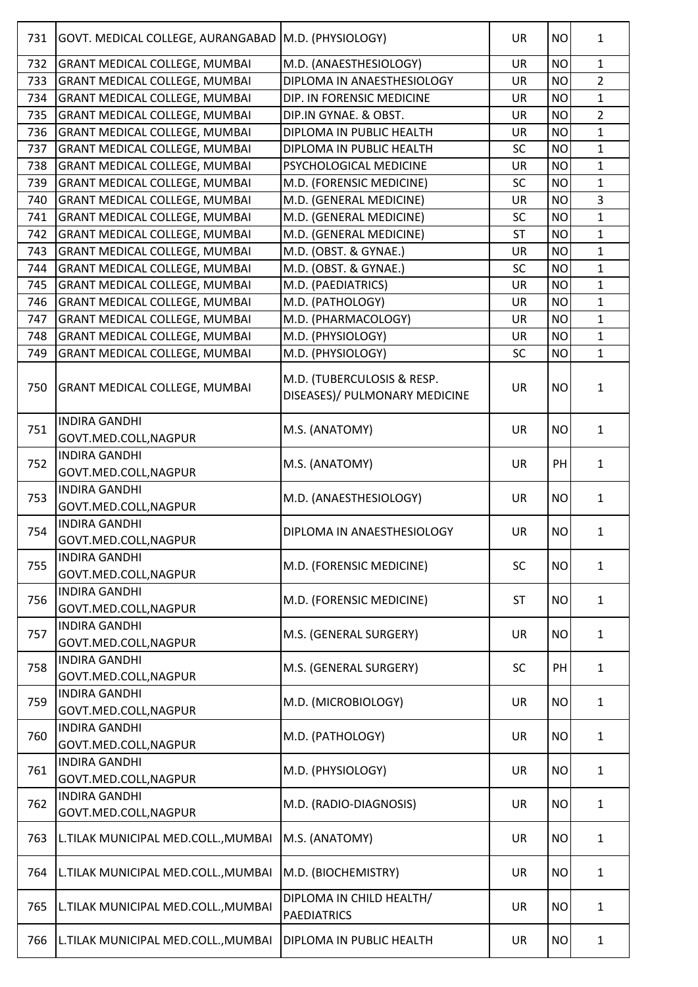| 731 | GOVT. MEDICAL COLLEGE, AURANGABAD   M.D. (PHYSIOLOGY) |                                                             | <b>UR</b> | <b>NO</b> | $\mathbf{1}$   |
|-----|-------------------------------------------------------|-------------------------------------------------------------|-----------|-----------|----------------|
| 732 | <b>GRANT MEDICAL COLLEGE, MUMBAI</b>                  | M.D. (ANAESTHESIOLOGY)                                      | <b>UR</b> | <b>NO</b> | $\mathbf{1}$   |
| 733 | <b>GRANT MEDICAL COLLEGE, MUMBAI</b>                  | DIPLOMA IN ANAESTHESIOLOGY                                  | <b>UR</b> | <b>NO</b> | $\overline{2}$ |
| 734 | <b>GRANT MEDICAL COLLEGE, MUMBAI</b>                  | DIP. IN FORENSIC MEDICINE                                   | <b>UR</b> | <b>NO</b> | $\mathbf{1}$   |
| 735 | GRANT MEDICAL COLLEGE, MUMBAI                         | DIP.IN GYNAE. & OBST.                                       | <b>UR</b> | <b>NO</b> | $\overline{2}$ |
| 736 | <b>GRANT MEDICAL COLLEGE, MUMBAI</b>                  | DIPLOMA IN PUBLIC HEALTH                                    | <b>UR</b> | <b>NO</b> | $\mathbf{1}$   |
| 737 | <b>GRANT MEDICAL COLLEGE, MUMBAI</b>                  | DIPLOMA IN PUBLIC HEALTH                                    | SC        | <b>NO</b> | $\mathbf{1}$   |
| 738 | <b>GRANT MEDICAL COLLEGE, MUMBAI</b>                  | PSYCHOLOGICAL MEDICINE                                      | <b>UR</b> | <b>NO</b> | $\mathbf{1}$   |
| 739 | <b>GRANT MEDICAL COLLEGE, MUMBAI</b>                  | M.D. (FORENSIC MEDICINE)                                    | <b>SC</b> | <b>NO</b> | $\mathbf{1}$   |
| 740 | <b>GRANT MEDICAL COLLEGE, MUMBAI</b>                  | M.D. (GENERAL MEDICINE)                                     | <b>UR</b> | <b>NO</b> | $\overline{3}$ |
| 741 | <b>GRANT MEDICAL COLLEGE, MUMBAI</b>                  | M.D. (GENERAL MEDICINE)                                     | <b>SC</b> | <b>NO</b> | $\mathbf{1}$   |
| 742 | GRANT MEDICAL COLLEGE, MUMBAI                         | M.D. (GENERAL MEDICINE)                                     | <b>ST</b> | <b>NO</b> | $\mathbf{1}$   |
| 743 | <b>GRANT MEDICAL COLLEGE, MUMBAI</b>                  | M.D. (OBST. & GYNAE.)                                       | <b>UR</b> | <b>NO</b> | $\mathbf{1}$   |
| 744 | <b>GRANT MEDICAL COLLEGE, MUMBAI</b>                  | M.D. (OBST. & GYNAE.)                                       | <b>SC</b> | <b>NO</b> | $\mathbf{1}$   |
| 745 | <b>GRANT MEDICAL COLLEGE, MUMBAI</b>                  | M.D. (PAEDIATRICS)                                          | <b>UR</b> | <b>NO</b> | $\mathbf{1}$   |
| 746 | GRANT MEDICAL COLLEGE, MUMBAI                         | M.D. (PATHOLOGY)                                            | <b>UR</b> | <b>NO</b> | $\mathbf 1$    |
| 747 | GRANT MEDICAL COLLEGE, MUMBAI                         | M.D. (PHARMACOLOGY)                                         | <b>UR</b> | <b>NO</b> | $\mathbf{1}$   |
| 748 | <b>GRANT MEDICAL COLLEGE, MUMBAI</b>                  | M.D. (PHYSIOLOGY)                                           | <b>UR</b> | <b>NO</b> | $\mathbf{1}$   |
| 749 | <b>GRANT MEDICAL COLLEGE, MUMBAI</b>                  | M.D. (PHYSIOLOGY)                                           | <b>SC</b> | <b>NO</b> | $\mathbf{1}$   |
| 750 | GRANT MEDICAL COLLEGE, MUMBAI                         | M.D. (TUBERCULOSIS & RESP.<br>DISEASES)/ PULMONARY MEDICINE | <b>UR</b> | <b>NO</b> | $\mathbf{1}$   |
| 751 | <b>INDIRA GANDHI</b><br>GOVT.MED.COLL, NAGPUR         | M.S. (ANATOMY)                                              | <b>UR</b> | <b>NO</b> | $\mathbf{1}$   |
| 752 | <b>INDIRA GANDHI</b><br>GOVT.MED.COLL, NAGPUR         | M.S. (ANATOMY)                                              | <b>UR</b> | PH        | $\mathbf{1}$   |
| 753 | <b>INDIRA GANDHI</b><br>GOVT.MED.COLL, NAGPUR         | M.D. (ANAESTHESIOLOGY)                                      | <b>UR</b> | <b>NO</b> | $\mathbf{1}$   |
| 754 | <b>INDIRA GANDHI</b><br>GOVT.MED.COLL, NAGPUR         | DIPLOMA IN ANAESTHESIOLOGY                                  | <b>UR</b> | <b>NO</b> | $\mathbf{1}$   |
| 755 | <b>INDIRA GANDHI</b><br>GOVT.MED.COLL, NAGPUR         | M.D. (FORENSIC MEDICINE)                                    | <b>SC</b> | <b>NO</b> | $\mathbf{1}$   |
| 756 | <b>INDIRA GANDHI</b><br>GOVT.MED.COLL, NAGPUR         | M.D. (FORENSIC MEDICINE)                                    | <b>ST</b> | <b>NO</b> | $\mathbf{1}$   |
| 757 | <b>INDIRA GANDHI</b><br>GOVT.MED.COLL, NAGPUR         | M.S. (GENERAL SURGERY)                                      | <b>UR</b> | <b>NO</b> | $\mathbf{1}$   |
| 758 | <b>INDIRA GANDHI</b><br>GOVT.MED.COLL, NAGPUR         | M.S. (GENERAL SURGERY)                                      | <b>SC</b> | PH        | $\mathbf{1}$   |
| 759 | <b>INDIRA GANDHI</b><br>GOVT.MED.COLL, NAGPUR         | M.D. (MICROBIOLOGY)                                         | <b>UR</b> | <b>NO</b> | $\mathbf{1}$   |
| 760 | <b>INDIRA GANDHI</b><br>GOVT.MED.COLL, NAGPUR         | M.D. (PATHOLOGY)                                            | <b>UR</b> | <b>NO</b> | $\mathbf{1}$   |
| 761 | <b>INDIRA GANDHI</b><br>GOVT.MED.COLL, NAGPUR         | M.D. (PHYSIOLOGY)                                           | <b>UR</b> | <b>NO</b> | $\mathbf{1}$   |
| 762 | <b>INDIRA GANDHI</b><br>GOVT.MED.COLL, NAGPUR         | M.D. (RADIO-DIAGNOSIS)                                      | <b>UR</b> | <b>NO</b> | $\mathbf{1}$   |
| 763 | L.TILAK MUNICIPAL MED.COLL., MUMBAI                   | M.S. (ANATOMY)                                              | <b>UR</b> | <b>NO</b> | $\mathbf{1}$   |
| 764 | L.TILAK MUNICIPAL MED.COLL., MUMBAI                   | M.D. (BIOCHEMISTRY)                                         | <b>UR</b> | <b>NO</b> | $\mathbf{1}$   |
| 765 | L.TILAK MUNICIPAL MED.COLL., MUMBAI                   | DIPLOMA IN CHILD HEALTH/<br><b>PAEDIATRICS</b>              | <b>UR</b> | <b>NO</b> | $\mathbf{1}$   |
| 766 | L.TILAK MUNICIPAL MED.COLL., MUMBAI                   | DIPLOMA IN PUBLIC HEALTH                                    | <b>UR</b> | <b>NO</b> | $\mathbf{1}$   |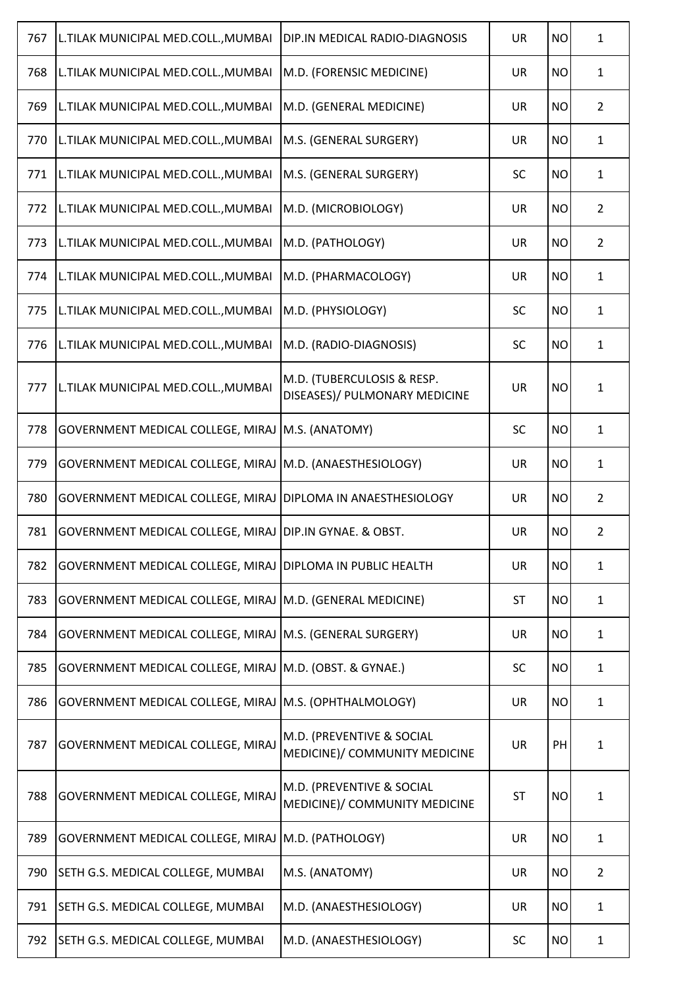| 767 | L.TILAK MUNICIPAL MED.COLL., MUMBAI                          | DIP.IN MEDICAL RADIO-DIAGNOSIS                              | <b>UR</b> | <b>NO</b> | $\mathbf{1}$   |
|-----|--------------------------------------------------------------|-------------------------------------------------------------|-----------|-----------|----------------|
| 768 | L.TILAK MUNICIPAL MED.COLL., MUMBAI                          | M.D. (FORENSIC MEDICINE)                                    | <b>UR</b> | <b>NO</b> | $\mathbf{1}$   |
| 769 | L.TILAK MUNICIPAL MED.COLL., MUMBAI                          | M.D. (GENERAL MEDICINE)                                     | <b>UR</b> | <b>NO</b> | $\overline{2}$ |
| 770 | L.TILAK MUNICIPAL MED.COLL., MUMBAI                          | M.S. (GENERAL SURGERY)                                      | <b>UR</b> | <b>NO</b> | $\mathbf{1}$   |
| 771 | L.TILAK MUNICIPAL MED.COLL., MUMBAI                          | M.S. (GENERAL SURGERY)                                      | <b>SC</b> | <b>NO</b> | $\mathbf{1}$   |
| 772 | L.TILAK MUNICIPAL MED.COLL., MUMBAI                          | M.D. (MICROBIOLOGY)                                         | <b>UR</b> | <b>NO</b> | $\overline{2}$ |
| 773 | L.TILAK MUNICIPAL MED.COLL., MUMBAI                          | M.D. (PATHOLOGY)                                            | <b>UR</b> | <b>NO</b> | $\overline{2}$ |
| 774 | L.TILAK MUNICIPAL MED.COLL., MUMBAI                          | M.D. (PHARMACOLOGY)                                         | <b>UR</b> | <b>NO</b> | $\mathbf{1}$   |
| 775 | L.TILAK MUNICIPAL MED.COLL., MUMBAI                          | M.D. (PHYSIOLOGY)                                           | <b>SC</b> | <b>NO</b> | $\mathbf{1}$   |
| 776 | L.TILAK MUNICIPAL MED.COLL., MUMBAI                          | M.D. (RADIO-DIAGNOSIS)                                      | <b>SC</b> | <b>NO</b> | $\mathbf{1}$   |
| 777 | L.TILAK MUNICIPAL MED.COLL., MUMBAI                          | M.D. (TUBERCULOSIS & RESP.<br>DISEASES)/ PULMONARY MEDICINE | <b>UR</b> | <b>NO</b> | $\mathbf{1}$   |
| 778 | GOVERNMENT MEDICAL COLLEGE, MIRAJ M.S. (ANATOMY)             |                                                             | SC        | <b>NO</b> | $\mathbf{1}$   |
| 779 | GOVERNMENT MEDICAL COLLEGE, MIRAJ   M.D. (ANAESTHESIOLOGY)   |                                                             | <b>UR</b> | <b>NO</b> | $\mathbf{1}$   |
| 780 | GOVERNMENT MEDICAL COLLEGE, MIRAJ DIPLOMA IN ANAESTHESIOLOGY |                                                             | <b>UR</b> | <b>NO</b> | $\overline{2}$ |
| 781 | GOVERNMENT MEDICAL COLLEGE, MIRAJ DIP.IN GYNAE. & OBST.      |                                                             | <b>UR</b> | <b>NO</b> | $\overline{2}$ |
| 782 | GOVERNMENT MEDICAL COLLEGE, MIRAJ DIPLOMA IN PUBLIC HEALTH   |                                                             | <b>UR</b> | <b>NO</b> | $\mathbf{1}$   |
| 783 | GOVERNMENT MEDICAL COLLEGE, MIRAJ   M.D. (GENERAL MEDICINE)  |                                                             | ST        | <b>NO</b> | $\mathbf{1}$   |
| 784 | GOVERNMENT MEDICAL COLLEGE, MIRAJ M.S. (GENERAL SURGERY)     |                                                             | UR        | <b>NO</b> | $\mathbf{1}$   |
| 785 | GOVERNMENT MEDICAL COLLEGE, MIRAJ M.D. (OBST. & GYNAE.)      |                                                             | SC        | <b>NO</b> | $\mathbf{1}$   |
| 786 | GOVERNMENT MEDICAL COLLEGE, MIRAJ M.S. (OPHTHALMOLOGY)       |                                                             | <b>UR</b> | <b>NO</b> | $\mathbf{1}$   |
| 787 | <b>GOVERNMENT MEDICAL COLLEGE, MIRAJ</b>                     | M.D. (PREVENTIVE & SOCIAL<br>MEDICINE)/ COMMUNITY MEDICINE  | <b>UR</b> | PH        | $\mathbf{1}$   |
| 788 | GOVERNMENT MEDICAL COLLEGE, MIRAJ                            | M.D. (PREVENTIVE & SOCIAL<br>MEDICINE)/ COMMUNITY MEDICINE  | <b>ST</b> | <b>NO</b> | $\mathbf{1}$   |
| 789 | GOVERNMENT MEDICAL COLLEGE, MIRAJ M.D. (PATHOLOGY)           |                                                             | <b>UR</b> | <b>NO</b> | $\mathbf{1}$   |
| 790 | SETH G.S. MEDICAL COLLEGE, MUMBAI                            | M.S. (ANATOMY)                                              | <b>UR</b> | <b>NO</b> | $\overline{2}$ |
| 791 | SETH G.S. MEDICAL COLLEGE, MUMBAI                            | M.D. (ANAESTHESIOLOGY)                                      | UR        | <b>NO</b> | $\mathbf{1}$   |
| 792 | SETH G.S. MEDICAL COLLEGE, MUMBAI                            | M.D. (ANAESTHESIOLOGY)                                      | <b>SC</b> | <b>NO</b> | $\mathbf{1}$   |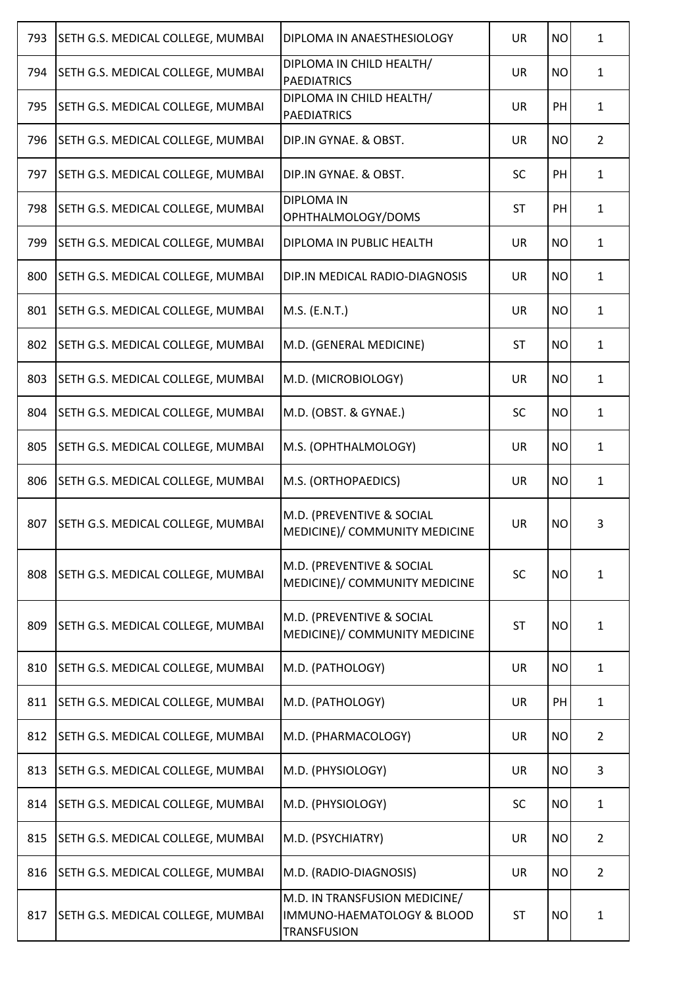| 793 | SETH G.S. MEDICAL COLLEGE, MUMBAI | DIPLOMA IN ANAESTHESIOLOGY                                                        | <b>UR</b> | <b>NO</b> | $\mathbf{1}$   |
|-----|-----------------------------------|-----------------------------------------------------------------------------------|-----------|-----------|----------------|
| 794 | SETH G.S. MEDICAL COLLEGE, MUMBAI | DIPLOMA IN CHILD HEALTH/<br><b>PAEDIATRICS</b>                                    | <b>UR</b> | <b>NO</b> | $\mathbf{1}$   |
| 795 | SETH G.S. MEDICAL COLLEGE, MUMBAI | DIPLOMA IN CHILD HEALTH/<br><b>PAEDIATRICS</b>                                    | <b>UR</b> | PH        | $\mathbf{1}$   |
| 796 | SETH G.S. MEDICAL COLLEGE, MUMBAI | DIP.IN GYNAE. & OBST.                                                             | UR        | <b>NO</b> | $\overline{2}$ |
| 797 | SETH G.S. MEDICAL COLLEGE, MUMBAI | DIP.IN GYNAE. & OBST.                                                             | <b>SC</b> | PH        | $\mathbf{1}$   |
| 798 | SETH G.S. MEDICAL COLLEGE, MUMBAI | <b>DIPLOMA IN</b><br>OPHTHALMOLOGY/DOMS                                           | <b>ST</b> | PH        | $\mathbf{1}$   |
| 799 | SETH G.S. MEDICAL COLLEGE, MUMBAI | DIPLOMA IN PUBLIC HEALTH                                                          | <b>UR</b> | <b>NO</b> | $\mathbf{1}$   |
| 800 | SETH G.S. MEDICAL COLLEGE, MUMBAI | DIP.IN MEDICAL RADIO-DIAGNOSIS                                                    | UR        | <b>NO</b> | $\mathbf{1}$   |
| 801 | SETH G.S. MEDICAL COLLEGE, MUMBAI | M.S. (E.N.T.)                                                                     | UR        | <b>NO</b> | $\mathbf{1}$   |
| 802 | SETH G.S. MEDICAL COLLEGE, MUMBAI | M.D. (GENERAL MEDICINE)                                                           | <b>ST</b> | <b>NO</b> | $\mathbf{1}$   |
| 803 | SETH G.S. MEDICAL COLLEGE, MUMBAI | M.D. (MICROBIOLOGY)                                                               | UR        | <b>NO</b> | $\mathbf{1}$   |
| 804 | SETH G.S. MEDICAL COLLEGE, MUMBAI | M.D. (OBST. & GYNAE.)                                                             | <b>SC</b> | <b>NO</b> | $\mathbf{1}$   |
| 805 | SETH G.S. MEDICAL COLLEGE, MUMBAI | M.S. (OPHTHALMOLOGY)                                                              | UR        | <b>NO</b> | $\mathbf{1}$   |
| 806 | SETH G.S. MEDICAL COLLEGE, MUMBAI | M.S. (ORTHOPAEDICS)                                                               | UR        | <b>NO</b> | $\mathbf{1}$   |
| 807 | SETH G.S. MEDICAL COLLEGE, MUMBAI | M.D. (PREVENTIVE & SOCIAL<br>MEDICINE)/ COMMUNITY MEDICINE                        | UR        | <b>NO</b> | 3              |
| 808 | SETH G.S. MEDICAL COLLEGE, MUMBAI | M.D. (PREVENTIVE & SOCIAL<br>MEDICINE)/ COMMUNITY MEDICINE                        | <b>SC</b> | <b>NO</b> | 1              |
| 809 | SETH G.S. MEDICAL COLLEGE, MUMBAI | M.D. (PREVENTIVE & SOCIAL<br>MEDICINE)/ COMMUNITY MEDICINE                        | <b>ST</b> | <b>NO</b> | $\mathbf{1}$   |
| 810 | SETH G.S. MEDICAL COLLEGE, MUMBAI | M.D. (PATHOLOGY)                                                                  | <b>UR</b> | <b>NO</b> | $\mathbf{1}$   |
| 811 | SETH G.S. MEDICAL COLLEGE, MUMBAI | M.D. (PATHOLOGY)                                                                  | UR        | PH        | $\mathbf{1}$   |
| 812 | SETH G.S. MEDICAL COLLEGE, MUMBAI | M.D. (PHARMACOLOGY)                                                               | UR        | <b>NO</b> | $\overline{2}$ |
| 813 | SETH G.S. MEDICAL COLLEGE, MUMBAI | M.D. (PHYSIOLOGY)                                                                 | UR        | <b>NO</b> | 3              |
| 814 | SETH G.S. MEDICAL COLLEGE, MUMBAI | M.D. (PHYSIOLOGY)                                                                 | <b>SC</b> | <b>NO</b> | $\mathbf{1}$   |
| 815 | SETH G.S. MEDICAL COLLEGE, MUMBAI | M.D. (PSYCHIATRY)                                                                 | UR        | <b>NO</b> | $\overline{2}$ |
| 816 | SETH G.S. MEDICAL COLLEGE, MUMBAI | M.D. (RADIO-DIAGNOSIS)                                                            | <b>UR</b> | <b>NO</b> | 2              |
| 817 | SETH G.S. MEDICAL COLLEGE, MUMBAI | M.D. IN TRANSFUSION MEDICINE/<br>IMMUNO-HAEMATOLOGY & BLOOD<br><b>TRANSFUSION</b> | <b>ST</b> | <b>NO</b> | $\mathbf{1}$   |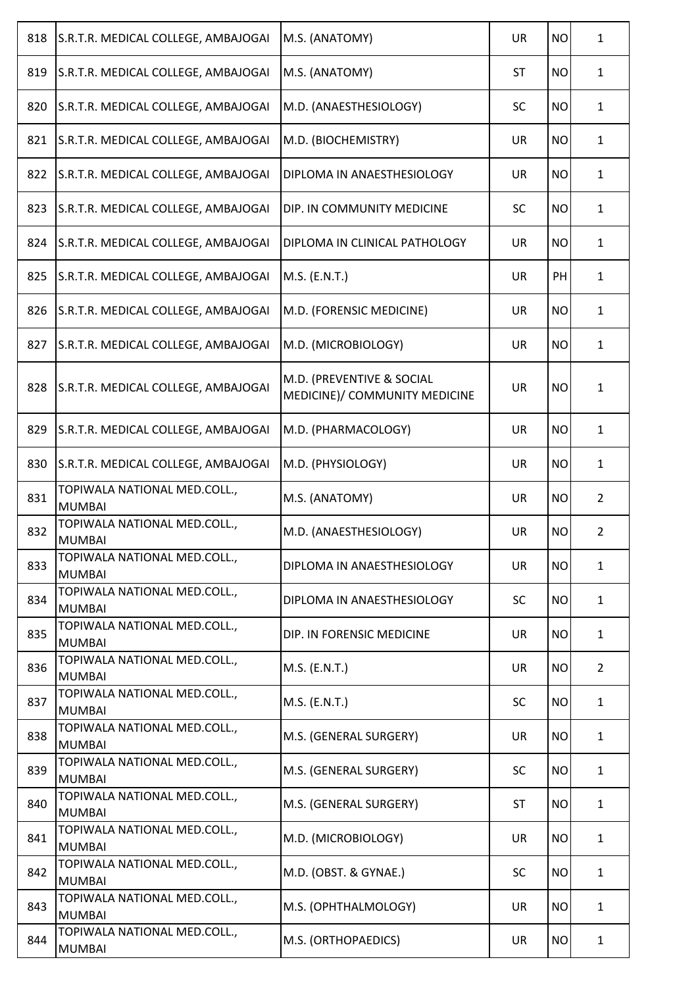| 818 | S.R.T.R. MEDICAL COLLEGE, AMBAJOGAI           | M.S. (ANATOMY)                                             | <b>UR</b> | <b>NO</b> | 1              |
|-----|-----------------------------------------------|------------------------------------------------------------|-----------|-----------|----------------|
| 819 | S.R.T.R. MEDICAL COLLEGE, AMBAJOGAI           | M.S. (ANATOMY)                                             | <b>ST</b> | <b>NO</b> | $\mathbf{1}$   |
| 820 | S.R.T.R. MEDICAL COLLEGE, AMBAJOGAI           | M.D. (ANAESTHESIOLOGY)                                     | <b>SC</b> | <b>NO</b> | $\mathbf{1}$   |
| 821 | S.R.T.R. MEDICAL COLLEGE, AMBAJOGAI           | M.D. (BIOCHEMISTRY)                                        | UR        | <b>NO</b> | $\mathbf{1}$   |
| 822 | S.R.T.R. MEDICAL COLLEGE, AMBAJOGAI           | DIPLOMA IN ANAESTHESIOLOGY                                 | UR        | <b>NO</b> | $\mathbf{1}$   |
| 823 | S.R.T.R. MEDICAL COLLEGE, AMBAJOGAI           | DIP. IN COMMUNITY MEDICINE                                 | <b>SC</b> | <b>NO</b> | $\mathbf{1}$   |
| 824 | S.R.T.R. MEDICAL COLLEGE, AMBAJOGAI           | DIPLOMA IN CLINICAL PATHOLOGY                              | UR        | <b>NO</b> | $\mathbf{1}$   |
| 825 | S.R.T.R. MEDICAL COLLEGE, AMBAJOGAI           | M.S. (E.N.T.)                                              | UR        | PH        | 1              |
| 826 | S.R.T.R. MEDICAL COLLEGE, AMBAJOGAI           | M.D. (FORENSIC MEDICINE)                                   | UR        | <b>NO</b> | $\mathbf{1}$   |
| 827 | S.R.T.R. MEDICAL COLLEGE, AMBAJOGAI           | M.D. (MICROBIOLOGY)                                        | UR        | <b>NO</b> | $\mathbf{1}$   |
| 828 | S.R.T.R. MEDICAL COLLEGE, AMBAJOGAI           | M.D. (PREVENTIVE & SOCIAL<br>MEDICINE)/ COMMUNITY MEDICINE | <b>UR</b> | <b>NO</b> | 1              |
| 829 | S.R.T.R. MEDICAL COLLEGE, AMBAJOGAI           | M.D. (PHARMACOLOGY)                                        | <b>UR</b> | <b>NO</b> | $\mathbf{1}$   |
| 830 | S.R.T.R. MEDICAL COLLEGE, AMBAJOGAI           | M.D. (PHYSIOLOGY)                                          | UR        | <b>NO</b> | $\mathbf{1}$   |
| 831 | TOPIWALA NATIONAL MED.COLL.,<br><b>MUMBAI</b> | M.S. (ANATOMY)                                             | UR        | <b>NO</b> | $\overline{2}$ |
| 832 | TOPIWALA NATIONAL MED.COLL.,<br><b>MUMBAI</b> | M.D. (ANAESTHESIOLOGY)                                     | UR        | <b>NO</b> | $\overline{2}$ |
| 833 | TOPIWALA NATIONAL MED.COLL.,<br><b>MUMBAI</b> | DIPLOMA IN ANAESTHESIOLOGY                                 | <b>UR</b> | <b>NO</b> | $\mathbf{1}$   |
| 834 | TOPIWALA NATIONAL MED.COLL.,<br><b>MUMBAI</b> | DIPLOMA IN ANAESTHESIOLOGY                                 | <b>SC</b> | <b>NO</b> | $\mathbf{1}$   |
| 835 | TOPIWALA NATIONAL MED.COLL.,<br><b>MUMBAI</b> | DIP. IN FORENSIC MEDICINE                                  | UR        | <b>NO</b> | $\mathbf{1}$   |
| 836 | TOPIWALA NATIONAL MED.COLL.,                  | M.S. (E.N.T.)                                              | UR        | <b>NO</b> | $\overline{2}$ |
| 837 | <b>MUMBAI</b><br>TOPIWALA NATIONAL MED.COLL., | M.S. (E.N.T.)                                              | <b>SC</b> | <b>NO</b> | $\mathbf{1}$   |
| 838 | <b>MUMBAI</b><br>TOPIWALA NATIONAL MED.COLL., | M.S. (GENERAL SURGERY)                                     | UR        | <b>NO</b> | $\mathbf{1}$   |
| 839 | <b>MUMBAI</b><br>TOPIWALA NATIONAL MED.COLL., | M.S. (GENERAL SURGERY)                                     | <b>SC</b> | <b>NO</b> | $\mathbf{1}$   |
| 840 | <b>MUMBAI</b><br>TOPIWALA NATIONAL MED.COLL., | M.S. (GENERAL SURGERY)                                     | <b>ST</b> | <b>NO</b> | $\mathbf{1}$   |
| 841 | <b>MUMBAI</b><br>TOPIWALA NATIONAL MED.COLL., | M.D. (MICROBIOLOGY)                                        | UR        | <b>NO</b> | $\mathbf{1}$   |
| 842 | <b>MUMBAI</b><br>TOPIWALA NATIONAL MED.COLL., | M.D. (OBST. & GYNAE.)                                      | <b>SC</b> | <b>NO</b> | $\mathbf{1}$   |
|     | <b>MUMBAI</b><br>TOPIWALA NATIONAL MED.COLL., |                                                            |           |           |                |
| 843 | <b>MUMBAI</b>                                 | M.S. (OPHTHALMOLOGY)                                       | UR        | <b>NO</b> | $\mathbf{1}$   |
| 844 | TOPIWALA NATIONAL MED.COLL.,<br><b>MUMBAI</b> | M.S. (ORTHOPAEDICS)                                        | UR        | <b>NO</b> | $\mathbf{1}$   |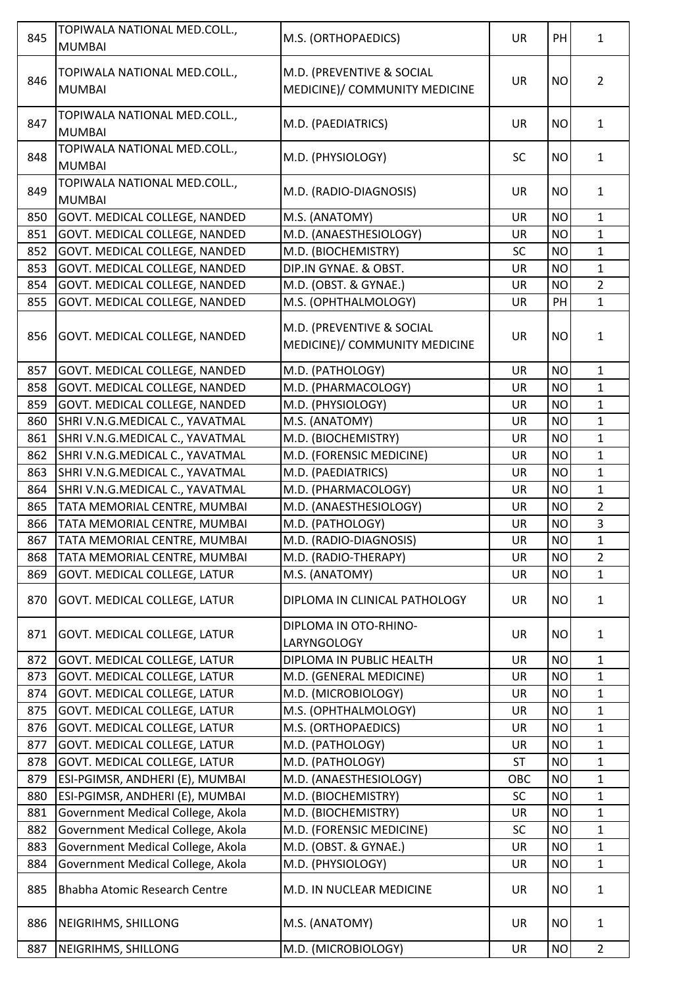| 845        | TOPIWALA NATIONAL MED.COLL.,<br><b>MUMBAI</b>                | M.S. (ORTHOPAEDICS)                                        | <b>UR</b>       | PH                     | $\mathbf{1}$                 |
|------------|--------------------------------------------------------------|------------------------------------------------------------|-----------------|------------------------|------------------------------|
| 846        | TOPIWALA NATIONAL MED.COLL.,<br><b>MUMBAI</b>                | M.D. (PREVENTIVE & SOCIAL<br>MEDICINE)/ COMMUNITY MEDICINE | <b>UR</b>       | <b>NO</b>              | $\overline{2}$               |
| 847        | TOPIWALA NATIONAL MED.COLL.,<br><b>MUMBAI</b>                | M.D. (PAEDIATRICS)                                         | <b>UR</b>       | <b>NO</b>              | $\mathbf{1}$                 |
| 848        | TOPIWALA NATIONAL MED.COLL.,<br><b>MUMBAI</b>                | M.D. (PHYSIOLOGY)                                          | <b>SC</b>       | <b>NO</b>              | $\mathbf{1}$                 |
| 849        | TOPIWALA NATIONAL MED.COLL.,<br><b>MUMBAI</b>                | M.D. (RADIO-DIAGNOSIS)                                     | <b>UR</b>       | <b>NO</b>              | $\mathbf{1}$                 |
| 850        | GOVT. MEDICAL COLLEGE, NANDED                                | M.S. (ANATOMY)                                             | <b>UR</b>       | <b>NO</b>              | $\mathbf{1}$                 |
| 851        | GOVT. MEDICAL COLLEGE, NANDED                                | M.D. (ANAESTHESIOLOGY)                                     | UR              | <b>NO</b>              | $\mathbf{1}$                 |
| 852        | GOVT. MEDICAL COLLEGE, NANDED                                | M.D. (BIOCHEMISTRY)                                        | <b>SC</b>       | <b>NO</b>              | $\mathbf{1}$                 |
| 853        | GOVT. MEDICAL COLLEGE, NANDED                                | DIP.IN GYNAE. & OBST.                                      | <b>UR</b>       | <b>NO</b>              | $\mathbf 1$                  |
| 854        | GOVT. MEDICAL COLLEGE, NANDED                                | M.D. (OBST. & GYNAE.)                                      | <b>UR</b>       | <b>NO</b>              | $\overline{2}$               |
| 855        | GOVT. MEDICAL COLLEGE, NANDED                                | M.S. (OPHTHALMOLOGY)                                       | <b>UR</b>       | PH                     | $\mathbf{1}$                 |
| 856        | GOVT. MEDICAL COLLEGE, NANDED                                | M.D. (PREVENTIVE & SOCIAL<br>MEDICINE)/ COMMUNITY MEDICINE | <b>UR</b>       | <b>NO</b>              | $\mathbf{1}$                 |
| 857        | GOVT. MEDICAL COLLEGE, NANDED                                | M.D. (PATHOLOGY)                                           | <b>UR</b>       | <b>NO</b>              | $\mathbf{1}$                 |
| 858        | GOVT. MEDICAL COLLEGE, NANDED                                | M.D. (PHARMACOLOGY)                                        | <b>UR</b>       | <b>NO</b>              | $\mathbf{1}$                 |
| 859        | GOVT. MEDICAL COLLEGE, NANDED                                | M.D. (PHYSIOLOGY)                                          | <b>UR</b>       | <b>NO</b>              | $\mathbf{1}$                 |
| 860        | SHRI V.N.G.MEDICAL C., YAVATMAL                              | M.S. (ANATOMY)                                             | <b>UR</b>       | <b>NO</b>              | $\mathbf{1}$                 |
| 861        | SHRI V.N.G.MEDICAL C., YAVATMAL                              | M.D. (BIOCHEMISTRY)                                        | UR              | <b>NO</b>              | $\mathbf{1}$                 |
| 862        | SHRI V.N.G.MEDICAL C., YAVATMAL                              | M.D. (FORENSIC MEDICINE)                                   | <b>UR</b>       | <b>NO</b>              | $\mathbf{1}$                 |
| 863        | SHRI V.N.G.MEDICAL C., YAVATMAL                              | M.D. (PAEDIATRICS)                                         | UR              | <b>NO</b>              | $\mathbf{1}$                 |
| 864        | SHRI V.N.G.MEDICAL C., YAVATMAL                              | M.D. (PHARMACOLOGY)                                        | <b>UR</b>       | <b>NO</b>              | $\mathbf{1}$                 |
| 865        | TATA MEMORIAL CENTRE, MUMBAI                                 | M.D. (ANAESTHESIOLOGY)                                     | <b>UR</b>       | <b>NO</b>              | $\overline{2}$               |
| 866        | TATA MEMORIAL CENTRE, MUMBAI                                 | M.D. (PATHOLOGY)                                           | UR              | <b>NO</b>              | $\overline{3}$               |
| 867        | TATA MEMORIAL CENTRE, MUMBAI                                 | M.D. (RADIO-DIAGNOSIS)                                     | <b>UR</b>       | <b>NO</b>              | $\mathbf{1}$                 |
| 868        | TATA MEMORIAL CENTRE, MUMBAI                                 | M.D. (RADIO-THERAPY)                                       | UR              | <b>NO</b>              | $\overline{2}$               |
| 869        | GOVT. MEDICAL COLLEGE, LATUR                                 | M.S. (ANATOMY)                                             | <b>UR</b>       | <b>NO</b>              | $\mathbf{1}$                 |
| 870        | GOVT. MEDICAL COLLEGE, LATUR                                 | DIPLOMA IN CLINICAL PATHOLOGY                              | <b>UR</b>       | <b>NO</b>              | $\mathbf{1}$                 |
| 871        | GOVT. MEDICAL COLLEGE, LATUR                                 | DIPLOMA IN OTO-RHINO-                                      | <b>UR</b>       | <b>NO</b>              | $\mathbf{1}$                 |
|            |                                                              | LARYNGOLOGY                                                |                 |                        |                              |
| 872        | GOVT. MEDICAL COLLEGE, LATUR                                 | DIPLOMA IN PUBLIC HEALTH                                   | <b>UR</b>       | <b>NO</b>              | $\mathbf{1}$                 |
| 873<br>874 | GOVT. MEDICAL COLLEGE, LATUR<br>GOVT. MEDICAL COLLEGE, LATUR | M.D. (GENERAL MEDICINE)<br>M.D. (MICROBIOLOGY)             | UR<br><b>UR</b> | <b>NO</b><br><b>NO</b> | $\mathbf{1}$<br>$\mathbf{1}$ |
| 875        | GOVT. MEDICAL COLLEGE, LATUR                                 | M.S. (OPHTHALMOLOGY)                                       | <b>UR</b>       | <b>NO</b>              | $\mathbf 1$                  |
| 876        | GOVT. MEDICAL COLLEGE, LATUR                                 | M.S. (ORTHOPAEDICS)                                        | <b>UR</b>       | <b>NO</b>              | $\mathbf{1}$                 |
| 877        | GOVT. MEDICAL COLLEGE, LATUR                                 | M.D. (PATHOLOGY)                                           | <b>UR</b>       | <b>NO</b>              | $\mathbf{1}$                 |
| 878        | GOVT. MEDICAL COLLEGE, LATUR                                 | M.D. (PATHOLOGY)                                           | <b>ST</b>       | <b>NO</b>              | $\mathbf{1}$                 |
| 879        | ESI-PGIMSR, ANDHERI (E), MUMBAI                              | M.D. (ANAESTHESIOLOGY)                                     | OBC             | <b>NO</b>              | $\mathbf{1}$                 |
| 880        | ESI-PGIMSR, ANDHERI (E), MUMBAI                              | M.D. (BIOCHEMISTRY)                                        | <b>SC</b>       | <b>NO</b>              | $\mathbf 1$                  |
| 881        | Government Medical College, Akola                            | M.D. (BIOCHEMISTRY)                                        | <b>UR</b>       | <b>NO</b>              | $\mathbf{1}$                 |
| 882        | Government Medical College, Akola                            | M.D. (FORENSIC MEDICINE)                                   | SC              | <b>NO</b>              | $\mathbf{1}$                 |
| 883        | Government Medical College, Akola                            | M.D. (OBST. & GYNAE.)                                      | <b>UR</b>       | <b>NO</b>              | $\mathbf 1$                  |
| 884        | Government Medical College, Akola                            | M.D. (PHYSIOLOGY)                                          | <b>UR</b>       | <b>NO</b>              | $\mathbf{1}$                 |
|            |                                                              |                                                            |                 |                        |                              |
| 885        | Bhabha Atomic Research Centre                                | M.D. IN NUCLEAR MEDICINE                                   | <b>UR</b>       | <b>NO</b>              | $\mathbf{1}$                 |
| 886        | NEIGRIHMS, SHILLONG                                          | M.S. (ANATOMY)                                             | <b>UR</b>       | <b>NO</b>              | $\mathbf{1}$                 |
| 887        | NEIGRIHMS, SHILLONG                                          | M.D. (MICROBIOLOGY)                                        | UR              | <b>NO</b>              | $\overline{2}$               |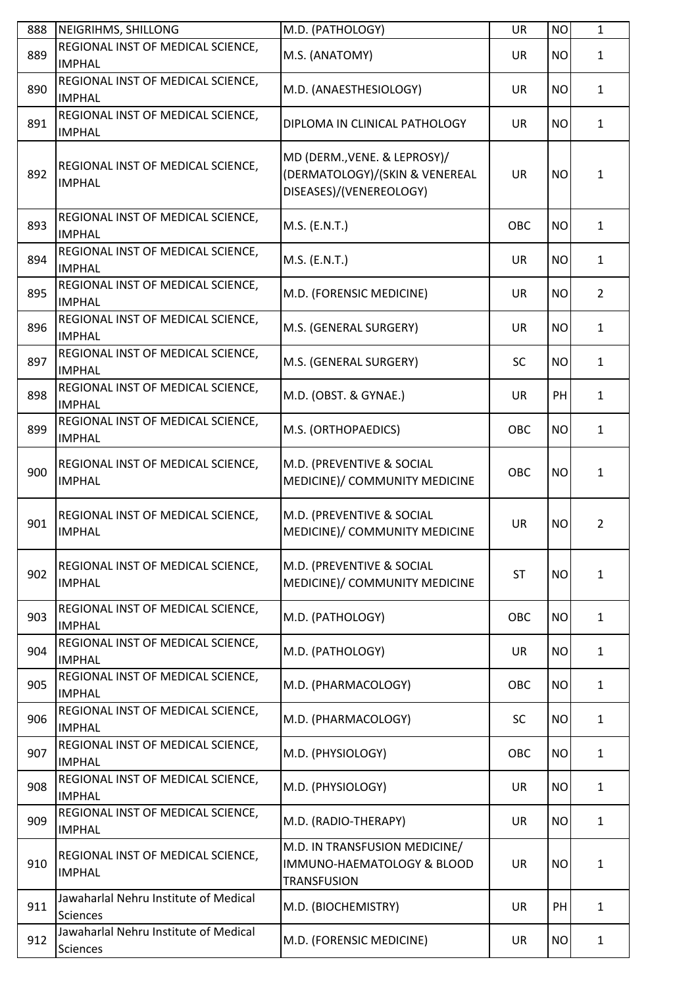| 888 | NEIGRIHMS, SHILLONG                                      | M.D. (PATHOLOGY)                                                                          | <b>UR</b>  | <b>NO</b> | $\mathbf{1}$   |
|-----|----------------------------------------------------------|-------------------------------------------------------------------------------------------|------------|-----------|----------------|
| 889 | REGIONAL INST OF MEDICAL SCIENCE,<br><b>IMPHAL</b>       | M.S. (ANATOMY)                                                                            | UR         | <b>NO</b> | $\mathbf{1}$   |
| 890 | REGIONAL INST OF MEDICAL SCIENCE,<br><b>IMPHAL</b>       | M.D. (ANAESTHESIOLOGY)                                                                    | UR         | <b>NO</b> | $\mathbf{1}$   |
| 891 | REGIONAL INST OF MEDICAL SCIENCE,<br><b>IMPHAL</b>       | DIPLOMA IN CLINICAL PATHOLOGY                                                             | <b>UR</b>  | <b>NO</b> | $\mathbf{1}$   |
| 892 | REGIONAL INST OF MEDICAL SCIENCE,<br><b>IMPHAL</b>       | MD (DERM., VENE. & LEPROSY)/<br>(DERMATOLOGY)/(SKIN & VENEREAL<br>DISEASES)/(VENEREOLOGY) | <b>UR</b>  | <b>NO</b> | $\mathbf{1}$   |
| 893 | REGIONAL INST OF MEDICAL SCIENCE,<br><b>IMPHAL</b>       | M.S. (E.N.T.)                                                                             | OBC        | <b>NO</b> | $\mathbf{1}$   |
| 894 | REGIONAL INST OF MEDICAL SCIENCE,<br><b>IMPHAL</b>       | M.S. (E.N.T.)                                                                             | UR         | <b>NO</b> | $\mathbf{1}$   |
| 895 | REGIONAL INST OF MEDICAL SCIENCE,<br><b>IMPHAL</b>       | M.D. (FORENSIC MEDICINE)                                                                  | <b>UR</b>  | <b>NO</b> | $\overline{2}$ |
| 896 | REGIONAL INST OF MEDICAL SCIENCE,<br><b>IMPHAL</b>       | M.S. (GENERAL SURGERY)                                                                    | <b>UR</b>  | <b>NO</b> | $\mathbf{1}$   |
| 897 | REGIONAL INST OF MEDICAL SCIENCE,<br><b>IMPHAL</b>       | M.S. (GENERAL SURGERY)                                                                    | <b>SC</b>  | <b>NO</b> | $\mathbf{1}$   |
| 898 | REGIONAL INST OF MEDICAL SCIENCE,<br><b>IMPHAL</b>       | M.D. (OBST. & GYNAE.)                                                                     | UR         | PH        | $\mathbf{1}$   |
| 899 | REGIONAL INST OF MEDICAL SCIENCE,<br><b>IMPHAL</b>       | M.S. (ORTHOPAEDICS)                                                                       | OBC        | <b>NO</b> | $\mathbf{1}$   |
| 900 | REGIONAL INST OF MEDICAL SCIENCE,<br><b>IMPHAL</b>       | M.D. (PREVENTIVE & SOCIAL<br>MEDICINE)/ COMMUNITY MEDICINE                                | OBC        | <b>NO</b> | $\mathbf{1}$   |
| 901 | REGIONAL INST OF MEDICAL SCIENCE,<br><b>IMPHAL</b>       | M.D. (PREVENTIVE & SOCIAL<br>MEDICINE)/ COMMUNITY MEDICINE                                | <b>UR</b>  | <b>NO</b> | $\overline{2}$ |
| 902 | REGIONAL INST OF MEDICAL SCIENCE,<br><b>IMPHAL</b>       | M.D. (PREVENTIVE & SOCIAL<br>MEDICINE)/ COMMUNITY MEDICINE                                | <b>ST</b>  | <b>NO</b> | $\mathbf{1}$   |
| 903 | REGIONAL INST OF MEDICAL SCIENCE,<br><b>IMPHAL</b>       | M.D. (PATHOLOGY)                                                                          | <b>OBC</b> | <b>NO</b> | $\mathbf{1}$   |
| 904 | REGIONAL INST OF MEDICAL SCIENCE,<br><b>IMPHAL</b>       | M.D. (PATHOLOGY)                                                                          | UR         | <b>NO</b> | $\mathbf{1}$   |
| 905 | REGIONAL INST OF MEDICAL SCIENCE,<br><b>IMPHAL</b>       | M.D. (PHARMACOLOGY)                                                                       | <b>OBC</b> | <b>NO</b> | $\mathbf{1}$   |
| 906 | REGIONAL INST OF MEDICAL SCIENCE,<br><b>IMPHAL</b>       | M.D. (PHARMACOLOGY)                                                                       | <b>SC</b>  | <b>NO</b> | $\mathbf{1}$   |
| 907 | REGIONAL INST OF MEDICAL SCIENCE,<br><b>IMPHAL</b>       | M.D. (PHYSIOLOGY)                                                                         | OBC        | <b>NO</b> | $\mathbf{1}$   |
| 908 | REGIONAL INST OF MEDICAL SCIENCE,<br><b>IMPHAL</b>       | M.D. (PHYSIOLOGY)                                                                         | UR         | <b>NO</b> | $\mathbf{1}$   |
| 909 | REGIONAL INST OF MEDICAL SCIENCE,<br><b>IMPHAL</b>       | M.D. (RADIO-THERAPY)                                                                      | UR         | <b>NO</b> | $\mathbf{1}$   |
| 910 | REGIONAL INST OF MEDICAL SCIENCE,<br><b>IMPHAL</b>       | M.D. IN TRANSFUSION MEDICINE/<br>IMMUNO-HAEMATOLOGY & BLOOD<br><b>TRANSFUSION</b>         | <b>UR</b>  | <b>NO</b> | $\mathbf{1}$   |
| 911 | Jawaharlal Nehru Institute of Medical<br><b>Sciences</b> | M.D. (BIOCHEMISTRY)                                                                       | UR         | PH        | $\mathbf{1}$   |
| 912 | Jawaharlal Nehru Institute of Medical<br><b>Sciences</b> | M.D. (FORENSIC MEDICINE)                                                                  | UR         | <b>NO</b> | $\mathbf{1}$   |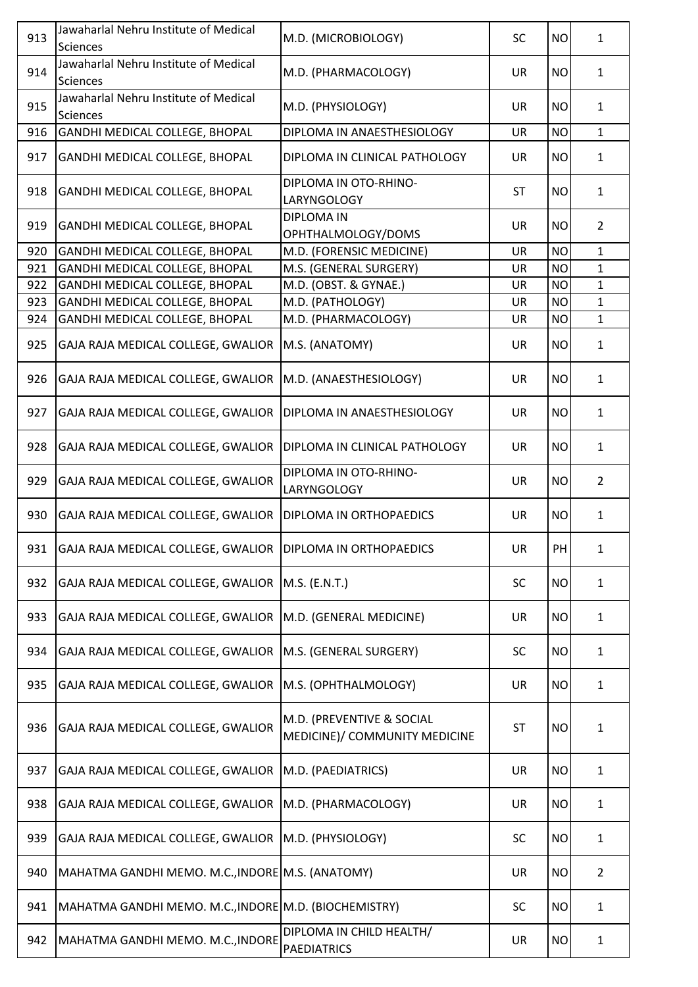| 913 | Jawaharlal Nehru Institute of Medical<br>Sciences            | M.D. (MICROBIOLOGY)                                        | <b>SC</b> | <b>NO</b> | $\mathbf{1}$   |
|-----|--------------------------------------------------------------|------------------------------------------------------------|-----------|-----------|----------------|
| 914 | Jawaharlal Nehru Institute of Medical<br>Sciences            | M.D. (PHARMACOLOGY)                                        | <b>UR</b> | <b>NO</b> | $\mathbf{1}$   |
| 915 | Jawaharlal Nehru Institute of Medical<br>Sciences            | M.D. (PHYSIOLOGY)                                          | <b>UR</b> | <b>NO</b> | $\mathbf{1}$   |
| 916 | GANDHI MEDICAL COLLEGE, BHOPAL                               | DIPLOMA IN ANAESTHESIOLOGY                                 | <b>UR</b> | <b>NO</b> | $\mathbf{1}$   |
| 917 | GANDHI MEDICAL COLLEGE, BHOPAL                               | DIPLOMA IN CLINICAL PATHOLOGY                              | <b>UR</b> | <b>NO</b> | $\mathbf{1}$   |
| 918 | GANDHI MEDICAL COLLEGE, BHOPAL                               | DIPLOMA IN OTO-RHINO-<br>LARYNGOLOGY                       | <b>ST</b> | <b>NO</b> | $\mathbf{1}$   |
| 919 | GANDHI MEDICAL COLLEGE, BHOPAL                               | <b>DIPLOMA IN</b><br>OPHTHALMOLOGY/DOMS                    | UR        | <b>NO</b> | $\overline{2}$ |
| 920 | GANDHI MEDICAL COLLEGE, BHOPAL                               | M.D. (FORENSIC MEDICINE)                                   | <b>UR</b> | <b>NO</b> | $\mathbf{1}$   |
| 921 | GANDHI MEDICAL COLLEGE, BHOPAL                               | M.S. (GENERAL SURGERY)                                     | <b>UR</b> | <b>NO</b> | $\mathbf{1}$   |
| 922 | GANDHI MEDICAL COLLEGE, BHOPAL                               | M.D. (OBST. & GYNAE.)                                      | <b>UR</b> | <b>NO</b> | $\mathbf{1}$   |
| 923 | GANDHI MEDICAL COLLEGE, BHOPAL                               | M.D. (PATHOLOGY)                                           | <b>UR</b> | <b>NO</b> | $\mathbf{1}$   |
| 924 | GANDHI MEDICAL COLLEGE, BHOPAL                               | M.D. (PHARMACOLOGY)                                        | <b>UR</b> | <b>NO</b> | $\mathbf{1}$   |
|     |                                                              |                                                            |           |           |                |
| 925 | GAJA RAJA MEDICAL COLLEGE, GWALIOR                           | M.S. (ANATOMY)                                             | <b>UR</b> | <b>NO</b> | $\mathbf{1}$   |
| 926 | GAJA RAJA MEDICAL COLLEGE, GWALIOR                           | M.D. (ANAESTHESIOLOGY)                                     | <b>UR</b> | <b>NO</b> | $\mathbf{1}$   |
| 927 | GAJA RAJA MEDICAL COLLEGE, GWALIOR                           | DIPLOMA IN ANAESTHESIOLOGY                                 | <b>UR</b> | <b>NO</b> | $\mathbf{1}$   |
| 928 | GAJA RAJA MEDICAL COLLEGE, GWALIOR                           | DIPLOMA IN CLINICAL PATHOLOGY                              | <b>UR</b> | <b>NO</b> | 1              |
| 929 | GAJA RAJA MEDICAL COLLEGE, GWALIOR                           | DIPLOMA IN OTO-RHINO-<br>LARYNGOLOGY                       | <b>UR</b> | <b>NO</b> | $\overline{2}$ |
| 930 | GAJA RAJA MEDICAL COLLEGE, GWALIOR                           | DIPLOMA IN ORTHOPAEDICS                                    | <b>UR</b> | <b>NO</b> | $\mathbf{1}$   |
| 931 | GAJA RAJA MEDICAL COLLEGE, GWALIOR   DIPLOMA IN ORTHOPAEDICS |                                                            | UR        | PH        | 1              |
| 932 | GAJA RAJA MEDICAL COLLEGE, GWALIOR                           | M.S. (E.N.T.)                                              | <b>SC</b> | <b>NO</b> | $\mathbf{1}$   |
| 933 | GAJA RAJA MEDICAL COLLEGE, GWALIOR                           | M.D. (GENERAL MEDICINE)                                    | <b>UR</b> | <b>NO</b> | $\mathbf{1}$   |
| 934 | GAJA RAJA MEDICAL COLLEGE, GWALIOR                           | M.S. (GENERAL SURGERY)                                     | <b>SC</b> | <b>NO</b> | $\mathbf{1}$   |
| 935 | GAJA RAJA MEDICAL COLLEGE, GWALIOR                           | M.S. (OPHTHALMOLOGY)                                       | <b>UR</b> | <b>NO</b> | 1              |
| 936 | GAJA RAJA MEDICAL COLLEGE, GWALIOR                           | M.D. (PREVENTIVE & SOCIAL<br>MEDICINE)/ COMMUNITY MEDICINE | <b>ST</b> | <b>NO</b> | 1              |
| 937 | GAJA RAJA MEDICAL COLLEGE, GWALIOR                           | M.D. (PAEDIATRICS)                                         | <b>UR</b> | <b>NO</b> | $\mathbf{1}$   |
| 938 | GAJA RAJA MEDICAL COLLEGE, GWALIOR                           | M.D. (PHARMACOLOGY)                                        | <b>UR</b> | <b>NO</b> | $\mathbf{1}$   |
| 939 | GAJA RAJA MEDICAL COLLEGE, GWALIOR                           | M.D. (PHYSIOLOGY)                                          | <b>SC</b> | <b>NO</b> | $\mathbf{1}$   |
| 940 | MAHATMA GANDHI MEMO. M.C., INDORE M.S. (ANATOMY)             |                                                            | <b>UR</b> | <b>NO</b> | $\overline{2}$ |
| 941 | MAHATMA GANDHI MEMO. M.C., INDORE M.D. (BIOCHEMISTRY)        |                                                            | SC        | <b>NO</b> | $\mathbf{1}$   |
| 942 | MAHATMA GANDHI MEMO. M.C., INDORE                            | DIPLOMA IN CHILD HEALTH/<br><b>PAEDIATRICS</b>             | UR        | <b>NO</b> | $\mathbf{1}$   |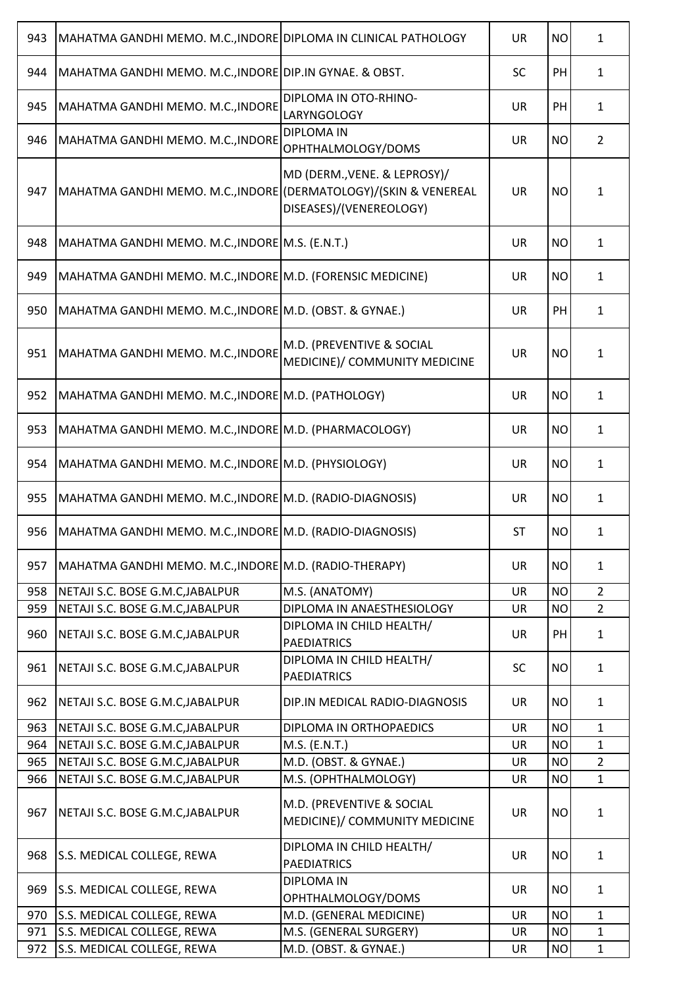| 943 | MAHATMA GANDHI MEMO. M.C., INDORE DIPLOMA IN CLINICAL PATHOLOGY  |                                                            | <b>UR</b> | <b>NO</b> | $\mathbf{1}$   |
|-----|------------------------------------------------------------------|------------------------------------------------------------|-----------|-----------|----------------|
| 944 | MAHATMA GANDHI MEMO. M.C., INDORE DIP. IN GYNAE. & OBST.         |                                                            | <b>SC</b> | PH        | $\mathbf{1}$   |
| 945 | MAHATMA GANDHI MEMO. M.C., INDORE                                | DIPLOMA IN OTO-RHINO-<br><b>LARYNGOLOGY</b>                | <b>UR</b> | PH        | $\mathbf{1}$   |
| 946 | MAHATMA GANDHI MEMO. M.C., INDORE                                | <b>DIPLOMA IN</b><br>OPHTHALMOLOGY/DOMS                    | <b>UR</b> | <b>NO</b> | $\overline{2}$ |
| 947 | MAHATMA GANDHI MEMO. M.C., INDORE (DERMATOLOGY)/(SKIN & VENEREAL | MD (DERM., VENE. & LEPROSY)/<br>DISEASES)/(VENEREOLOGY)    | <b>UR</b> | <b>NO</b> | $\mathbf{1}$   |
| 948 | MAHATMA GANDHI MEMO. M.C., INDORE M.S. (E.N.T.)                  |                                                            | <b>UR</b> | <b>NO</b> | $\mathbf{1}$   |
| 949 | MAHATMA GANDHI MEMO. M.C., INDORE M.D. (FORENSIC MEDICINE)       |                                                            | UR        | <b>NO</b> | $\mathbf{1}$   |
| 950 | MAHATMA GANDHI MEMO. M.C., INDORE M.D. (OBST. & GYNAE.)          |                                                            | UR        | PH        | $\mathbf{1}$   |
| 951 | MAHATMA GANDHI MEMO. M.C., INDORE                                | M.D. (PREVENTIVE & SOCIAL<br>MEDICINE)/ COMMUNITY MEDICINE | <b>UR</b> | <b>NO</b> | $\mathbf{1}$   |
| 952 | MAHATMA GANDHI MEMO. M.C., INDORE M.D. (PATHOLOGY)               |                                                            | UR        | <b>NO</b> | $\mathbf{1}$   |
| 953 | MAHATMA GANDHI MEMO. M.C., INDORE M.D. (PHARMACOLOGY)            |                                                            | <b>UR</b> | <b>NO</b> | $\mathbf{1}$   |
| 954 | MAHATMA GANDHI MEMO. M.C., INDORE M.D. (PHYSIOLOGY)              |                                                            | <b>UR</b> | <b>NO</b> | $\mathbf{1}$   |
| 955 | MAHATMA GANDHI MEMO. M.C., INDORE M.D. (RADIO-DIAGNOSIS)         |                                                            | <b>UR</b> | <b>NO</b> | $\mathbf{1}$   |
| 956 | MAHATMA GANDHI MEMO. M.C., INDORE M.D. (RADIO-DIAGNOSIS)         |                                                            | <b>ST</b> | <b>NO</b> | $\mathbf{1}$   |
| 957 | MAHATMA GANDHI MEMO. M.C., INDORE M.D. (RADIO-THERAPY)           |                                                            | <b>UR</b> | <b>NO</b> | $\mathbf{1}$   |
| 958 | NETAJI S.C. BOSE G.M.C, JABALPUR                                 | M.S. (ANATOMY)                                             | <b>UR</b> | <b>NO</b> | $\overline{2}$ |
| 959 | NETAJI S.C. BOSE G.M.C, JABALPUR                                 | DIPLOMA IN ANAESTHESIOLOGY                                 | <b>UR</b> | <b>NO</b> | $\overline{2}$ |
| 960 | NETAJI S.C. BOSE G.M.C, JABALPUR                                 | DIPLOMA IN CHILD HEALTH/<br><b>PAEDIATRICS</b>             | UR        | PH        | $\mathbf{1}$   |
| 961 | NETAJI S.C. BOSE G.M.C, JABALPUR                                 | DIPLOMA IN CHILD HEALTH/<br><b>PAEDIATRICS</b>             | <b>SC</b> | <b>NO</b> | $\mathbf{1}$   |
| 962 | NETAJI S.C. BOSE G.M.C, JABALPUR                                 | DIP.IN MEDICAL RADIO-DIAGNOSIS                             | <b>UR</b> | <b>NO</b> | $\mathbf{1}$   |
| 963 | NETAJI S.C. BOSE G.M.C, JABALPUR                                 | DIPLOMA IN ORTHOPAEDICS                                    | <b>UR</b> | <b>NO</b> | $\mathbf{1}$   |
| 964 | NETAJI S.C. BOSE G.M.C, JABALPUR                                 | M.S. (E.N.T.)                                              | <b>UR</b> | <b>NO</b> | $\mathbf{1}$   |
| 965 | NETAJI S.C. BOSE G.M.C, JABALPUR                                 | M.D. (OBST. & GYNAE.)                                      | <b>UR</b> | <b>NO</b> | $\overline{2}$ |
| 966 | NETAJI S.C. BOSE G.M.C, JABALPUR                                 | M.S. (OPHTHALMOLOGY)                                       | <b>UR</b> | <b>NO</b> | $\mathbf{1}$   |
| 967 | NETAJI S.C. BOSE G.M.C, JABALPUR                                 | M.D. (PREVENTIVE & SOCIAL<br>MEDICINE)/ COMMUNITY MEDICINE | <b>UR</b> | <b>NO</b> | $\mathbf{1}$   |
| 968 | S.S. MEDICAL COLLEGE, REWA                                       | DIPLOMA IN CHILD HEALTH/<br><b>PAEDIATRICS</b>             | <b>UR</b> | <b>NO</b> | $\mathbf{1}$   |
| 969 | S.S. MEDICAL COLLEGE, REWA                                       | <b>DIPLOMA IN</b><br>OPHTHALMOLOGY/DOMS                    | UR        | <b>NO</b> | $\mathbf{1}$   |
| 970 | S.S. MEDICAL COLLEGE, REWA                                       | M.D. (GENERAL MEDICINE)                                    | <b>UR</b> | <b>NO</b> | $\mathbf{1}$   |
| 971 | S.S. MEDICAL COLLEGE, REWA                                       | M.S. (GENERAL SURGERY)                                     | <b>UR</b> | <b>NO</b> | $\mathbf{1}$   |
| 972 | S.S. MEDICAL COLLEGE, REWA                                       | M.D. (OBST. & GYNAE.)                                      | UR        | <b>NO</b> | $\mathbf{1}$   |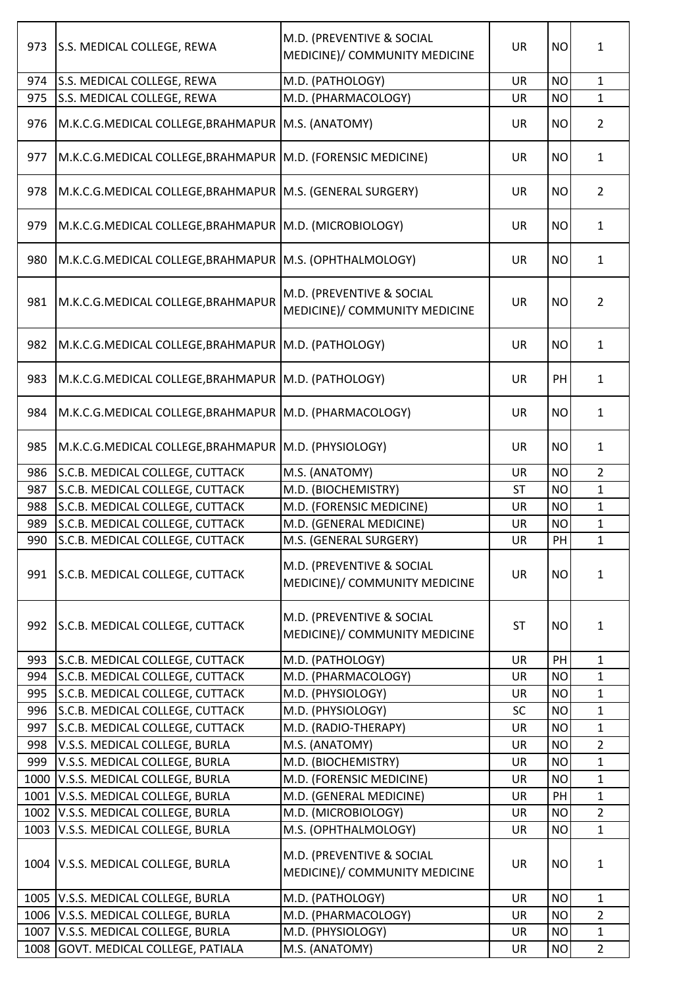| 973  | S.S. MEDICAL COLLEGE, REWA                                    | M.D. (PREVENTIVE & SOCIAL<br>MEDICINE)/ COMMUNITY MEDICINE | <b>UR</b> | <b>NO</b> | 1              |
|------|---------------------------------------------------------------|------------------------------------------------------------|-----------|-----------|----------------|
| 974  | S.S. MEDICAL COLLEGE, REWA                                    | M.D. (PATHOLOGY)                                           | <b>UR</b> | <b>NO</b> | $\mathbf{1}$   |
| 975  | S.S. MEDICAL COLLEGE, REWA                                    | M.D. (PHARMACOLOGY)                                        | <b>UR</b> | <b>NO</b> | $\mathbf{1}$   |
| 976  | M.K.C.G.MEDICAL COLLEGE, BRAHMAPUR   M.S. (ANATOMY)           |                                                            | <b>UR</b> | <b>NO</b> | $\overline{2}$ |
| 977  | M.K.C.G.MEDICAL COLLEGE, BRAHMAPUR   M.D. (FORENSIC MEDICINE) |                                                            | <b>UR</b> | <b>NO</b> | $\mathbf{1}$   |
| 978  | M.K.C.G.MEDICAL COLLEGE, BRAHMAPUR   M.S. (GENERAL SURGERY)   |                                                            | <b>UR</b> | <b>NO</b> | $\overline{2}$ |
| 979  | M.K.C.G.MEDICAL COLLEGE, BRAHMAPUR   M.D. (MICROBIOLOGY)      |                                                            | <b>UR</b> | <b>NO</b> | $\mathbf{1}$   |
| 980  | M.K.C.G.MEDICAL COLLEGE, BRAHMAPUR   M.S. (OPHTHALMOLOGY)     |                                                            | <b>UR</b> | <b>NO</b> | $\mathbf{1}$   |
| 981  | M.K.C.G.MEDICAL COLLEGE, BRAHMAPUR                            | M.D. (PREVENTIVE & SOCIAL<br>MEDICINE)/ COMMUNITY MEDICINE | <b>UR</b> | <b>NO</b> | $\overline{2}$ |
| 982  | M.K.C.G.MEDICAL COLLEGE, BRAHMAPUR   M.D. (PATHOLOGY)         |                                                            | <b>UR</b> | <b>NO</b> | $\mathbf{1}$   |
| 983  | M.K.C.G.MEDICAL COLLEGE, BRAHMAPUR   M.D. (PATHOLOGY)         |                                                            | <b>UR</b> | PH        | $\mathbf{1}$   |
| 984  | M.K.C.G.MEDICAL COLLEGE, BRAHMAPUR   M.D. (PHARMACOLOGY)      |                                                            | <b>UR</b> | <b>NO</b> | $\mathbf{1}$   |
| 985  | M.K.C.G.MEDICAL COLLEGE, BRAHMAPUR   M.D. (PHYSIOLOGY)        |                                                            | <b>UR</b> | <b>NO</b> | $\mathbf{1}$   |
| 986  | S.C.B. MEDICAL COLLEGE, CUTTACK                               | M.S. (ANATOMY)                                             | <b>UR</b> | <b>NO</b> | $\overline{2}$ |
| 987  | S.C.B. MEDICAL COLLEGE, CUTTACK                               | M.D. (BIOCHEMISTRY)                                        | <b>ST</b> | <b>NO</b> | $\mathbf{1}$   |
| 988  | S.C.B. MEDICAL COLLEGE, CUTTACK                               | M.D. (FORENSIC MEDICINE)                                   | <b>UR</b> | <b>NO</b> | $\mathbf{1}$   |
| 989  | S.C.B. MEDICAL COLLEGE, CUTTACK                               | M.D. (GENERAL MEDICINE)                                    | UR        | <b>NO</b> | $\mathbf{1}$   |
| 990  | S.C.B. MEDICAL COLLEGE, CUTTACK                               | M.S. (GENERAL SURGERY)                                     | UR        | PH        | $\mathbf{1}$   |
| 991  | S.C.B. MEDICAL COLLEGE, CUTTACK                               | M.D. (PREVENTIVE & SOCIAL<br>MEDICINE)/ COMMUNITY MEDICINE | <b>UR</b> | <b>NO</b> | $\mathbf{1}$   |
| 992  | S.C.B. MEDICAL COLLEGE, CUTTACK                               | M.D. (PREVENTIVE & SOCIAL<br>MEDICINE)/ COMMUNITY MEDICINE | <b>ST</b> | <b>NO</b> | 1              |
| 993  | S.C.B. MEDICAL COLLEGE, CUTTACK                               | M.D. (PATHOLOGY)                                           | <b>UR</b> | PH        | $\mathbf{1}$   |
| 994  | S.C.B. MEDICAL COLLEGE, CUTTACK                               | M.D. (PHARMACOLOGY)                                        | <b>UR</b> | <b>NO</b> | $\mathbf{1}$   |
| 995  | S.C.B. MEDICAL COLLEGE, CUTTACK                               | M.D. (PHYSIOLOGY)                                          | <b>UR</b> | <b>NO</b> | $\mathbf{1}$   |
| 996  | S.C.B. MEDICAL COLLEGE, CUTTACK                               | M.D. (PHYSIOLOGY)                                          | <b>SC</b> | <b>NO</b> | $\mathbf{1}$   |
| 997  | S.C.B. MEDICAL COLLEGE, CUTTACK                               | M.D. (RADIO-THERAPY)                                       | <b>UR</b> | <b>NO</b> | $\mathbf{1}$   |
| 998  | V.S.S. MEDICAL COLLEGE, BURLA                                 | M.S. (ANATOMY)                                             | <b>UR</b> | <b>NO</b> | $\overline{2}$ |
| 999  | V.S.S. MEDICAL COLLEGE, BURLA                                 | M.D. (BIOCHEMISTRY)                                        | <b>UR</b> | <b>NO</b> | $\mathbf{1}$   |
| 1000 | V.S.S. MEDICAL COLLEGE, BURLA                                 | M.D. (FORENSIC MEDICINE)                                   | <b>UR</b> | <b>NO</b> | $\mathbf{1}$   |
| 1001 | V.S.S. MEDICAL COLLEGE, BURLA                                 | M.D. (GENERAL MEDICINE)                                    | UR        | PH        | $\mathbf{1}$   |
| 1002 | V.S.S. MEDICAL COLLEGE, BURLA                                 | M.D. (MICROBIOLOGY)                                        | <b>UR</b> | <b>NO</b> | $\overline{2}$ |
| 1003 | V.S.S. MEDICAL COLLEGE, BURLA                                 | M.S. (OPHTHALMOLOGY)                                       | <b>UR</b> | <b>NO</b> | $\mathbf{1}$   |
|      | 1004 V.S.S. MEDICAL COLLEGE, BURLA                            | M.D. (PREVENTIVE & SOCIAL<br>MEDICINE)/ COMMUNITY MEDICINE | <b>UR</b> | <b>NO</b> | $\mathbf{1}$   |
| 1005 | V.S.S. MEDICAL COLLEGE, BURLA                                 | M.D. (PATHOLOGY)                                           | <b>UR</b> | <b>NO</b> | $\mathbf{1}$   |
| 1006 | V.S.S. MEDICAL COLLEGE, BURLA                                 | M.D. (PHARMACOLOGY)                                        | <b>UR</b> | <b>NO</b> | $\overline{2}$ |
| 1007 | V.S.S. MEDICAL COLLEGE, BURLA                                 | M.D. (PHYSIOLOGY)                                          | UR        | <b>NO</b> | $\mathbf{1}$   |
| 1008 | GOVT. MEDICAL COLLEGE, PATIALA                                | M.S. (ANATOMY)                                             | UR        | <b>NO</b> | $\overline{2}$ |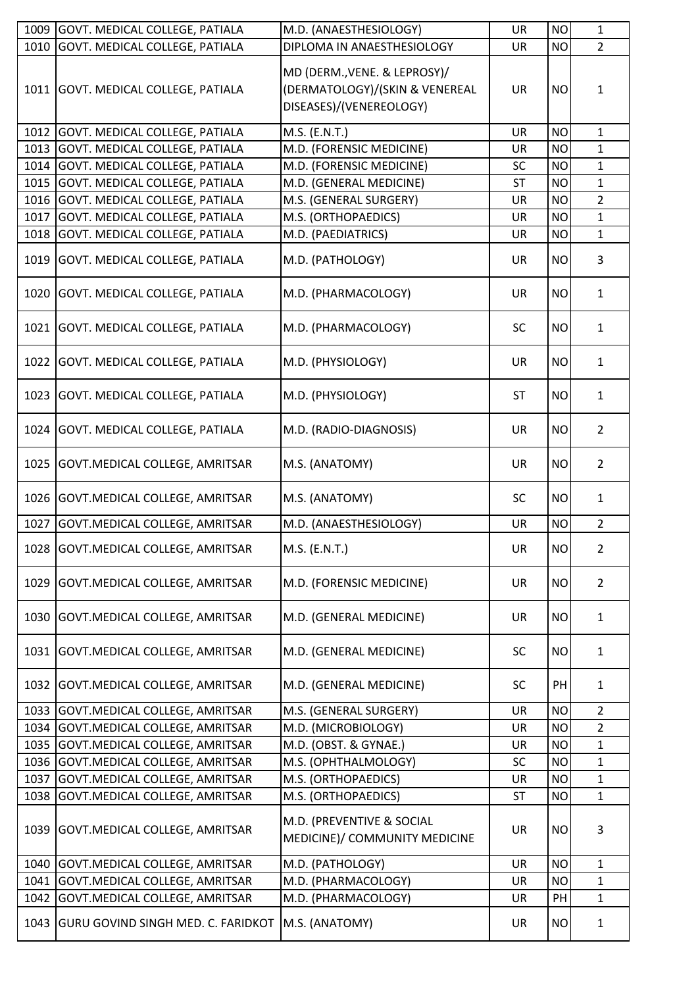| 1009 | <b>GOVT. MEDICAL COLLEGE, PATIALA</b>     | M.D. (ANAESTHESIOLOGY)                                                                    | UR        | <b>NO</b> | $\mathbf{1}$   |
|------|-------------------------------------------|-------------------------------------------------------------------------------------------|-----------|-----------|----------------|
| 1010 | GOVT. MEDICAL COLLEGE, PATIALA            | DIPLOMA IN ANAESTHESIOLOGY                                                                | <b>UR</b> | <b>NO</b> | $\overline{2}$ |
|      | 1011 GOVT. MEDICAL COLLEGE, PATIALA       | MD (DERM., VENE. & LEPROSY)/<br>(DERMATOLOGY)/(SKIN & VENEREAL<br>DISEASES)/(VENEREOLOGY) | <b>UR</b> | <b>NO</b> | $\mathbf{1}$   |
| 1012 | GOVT. MEDICAL COLLEGE, PATIALA            | M.S. (E.N.T.)                                                                             | <b>UR</b> | <b>NO</b> | $\mathbf{1}$   |
| 1013 | GOVT. MEDICAL COLLEGE, PATIALA            | M.D. (FORENSIC MEDICINE)                                                                  | UR        | <b>NO</b> | 1              |
| 1014 | GOVT. MEDICAL COLLEGE, PATIALA            | M.D. (FORENSIC MEDICINE)                                                                  | SC        | <b>NO</b> | $\mathbf{1}$   |
| 1015 | GOVT. MEDICAL COLLEGE, PATIALA            | M.D. (GENERAL MEDICINE)                                                                   | ST        | <b>NO</b> | $\mathbf{1}$   |
| 1016 | <b>GOVT. MEDICAL COLLEGE, PATIALA</b>     | M.S. (GENERAL SURGERY)                                                                    | <b>UR</b> | <b>NO</b> | $\overline{2}$ |
| 1017 | GOVT. MEDICAL COLLEGE, PATIALA            | M.S. (ORTHOPAEDICS)                                                                       | <b>UR</b> | <b>NO</b> | $\mathbf{1}$   |
| 1018 | GOVT. MEDICAL COLLEGE, PATIALA            | M.D. (PAEDIATRICS)                                                                        | UR        | <b>NO</b> | $\mathbf{1}$   |
| 1019 | <b>GOVT. MEDICAL COLLEGE, PATIALA</b>     | M.D. (PATHOLOGY)                                                                          | <b>UR</b> | <b>NO</b> | 3              |
| 1020 | GOVT. MEDICAL COLLEGE, PATIALA            | M.D. (PHARMACOLOGY)                                                                       | <b>UR</b> | <b>NO</b> | $\mathbf{1}$   |
| 1021 | GOVT. MEDICAL COLLEGE, PATIALA            | M.D. (PHARMACOLOGY)                                                                       | <b>SC</b> | <b>NO</b> | $\mathbf{1}$   |
| 1022 | <b>GOVT. MEDICAL COLLEGE, PATIALA</b>     | M.D. (PHYSIOLOGY)                                                                         | <b>UR</b> | <b>NO</b> | $\mathbf{1}$   |
| 1023 | GOVT. MEDICAL COLLEGE, PATIALA            | M.D. (PHYSIOLOGY)                                                                         | <b>ST</b> | <b>NO</b> | $\mathbf{1}$   |
| 1024 | GOVT. MEDICAL COLLEGE, PATIALA            | M.D. (RADIO-DIAGNOSIS)                                                                    | <b>UR</b> | <b>NO</b> | 2              |
| 1025 | GOVT. MEDICAL COLLEGE, AMRITSAR           | M.S. (ANATOMY)                                                                            | <b>UR</b> | <b>NO</b> | $\overline{2}$ |
| 1026 | GOVT. MEDICAL COLLEGE, AMRITSAR           | M.S. (ANATOMY)                                                                            | <b>SC</b> | <b>NO</b> | $\mathbf{1}$   |
| 1027 | GOVT. MEDICAL COLLEGE, AMRITSAR           | M.D. (ANAESTHESIOLOGY)                                                                    | UR        | <b>NO</b> | $\overline{2}$ |
|      | 1028 GOVT. MEDICAL COLLEGE, AMRITSAR      | M.S. (E.N.T.)                                                                             | UR        | <b>NO</b> | $\overline{2}$ |
| 1029 | GOVT. MEDICAL COLLEGE, AMRITSAR           | M.D. (FORENSIC MEDICINE)                                                                  | <b>UR</b> | <b>NO</b> | $\overline{2}$ |
| 1030 | GOVT. MEDICAL COLLEGE, AMRITSAR           | M.D. (GENERAL MEDICINE)                                                                   | <b>UR</b> | <b>NO</b> | $\mathbf{1}$   |
| 1031 | GOVT. MEDICAL COLLEGE, AMRITSAR           | M.D. (GENERAL MEDICINE)                                                                   | <b>SC</b> | <b>NO</b> | $\mathbf{1}$   |
| 1032 | GOVT. MEDICAL COLLEGE, AMRITSAR           | M.D. (GENERAL MEDICINE)                                                                   | <b>SC</b> | PH        | $\mathbf{1}$   |
| 1033 | GOVT.MEDICAL COLLEGE, AMRITSAR            | M.S. (GENERAL SURGERY)                                                                    | UR        | <b>NO</b> | $\overline{2}$ |
| 1034 | GOVT. MEDICAL COLLEGE, AMRITSAR           | M.D. (MICROBIOLOGY)                                                                       | <b>UR</b> | <b>NO</b> | $\overline{2}$ |
| 1035 | GOVT. MEDICAL COLLEGE, AMRITSAR           | M.D. (OBST. & GYNAE.)                                                                     | UR        | <b>NO</b> | $\mathbf{1}$   |
| 1036 | GOVT. MEDICAL COLLEGE, AMRITSAR           | M.S. (OPHTHALMOLOGY)                                                                      | SC        | <b>NO</b> | 1              |
| 1037 | GOVT. MEDICAL COLLEGE, AMRITSAR           | M.S. (ORTHOPAEDICS)                                                                       | UR        | <b>NO</b> | $\mathbf{1}$   |
| 1038 | GOVT. MEDICAL COLLEGE, AMRITSAR           | M.S. (ORTHOPAEDICS)                                                                       | <b>ST</b> | <b>NO</b> | 1              |
| 1039 | GOVT.MEDICAL COLLEGE, AMRITSAR            | M.D. (PREVENTIVE & SOCIAL<br>MEDICINE)/ COMMUNITY MEDICINE                                | <b>UR</b> | <b>NO</b> | 3              |
| 1040 | GOVT. MEDICAL COLLEGE, AMRITSAR           | M.D. (PATHOLOGY)                                                                          | <b>UR</b> | <b>NO</b> | $\mathbf{1}$   |
| 1041 | GOVT. MEDICAL COLLEGE, AMRITSAR           | M.D. (PHARMACOLOGY)                                                                       | UR        | <b>NO</b> | 1              |
| 1042 | GOVT. MEDICAL COLLEGE, AMRITSAR           | M.D. (PHARMACOLOGY)                                                                       | UR        | PH        | $\mathbf{1}$   |
| 1043 | <b>GURU GOVIND SINGH MED. C. FARIDKOT</b> | M.S. (ANATOMY)                                                                            | UR        | <b>NO</b> | $\mathbf{1}$   |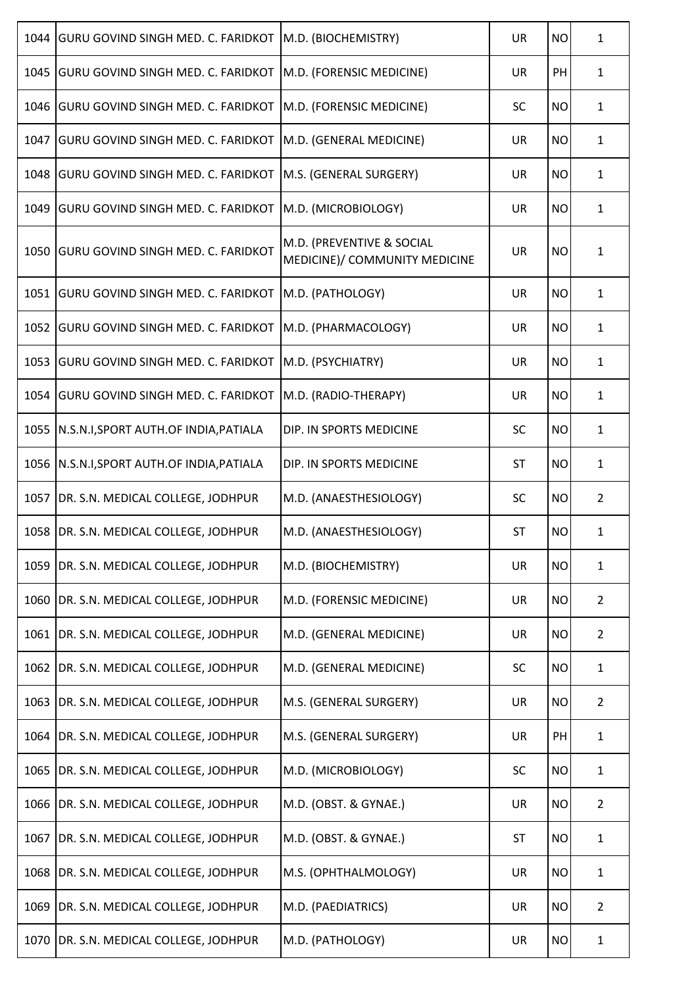| 1044 | <b>GURU GOVIND SINGH MED. C. FARIDKOT</b> | M.D. (BIOCHEMISTRY)                                        | <b>UR</b> | <b>NO</b> | 1              |
|------|-------------------------------------------|------------------------------------------------------------|-----------|-----------|----------------|
| 1045 | <b>GURU GOVIND SINGH MED. C. FARIDKOT</b> | M.D. (FORENSIC MEDICINE)                                   | <b>UR</b> | PH        | $\mathbf{1}$   |
| 1046 | <b>GURU GOVIND SINGH MED. C. FARIDKOT</b> | M.D. (FORENSIC MEDICINE)                                   | <b>SC</b> | <b>NO</b> | 1              |
| 1047 | <b>GURU GOVIND SINGH MED. C. FARIDKOT</b> | M.D. (GENERAL MEDICINE)                                    | <b>UR</b> | <b>NO</b> | 1              |
| 1048 | <b>GURU GOVIND SINGH MED. C. FARIDKOT</b> | M.S. (GENERAL SURGERY)                                     | <b>UR</b> | <b>NO</b> | $\mathbf{1}$   |
| 1049 | <b>GURU GOVIND SINGH MED. C. FARIDKOT</b> | M.D. (MICROBIOLOGY)                                        | <b>UR</b> | <b>NO</b> | 1              |
| 1050 | <b>GURU GOVIND SINGH MED. C. FARIDKOT</b> | M.D. (PREVENTIVE & SOCIAL<br>MEDICINE)/ COMMUNITY MEDICINE | <b>UR</b> | <b>NO</b> | 1              |
| 1051 | <b>GURU GOVIND SINGH MED. C. FARIDKOT</b> | M.D. (PATHOLOGY)                                           | <b>UR</b> | <b>NO</b> | 1              |
| 1052 | <b>GURU GOVIND SINGH MED. C. FARIDKOT</b> | M.D. (PHARMACOLOGY)                                        | <b>UR</b> | <b>NO</b> | 1              |
| 1053 | <b>GURU GOVIND SINGH MED. C. FARIDKOT</b> | M.D. (PSYCHIATRY)                                          | <b>UR</b> | <b>NO</b> | 1              |
| 1054 | <b>GURU GOVIND SINGH MED. C. FARIDKOT</b> | M.D. (RADIO-THERAPY)                                       | <b>UR</b> | <b>NO</b> | $\mathbf{1}$   |
| 1055 | N.S.N.I, SPORT AUTH.OF INDIA, PATIALA     | DIP. IN SPORTS MEDICINE                                    | <b>SC</b> | <b>NO</b> | 1              |
| 1056 | N.S.N.I, SPORT AUTH.OF INDIA, PATIALA     | DIP. IN SPORTS MEDICINE                                    | <b>ST</b> | <b>NO</b> | 1              |
| 1057 | DR. S.N. MEDICAL COLLEGE, JODHPUR         | M.D. (ANAESTHESIOLOGY)                                     | <b>SC</b> | <b>NO</b> | $\overline{2}$ |
|      | 1058 DR. S.N. MEDICAL COLLEGE, JODHPUR    | M.D. (ANAESTHESIOLOGY)                                     | <b>ST</b> | <b>NO</b> | 1              |
| 1059 | DR. S.N. MEDICAL COLLEGE, JODHPUR         | M.D. (BIOCHEMISTRY)                                        | <b>UR</b> | <b>NO</b> | $\mathbf{1}$   |
| 1060 | DR. S.N. MEDICAL COLLEGE, JODHPUR         | M.D. (FORENSIC MEDICINE)                                   | UR        | <b>NO</b> | 2              |
| 1061 | DR. S.N. MEDICAL COLLEGE, JODHPUR         | M.D. (GENERAL MEDICINE)                                    | <b>UR</b> | <b>NO</b> | $\overline{2}$ |
| 1062 | DR. S.N. MEDICAL COLLEGE, JODHPUR         | M.D. (GENERAL MEDICINE)                                    | SC        | <b>NO</b> | $\mathbf{1}$   |
| 1063 | DR. S.N. MEDICAL COLLEGE, JODHPUR         | M.S. (GENERAL SURGERY)                                     | UR        | <b>NO</b> | $\overline{2}$ |
| 1064 | DR. S.N. MEDICAL COLLEGE, JODHPUR         | M.S. (GENERAL SURGERY)                                     | <b>UR</b> | PH        | $\mathbf{1}$   |
| 1065 | DR. S.N. MEDICAL COLLEGE, JODHPUR         | M.D. (MICROBIOLOGY)                                        | <b>SC</b> | <b>NO</b> | $\mathbf{1}$   |
| 1066 | DR. S.N. MEDICAL COLLEGE, JODHPUR         | M.D. (OBST. & GYNAE.)                                      | UR        | <b>NO</b> | $\overline{2}$ |
| 1067 | DR. S.N. MEDICAL COLLEGE, JODHPUR         | M.D. (OBST. & GYNAE.)                                      | <b>ST</b> | <b>NO</b> | $\mathbf{1}$   |
| 1068 | DR. S.N. MEDICAL COLLEGE, JODHPUR         | M.S. (OPHTHALMOLOGY)                                       | <b>UR</b> | <b>NO</b> | $\mathbf{1}$   |
| 1069 | DR. S.N. MEDICAL COLLEGE, JODHPUR         | M.D. (PAEDIATRICS)                                         | UR        | <b>NO</b> | $\overline{2}$ |
| 1070 | DR. S.N. MEDICAL COLLEGE, JODHPUR         | M.D. (PATHOLOGY)                                           | UR        | <b>NO</b> | $\mathbf{1}$   |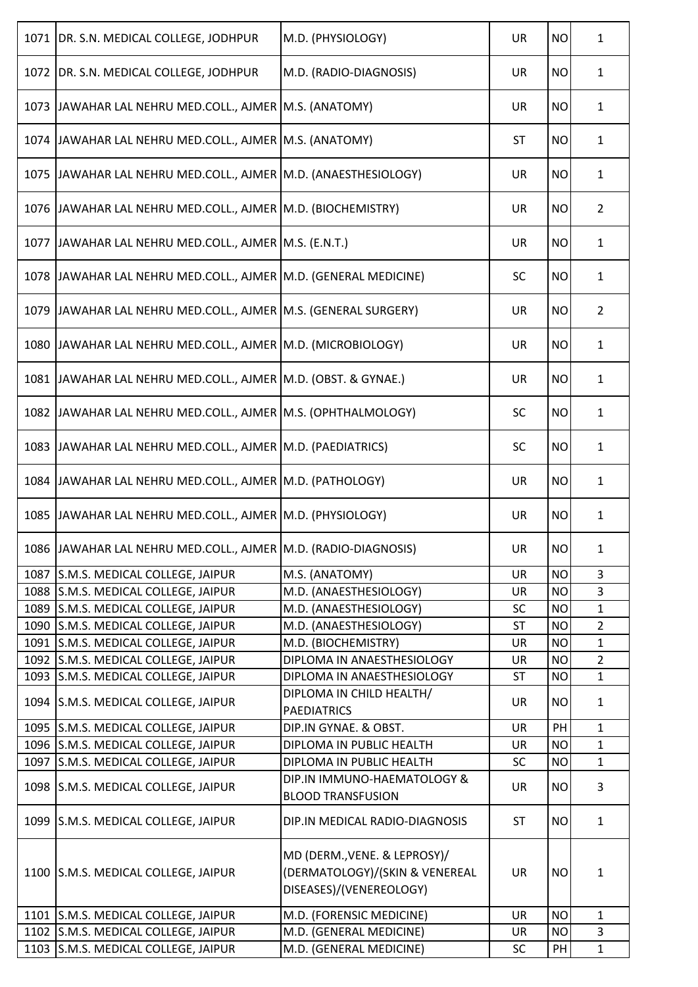| 1071   DR. S.N. MEDICAL COLLEGE, JODHPUR                        | M.D. (PHYSIOLOGY)                                                                         | <b>UR</b> | <b>NO</b> | $\mathbf{1}$   |
|-----------------------------------------------------------------|-------------------------------------------------------------------------------------------|-----------|-----------|----------------|
| 1072   DR. S.N. MEDICAL COLLEGE, JODHPUR                        | M.D. (RADIO-DIAGNOSIS)                                                                    | UR        | <b>NO</b> | $\mathbf{1}$   |
| 1073 JAWAHAR LAL NEHRU MED.COLL., AJMER M.S. (ANATOMY)          |                                                                                           | UR        | <b>NO</b> | $\mathbf{1}$   |
| 1074 JJAWAHAR LAL NEHRU MED.COLL., AJMER M.S. (ANATOMY)         |                                                                                           | <b>ST</b> | <b>NO</b> | $\mathbf{1}$   |
| 1075 JAWAHAR LAL NEHRU MED.COLL., AJMER M.D. (ANAESTHESIOLOGY)  |                                                                                           | UR        | <b>NO</b> | $\mathbf{1}$   |
| 1076   JAWAHAR LAL NEHRU MED.COLL., AJMER   M.D. (BIOCHEMISTRY) |                                                                                           | UR        | <b>NO</b> | $\overline{2}$ |
| 1077 JAWAHAR LAL NEHRU MED.COLL., AJMER M.S. (E.N.T.)           |                                                                                           | UR        | <b>NO</b> | $\mathbf{1}$   |
| 1078 JAWAHAR LAL NEHRU MED.COLL., AJMER M.D. (GENERAL MEDICINE) |                                                                                           | <b>SC</b> | <b>NO</b> | $\mathbf{1}$   |
| 1079 JAWAHAR LAL NEHRU MED.COLL., AJMER M.S. (GENERAL SURGERY)  |                                                                                           | UR        | <b>NO</b> | $\overline{2}$ |
| 1080 JAWAHAR LAL NEHRU MED.COLL., AJMER M.D. (MICROBIOLOGY)     |                                                                                           | UR        | <b>NO</b> | $\mathbf{1}$   |
| 1081 JAWAHAR LAL NEHRU MED.COLL., AJMER M.D. (OBST. & GYNAE.)   |                                                                                           | <b>UR</b> | <b>NO</b> | $\mathbf{1}$   |
| 1082 JAWAHAR LAL NEHRU MED.COLL., AJMER M.S. (OPHTHALMOLOGY)    |                                                                                           | <b>SC</b> | <b>NO</b> | $\mathbf{1}$   |
| 1083   JAWAHAR LAL NEHRU MED.COLL., AJMER   M.D. (PAEDIATRICS)  |                                                                                           | <b>SC</b> | <b>NO</b> | $\mathbf{1}$   |
| 1084 JAWAHAR LAL NEHRU MED.COLL., AJMER M.D. (PATHOLOGY)        |                                                                                           | UR        | <b>NO</b> | $\mathbf{1}$   |
| 1085 JAWAHAR LAL NEHRU MED.COLL., AJMER M.D. (PHYSIOLOGY)       |                                                                                           | <b>UR</b> | <b>NO</b> | $\mathbf{1}$   |
| 1086 JAWAHAR LAL NEHRU MED.COLL., AJMER M.D. (RADIO-DIAGNOSIS)  |                                                                                           | UR        | <b>NO</b> | 1              |
| 1087 S.M.S. MEDICAL COLLEGE, JAIPUR                             | M.S. (ANATOMY)                                                                            | <b>UR</b> | <b>NO</b> | 3              |
| 1088 S.M.S. MEDICAL COLLEGE, JAIPUR                             | M.D. (ANAESTHESIOLOGY)                                                                    | <b>UR</b> | <b>NO</b> | 3              |
| 1089 S.M.S. MEDICAL COLLEGE, JAIPUR                             | M.D. (ANAESTHESIOLOGY)                                                                    | SC        | <b>NO</b> | $\mathbf{1}$   |
| 1090 S.M.S. MEDICAL COLLEGE, JAIPUR                             | M.D. (ANAESTHESIOLOGY)                                                                    | <b>ST</b> | <b>NO</b> | $\overline{2}$ |
| 1091 S.M.S. MEDICAL COLLEGE, JAIPUR                             | M.D. (BIOCHEMISTRY)                                                                       | UR        | <b>NO</b> | $\mathbf{1}$   |
| 1092 S.M.S. MEDICAL COLLEGE, JAIPUR                             | DIPLOMA IN ANAESTHESIOLOGY                                                                | <b>UR</b> | <b>NO</b> | $\overline{2}$ |
| 1093 S.M.S. MEDICAL COLLEGE, JAIPUR                             | DIPLOMA IN ANAESTHESIOLOGY                                                                | <b>ST</b> | <b>NO</b> | $\mathbf{1}$   |
| 1094 S.M.S. MEDICAL COLLEGE, JAIPUR                             | DIPLOMA IN CHILD HEALTH/<br><b>PAEDIATRICS</b>                                            | <b>UR</b> | <b>NO</b> | $\mathbf{1}$   |
| 1095 S.M.S. MEDICAL COLLEGE, JAIPUR                             | DIP.IN GYNAE. & OBST.                                                                     | UR        | PH        | $\mathbf{1}$   |
| 1096 S.M.S. MEDICAL COLLEGE, JAIPUR                             | DIPLOMA IN PUBLIC HEALTH                                                                  | UR        | <b>NO</b> | $\mathbf{1}$   |
| 1097 S.M.S. MEDICAL COLLEGE, JAIPUR                             | DIPLOMA IN PUBLIC HEALTH                                                                  | <b>SC</b> | <b>NO</b> | $\mathbf{1}$   |
| 1098 S.M.S. MEDICAL COLLEGE, JAIPUR                             | DIP.IN IMMUNO-HAEMATOLOGY &<br><b>BLOOD TRANSFUSION</b>                                   | <b>UR</b> | <b>NO</b> | 3              |
| 1099 S.M.S. MEDICAL COLLEGE, JAIPUR                             | DIP.IN MEDICAL RADIO-DIAGNOSIS                                                            | <b>ST</b> | <b>NO</b> | $\mathbf{1}$   |
| 1100 S.M.S. MEDICAL COLLEGE, JAIPUR                             | MD (DERM., VENE. & LEPROSY)/<br>(DERMATOLOGY)/(SKIN & VENEREAL<br>DISEASES)/(VENEREOLOGY) | <b>UR</b> | <b>NO</b> | $\mathbf{1}$   |
| 1101 S.M.S. MEDICAL COLLEGE, JAIPUR                             | M.D. (FORENSIC MEDICINE)                                                                  | <b>UR</b> | <b>NO</b> | $\mathbf{1}$   |
| 1102 S.M.S. MEDICAL COLLEGE, JAIPUR                             | M.D. (GENERAL MEDICINE)                                                                   | UR        | <b>NO</b> | 3              |
| 1103 S.M.S. MEDICAL COLLEGE, JAIPUR                             | M.D. (GENERAL MEDICINE)                                                                   | <b>SC</b> | PH        | $\mathbf{1}$   |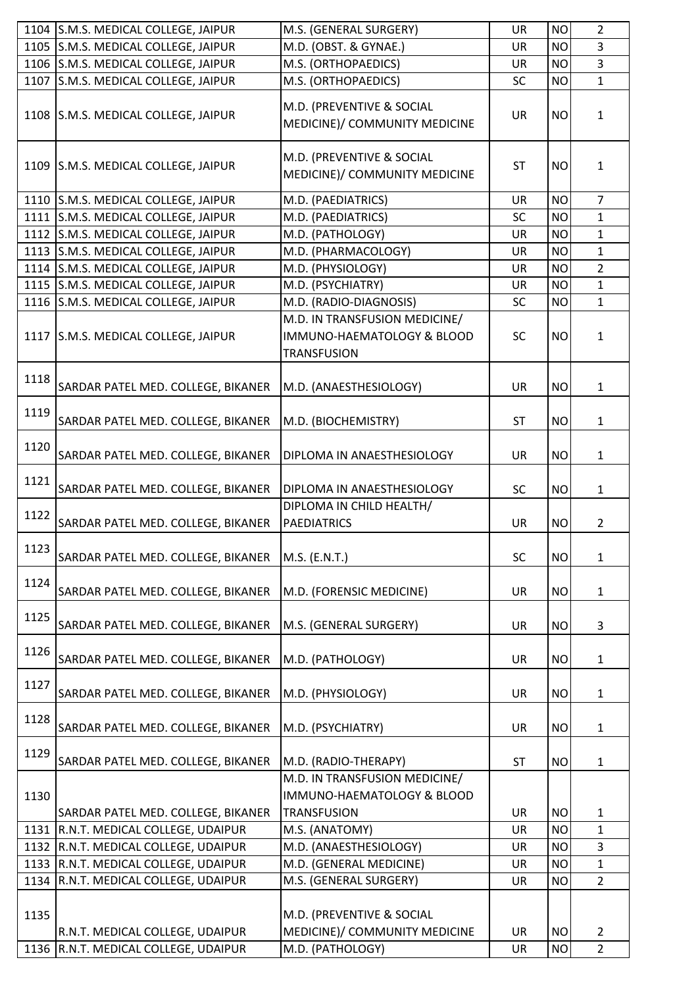|      | 1104 S.M.S. MEDICAL COLLEGE, JAIPUR  | M.S. (GENERAL SURGERY)                                                            | <b>UR</b> | <b>NO</b> | $\overline{2}$ |
|------|--------------------------------------|-----------------------------------------------------------------------------------|-----------|-----------|----------------|
|      | 1105 S.M.S. MEDICAL COLLEGE, JAIPUR  | M.D. (OBST. & GYNAE.)                                                             | <b>UR</b> | <b>NO</b> | 3              |
|      | 1106 S.M.S. MEDICAL COLLEGE, JAIPUR  | M.S. (ORTHOPAEDICS)                                                               | UR        | <b>NO</b> | 3              |
| 1107 | S.M.S. MEDICAL COLLEGE, JAIPUR       | M.S. (ORTHOPAEDICS)                                                               | SC        | <b>NO</b> | $\mathbf{1}$   |
|      | 1108 S.M.S. MEDICAL COLLEGE, JAIPUR  | M.D. (PREVENTIVE & SOCIAL<br>MEDICINE)/ COMMUNITY MEDICINE                        | <b>UR</b> | <b>NO</b> | $\mathbf{1}$   |
|      | 1109 S.M.S. MEDICAL COLLEGE, JAIPUR  | M.D. (PREVENTIVE & SOCIAL<br>MEDICINE)/ COMMUNITY MEDICINE                        | <b>ST</b> | <b>NO</b> | $\mathbf{1}$   |
|      | 1110 S.M.S. MEDICAL COLLEGE, JAIPUR  | M.D. (PAEDIATRICS)                                                                | <b>UR</b> | <b>NO</b> | $\overline{7}$ |
| 1111 | S.M.S. MEDICAL COLLEGE, JAIPUR       | M.D. (PAEDIATRICS)                                                                | SC        | <b>NO</b> | $\mathbf{1}$   |
|      | 1112 S.M.S. MEDICAL COLLEGE, JAIPUR  | M.D. (PATHOLOGY)                                                                  | <b>UR</b> | <b>NO</b> | $\mathbf{1}$   |
|      | 1113 S.M.S. MEDICAL COLLEGE, JAIPUR  | M.D. (PHARMACOLOGY)                                                               | <b>UR</b> | <b>NO</b> | $\mathbf{1}$   |
|      | 1114 S.M.S. MEDICAL COLLEGE, JAIPUR  | M.D. (PHYSIOLOGY)                                                                 | UR        | <b>NO</b> | $\overline{2}$ |
|      | 1115 S.M.S. MEDICAL COLLEGE, JAIPUR  | M.D. (PSYCHIATRY)                                                                 | <b>UR</b> | <b>NO</b> | $\mathbf{1}$   |
|      | 1116 S.M.S. MEDICAL COLLEGE, JAIPUR  | M.D. (RADIO-DIAGNOSIS)                                                            | <b>SC</b> | <b>NO</b> | $\mathbf{1}$   |
|      | 1117 S.M.S. MEDICAL COLLEGE, JAIPUR  | M.D. IN TRANSFUSION MEDICINE/<br>IMMUNO-HAEMATOLOGY & BLOOD<br><b>TRANSFUSION</b> | <b>SC</b> | <b>NO</b> | $\mathbf{1}$   |
| 1118 | SARDAR PATEL MED. COLLEGE, BIKANER   | M.D. (ANAESTHESIOLOGY)                                                            | <b>UR</b> | <b>NO</b> | $\mathbf{1}$   |
| 1119 | SARDAR PATEL MED. COLLEGE, BIKANER   | M.D. (BIOCHEMISTRY)                                                               | <b>ST</b> | <b>NO</b> | $\mathbf{1}$   |
| 1120 | SARDAR PATEL MED. COLLEGE, BIKANER   | DIPLOMA IN ANAESTHESIOLOGY                                                        | <b>UR</b> | <b>NO</b> | 1              |
| 1121 | SARDAR PATEL MED. COLLEGE, BIKANER   | DIPLOMA IN ANAESTHESIOLOGY                                                        | <b>SC</b> | <b>NO</b> | 1              |
| 1122 | SARDAR PATEL MED. COLLEGE, BIKANER   | DIPLOMA IN CHILD HEALTH/<br><b>PAEDIATRICS</b>                                    | <b>UR</b> | <b>NO</b> | $\overline{2}$ |
| 1123 | SARDAR PATEL MED. COLLEGE, BIKANER   | M.S. (E.N.T.)                                                                     | SC        | <b>NO</b> | $\mathbf{1}$   |
| 1124 | SARDAR PATEL MED. COLLEGE, BIKANER   | M.D. (FORENSIC MEDICINE)                                                          | UR        | <b>NO</b> | $\mathbf{1}$   |
| 1125 | SARDAR PATEL MED. COLLEGE, BIKANER   | M.S. (GENERAL SURGERY)                                                            | UR        | <b>NO</b> | 3              |
| 1126 | SARDAR PATEL MED. COLLEGE, BIKANER   | M.D. (PATHOLOGY)                                                                  | <b>UR</b> | <b>NO</b> | 1              |
| 1127 | SARDAR PATEL MED. COLLEGE, BIKANER   | M.D. (PHYSIOLOGY)                                                                 | <b>UR</b> | <b>NO</b> | 1              |
| 1128 | SARDAR PATEL MED. COLLEGE, BIKANER   | M.D. (PSYCHIATRY)                                                                 | <b>UR</b> | <b>NO</b> | 1              |
| 1129 | SARDAR PATEL MED. COLLEGE, BIKANER   | M.D. (RADIO-THERAPY)                                                              | <b>ST</b> | <b>NO</b> | $\mathbf{1}$   |
| 1130 | SARDAR PATEL MED. COLLEGE, BIKANER   | M.D. IN TRANSFUSION MEDICINE/<br>IMMUNO-HAEMATOLOGY & BLOOD<br><b>TRANSFUSION</b> | <b>UR</b> | <b>NO</b> | 1              |
| 1131 | R.N.T. MEDICAL COLLEGE, UDAIPUR      | M.S. (ANATOMY)                                                                    | <b>UR</b> | <b>NO</b> | $\mathbf{1}$   |
| 1132 | R.N.T. MEDICAL COLLEGE, UDAIPUR      | M.D. (ANAESTHESIOLOGY)                                                            | <b>UR</b> | <b>NO</b> | $\overline{3}$ |
| 1133 | R.N.T. MEDICAL COLLEGE, UDAIPUR      | M.D. (GENERAL MEDICINE)                                                           | UR        | <b>NO</b> | $\mathbf{1}$   |
| 1134 | R.N.T. MEDICAL COLLEGE, UDAIPUR      | M.S. (GENERAL SURGERY)                                                            | <b>UR</b> | <b>NO</b> | $2^{\circ}$    |
| 1135 |                                      | M.D. (PREVENTIVE & SOCIAL                                                         |           |           |                |
|      | R.N.T. MEDICAL COLLEGE, UDAIPUR      | MEDICINE)/ COMMUNITY MEDICINE                                                     | <b>UR</b> | <b>NO</b> | $\overline{2}$ |
|      | 1136 R.N.T. MEDICAL COLLEGE, UDAIPUR | M.D. (PATHOLOGY)                                                                  | UR        | <b>NO</b> | $\overline{2}$ |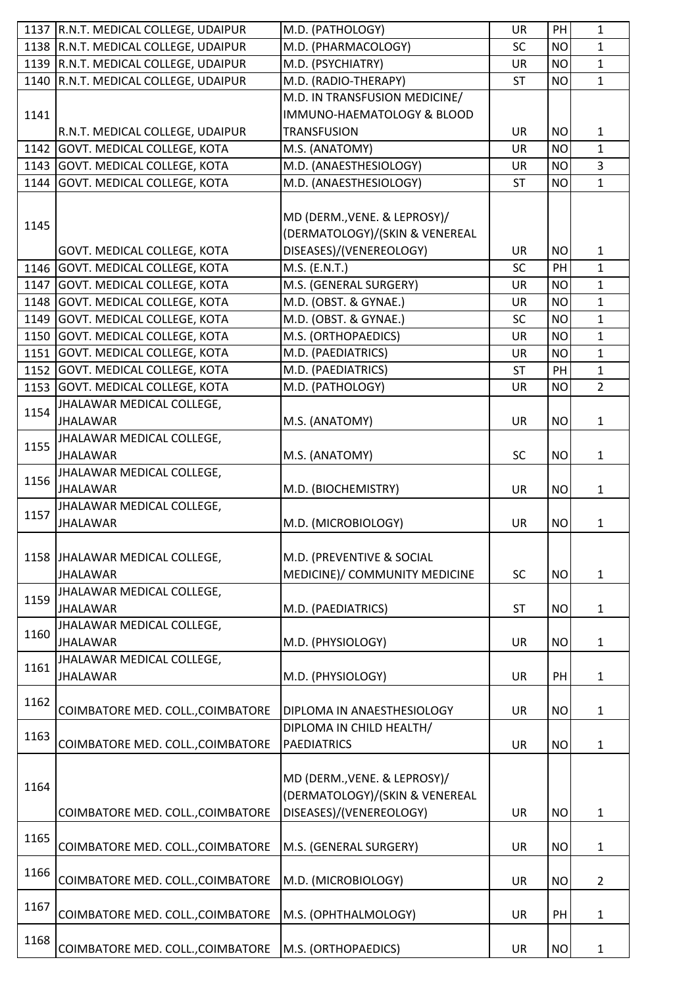|      | 1137 R.N.T. MEDICAL COLLEGE, UDAIPUR | M.D. (PATHOLOGY)                  | <b>UR</b> | PH        | $\mathbf{1}$   |
|------|--------------------------------------|-----------------------------------|-----------|-----------|----------------|
|      | 1138 R.N.T. MEDICAL COLLEGE, UDAIPUR | M.D. (PHARMACOLOGY)               | <b>SC</b> | <b>NO</b> | $\mathbf{1}$   |
| 1139 | R.N.T. MEDICAL COLLEGE, UDAIPUR      | M.D. (PSYCHIATRY)                 | <b>UR</b> | <b>NO</b> | $\mathbf{1}$   |
| 1140 | R.N.T. MEDICAL COLLEGE, UDAIPUR      | M.D. (RADIO-THERAPY)              | <b>ST</b> | <b>NO</b> | $\mathbf{1}$   |
|      |                                      | M.D. IN TRANSFUSION MEDICINE/     |           |           |                |
| 1141 |                                      | IMMUNO-HAEMATOLOGY & BLOOD        |           |           |                |
|      | R.N.T. MEDICAL COLLEGE, UDAIPUR      | <b>TRANSFUSION</b>                | <b>UR</b> | <b>NO</b> | $\mathbf{1}$   |
| 1142 | <b>GOVT. MEDICAL COLLEGE, KOTA</b>   | M.S. (ANATOMY)                    | <b>UR</b> | <b>NO</b> | $\mathbf{1}$   |
| 1143 | <b>GOVT. MEDICAL COLLEGE, KOTA</b>   | M.D. (ANAESTHESIOLOGY)            | <b>UR</b> | <b>NO</b> | $\overline{3}$ |
| 1144 | GOVT. MEDICAL COLLEGE, KOTA          | M.D. (ANAESTHESIOLOGY)            | <b>ST</b> | <b>NO</b> | $\mathbf{1}$   |
|      |                                      |                                   |           |           |                |
|      |                                      | MD (DERM., VENE. & LEPROSY)/      |           |           |                |
| 1145 |                                      | (DERMATOLOGY)/(SKIN & VENEREAL    |           |           |                |
|      | GOVT. MEDICAL COLLEGE, KOTA          | DISEASES)/(VENEREOLOGY)           | <b>UR</b> | <b>NO</b> | $\mathbf{1}$   |
| 1146 | <b>GOVT. MEDICAL COLLEGE, KOTA</b>   | M.S. (E.N.T.)                     | <b>SC</b> | PH        | $\mathbf{1}$   |
| 1147 | <b>GOVT. MEDICAL COLLEGE, KOTA</b>   | M.S. (GENERAL SURGERY)            | <b>UR</b> | <b>NO</b> | $\mathbf{1}$   |
| 1148 | <b>GOVT. MEDICAL COLLEGE, KOTA</b>   | M.D. (OBST. & GYNAE.)             | UR        | <b>NO</b> | $\mathbf{1}$   |
| 1149 | GOVT. MEDICAL COLLEGE, KOTA          | M.D. (OBST. & GYNAE.)             | <b>SC</b> | <b>NO</b> | $\mathbf{1}$   |
| 1150 | <b>GOVT. MEDICAL COLLEGE, KOTA</b>   | M.S. (ORTHOPAEDICS)               | <b>UR</b> | <b>NO</b> | $\mathbf{1}$   |
| 1151 | <b>GOVT. MEDICAL COLLEGE, KOTA</b>   | M.D. (PAEDIATRICS)                | UR        | <b>NO</b> | $\mathbf{1}$   |
| 1152 | <b>GOVT. MEDICAL COLLEGE, KOTA</b>   | M.D. (PAEDIATRICS)                | <b>ST</b> | PH        | $\mathbf{1}$   |
| 1153 |                                      |                                   |           |           | $\overline{2}$ |
|      | <b>GOVT. MEDICAL COLLEGE, KOTA</b>   | M.D. (PATHOLOGY)                  | <b>UR</b> | <b>NO</b> |                |
| 1154 | JHALAWAR MEDICAL COLLEGE,            |                                   |           |           |                |
|      | <b>JHALAWAR</b>                      | M.S. (ANATOMY)                    | <b>UR</b> | <b>NO</b> | $\mathbf{1}$   |
| 1155 | JHALAWAR MEDICAL COLLEGE,            |                                   |           |           |                |
|      | <b>JHALAWAR</b>                      | M.S. (ANATOMY)                    | <b>SC</b> | <b>NO</b> | 1              |
| 1156 | JHALAWAR MEDICAL COLLEGE,            |                                   |           |           |                |
|      | <b>JHALAWAR</b>                      | M.D. (BIOCHEMISTRY)               | <b>UR</b> | <b>NO</b> | $\mathbf{1}$   |
| 1157 | JHALAWAR MEDICAL COLLEGE,            |                                   |           |           |                |
|      | <b>JHALAWAR</b>                      | M.D. (MICROBIOLOGY)               | <b>UR</b> | <b>NO</b> | 1              |
|      |                                      |                                   |           |           |                |
| 1158 | JHALAWAR MEDICAL COLLEGE,            | M.D. (PREVENTIVE & SOCIAL         |           |           |                |
|      | <b>JHALAWAR</b>                      | MEDICINE)/ COMMUNITY MEDICINE     | SC        | <b>NO</b> | $\mathbf{1}$   |
| 1159 | JHALAWAR MEDICAL COLLEGE,            |                                   |           |           |                |
|      | <b>JHALAWAR</b>                      | M.D. (PAEDIATRICS)                | <b>ST</b> | <b>NO</b> | $\mathbf{1}$   |
| 1160 | JHALAWAR MEDICAL COLLEGE,            |                                   |           |           |                |
|      | <b>JHALAWAR</b>                      | M.D. (PHYSIOLOGY)                 | <b>UR</b> | <b>NO</b> | 1              |
| 1161 | JHALAWAR MEDICAL COLLEGE,            |                                   |           |           |                |
|      | <b>JHALAWAR</b>                      | M.D. (PHYSIOLOGY)                 | UR        | PH        | 1              |
|      |                                      |                                   |           |           |                |
| 1162 | COIMBATORE MED. COLL., COIMBATORE    | <b>DIPLOMA IN ANAESTHESIOLOGY</b> | <b>UR</b> | <b>NO</b> | 1              |
|      |                                      | DIPLOMA IN CHILD HEALTH/          |           |           |                |
| 1163 | COIMBATORE MED. COLL., COIMBATORE    | <b>PAEDIATRICS</b>                | <b>UR</b> | <b>NO</b> | 1              |
|      |                                      |                                   |           |           |                |
|      |                                      | MD (DERM., VENE. & LEPROSY)/      |           |           |                |
| 1164 |                                      | (DERMATOLOGY)/(SKIN & VENEREAL    |           |           |                |
|      | COIMBATORE MED. COLL., COIMBATORE    | DISEASES)/(VENEREOLOGY)           | <b>UR</b> | <b>NO</b> | 1              |
|      |                                      |                                   |           |           |                |
| 1165 | COIMBATORE MED. COLL., COIMBATORE    | M.S. (GENERAL SURGERY)            | <b>UR</b> | <b>NO</b> | 1              |
|      |                                      |                                   |           |           |                |
| 1166 | COIMBATORE MED. COLL., COIMBATORE    | M.D. (MICROBIOLOGY)               | <b>UR</b> | <b>NO</b> | $\overline{2}$ |
|      |                                      |                                   |           |           |                |
| 1167 | COIMBATORE MED. COLL., COIMBATORE    | M.S. (OPHTHALMOLOGY)              | UR        | PH        |                |
|      |                                      |                                   |           |           | 1              |
| 1168 |                                      |                                   |           |           |                |
|      | COIMBATORE MED. COLL., COIMBATORE    | M.S. (ORTHOPAEDICS)               | UR        | <b>NO</b> | 1              |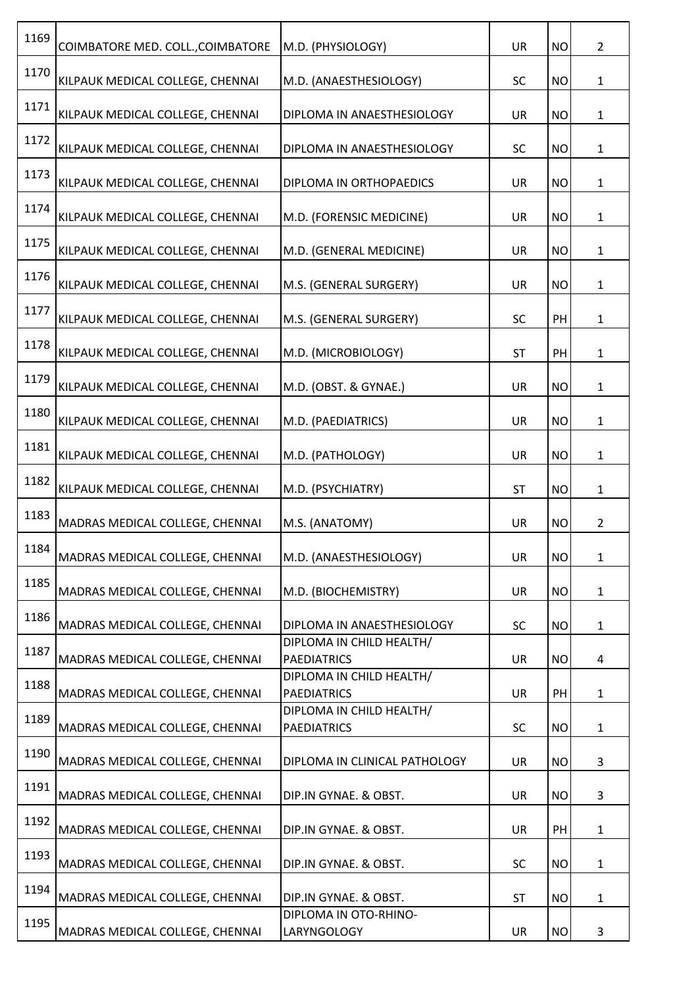| 1169 | COIMBATORE MED. COLL., COIMBATORE | M.D. (PHYSIOLOGY)                              | <b>UR</b> | <b>NO</b> | $\overline{2}$ |
|------|-----------------------------------|------------------------------------------------|-----------|-----------|----------------|
| 1170 | KILPAUK MEDICAL COLLEGE, CHENNAI  | M.D. (ANAESTHESIOLOGY)                         | SC        | <b>NO</b> | $\mathbf{1}$   |
| 1171 | KILPAUK MEDICAL COLLEGE, CHENNAI  | DIPLOMA IN ANAESTHESIOLOGY                     | <b>UR</b> | <b>NO</b> | $\mathbf{1}$   |
| 1172 | KILPAUK MEDICAL COLLEGE, CHENNAI  | DIPLOMA IN ANAESTHESIOLOGY                     | <b>SC</b> | <b>NO</b> | $\mathbf{1}$   |
| 1173 | KILPAUK MEDICAL COLLEGE, CHENNAI  | DIPLOMA IN ORTHOPAEDICS                        | <b>UR</b> | <b>NO</b> | $\mathbf{1}$   |
| 1174 | KILPAUK MEDICAL COLLEGE, CHENNAI  | M.D. (FORENSIC MEDICINE)                       | <b>UR</b> | <b>NO</b> | $\mathbf{1}$   |
| 1175 | KILPAUK MEDICAL COLLEGE, CHENNAI  | M.D. (GENERAL MEDICINE)                        | <b>UR</b> | <b>NO</b> | $\mathbf{1}$   |
| 1176 | KILPAUK MEDICAL COLLEGE, CHENNAI  | M.S. (GENERAL SURGERY)                         | UR        | <b>NO</b> | $\mathbf{1}$   |
| 1177 | KILPAUK MEDICAL COLLEGE, CHENNAI  | M.S. (GENERAL SURGERY)                         | <b>SC</b> | PH        | $\mathbf{1}$   |
| 1178 | KILPAUK MEDICAL COLLEGE, CHENNAI  | M.D. (MICROBIOLOGY)                            | <b>ST</b> | PH        | $\mathbf{1}$   |
| 1179 | KILPAUK MEDICAL COLLEGE, CHENNAI  | M.D. (OBST. & GYNAE.)                          | <b>UR</b> | <b>NO</b> | $\mathbf{1}$   |
| 1180 | KILPAUK MEDICAL COLLEGE, CHENNAI  | M.D. (PAEDIATRICS)                             | <b>UR</b> | <b>NO</b> | $\mathbf{1}$   |
| 1181 | KILPAUK MEDICAL COLLEGE, CHENNAI  | M.D. (PATHOLOGY)                               | <b>UR</b> | <b>NO</b> | $\mathbf{1}$   |
| 1182 | KILPAUK MEDICAL COLLEGE, CHENNAI  | M.D. (PSYCHIATRY)                              | <b>ST</b> | <b>NO</b> | $\mathbf{1}$   |
| 1183 | MADRAS MEDICAL COLLEGE, CHENNAI   | M.S. (ANATOMY)                                 | UR        | <b>NO</b> | $\overline{2}$ |
| 1184 | MADRAS MEDICAL COLLEGE, CHENNAI   | M.D. (ANAESTHESIOLOGY)                         | <b>UR</b> | <b>NO</b> | $\mathbf{1}$   |
| 1185 | MADRAS MEDICAL COLLEGE, CHENNAI   | M.D. (BIOCHEMISTRY)                            | <b>UR</b> | <b>NO</b> | $\mathbf{1}$   |
| 1186 | MADRAS MEDICAL COLLEGE, CHENNAI   | DIPLOMA IN ANAESTHESIOLOGY                     | <b>SC</b> | <b>NO</b> | $\mathbf{1}$   |
| 1187 | MADRAS MEDICAL COLLEGE, CHENNAI   | DIPLOMA IN CHILD HEALTH/<br><b>PAEDIATRICS</b> | UR        | <b>NO</b> | 4              |
| 1188 | MADRAS MEDICAL COLLEGE, CHENNAI   | DIPLOMA IN CHILD HEALTH/<br><b>PAEDIATRICS</b> | <b>UR</b> | PH        | $\mathbf{1}$   |
| 1189 | MADRAS MEDICAL COLLEGE, CHENNAI   | DIPLOMA IN CHILD HEALTH/<br><b>PAEDIATRICS</b> | <b>SC</b> | <b>NO</b> | $\mathbf{1}$   |
| 1190 | MADRAS MEDICAL COLLEGE, CHENNAI   | DIPLOMA IN CLINICAL PATHOLOGY                  | UR        | <b>NO</b> | 3              |
| 1191 | MADRAS MEDICAL COLLEGE, CHENNAI   | DIP.IN GYNAE. & OBST.                          | <b>UR</b> | <b>NO</b> | 3              |
| 1192 | MADRAS MEDICAL COLLEGE, CHENNAI   | DIP.IN GYNAE. & OBST.                          | <b>UR</b> | PH        | 1              |
| 1193 | MADRAS MEDICAL COLLEGE, CHENNAI   | DIP.IN GYNAE. & OBST.                          | <b>SC</b> | <b>NO</b> | $\mathbf{1}$   |
| 1194 | MADRAS MEDICAL COLLEGE, CHENNAI   | DIP.IN GYNAE. & OBST.                          | <b>ST</b> | <b>NO</b> | $\mathbf{1}$   |
| 1195 | MADRAS MEDICAL COLLEGE, CHENNAI   | DIPLOMA IN OTO-RHINO-<br>LARYNGOLOGY           | UR        | <b>NO</b> | 3              |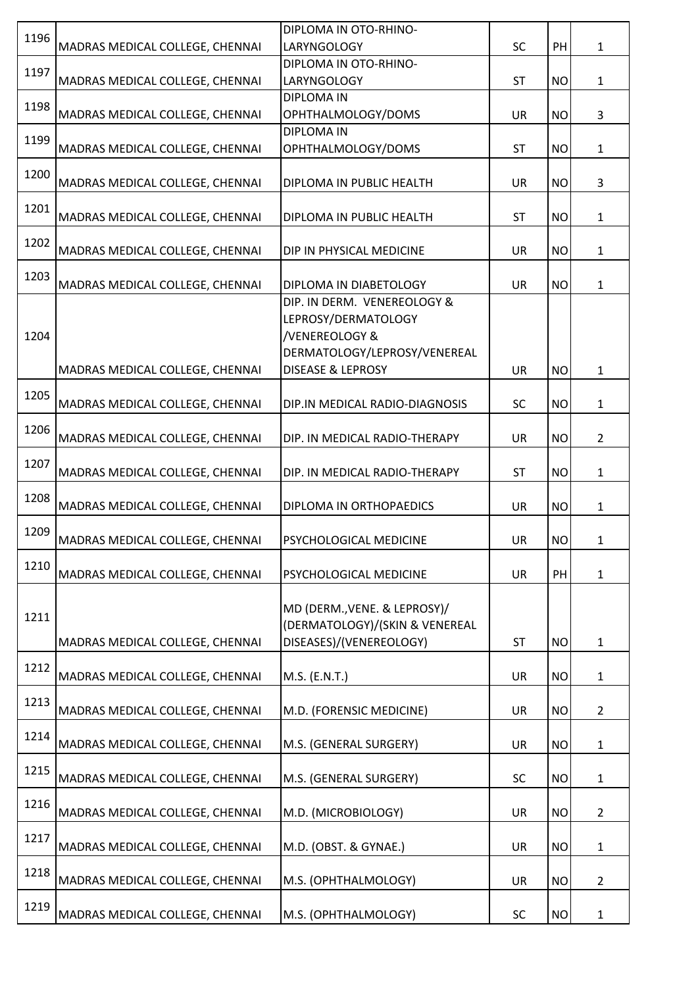| 1196 |                                 | DIPLOMA IN OTO-RHINO-          |           |           |                |
|------|---------------------------------|--------------------------------|-----------|-----------|----------------|
|      | MADRAS MEDICAL COLLEGE, CHENNAI | LARYNGOLOGY                    | <b>SC</b> | PH        | $\mathbf{1}$   |
| 1197 |                                 | DIPLOMA IN OTO-RHINO-          |           |           |                |
|      | MADRAS MEDICAL COLLEGE, CHENNAI | <b>LARYNGOLOGY</b>             | <b>ST</b> | <b>NO</b> | $\mathbf{1}$   |
| 1198 |                                 | <b>DIPLOMA IN</b>              |           |           |                |
|      | MADRAS MEDICAL COLLEGE, CHENNAI | OPHTHALMOLOGY/DOMS             | UR        | <b>NO</b> | 3              |
| 1199 |                                 | <b>DIPLOMA IN</b>              |           |           |                |
|      | MADRAS MEDICAL COLLEGE, CHENNAI | OPHTHALMOLOGY/DOMS             | <b>ST</b> | <b>NO</b> | $\mathbf{1}$   |
| 1200 |                                 |                                |           |           |                |
|      | MADRAS MEDICAL COLLEGE, CHENNAI | DIPLOMA IN PUBLIC HEALTH       | <b>UR</b> | <b>NO</b> | 3              |
| 1201 | MADRAS MEDICAL COLLEGE, CHENNAI |                                | <b>ST</b> | <b>NO</b> |                |
|      |                                 | DIPLOMA IN PUBLIC HEALTH       |           |           | 1              |
| 1202 | MADRAS MEDICAL COLLEGE, CHENNAI | DIP IN PHYSICAL MEDICINE       | <b>UR</b> | <b>NO</b> | $\mathbf{1}$   |
|      |                                 |                                |           |           |                |
| 1203 | MADRAS MEDICAL COLLEGE, CHENNAI | DIPLOMA IN DIABETOLOGY         | <b>UR</b> | <b>NO</b> | $\mathbf{1}$   |
|      |                                 | DIP. IN DERM. VENEREOLOGY &    |           |           |                |
|      |                                 | LEPROSY/DERMATOLOGY            |           |           |                |
| 1204 |                                 | /VENEREOLOGY &                 |           |           |                |
|      |                                 | DERMATOLOGY/LEPROSY/VENEREAL   |           |           |                |
|      | MADRAS MEDICAL COLLEGE, CHENNAI | <b>DISEASE &amp; LEPROSY</b>   | <b>UR</b> | <b>NO</b> | $\mathbf 1$    |
|      |                                 |                                |           |           |                |
| 1205 | MADRAS MEDICAL COLLEGE, CHENNAI | DIP.IN MEDICAL RADIO-DIAGNOSIS | <b>SC</b> | <b>NO</b> | $\mathbf{1}$   |
|      |                                 |                                |           |           |                |
| 1206 | MADRAS MEDICAL COLLEGE, CHENNAI | DIP. IN MEDICAL RADIO-THERAPY  | UR        | <b>NO</b> | $\overline{2}$ |
|      |                                 |                                |           |           |                |
| 1207 | MADRAS MEDICAL COLLEGE, CHENNAI | DIP. IN MEDICAL RADIO-THERAPY  | <b>ST</b> | <b>NO</b> | 1              |
|      |                                 |                                |           |           |                |
| 1208 | MADRAS MEDICAL COLLEGE, CHENNAI | DIPLOMA IN ORTHOPAEDICS        | <b>UR</b> | <b>NO</b> | $\mathbf{1}$   |
| 1209 |                                 |                                |           |           |                |
|      | MADRAS MEDICAL COLLEGE, CHENNAI | PSYCHOLOGICAL MEDICINE         | <b>UR</b> | <b>NO</b> | $\mathbf{1}$   |
| 1210 |                                 |                                |           |           |                |
|      | MADRAS MEDICAL COLLEGE, CHENNAI | PSYCHOLOGICAL MEDICINE         | <b>UR</b> | PH        | $\mathbf 1$    |
|      |                                 |                                |           |           |                |
| 1211 |                                 | MD (DERM., VENE. & LEPROSY)/   |           |           |                |
|      |                                 | (DERMATOLOGY)/(SKIN & VENEREAL |           |           |                |
|      | MADRAS MEDICAL COLLEGE, CHENNAI | DISEASES)/(VENEREOLOGY)        | <b>ST</b> | <b>NO</b> | $\mathbf{1}$   |
| 1212 |                                 |                                |           |           |                |
|      | MADRAS MEDICAL COLLEGE, CHENNAI | M.S. (E.N.T.)                  | <b>UR</b> | <b>NO</b> | $\mathbf{1}$   |
| 1213 |                                 |                                |           |           |                |
|      | MADRAS MEDICAL COLLEGE, CHENNAI | M.D. (FORENSIC MEDICINE)       | <b>UR</b> | <b>NO</b> | $\overline{2}$ |
| 1214 |                                 |                                |           |           |                |
|      | MADRAS MEDICAL COLLEGE, CHENNAI | M.S. (GENERAL SURGERY)         | <b>UR</b> | <b>NO</b> | $\mathbf{1}$   |
| 1215 | MADRAS MEDICAL COLLEGE, CHENNAI | M.S. (GENERAL SURGERY)         | <b>SC</b> | <b>NO</b> |                |
|      |                                 |                                |           |           | 1              |
| 1216 | MADRAS MEDICAL COLLEGE, CHENNAI | M.D. (MICROBIOLOGY)            | <b>UR</b> | <b>NO</b> | $\overline{2}$ |
|      |                                 |                                |           |           |                |
| 1217 | MADRAS MEDICAL COLLEGE, CHENNAI | M.D. (OBST. & GYNAE.)          | <b>UR</b> | <b>NO</b> | $\mathbf{1}$   |
|      |                                 |                                |           |           |                |
| 1218 | MADRAS MEDICAL COLLEGE, CHENNAI | M.S. (OPHTHALMOLOGY)           | UR        | <b>NO</b> | $\overline{2}$ |
|      |                                 |                                |           |           |                |
| 1219 | MADRAS MEDICAL COLLEGE, CHENNAI | M.S. (OPHTHALMOLOGY)           | <b>SC</b> | <b>NO</b> | $\mathbf{1}$   |
|      |                                 |                                |           |           |                |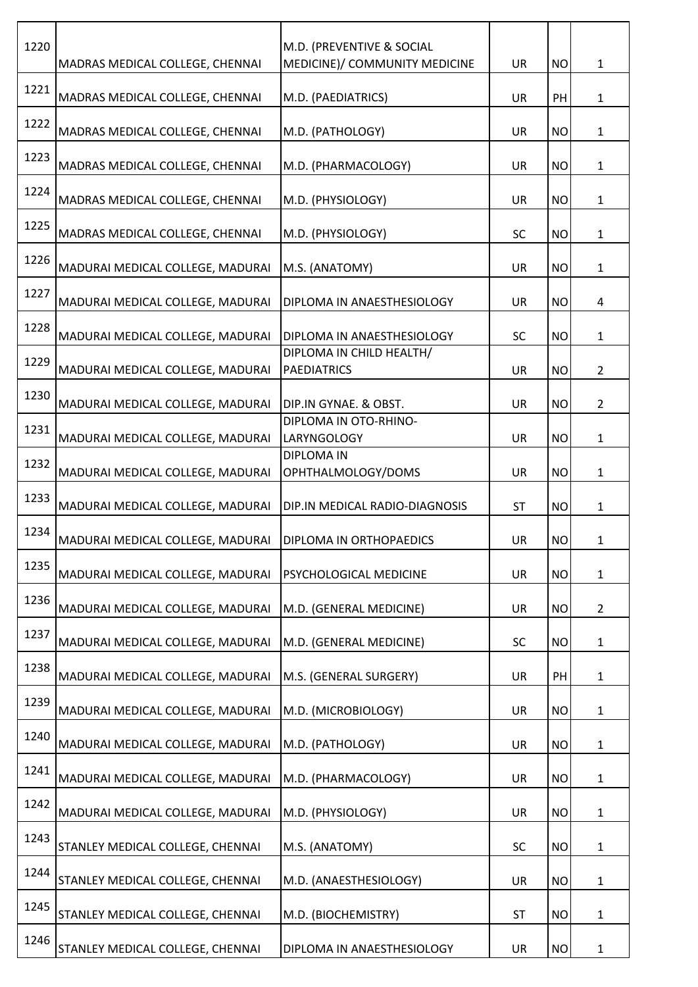| 1220 | MADRAS MEDICAL COLLEGE, CHENNAI  | M.D. (PREVENTIVE & SOCIAL<br>MEDICINE)/ COMMUNITY MEDICINE | <b>UR</b> | <b>NO</b> | $\mathbf{1}$   |
|------|----------------------------------|------------------------------------------------------------|-----------|-----------|----------------|
| 1221 | MADRAS MEDICAL COLLEGE, CHENNAI  | M.D. (PAEDIATRICS)                                         | <b>UR</b> | PH        | $\mathbf{1}$   |
| 1222 | MADRAS MEDICAL COLLEGE, CHENNAI  | M.D. (PATHOLOGY)                                           | <b>UR</b> | <b>NO</b> | $\mathbf{1}$   |
| 1223 | MADRAS MEDICAL COLLEGE, CHENNAI  | M.D. (PHARMACOLOGY)                                        | <b>UR</b> | <b>NO</b> | $\mathbf{1}$   |
| 1224 | MADRAS MEDICAL COLLEGE, CHENNAI  | M.D. (PHYSIOLOGY)                                          | <b>UR</b> | <b>NO</b> | $\mathbf{1}$   |
| 1225 | MADRAS MEDICAL COLLEGE, CHENNAI  | M.D. (PHYSIOLOGY)                                          | <b>SC</b> | <b>NO</b> | $\mathbf{1}$   |
| 1226 | MADURAI MEDICAL COLLEGE, MADURAI | M.S. (ANATOMY)                                             | <b>UR</b> | <b>NO</b> | $\mathbf{1}$   |
| 1227 | MADURAI MEDICAL COLLEGE, MADURAI | DIPLOMA IN ANAESTHESIOLOGY                                 | <b>UR</b> | <b>NO</b> | 4              |
| 1228 | MADURAI MEDICAL COLLEGE, MADURAI | DIPLOMA IN ANAESTHESIOLOGY                                 | SC        | <b>NO</b> | $\mathbf{1}$   |
| 1229 | MADURAI MEDICAL COLLEGE, MADURAI | DIPLOMA IN CHILD HEALTH/<br><b>PAEDIATRICS</b>             | UR        | <b>NO</b> | $\overline{2}$ |
| 1230 | MADURAI MEDICAL COLLEGE, MADURAI | DIP.IN GYNAE. & OBST.                                      | <b>UR</b> | <b>NO</b> | $\overline{2}$ |
| 1231 | MADURAI MEDICAL COLLEGE, MADURAI | DIPLOMA IN OTO-RHINO-<br><b>LARYNGOLOGY</b>                | <b>UR</b> | <b>NO</b> | 1              |
| 1232 | MADURAI MEDICAL COLLEGE, MADURAI | <b>DIPLOMA IN</b><br>OPHTHALMOLOGY/DOMS                    | <b>UR</b> | <b>NO</b> | $\mathbf{1}$   |
| 1233 | MADURAI MEDICAL COLLEGE, MADURAI | DIP.IN MEDICAL RADIO-DIAGNOSIS                             | <b>ST</b> | <b>NO</b> | 1              |
| 1234 | MADURAI MEDICAL COLLEGE, MADURAI | <b>DIPLOMA IN ORTHOPAEDICS</b>                             | UR        | <b>NO</b> | 1              |
| 1235 | MADURAI MEDICAL COLLEGE, MADURAI | PSYCHOLOGICAL MEDICINE                                     | <b>UR</b> | <b>NO</b> | $\mathbf{1}$   |
| 1236 | MADURAI MEDICAL COLLEGE, MADURAI | M.D. (GENERAL MEDICINE)                                    | <b>UR</b> | <b>NO</b> | $\overline{2}$ |
| 1237 | MADURAI MEDICAL COLLEGE, MADURAI | M.D. (GENERAL MEDICINE)                                    | <b>SC</b> | <b>NO</b> | $\mathbf{1}$   |
| 1238 | MADURAI MEDICAL COLLEGE, MADURAI | M.S. (GENERAL SURGERY)                                     | <b>UR</b> | PH        | $\mathbf{1}$   |
| 1239 | MADURAI MEDICAL COLLEGE, MADURAI | M.D. (MICROBIOLOGY)                                        | <b>UR</b> | <b>NO</b> | 1              |
| 1240 | MADURAI MEDICAL COLLEGE, MADURAI | M.D. (PATHOLOGY)                                           | UR        | <b>NO</b> | $\mathbf{1}$   |
| 1241 | MADURAI MEDICAL COLLEGE, MADURAI | M.D. (PHARMACOLOGY)                                        | <b>UR</b> | <b>NO</b> | $\mathbf{1}$   |
| 1242 | MADURAI MEDICAL COLLEGE, MADURAI | M.D. (PHYSIOLOGY)                                          | <b>UR</b> | <b>NO</b> | $\mathbf{1}$   |
| 1243 | STANLEY MEDICAL COLLEGE, CHENNAI | M.S. (ANATOMY)                                             | <b>SC</b> | <b>NO</b> | $\mathbf 1$    |
| 1244 | STANLEY MEDICAL COLLEGE, CHENNAI | M.D. (ANAESTHESIOLOGY)                                     | <b>UR</b> | <b>NO</b> | $\mathbf{1}$   |
| 1245 | STANLEY MEDICAL COLLEGE, CHENNAI | M.D. (BIOCHEMISTRY)                                        | <b>ST</b> | <b>NO</b> | $\mathbf{1}$   |
| 1246 | STANLEY MEDICAL COLLEGE, CHENNAI | DIPLOMA IN ANAESTHESIOLOGY                                 | UR        | <b>NO</b> | 1              |
|      |                                  |                                                            |           |           |                |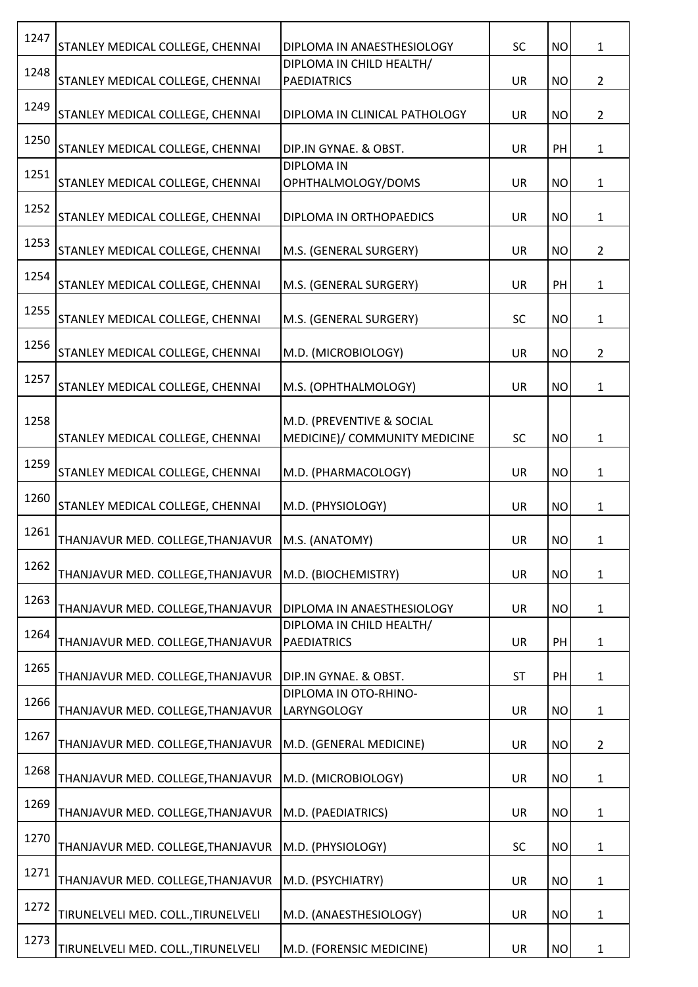| 1247 | STANLEY MEDICAL COLLEGE, CHENNAI                   | DIPLOMA IN ANAESTHESIOLOGY                                 | <b>SC</b> | <b>NO</b> | $\mathbf{1}$   |
|------|----------------------------------------------------|------------------------------------------------------------|-----------|-----------|----------------|
| 1248 | STANLEY MEDICAL COLLEGE, CHENNAI                   | DIPLOMA IN CHILD HEALTH/<br><b>PAEDIATRICS</b>             | <b>UR</b> | <b>NO</b> | $\overline{2}$ |
| 1249 | STANLEY MEDICAL COLLEGE, CHENNAI                   | DIPLOMA IN CLINICAL PATHOLOGY                              | UR        | <b>NO</b> | $\overline{2}$ |
| 1250 | STANLEY MEDICAL COLLEGE, CHENNAI                   | DIP.IN GYNAE. & OBST.                                      | UR        | PH        | $\mathbf{1}$   |
| 1251 | STANLEY MEDICAL COLLEGE, CHENNAI                   | <b>DIPLOMA IN</b><br>OPHTHALMOLOGY/DOMS                    | UR        | <b>NO</b> | $\mathbf{1}$   |
| 1252 | STANLEY MEDICAL COLLEGE, CHENNAI                   | DIPLOMA IN ORTHOPAEDICS                                    | <b>UR</b> | <b>NO</b> | 1              |
| 1253 | STANLEY MEDICAL COLLEGE, CHENNAI                   | M.S. (GENERAL SURGERY)                                     | <b>UR</b> | <b>NO</b> | $\overline{2}$ |
| 1254 | STANLEY MEDICAL COLLEGE, CHENNAI                   | M.S. (GENERAL SURGERY)                                     | UR        | PH        | 1              |
| 1255 | STANLEY MEDICAL COLLEGE, CHENNAI                   | M.S. (GENERAL SURGERY)                                     | <b>SC</b> | <b>NO</b> | $\mathbf{1}$   |
| 1256 | STANLEY MEDICAL COLLEGE, CHENNAI                   | M.D. (MICROBIOLOGY)                                        | UR        | <b>NO</b> | $\overline{2}$ |
| 1257 | STANLEY MEDICAL COLLEGE, CHENNAI                   | M.S. (OPHTHALMOLOGY)                                       | <b>UR</b> | <b>NO</b> | $\mathbf{1}$   |
| 1258 | STANLEY MEDICAL COLLEGE, CHENNAI                   | M.D. (PREVENTIVE & SOCIAL<br>MEDICINE)/ COMMUNITY MEDICINE | SC        | <b>NO</b> | $\mathbf 1$    |
| 1259 | STANLEY MEDICAL COLLEGE, CHENNAI                   | M.D. (PHARMACOLOGY)                                        | UR        | <b>NO</b> | $\mathbf{1}$   |
| 1260 | STANLEY MEDICAL COLLEGE, CHENNAI                   | M.D. (PHYSIOLOGY)                                          | UR        | <b>NO</b> | $\mathbf{1}$   |
| 1261 | THANJAVUR MED. COLLEGE, THANJAVUR   M.S. (ANATOMY) |                                                            | <b>UR</b> | <b>NO</b> | $\mathbf{1}$   |
| 1262 | THANJAVUR MED. COLLEGE, THANJAVUR                  | M.D. (BIOCHEMISTRY)                                        | <b>UR</b> | <b>NO</b> | $\mathbf{1}$   |
| 1263 | THANJAVUR MED. COLLEGE, THANJAVUR                  | DIPLOMA IN ANAESTHESIOLOGY                                 | <b>UR</b> | <b>NO</b> | $\mathbf{1}$   |
| 1264 | THANJAVUR MED. COLLEGE, THANJAVUR                  | DIPLOMA IN CHILD HEALTH/<br><b>PAEDIATRICS</b>             | <b>UR</b> | PH        | $\mathbf{1}$   |
| 1265 | THANJAVUR MED. COLLEGE, THANJAVUR                  | DIP.IN GYNAE. & OBST.                                      | <b>ST</b> | PH        | 1              |
| 1266 | THANJAVUR MED. COLLEGE, THANJAVUR                  | DIPLOMA IN OTO-RHINO-<br><b>LARYNGOLOGY</b>                | <b>UR</b> | <b>NO</b> | $\mathbf{1}$   |
| 1267 | THANJAVUR MED. COLLEGE, THANJAVUR                  | M.D. (GENERAL MEDICINE)                                    | <b>UR</b> | <b>NO</b> | $\overline{2}$ |
| 1268 | THANJAVUR MED. COLLEGE, THANJAVUR                  | M.D. (MICROBIOLOGY)                                        | <b>UR</b> | <b>NO</b> | $\mathbf{1}$   |
| 1269 | THANJAVUR MED. COLLEGE, THANJAVUR                  | M.D. (PAEDIATRICS)                                         | <b>UR</b> | <b>NO</b> | $\mathbf{1}$   |
| 1270 | THANJAVUR MED. COLLEGE, THANJAVUR                  | M.D. (PHYSIOLOGY)                                          | SC        | <b>NO</b> | $\mathbf{1}$   |
| 1271 | THANJAVUR MED. COLLEGE, THANJAVUR                  | M.D. (PSYCHIATRY)                                          | UR        | <b>NO</b> | $\mathbf{1}$   |
| 1272 | TIRUNELVELI MED. COLL., TIRUNELVELI                | M.D. (ANAESTHESIOLOGY)                                     | UR        | <b>NO</b> | 1              |
| 1273 | TIRUNELVELI MED. COLL., TIRUNELVELI                | M.D. (FORENSIC MEDICINE)                                   | UR        | <b>NO</b> | $\mathbf{1}$   |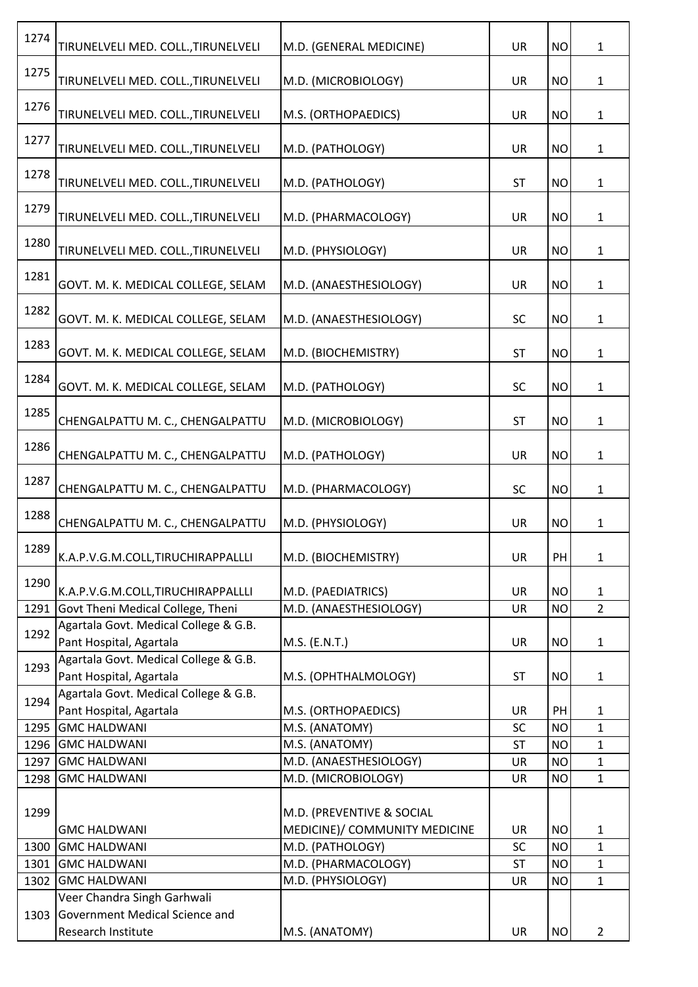| 1274 | TIRUNELVELI MED. COLL., TIRUNELVELI                              | M.D. (GENERAL MEDICINE)                                    | <b>UR</b> | <b>NO</b> | $1\,$          |
|------|------------------------------------------------------------------|------------------------------------------------------------|-----------|-----------|----------------|
| 1275 | TIRUNELVELI MED. COLL., TIRUNELVELI                              | M.D. (MICROBIOLOGY)                                        | <b>UR</b> | <b>NO</b> | $\mathbf{1}$   |
| 1276 | TIRUNELVELI MED. COLL., TIRUNELVELI                              | M.S. (ORTHOPAEDICS)                                        | <b>UR</b> | <b>NO</b> | $\mathbf{1}$   |
| 1277 | TIRUNELVELI MED. COLL., TIRUNELVELI                              | M.D. (PATHOLOGY)                                           | <b>UR</b> | <b>NO</b> | $\mathbf{1}$   |
| 1278 | TIRUNELVELI MED. COLL., TIRUNELVELI                              | M.D. (PATHOLOGY)                                           | <b>ST</b> | <b>NO</b> | $\mathbf{1}$   |
| 1279 | TIRUNELVELI MED. COLL., TIRUNELVELI                              | M.D. (PHARMACOLOGY)                                        | <b>UR</b> | <b>NO</b> | $\mathbf{1}$   |
| 1280 | TIRUNELVELI MED. COLL., TIRUNELVELI                              | M.D. (PHYSIOLOGY)                                          | <b>UR</b> | <b>NO</b> | $\mathbf{1}$   |
| 1281 | GOVT. M. K. MEDICAL COLLEGE, SELAM                               | M.D. (ANAESTHESIOLOGY)                                     | <b>UR</b> | <b>NO</b> | $\mathbf{1}$   |
| 1282 | GOVT. M. K. MEDICAL COLLEGE, SELAM                               | M.D. (ANAESTHESIOLOGY)                                     | <b>SC</b> | <b>NO</b> | $\mathbf{1}$   |
| 1283 | GOVT. M. K. MEDICAL COLLEGE, SELAM                               | M.D. (BIOCHEMISTRY)                                        | <b>ST</b> | <b>NO</b> | $\mathbf{1}$   |
| 1284 | GOVT. M. K. MEDICAL COLLEGE, SELAM                               | M.D. (PATHOLOGY)                                           | <b>SC</b> | <b>NO</b> | $\mathbf{1}$   |
| 1285 | CHENGALPATTU M. C., CHENGALPATTU                                 | M.D. (MICROBIOLOGY)                                        | <b>ST</b> | <b>NO</b> | $\mathbf{1}$   |
| 1286 | CHENGALPATTU M. C., CHENGALPATTU                                 | M.D. (PATHOLOGY)                                           | <b>UR</b> | <b>NO</b> | $\mathbf{1}$   |
| 1287 | CHENGALPATTU M. C., CHENGALPATTU                                 | M.D. (PHARMACOLOGY)                                        | <b>SC</b> | <b>NO</b> | $\mathbf{1}$   |
| 1288 | CHENGALPATTU M. C., CHENGALPATTU                                 | M.D. (PHYSIOLOGY)                                          | <b>UR</b> | <b>NO</b> | $\mathbf{1}$   |
| 1289 | K.A.P.V.G.M.COLL,TIRUCHIRAPPALLLI                                | M.D. (BIOCHEMISTRY)                                        | <b>UR</b> | PH        | $\mathbf{1}$   |
| 1290 | K.A.P.V.G.M.COLL,TIRUCHIRAPPALLLI                                | M.D. (PAEDIATRICS)                                         | <b>UR</b> | <b>NO</b> | $\mathbf{1}$   |
| 1291 | Govt Theni Medical College, Theni                                | M.D. (ANAESTHESIOLOGY)                                     | UR        | <b>NO</b> | $2^{\circ}$    |
| 1292 | Agartala Govt. Medical College & G.B.                            |                                                            |           |           |                |
|      | Pant Hospital, Agartala                                          | M.S. (E.N.T.)                                              | UR        | <b>NO</b> | $\mathbf{1}$   |
| 1293 | Agartala Govt. Medical College & G.B.<br>Pant Hospital, Agartala | M.S. (OPHTHALMOLOGY)                                       | <b>ST</b> | <b>NO</b> | 1              |
| 1294 | Agartala Govt. Medical College & G.B.<br>Pant Hospital, Agartala | M.S. (ORTHOPAEDICS)                                        | <b>UR</b> | PH        | $\mathbf{1}$   |
| 1295 | <b>GMC HALDWANI</b>                                              | M.S. (ANATOMY)                                             | SC        | <b>NO</b> | $\mathbf{1}$   |
| 1296 | <b>GMC HALDWANI</b>                                              | M.S. (ANATOMY)                                             | <b>ST</b> | <b>NO</b> | $\mathbf{1}$   |
| 1297 | <b>GMC HALDWANI</b>                                              | M.D. (ANAESTHESIOLOGY)                                     | UR        | <b>NO</b> | $\mathbf{1}$   |
| 1298 | <b>GMC HALDWANI</b>                                              | M.D. (MICROBIOLOGY)                                        | <b>UR</b> | <b>NO</b> | $\mathbf{1}$   |
| 1299 | <b>GMC HALDWANI</b>                                              | M.D. (PREVENTIVE & SOCIAL<br>MEDICINE)/ COMMUNITY MEDICINE | <b>UR</b> | <b>NO</b> | $\mathbf{1}$   |
| 1300 | <b>GMC HALDWANI</b>                                              | M.D. (PATHOLOGY)                                           | SC        | <b>NO</b> | $\mathbf{1}$   |
| 1301 | <b>GMC HALDWANI</b>                                              | M.D. (PHARMACOLOGY)                                        | <b>ST</b> | <b>NO</b> | $\mathbf{1}$   |
| 1302 | <b>GMC HALDWANI</b>                                              | M.D. (PHYSIOLOGY)                                          | UR        | <b>NO</b> | $\mathbf{1}$   |
|      | Veer Chandra Singh Garhwali                                      |                                                            |           |           |                |
| 1303 | Government Medical Science and                                   |                                                            |           |           |                |
|      | Research Institute                                               | M.S. (ANATOMY)                                             | UR        | <b>NO</b> | $\overline{2}$ |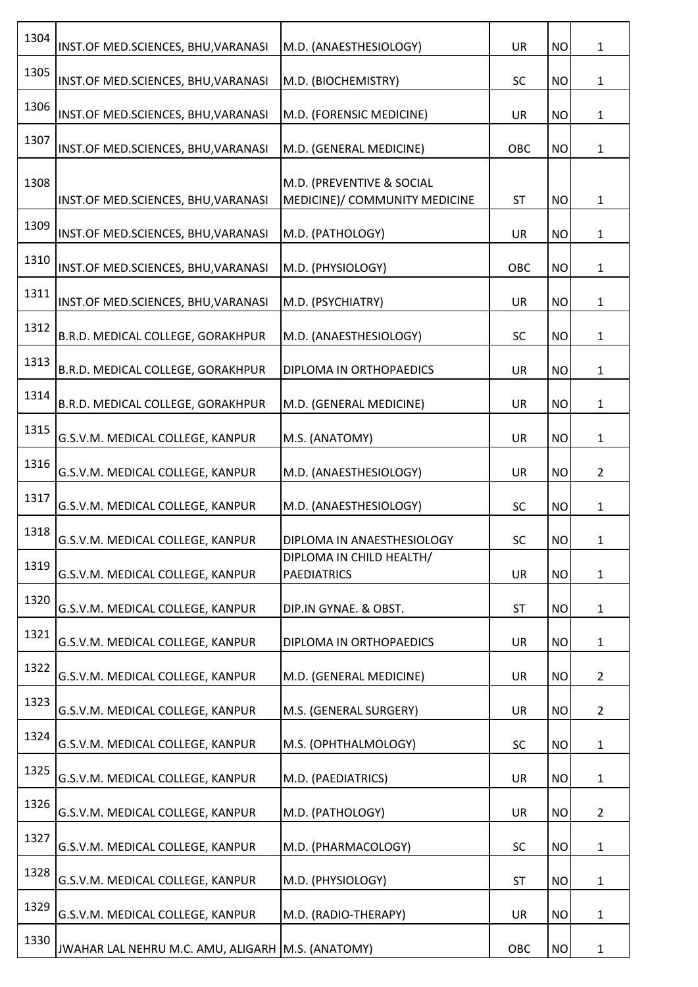| 1304 | INST.OF MED.SCIENCES, BHU, VARANASI               | M.D. (ANAESTHESIOLOGY)                         | <b>UR</b> | <b>NO</b> | $\mathbf{1}$   |
|------|---------------------------------------------------|------------------------------------------------|-----------|-----------|----------------|
| 1305 | INST.OF MED.SCIENCES, BHU, VARANASI               | M.D. (BIOCHEMISTRY)                            | SC        | <b>NO</b> | $\mathbf{1}$   |
| 1306 | INST.OF MED.SCIENCES, BHU, VARANASI               | M.D. (FORENSIC MEDICINE)                       | <b>UR</b> | <b>NO</b> | $\mathbf{1}$   |
| 1307 | INST.OF MED.SCIENCES, BHU, VARANASI               | M.D. (GENERAL MEDICINE)                        | OBC       | <b>NO</b> | $\mathbf{1}$   |
| 1308 |                                                   | M.D. (PREVENTIVE & SOCIAL                      |           |           |                |
|      | INST.OF MED.SCIENCES, BHU, VARANASI               | MEDICINE)/ COMMUNITY MEDICINE                  | <b>ST</b> | <b>NO</b> | $\mathbf{1}$   |
| 1309 | INST.OF MED.SCIENCES, BHU, VARANASI               | M.D. (PATHOLOGY)                               | <b>UR</b> | <b>NO</b> | $\mathbf{1}$   |
| 1310 | INST.OF MED.SCIENCES, BHU, VARANASI               | M.D. (PHYSIOLOGY)                              | OBC       | <b>NO</b> | $\mathbf{1}$   |
| 1311 | INST.OF MED.SCIENCES, BHU, VARANASI               | M.D. (PSYCHIATRY)                              | <b>UR</b> | <b>NO</b> | $\mathbf{1}$   |
| 1312 | B.R.D. MEDICAL COLLEGE, GORAKHPUR                 | M.D. (ANAESTHESIOLOGY)                         | SC        | <b>NO</b> | $\mathbf{1}$   |
| 1313 | B.R.D. MEDICAL COLLEGE, GORAKHPUR                 | DIPLOMA IN ORTHOPAEDICS                        | <b>UR</b> | <b>NO</b> | $\mathbf{1}$   |
| 1314 | B.R.D. MEDICAL COLLEGE, GORAKHPUR                 | M.D. (GENERAL MEDICINE)                        | <b>UR</b> | <b>NO</b> | $\mathbf{1}$   |
| 1315 | G.S.V.M. MEDICAL COLLEGE, KANPUR                  | M.S. (ANATOMY)                                 | <b>UR</b> | <b>NO</b> | $\mathbf{1}$   |
| 1316 | G.S.V.M. MEDICAL COLLEGE, KANPUR                  | M.D. (ANAESTHESIOLOGY)                         | <b>UR</b> | <b>NO</b> | $\overline{2}$ |
| 1317 | G.S.V.M. MEDICAL COLLEGE, KANPUR                  | M.D. (ANAESTHESIOLOGY)                         | <b>SC</b> | <b>NO</b> | $\mathbf{1}$   |
| 1318 | G.S.V.M. MEDICAL COLLEGE, KANPUR                  | DIPLOMA IN ANAESTHESIOLOGY                     | <b>SC</b> | <b>NO</b> | 1              |
| 1319 | G.S.V.M. MEDICAL COLLEGE, KANPUR                  | DIPLOMA IN CHILD HEALTH/<br><b>PAEDIATRICS</b> | <b>UR</b> | <b>NO</b> | $\mathbf{1}$   |
| 1320 | G.S.V.M. MEDICAL COLLEGE, KANPUR                  | DIP.IN GYNAE. & OBST.                          | <b>ST</b> | <b>NO</b> | $\mathbf{1}$   |
| 1321 | G.S.V.M. MEDICAL COLLEGE, KANPUR                  |                                                | <b>UR</b> |           |                |
| 1322 |                                                   | DIPLOMA IN ORTHOPAEDICS                        |           | <b>NO</b> | $\mathbf{1}$   |
| 1323 | G.S.V.M. MEDICAL COLLEGE, KANPUR                  | M.D. (GENERAL MEDICINE)                        | <b>UR</b> | <b>NO</b> | $\overline{2}$ |
| 1324 | G.S.V.M. MEDICAL COLLEGE, KANPUR                  | M.S. (GENERAL SURGERY)                         | <b>UR</b> | <b>NO</b> | $\overline{2}$ |
|      | G.S.V.M. MEDICAL COLLEGE, KANPUR                  | M.S. (OPHTHALMOLOGY)                           | <b>SC</b> | <b>NO</b> | $\mathbf{1}$   |
| 1325 | G.S.V.M. MEDICAL COLLEGE, KANPUR                  | M.D. (PAEDIATRICS)                             | <b>UR</b> | <b>NO</b> | $\mathbf{1}$   |
| 1326 | G.S.V.M. MEDICAL COLLEGE, KANPUR                  | M.D. (PATHOLOGY)                               | <b>UR</b> | <b>NO</b> | $\overline{2}$ |
| 1327 | G.S.V.M. MEDICAL COLLEGE, KANPUR                  | M.D. (PHARMACOLOGY)                            | <b>SC</b> | <b>NO</b> | $\mathbf 1$    |
| 1328 | G.S.V.M. MEDICAL COLLEGE, KANPUR                  | M.D. (PHYSIOLOGY)                              | <b>ST</b> | <b>NO</b> | $\mathbf{1}$   |
| 1329 | G.S.V.M. MEDICAL COLLEGE, KANPUR                  | M.D. (RADIO-THERAPY)                           | <b>UR</b> | <b>NO</b> | $\mathbf{1}$   |
| 1330 | JWAHAR LAL NEHRU M.C. AMU, ALIGARH M.S. (ANATOMY) |                                                | OBC       | <b>NO</b> | 1              |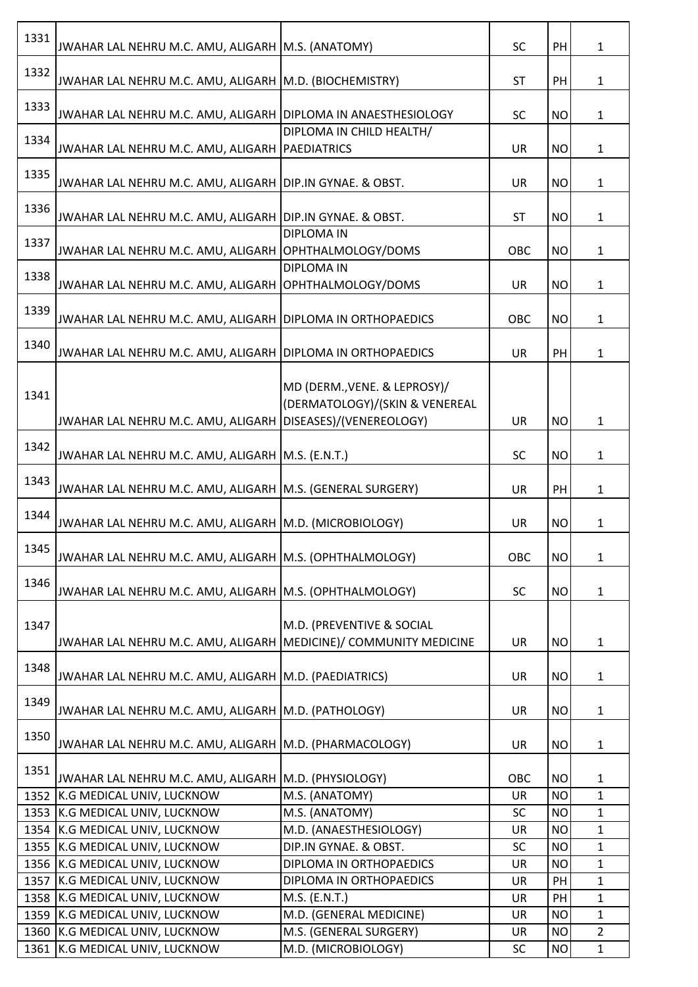| 1331 | JWAHAR LAL NEHRU M.C. AMU, ALIGARH M.S. (ANATOMY)                |                                                                | <b>SC</b> | PH        | $\mathbf{1}$   |
|------|------------------------------------------------------------------|----------------------------------------------------------------|-----------|-----------|----------------|
| 1332 | JWAHAR LAL NEHRU M.C. AMU, ALIGARH   M.D. (BIOCHEMISTRY)         |                                                                | <b>ST</b> | PH        | $\mathbf{1}$   |
| 1333 | JWAHAR LAL NEHRU M.C. AMU, ALIGARH DIPLOMA IN ANAESTHESIOLOGY    |                                                                | <b>SC</b> | <b>NO</b> | $\mathbf{1}$   |
|      |                                                                  | DIPLOMA IN CHILD HEALTH/                                       |           |           |                |
| 1334 | JWAHAR LAL NEHRU M.C. AMU, ALIGARH   PAEDIATRICS                 |                                                                | UR        | <b>NO</b> | $\mathbf{1}$   |
| 1335 | JWAHAR LAL NEHRU M.C. AMU, ALIGARH DIP.IN GYNAE. & OBST.         |                                                                | UR        | <b>NO</b> | $\mathbf{1}$   |
| 1336 | JWAHAR LAL NEHRU M.C. AMU, ALIGARH DIP.IN GYNAE. & OBST.         |                                                                | <b>ST</b> | <b>NO</b> | $\mathbf{1}$   |
| 1337 | JWAHAR LAL NEHRU M.C. AMU, ALIGARH OPHTHALMOLOGY/DOMS            | <b>DIPLOMA IN</b>                                              | OBC       | <b>NO</b> | $\mathbf{1}$   |
| 1338 | JWAHAR LAL NEHRU M.C. AMU, ALIGARH OPHTHALMOLOGY/DOMS            | <b>DIPLOMA IN</b>                                              | <b>UR</b> | <b>NO</b> | $\mathbf{1}$   |
| 1339 | JWAHAR LAL NEHRU M.C. AMU, ALIGARH DIPLOMA IN ORTHOPAEDICS       |                                                                | OBC       | <b>NO</b> | $\mathbf{1}$   |
| 1340 | JWAHAR LAL NEHRU M.C. AMU, ALIGARH DIPLOMA IN ORTHOPAEDICS       |                                                                | UR        | PH        | $\mathbf{1}$   |
| 1341 | JWAHAR LAL NEHRU M.C. AMU, ALIGARH DISEASES)/(VENEREOLOGY)       | MD (DERM., VENE. & LEPROSY)/<br>(DERMATOLOGY)/(SKIN & VENEREAL | <b>UR</b> | <b>NO</b> | $\mathbf{1}$   |
| 1342 | JWAHAR LAL NEHRU M.C. AMU, ALIGARH M.S. (E.N.T.)                 |                                                                | <b>SC</b> | <b>NO</b> | $\mathbf{1}$   |
|      |                                                                  |                                                                |           |           |                |
| 1343 | JWAHAR LAL NEHRU M.C. AMU, ALIGARH   M.S. (GENERAL SURGERY)      |                                                                | UR        | PH        | $\mathbf{1}$   |
| 1344 | JWAHAR LAL NEHRU M.C. AMU, ALIGARH M.D. (MICROBIOLOGY)           |                                                                | UR        | <b>NO</b> | $\mathbf{1}$   |
| 1345 | JWAHAR LAL NEHRU M.C. AMU, ALIGARH M.S. (OPHTHALMOLOGY)          |                                                                | OBC       | <b>NO</b> | $\mathbf{1}$   |
| 1346 | JWAHAR LAL NEHRU M.C. AMU, ALIGARH M.S. (OPHTHALMOLOGY)          |                                                                | <b>SC</b> | <b>NO</b> | $\mathbf{1}$   |
| 1347 | JWAHAR LAL NEHRU M.C. AMU, ALIGARH MEDICINE)/ COMMUNITY MEDICINE | M.D. (PREVENTIVE & SOCIAL                                      | <b>UR</b> | <b>NO</b> | $\mathbf{1}$   |
| 1348 | JWAHAR LAL NEHRU M.C. AMU, ALIGARH M.D. (PAEDIATRICS)            |                                                                | UR        | <b>NO</b> | $\mathbf{1}$   |
| 1349 | JWAHAR LAL NEHRU M.C. AMU, ALIGARH M.D. (PATHOLOGY)              |                                                                | UR        | <b>NO</b> | $\mathbf{1}$   |
| 1350 | JWAHAR LAL NEHRU M.C. AMU, ALIGARH M.D. (PHARMACOLOGY)           |                                                                | UR        | <b>NO</b> | $\mathbf{1}$   |
| 1351 | JWAHAR LAL NEHRU M.C. AMU, ALIGARH M.D. (PHYSIOLOGY)             |                                                                | OBC       | <b>NO</b> | $\mathbf{1}$   |
|      | 1352 K.G MEDICAL UNIV, LUCKNOW                                   | M.S. (ANATOMY)                                                 | UR        | <b>NO</b> | $\mathbf{1}$   |
|      | 1353 K.G MEDICAL UNIV, LUCKNOW                                   | M.S. (ANATOMY)                                                 | SC        | <b>NO</b> | $\mathbf{1}$   |
|      | 1354 K.G MEDICAL UNIV, LUCKNOW                                   | M.D. (ANAESTHESIOLOGY)                                         | UR        | <b>NO</b> | $\mathbf{1}$   |
|      | 1355 K.G MEDICAL UNIV, LUCKNOW                                   | DIP.IN GYNAE. & OBST.                                          | SC        | <b>NO</b> | $\mathbf{1}$   |
|      | 1356 K.G MEDICAL UNIV, LUCKNOW                                   | DIPLOMA IN ORTHOPAEDICS                                        | UR        | <b>NO</b> | $1\,$          |
|      | 1357 K.G MEDICAL UNIV, LUCKNOW                                   | DIPLOMA IN ORTHOPAEDICS                                        | <b>UR</b> | PH        | $\mathbf{1}$   |
|      | 1358 K.G MEDICAL UNIV, LUCKNOW                                   | $M.S.$ (E.N.T.)                                                | UR        | PH        | $\mathbf{1}$   |
|      | 1359 K.G MEDICAL UNIV, LUCKNOW                                   | M.D. (GENERAL MEDICINE)                                        | UR        | <b>NO</b> | $1\,$          |
|      | 1360 K.G MEDICAL UNIV, LUCKNOW                                   | M.S. (GENERAL SURGERY)                                         | UR        | <b>NO</b> | $\overline{2}$ |
|      | 1361 K.G MEDICAL UNIV, LUCKNOW                                   | M.D. (MICROBIOLOGY)                                            | <b>SC</b> | <b>NO</b> | $\mathbf{1}$   |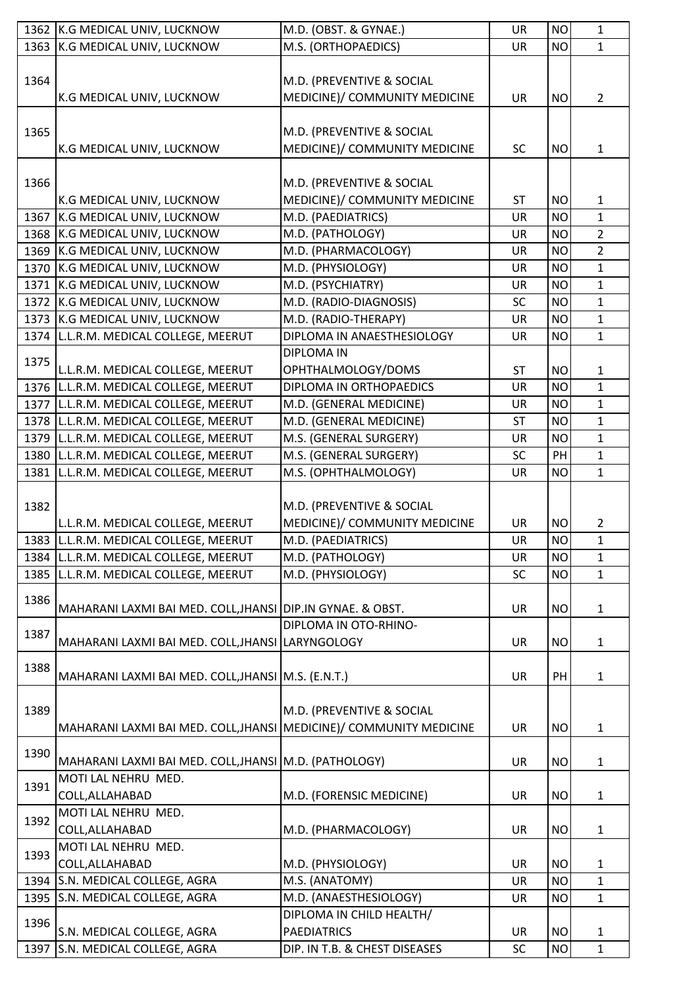|      | 1362 K.G MEDICAL UNIV, LUCKNOW                                      | M.D. (OBST. & GYNAE.)                               | <b>UR</b>              | <b>NO</b>              | $\mathbf{1}$                 |
|------|---------------------------------------------------------------------|-----------------------------------------------------|------------------------|------------------------|------------------------------|
| 1363 | K.G MEDICAL UNIV, LUCKNOW                                           | M.S. (ORTHOPAEDICS)                                 | <b>UR</b>              | <b>NO</b>              | $\mathbf{1}$                 |
|      |                                                                     |                                                     |                        |                        |                              |
| 1364 |                                                                     | M.D. (PREVENTIVE & SOCIAL                           |                        |                        |                              |
|      | K.G MEDICAL UNIV, LUCKNOW                                           | MEDICINE)/ COMMUNITY MEDICINE                       | <b>UR</b>              | <b>NO</b>              | $\overline{2}$               |
|      |                                                                     |                                                     |                        |                        |                              |
|      |                                                                     |                                                     |                        |                        |                              |
| 1365 |                                                                     | M.D. (PREVENTIVE & SOCIAL                           |                        |                        |                              |
|      | K.G MEDICAL UNIV, LUCKNOW                                           | MEDICINE)/ COMMUNITY MEDICINE                       | <b>SC</b>              | <b>NO</b>              | $\mathbf{1}$                 |
|      |                                                                     |                                                     |                        |                        |                              |
| 1366 |                                                                     | M.D. (PREVENTIVE & SOCIAL                           |                        |                        |                              |
|      | K.G MEDICAL UNIV, LUCKNOW                                           | MEDICINE)/ COMMUNITY MEDICINE                       | <b>ST</b>              | <b>NO</b>              | $\mathbf{1}$                 |
| 1367 | K.G MEDICAL UNIV, LUCKNOW                                           | M.D. (PAEDIATRICS)                                  | <b>UR</b>              | <b>NO</b>              | $\mathbf{1}$                 |
|      | 1368 K.G MEDICAL UNIV, LUCKNOW                                      | M.D. (PATHOLOGY)                                    | <b>UR</b>              | <b>NO</b>              | $\overline{2}$               |
|      | 1369 K.G MEDICAL UNIV, LUCKNOW                                      | M.D. (PHARMACOLOGY)                                 | <b>UR</b>              | <b>NO</b>              | $\overline{2}$               |
|      | 1370 K.G MEDICAL UNIV, LUCKNOW                                      | M.D. (PHYSIOLOGY)                                   | <b>UR</b>              | <b>NO</b>              | $\mathbf{1}$                 |
|      | 1371 K.G MEDICAL UNIV, LUCKNOW                                      | M.D. (PSYCHIATRY)                                   | <b>UR</b>              | <b>NO</b>              | $\mathbf{1}$                 |
|      | 1372 K.G MEDICAL UNIV, LUCKNOW                                      | M.D. (RADIO-DIAGNOSIS)                              | SC                     | <b>NO</b>              | $\mathbf 1$                  |
|      | 1373 K.G MEDICAL UNIV, LUCKNOW                                      | M.D. (RADIO-THERAPY)                                | <b>UR</b>              | <b>NO</b>              | $\mathbf{1}$                 |
|      | 1374 L.L.R.M. MEDICAL COLLEGE, MEERUT                               | DIPLOMA IN ANAESTHESIOLOGY                          | <b>UR</b>              | <b>NO</b>              | $\mathbf{1}$                 |
|      |                                                                     |                                                     |                        |                        |                              |
| 1375 |                                                                     | <b>DIPLOMA IN</b>                                   |                        |                        |                              |
|      | L.L.R.M. MEDICAL COLLEGE, MEERUT                                    | OPHTHALMOLOGY/DOMS                                  | <b>ST</b>              | <b>NO</b>              | $\mathbf{1}$                 |
|      | 1376 L.L.R.M. MEDICAL COLLEGE, MEERUT                               | DIPLOMA IN ORTHOPAEDICS                             | UR                     | <b>NO</b>              | $\mathbf{1}$                 |
|      | 1377 L.L.R.M. MEDICAL COLLEGE, MEERUT                               | M.D. (GENERAL MEDICINE)                             | <b>UR</b>              | <b>NO</b>              | $\mathbf{1}$                 |
|      | 1378 L.L.R.M. MEDICAL COLLEGE, MEERUT                               | M.D. (GENERAL MEDICINE)                             | <b>ST</b>              | <b>NO</b>              | $\mathbf{1}$                 |
|      | 1379 L.L.R.M. MEDICAL COLLEGE, MEERUT                               | M.S. (GENERAL SURGERY)                              | <b>UR</b>              | <b>NO</b>              | $\mathbf{1}$                 |
|      | 1380 L.L.R.M. MEDICAL COLLEGE, MEERUT                               | M.S. (GENERAL SURGERY)                              | <b>SC</b>              | PH                     | $\mathbf{1}$                 |
| 1381 | L.L.R.M. MEDICAL COLLEGE, MEERUT                                    | M.S. (OPHTHALMOLOGY)                                | <b>UR</b>              | <b>NO</b>              | $\mathbf{1}$                 |
|      |                                                                     |                                                     |                        |                        |                              |
| 1382 |                                                                     | M.D. (PREVENTIVE & SOCIAL                           |                        |                        |                              |
|      | L.L.R.M. MEDICAL COLLEGE, MEERUT                                    | MEDICINE)/ COMMUNITY MEDICINE                       | <b>UR</b>              | <b>NO</b>              | 2                            |
|      | 1383 L.L.R.M. MEDICAL COLLEGE, MEERUT                               | M.D. (PAEDIATRICS)                                  | <b>UR</b>              | <b>NO</b>              | $\mathbf{1}$                 |
|      | 1384 L.L.R.M. MEDICAL COLLEGE, MEERUT                               | M.D. (PATHOLOGY)                                    | <b>UR</b>              | <b>NO</b>              | $\mathbf{1}$                 |
|      |                                                                     |                                                     |                        |                        | $\mathbf{1}$                 |
| 1385 | L.L.R.M. MEDICAL COLLEGE, MEERUT                                    | M.D. (PHYSIOLOGY)                                   | <b>SC</b>              | <b>NO</b>              |                              |
| 1386 |                                                                     |                                                     |                        |                        |                              |
|      | MAHARANI LAXMI BAI MED. COLL, JHANSI DIP.IN GYNAE. & OBST.          |                                                     | <b>UR</b>              | <b>NO</b>              | $\mathbf{1}$                 |
| 1387 |                                                                     | DIPLOMA IN OTO-RHINO-                               |                        |                        |                              |
|      | MAHARANI LAXMI BAI MED. COLL, JHANSI LARYNGOLOGY                    |                                                     | <b>UR</b>              | <b>NO</b>              | 1                            |
| 1388 |                                                                     |                                                     |                        |                        |                              |
|      | MAHARANI LAXMI BAI MED. COLL, JHANSI M.S. (E.N.T.)                  |                                                     | <b>UR</b>              | PH                     | $\mathbf{1}$                 |
|      |                                                                     |                                                     |                        |                        |                              |
| 1389 |                                                                     | M.D. (PREVENTIVE & SOCIAL                           |                        |                        |                              |
|      | MAHARANI LAXMI BAI MED. COLL, JHANSI MEDICINE) / COMMUNITY MEDICINE |                                                     | <b>UR</b>              | <b>NO</b>              | $\mathbf{1}$                 |
|      |                                                                     |                                                     |                        |                        |                              |
| 1390 | MAHARANI LAXMI BAI MED. COLL, JHANSI M.D. (PATHOLOGY)               |                                                     | <b>UR</b>              | <b>NO</b>              | $\mathbf{1}$                 |
|      | MOTI LAL NEHRU MED.                                                 |                                                     |                        |                        |                              |
| 1391 |                                                                     |                                                     |                        |                        |                              |
|      | COLL, ALLAHABAD                                                     | M.D. (FORENSIC MEDICINE)                            | <b>UR</b>              | <b>NO</b>              | $\mathbf{1}$                 |
| 1392 | MOTI LAL NEHRU MED.                                                 |                                                     |                        |                        |                              |
|      | COLL, ALLAHABAD                                                     | M.D. (PHARMACOLOGY)                                 | <b>UR</b>              | <b>NO</b>              | $\mathbf{1}$                 |
| 1393 | MOTI LAL NEHRU MED.                                                 |                                                     |                        |                        |                              |
|      | COLL, ALLAHABAD                                                     | M.D. (PHYSIOLOGY)                                   | UR                     | <b>NO</b>              | $\mathbf{1}$                 |
| 1394 | S.N. MEDICAL COLLEGE, AGRA                                          | M.S. (ANATOMY)                                      | <b>UR</b>              | <b>NO</b>              | $\mathbf{1}$                 |
|      |                                                                     |                                                     |                        |                        |                              |
| 1395 | S.N. MEDICAL COLLEGE, AGRA                                          | M.D. (ANAESTHESIOLOGY)                              | <b>UR</b>              | <b>NO</b>              | $\mathbf{1}$                 |
|      |                                                                     | DIPLOMA IN CHILD HEALTH/                            |                        |                        |                              |
| 1396 |                                                                     |                                                     |                        |                        |                              |
| 1397 | S.N. MEDICAL COLLEGE, AGRA<br>S.N. MEDICAL COLLEGE, AGRA            | <b>PAEDIATRICS</b><br>DIP. IN T.B. & CHEST DISEASES | <b>UR</b><br><b>SC</b> | <b>NO</b><br><b>NO</b> | $\mathbf{1}$<br>$\mathbf{1}$ |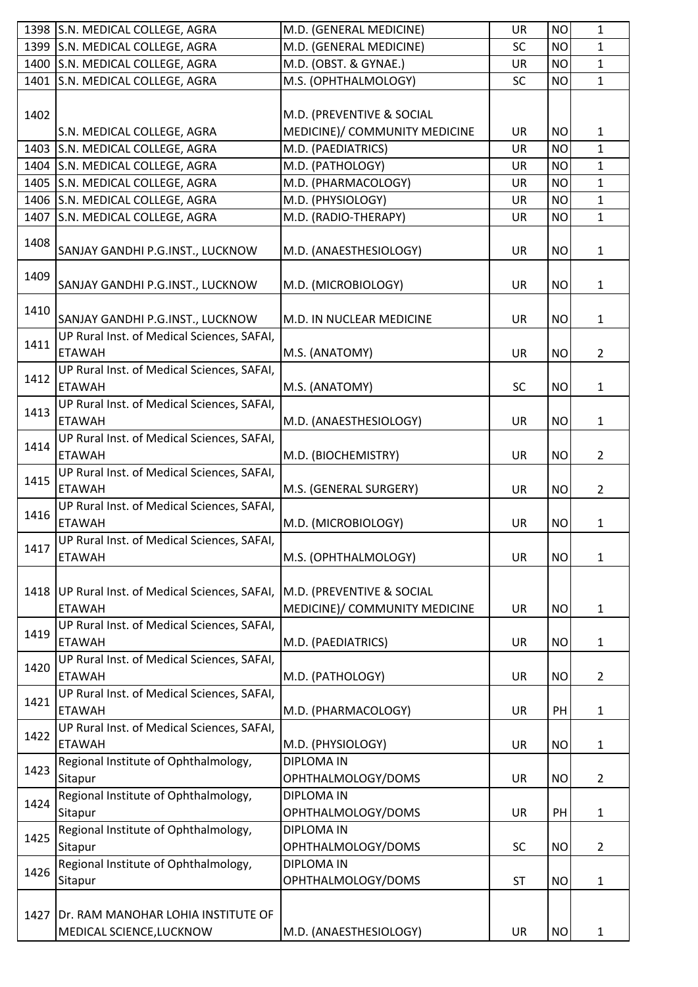|      | 1398 S.N. MEDICAL COLLEGE, AGRA                                | M.D. (GENERAL MEDICINE)                                    | UR        | <b>NO</b> | $\mathbf{1}$   |
|------|----------------------------------------------------------------|------------------------------------------------------------|-----------|-----------|----------------|
| 1399 | S.N. MEDICAL COLLEGE, AGRA                                     | M.D. (GENERAL MEDICINE)                                    | SC        | <b>NO</b> | $\mathbf{1}$   |
| 1400 | S.N. MEDICAL COLLEGE, AGRA                                     | M.D. (OBST. & GYNAE.)                                      | <b>UR</b> | <b>NO</b> | $\mathbf{1}$   |
| 1401 | S.N. MEDICAL COLLEGE, AGRA                                     | M.S. (OPHTHALMOLOGY)                                       | <b>SC</b> | <b>NO</b> | $\mathbf{1}$   |
|      |                                                                |                                                            |           |           |                |
| 1402 |                                                                | M.D. (PREVENTIVE & SOCIAL                                  |           |           |                |
|      | S.N. MEDICAL COLLEGE, AGRA                                     | MEDICINE)/ COMMUNITY MEDICINE                              | <b>UR</b> | <b>NO</b> | $\mathbf{1}$   |
| 1403 | S.N. MEDICAL COLLEGE, AGRA                                     | M.D. (PAEDIATRICS)                                         | UR        | <b>NO</b> | 1              |
| 1404 | S.N. MEDICAL COLLEGE, AGRA                                     | M.D. (PATHOLOGY)                                           | <b>UR</b> | <b>NO</b> | $\mathbf{1}$   |
| 1405 | S.N. MEDICAL COLLEGE, AGRA                                     | M.D. (PHARMACOLOGY)                                        | UR        | <b>NO</b> | $\mathbf{1}$   |
|      | 1406 S.N. MEDICAL COLLEGE, AGRA                                | M.D. (PHYSIOLOGY)                                          | <b>UR</b> | <b>NO</b> | $\mathbf{1}$   |
| 1407 | S.N. MEDICAL COLLEGE, AGRA                                     | M.D. (RADIO-THERAPY)                                       | <b>UR</b> | <b>NO</b> | $\mathbf{1}$   |
| 1408 | SANJAY GANDHI P.G.INST., LUCKNOW                               | M.D. (ANAESTHESIOLOGY)                                     | <b>UR</b> | <b>NO</b> | $\mathbf{1}$   |
| 1409 | SANJAY GANDHI P.G.INST., LUCKNOW                               | M.D. (MICROBIOLOGY)                                        | <b>UR</b> | <b>NO</b> | 1              |
| 1410 | SANJAY GANDHI P.G.INST., LUCKNOW                               | M.D. IN NUCLEAR MEDICINE                                   | <b>UR</b> | <b>NO</b> | 1              |
| 1411 | UP Rural Inst. of Medical Sciences, SAFAI,<br><b>ETAWAH</b>    | M.S. (ANATOMY)                                             | UR        | <b>NO</b> | $\overline{2}$ |
| 1412 | UP Rural Inst. of Medical Sciences, SAFAI,<br><b>ETAWAH</b>    | M.S. (ANATOMY)                                             | <b>SC</b> | <b>NO</b> | $\mathbf{1}$   |
| 1413 | UP Rural Inst. of Medical Sciences, SAFAI,<br><b>ETAWAH</b>    | M.D. (ANAESTHESIOLOGY)                                     | <b>UR</b> | <b>NO</b> | $\mathbf{1}$   |
| 1414 | UP Rural Inst. of Medical Sciences, SAFAI,<br><b>ETAWAH</b>    | M.D. (BIOCHEMISTRY)                                        | <b>UR</b> | <b>NO</b> | $\overline{2}$ |
| 1415 | UP Rural Inst. of Medical Sciences, SAFAI,<br><b>ETAWAH</b>    | M.S. (GENERAL SURGERY)                                     | <b>UR</b> | <b>NO</b> | $\overline{2}$ |
| 1416 | UP Rural Inst. of Medical Sciences, SAFAI,<br><b>ETAWAH</b>    | M.D. (MICROBIOLOGY)                                        | UR        | <b>NO</b> | 1              |
| 1417 | UP Rural Inst. of Medical Sciences, SAFAI,<br><b>ETAWAH</b>    | M.S. (OPHTHALMOLOGY)                                       | <b>UR</b> | <b>NO</b> | $\mathbf{1}$   |
| 1418 | UP Rural Inst. of Medical Sciences, SAFAI,<br><b>ETAWAH</b>    | M.D. (PREVENTIVE & SOCIAL<br>MEDICINE)/ COMMUNITY MEDICINE | <b>UR</b> | <b>NO</b> | 1              |
| 1419 | UP Rural Inst. of Medical Sciences, SAFAI,<br><b>ETAWAH</b>    | M.D. (PAEDIATRICS)                                         | <b>UR</b> | <b>NO</b> | $\mathbf{1}$   |
| 1420 | UP Rural Inst. of Medical Sciences, SAFAI,<br><b>ETAWAH</b>    | M.D. (PATHOLOGY)                                           | UR        | <b>NO</b> | $\overline{2}$ |
| 1421 | UP Rural Inst. of Medical Sciences, SAFAI,<br><b>ETAWAH</b>    | M.D. (PHARMACOLOGY)                                        | UR        | PH        | $\mathbf{1}$   |
| 1422 | UP Rural Inst. of Medical Sciences, SAFAI,<br><b>ETAWAH</b>    | M.D. (PHYSIOLOGY)                                          | <b>UR</b> | <b>NO</b> | $\mathbf{1}$   |
| 1423 | Regional Institute of Ophthalmology,<br>Sitapur                | <b>DIPLOMA IN</b><br>OPHTHALMOLOGY/DOMS                    | <b>UR</b> | <b>NO</b> | $\overline{2}$ |
| 1424 | Regional Institute of Ophthalmology,<br>Sitapur                | <b>DIPLOMA IN</b><br>OPHTHALMOLOGY/DOMS                    | <b>UR</b> | PH        | $\mathbf{1}$   |
| 1425 | Regional Institute of Ophthalmology,<br>Sitapur                | <b>DIPLOMA IN</b><br>OPHTHALMOLOGY/DOMS                    | <b>SC</b> | <b>NO</b> | $\overline{2}$ |
| 1426 | Regional Institute of Ophthalmology,<br>Sitapur                | <b>DIPLOMA IN</b><br>OPHTHALMOLOGY/DOMS                    | <b>ST</b> | <b>NO</b> | $\mathbf{1}$   |
| 1427 | Dr. RAM MANOHAR LOHIA INSTITUTE OF<br>MEDICAL SCIENCE, LUCKNOW | M.D. (ANAESTHESIOLOGY)                                     | UR        | <b>NO</b> | 1              |
|      |                                                                |                                                            |           |           |                |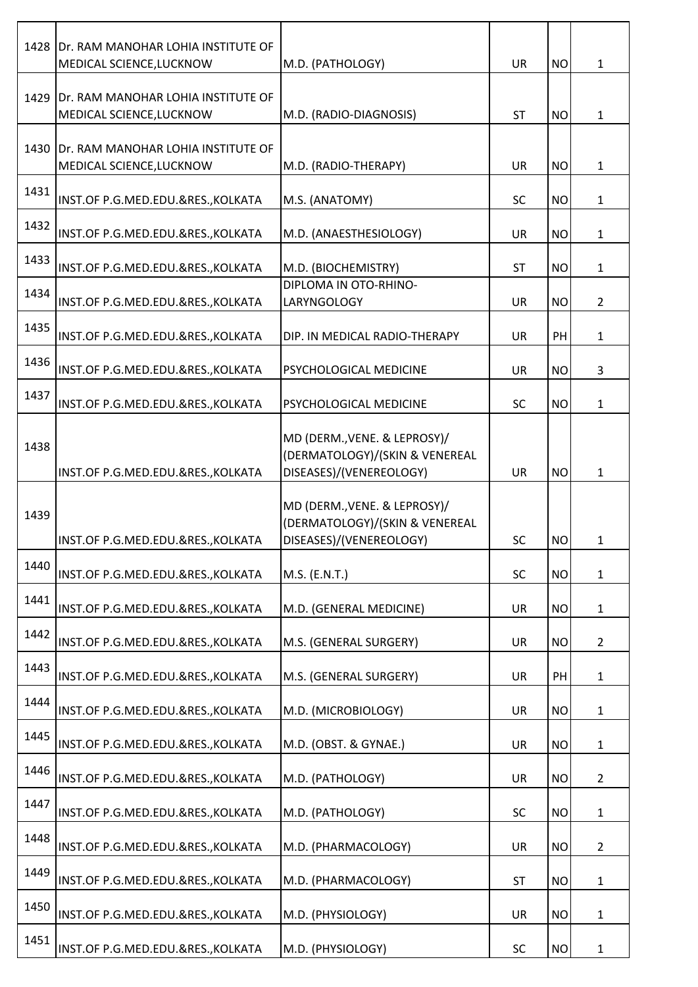|      | 1428 Dr. RAM MANOHAR LOHIA INSTITUTE OF<br>MEDICAL SCIENCE, LUCKNOW | M.D. (PATHOLOGY)                                                                          | <b>UR</b> | <b>NO</b> | $\mathbf{1}$   |
|------|---------------------------------------------------------------------|-------------------------------------------------------------------------------------------|-----------|-----------|----------------|
| 1429 | Dr. RAM MANOHAR LOHIA INSTITUTE OF<br>MEDICAL SCIENCE, LUCKNOW      | M.D. (RADIO-DIAGNOSIS)                                                                    | <b>ST</b> | <b>NO</b> | $\mathbf 1$    |
|      | 1430 Dr. RAM MANOHAR LOHIA INSTITUTE OF<br>MEDICAL SCIENCE, LUCKNOW | M.D. (RADIO-THERAPY)                                                                      | <b>UR</b> | <b>NO</b> | $\mathbf{1}$   |
| 1431 | INST.OF P.G.MED.EDU.&RES., KOLKATA                                  | M.S. (ANATOMY)                                                                            | <b>SC</b> | <b>NO</b> | $\mathbf{1}$   |
| 1432 | INST.OF P.G.MED.EDU.&RES., KOLKATA                                  | M.D. (ANAESTHESIOLOGY)                                                                    | <b>UR</b> | <b>NO</b> | $\mathbf{1}$   |
| 1433 | INST.OF P.G.MED.EDU.&RES., KOLKATA                                  | M.D. (BIOCHEMISTRY)                                                                       | <b>ST</b> | <b>NO</b> | $\mathbf{1}$   |
| 1434 | INST.OF P.G.MED.EDU.&RES., KOLKATA                                  | DIPLOMA IN OTO-RHINO-<br>LARYNGOLOGY                                                      | <b>UR</b> | <b>NO</b> | $\overline{2}$ |
| 1435 | INST.OF P.G.MED.EDU.&RES., KOLKATA                                  | DIP. IN MEDICAL RADIO-THERAPY                                                             | <b>UR</b> | PH        | $\mathbf{1}$   |
| 1436 | INST.OF P.G.MED.EDU.&RES., KOLKATA                                  | PSYCHOLOGICAL MEDICINE                                                                    | <b>UR</b> | <b>NO</b> | 3              |
| 1437 | INST.OF P.G.MED.EDU.&RES., KOLKATA                                  | PSYCHOLOGICAL MEDICINE                                                                    | <b>SC</b> | <b>NO</b> | $\mathbf{1}$   |
| 1438 | INST.OF P.G.MED.EDU.&RES., KOLKATA                                  | MD (DERM., VENE. & LEPROSY)/<br>(DERMATOLOGY)/(SKIN & VENEREAL<br>DISEASES)/(VENEREOLOGY) | <b>UR</b> | <b>NO</b> | 1              |
| 1439 | INST.OF P.G.MED.EDU.&RES., KOLKATA                                  | MD (DERM., VENE. & LEPROSY)/<br>(DERMATOLOGY)/(SKIN & VENEREAL<br>DISEASES)/(VENEREOLOGY) | SC        | <b>NO</b> | 1              |
| 1440 | INST.OF P.G.MED.EDU.&RES., KOLKATA                                  | M.S. (E.N.T.)                                                                             | SC        | <b>NO</b> | $\mathbf{1}$   |
| 1441 | INST.OF P.G.MED.EDU.&RES., KOLKATA                                  | M.D. (GENERAL MEDICINE)                                                                   | <b>UR</b> | <b>NO</b> | $\mathbf{1}$   |
| 1442 | INST.OF P.G.MED.EDU.&RES., KOLKATA                                  | M.S. (GENERAL SURGERY)                                                                    | <b>UR</b> | <b>NO</b> | $\overline{2}$ |
| 1443 | INST.OF P.G.MED.EDU.&RES., KOLKATA                                  | M.S. (GENERAL SURGERY)                                                                    | <b>UR</b> | PH        | $\mathbf{1}$   |
| 1444 | INST.OF P.G.MED.EDU.&RES., KOLKATA                                  | M.D. (MICROBIOLOGY)                                                                       | UR        | <b>NO</b> | $\mathbf{1}$   |
| 1445 | INST.OF P.G.MED.EDU.&RES., KOLKATA                                  | M.D. (OBST. & GYNAE.)                                                                     | UR        | <b>NO</b> | $\mathbf{1}$   |
| 1446 | INST.OF P.G.MED.EDU.&RES., KOLKATA                                  | M.D. (PATHOLOGY)                                                                          | <b>UR</b> | <b>NO</b> | $\overline{2}$ |
| 1447 | INST.OF P.G.MED.EDU.&RES., KOLKATA                                  | M.D. (PATHOLOGY)                                                                          | SC        | <b>NO</b> | $\mathbf{1}$   |
| 1448 | INST.OF P.G.MED.EDU.&RES., KOLKATA                                  | M.D. (PHARMACOLOGY)                                                                       | <b>UR</b> | <b>NO</b> | $\overline{2}$ |
| 1449 | INST.OF P.G.MED.EDU.&RES., KOLKATA                                  | M.D. (PHARMACOLOGY)                                                                       | <b>ST</b> | <b>NO</b> | $\mathbf{1}$   |
| 1450 | INST.OF P.G.MED.EDU.&RES., KOLKATA                                  | M.D. (PHYSIOLOGY)                                                                         | UR        | <b>NO</b> | $\mathbf{1}$   |
| 1451 | INST.OF P.G.MED.EDU.&RES., KOLKATA                                  | M.D. (PHYSIOLOGY)                                                                         | <b>SC</b> | <b>NO</b> | 1              |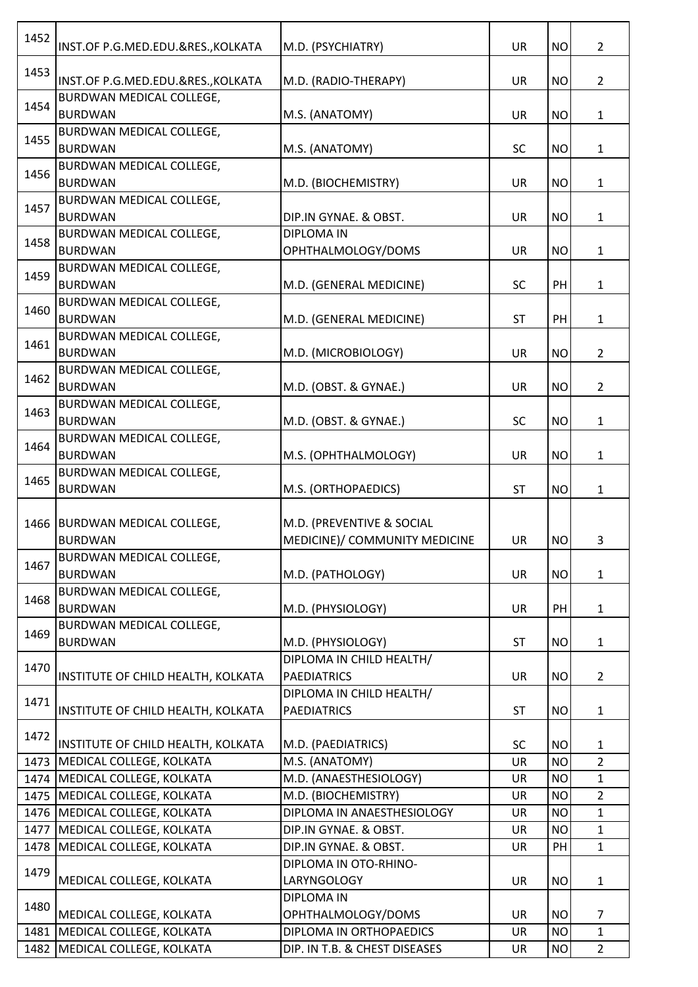| 1452 | INST.OF P.G.MED.EDU.&RES., KOLKATA | M.D. (PSYCHIATRY)             | <b>UR</b> | <b>NO</b> | $\overline{2}$ |
|------|------------------------------------|-------------------------------|-----------|-----------|----------------|
| 1453 | INST.OF P.G.MED.EDU.&RES., KOLKATA | M.D. (RADIO-THERAPY)          | UR        | <b>NO</b> | $\overline{2}$ |
|      | BURDWAN MEDICAL COLLEGE,           |                               |           |           |                |
| 1454 | <b>BURDWAN</b>                     | M.S. (ANATOMY)                | UR        | <b>NO</b> | $\mathbf{1}$   |
| 1455 | BURDWAN MEDICAL COLLEGE,           |                               |           |           |                |
|      | <b>BURDWAN</b>                     | M.S. (ANATOMY)                | <b>SC</b> | <b>NO</b> | $\mathbf{1}$   |
|      | BURDWAN MEDICAL COLLEGE,           |                               |           |           |                |
| 1456 | <b>BURDWAN</b>                     | M.D. (BIOCHEMISTRY)           | <b>UR</b> | <b>NO</b> | $\mathbf{1}$   |
|      | BURDWAN MEDICAL COLLEGE,           |                               |           |           |                |
| 1457 | <b>BURDWAN</b>                     | DIP.IN GYNAE. & OBST.         | UR        | <b>NO</b> | $\mathbf{1}$   |
| 1458 | BURDWAN MEDICAL COLLEGE,           | <b>DIPLOMA IN</b>             |           |           |                |
|      | <b>BURDWAN</b>                     | OPHTHALMOLOGY/DOMS            | <b>UR</b> | <b>NO</b> | $\mathbf{1}$   |
| 1459 | BURDWAN MEDICAL COLLEGE,           |                               |           |           |                |
|      | <b>BURDWAN</b>                     | M.D. (GENERAL MEDICINE)       | <b>SC</b> | PH        | 1              |
| 1460 | BURDWAN MEDICAL COLLEGE,           |                               |           |           |                |
|      | <b>BURDWAN</b>                     | M.D. (GENERAL MEDICINE)       | <b>ST</b> | PH        | $\mathbf{1}$   |
| 1461 | BURDWAN MEDICAL COLLEGE,           |                               |           |           |                |
|      | <b>BURDWAN</b>                     | M.D. (MICROBIOLOGY)           | <b>UR</b> | <b>NO</b> | $\overline{2}$ |
| 1462 | BURDWAN MEDICAL COLLEGE,           |                               |           |           |                |
|      | <b>BURDWAN</b>                     | M.D. (OBST. & GYNAE.)         | UR        | <b>NO</b> | $\overline{2}$ |
| 1463 | BURDWAN MEDICAL COLLEGE,           |                               |           |           |                |
|      | <b>BURDWAN</b>                     | M.D. (OBST. & GYNAE.)         | <b>SC</b> | <b>NO</b> | $\mathbf{1}$   |
| 1464 | BURDWAN MEDICAL COLLEGE,           |                               |           |           |                |
|      | <b>BURDWAN</b>                     | M.S. (OPHTHALMOLOGY)          | <b>UR</b> | <b>NO</b> | 1              |
| 1465 | BURDWAN MEDICAL COLLEGE,           |                               |           |           |                |
|      | <b>BURDWAN</b>                     | M.S. (ORTHOPAEDICS)           | <b>ST</b> | <b>NO</b> | $\mathbf{1}$   |
|      |                                    |                               |           |           |                |
|      | 1466 BURDWAN MEDICAL COLLEGE,      | M.D. (PREVENTIVE & SOCIAL     |           |           |                |
|      | <b>BURDWAN</b>                     | MEDICINE)/ COMMUNITY MEDICINE | <b>UR</b> | <b>NO</b> | 3              |
| 1467 | BURDWAN MEDICAL COLLEGE,           |                               |           |           |                |
|      | <b>BURDWAN</b>                     | M.D. (PATHOLOGY)              | <b>UR</b> | <b>NO</b> | $\mathbf{1}$   |
| 1468 | BURDWAN MEDICAL COLLEGE,           |                               |           |           |                |
|      | <b>BURDWAN</b>                     | M.D. (PHYSIOLOGY)             | <b>UR</b> | PH        | $\mathbf{1}$   |
| 1469 | BURDWAN MEDICAL COLLEGE,           |                               |           |           |                |
|      | <b>BURDWAN</b>                     | M.D. (PHYSIOLOGY)             | <b>ST</b> | <b>NO</b> | $\mathbf{1}$   |
| 1470 |                                    | DIPLOMA IN CHILD HEALTH/      |           |           |                |
|      | INSTITUTE OF CHILD HEALTH, KOLKATA | <b>PAEDIATRICS</b>            | <b>UR</b> | <b>NO</b> | $\overline{2}$ |
| 1471 |                                    | DIPLOMA IN CHILD HEALTH/      |           |           |                |
|      | INSTITUTE OF CHILD HEALTH, KOLKATA | <b>PAEDIATRICS</b>            | <b>ST</b> | <b>NO</b> | $\mathbf{1}$   |
| 1472 |                                    |                               |           |           |                |
|      | INSTITUTE OF CHILD HEALTH, KOLKATA | M.D. (PAEDIATRICS)            | SC        | <b>NO</b> | $\mathbf{1}$   |
|      | 1473   MEDICAL COLLEGE, KOLKATA    | M.S. (ANATOMY)                | UR        | <b>NO</b> | $\overline{2}$ |
|      | 1474 MEDICAL COLLEGE, KOLKATA      | M.D. (ANAESTHESIOLOGY)        | <b>UR</b> | <b>NO</b> | $\mathbf{1}$   |
|      | 1475   MEDICAL COLLEGE, KOLKATA    | M.D. (BIOCHEMISTRY)           | <b>UR</b> | <b>NO</b> | $\overline{2}$ |
|      | 1476   MEDICAL COLLEGE, KOLKATA    | DIPLOMA IN ANAESTHESIOLOGY    | <b>UR</b> | <b>NO</b> | $\mathbf{1}$   |
|      | 1477   MEDICAL COLLEGE, KOLKATA    | DIP.IN GYNAE. & OBST.         | <b>UR</b> | <b>NO</b> | $\mathbf{1}$   |
| 1478 | MEDICAL COLLEGE, KOLKATA           | DIP.IN GYNAE. & OBST.         | <b>UR</b> | PH        | $\mathbf{1}$   |
| 1479 |                                    | DIPLOMA IN OTO-RHINO-         |           |           |                |
|      | MEDICAL COLLEGE, KOLKATA           | LARYNGOLOGY                   | UR        | <b>NO</b> | $\mathbf{1}$   |
| 1480 |                                    | <b>DIPLOMA IN</b>             |           |           |                |
|      | MEDICAL COLLEGE, KOLKATA           | OPHTHALMOLOGY/DOMS            | <b>UR</b> | <b>NO</b> | 7              |
| 1481 | MEDICAL COLLEGE, KOLKATA           | DIPLOMA IN ORTHOPAEDICS       | <b>UR</b> | <b>NO</b> | $\mathbf{1}$   |
|      | 1482   MEDICAL COLLEGE, KOLKATA    | DIP. IN T.B. & CHEST DISEASES | UR        | <b>NO</b> | $2^{\circ}$    |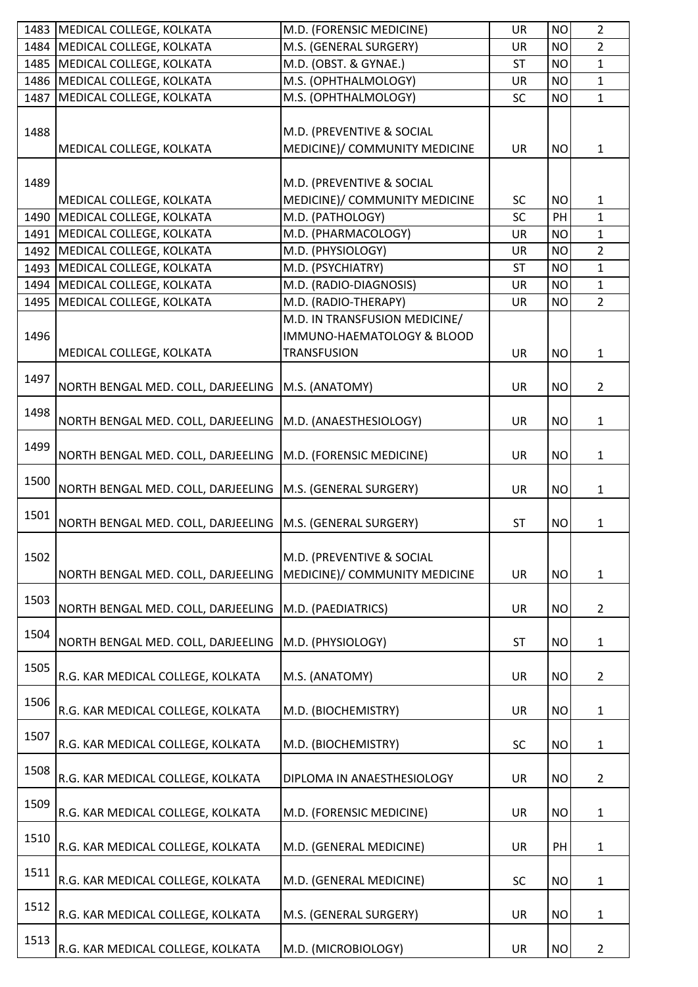| 1483 | MEDICAL COLLEGE, KOLKATA           | M.D. (FORENSIC MEDICINE)                                   | <b>UR</b> | <b>NO</b> | $\overline{2}$ |
|------|------------------------------------|------------------------------------------------------------|-----------|-----------|----------------|
| 1484 | MEDICAL COLLEGE, KOLKATA           | M.S. (GENERAL SURGERY)                                     | <b>UR</b> | <b>NO</b> | $\overline{2}$ |
| 1485 | MEDICAL COLLEGE, KOLKATA           | M.D. (OBST. & GYNAE.)                                      | <b>ST</b> | <b>NO</b> | $\mathbf{1}$   |
| 1486 | MEDICAL COLLEGE, KOLKATA           | M.S. (OPHTHALMOLOGY)                                       | <b>UR</b> | <b>NO</b> | $\mathbf{1}$   |
| 1487 | MEDICAL COLLEGE, KOLKATA           | M.S. (OPHTHALMOLOGY)                                       | <b>SC</b> | <b>NO</b> | $\mathbf{1}$   |
| 1488 | MEDICAL COLLEGE, KOLKATA           | M.D. (PREVENTIVE & SOCIAL<br>MEDICINE)/ COMMUNITY MEDICINE | <b>UR</b> | <b>NO</b> | $\mathbf{1}$   |
| 1489 | MEDICAL COLLEGE, KOLKATA           | M.D. (PREVENTIVE & SOCIAL<br>MEDICINE)/ COMMUNITY MEDICINE | <b>SC</b> | <b>NO</b> | $\mathbf{1}$   |
| 1490 | MEDICAL COLLEGE, KOLKATA           | M.D. (PATHOLOGY)                                           | SC        | PH        | $\mathbf{1}$   |
| 1491 | MEDICAL COLLEGE, KOLKATA           | M.D. (PHARMACOLOGY)                                        | <b>UR</b> | <b>NO</b> | $\mathbf{1}$   |
|      | 1492 MEDICAL COLLEGE, KOLKATA      | M.D. (PHYSIOLOGY)                                          | <b>UR</b> | <b>NO</b> | $\overline{2}$ |
|      | 1493   MEDICAL COLLEGE, KOLKATA    | M.D. (PSYCHIATRY)                                          | <b>ST</b> | <b>NO</b> | $\mathbf{1}$   |
|      | 1494   MEDICAL COLLEGE, KOLKATA    | M.D. (RADIO-DIAGNOSIS)                                     | <b>UR</b> | <b>NO</b> | $\mathbf{1}$   |
| 1495 | MEDICAL COLLEGE, KOLKATA           | M.D. (RADIO-THERAPY)                                       | <b>UR</b> | <b>NO</b> | $\overline{2}$ |
|      |                                    | M.D. IN TRANSFUSION MEDICINE/                              |           |           |                |
| 1496 | MEDICAL COLLEGE, KOLKATA           | IMMUNO-HAEMATOLOGY & BLOOD<br><b>TRANSFUSION</b>           | <b>UR</b> | <b>NO</b> | $\mathbf{1}$   |
|      |                                    |                                                            |           |           |                |
| 1497 | NORTH BENGAL MED. COLL, DARJEELING | M.S. (ANATOMY)                                             | UR        | <b>NO</b> | $\overline{2}$ |
| 1498 | NORTH BENGAL MED. COLL, DARJEELING | M.D. (ANAESTHESIOLOGY)                                     | <b>UR</b> | <b>NO</b> | $\mathbf{1}$   |
| 1499 | NORTH BENGAL MED. COLL, DARJEELING | M.D. (FORENSIC MEDICINE)                                   | <b>UR</b> | <b>NO</b> | 1              |
| 1500 | NORTH BENGAL MED. COLL, DARJEELING | M.S. (GENERAL SURGERY)                                     | <b>UR</b> | <b>NO</b> | $\mathbf{1}$   |
| 1501 | NORTH BENGAL MED. COLL, DARJEELING | M.S. (GENERAL SURGERY)                                     | <b>ST</b> | <b>NO</b> | 1              |
| 1502 | NORTH BENGAL MED. COLL, DARJEELING | M.D. (PREVENTIVE & SOCIAL<br>MEDICINE)/ COMMUNITY MEDICINE | <b>UR</b> | <b>NO</b> | $\mathbf{1}$   |
| 1503 | NORTH BENGAL MED. COLL, DARJEELING | M.D. (PAEDIATRICS)                                         | <b>UR</b> | <b>NO</b> | $\overline{2}$ |
| 1504 | NORTH BENGAL MED. COLL, DARJEELING | M.D. (PHYSIOLOGY)                                          | <b>ST</b> | <b>NO</b> | 1              |
| 1505 | R.G. KAR MEDICAL COLLEGE, KOLKATA  | M.S. (ANATOMY)                                             | <b>UR</b> | <b>NO</b> | $\overline{2}$ |
| 1506 | R.G. KAR MEDICAL COLLEGE, KOLKATA  | M.D. (BIOCHEMISTRY)                                        | <b>UR</b> | <b>NO</b> | 1              |
| 1507 | R.G. KAR MEDICAL COLLEGE, KOLKATA  | M.D. (BIOCHEMISTRY)                                        | <b>SC</b> | <b>NO</b> | $\mathbf{1}$   |
| 1508 | R.G. KAR MEDICAL COLLEGE, KOLKATA  | DIPLOMA IN ANAESTHESIOLOGY                                 | <b>UR</b> | <b>NO</b> | $\overline{2}$ |
| 1509 | R.G. KAR MEDICAL COLLEGE, KOLKATA  | M.D. (FORENSIC MEDICINE)                                   | <b>UR</b> | <b>NO</b> | 1              |
| 1510 | R.G. KAR MEDICAL COLLEGE, KOLKATA  | M.D. (GENERAL MEDICINE)                                    | <b>UR</b> | PH        | $\mathbf 1$    |
| 1511 | R.G. KAR MEDICAL COLLEGE, KOLKATA  | M.D. (GENERAL MEDICINE)                                    | <b>SC</b> | <b>NO</b> | 1              |
| 1512 | R.G. KAR MEDICAL COLLEGE, KOLKATA  | M.S. (GENERAL SURGERY)                                     | <b>UR</b> | <b>NO</b> | 1              |
| 1513 | R.G. KAR MEDICAL COLLEGE, KOLKATA  | M.D. (MICROBIOLOGY)                                        | UR        | <b>NO</b> | 2              |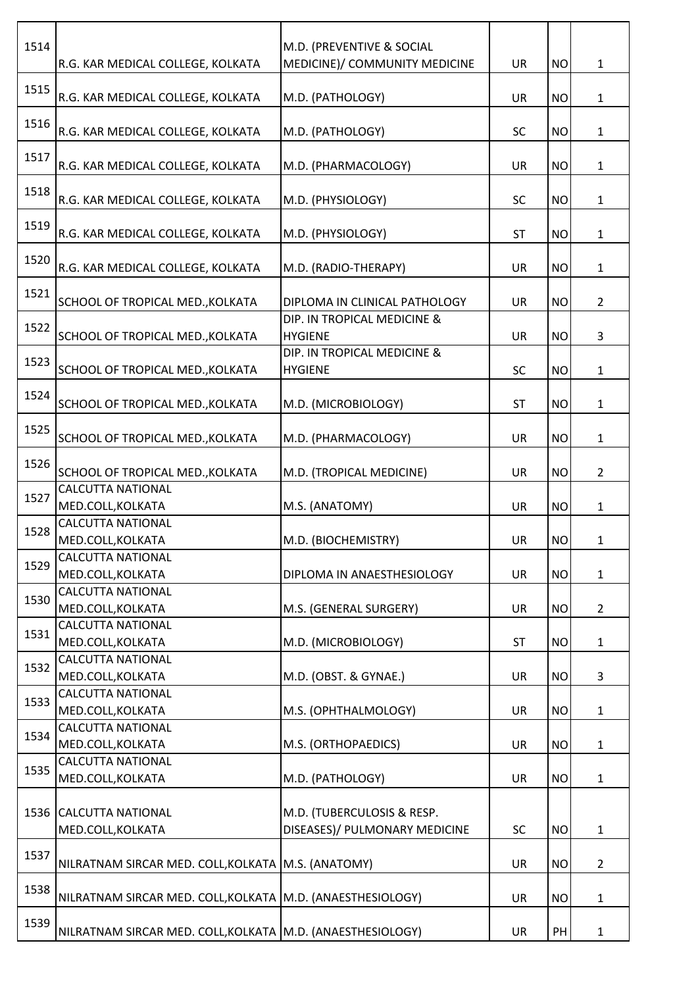| 1514 | R.G. KAR MEDICAL COLLEGE, KOLKATA                            | M.D. (PREVENTIVE & SOCIAL<br>MEDICINE)/ COMMUNITY MEDICINE  | <b>UR</b> | <b>NO</b> | $\mathbf{1}$   |
|------|--------------------------------------------------------------|-------------------------------------------------------------|-----------|-----------|----------------|
| 1515 | R.G. KAR MEDICAL COLLEGE, KOLKATA                            | M.D. (PATHOLOGY)                                            | <b>UR</b> | <b>NO</b> | $\mathbf{1}$   |
| 1516 | R.G. KAR MEDICAL COLLEGE, KOLKATA                            | M.D. (PATHOLOGY)                                            | <b>SC</b> | <b>NO</b> | $\mathbf{1}$   |
| 1517 | R.G. KAR MEDICAL COLLEGE, KOLKATA                            | M.D. (PHARMACOLOGY)                                         | <b>UR</b> | <b>NO</b> | $\mathbf{1}$   |
| 1518 | R.G. KAR MEDICAL COLLEGE, KOLKATA                            | M.D. (PHYSIOLOGY)                                           | <b>SC</b> | <b>NO</b> | $\mathbf{1}$   |
| 1519 | R.G. KAR MEDICAL COLLEGE, KOLKATA                            | M.D. (PHYSIOLOGY)                                           | <b>ST</b> | <b>NO</b> | $\mathbf{1}$   |
| 1520 | R.G. KAR MEDICAL COLLEGE, KOLKATA                            | M.D. (RADIO-THERAPY)                                        | <b>UR</b> | <b>NO</b> | $\mathbf{1}$   |
| 1521 | SCHOOL OF TROPICAL MED., KOLKATA                             | DIPLOMA IN CLINICAL PATHOLOGY                               | <b>UR</b> | <b>NO</b> | $\overline{2}$ |
| 1522 | SCHOOL OF TROPICAL MED., KOLKATA                             | DIP. IN TROPICAL MEDICINE &<br><b>HYGIENE</b>               | <b>UR</b> | <b>NO</b> | 3              |
| 1523 | SCHOOL OF TROPICAL MED., KOLKATA                             | DIP. IN TROPICAL MEDICINE &<br><b>HYGIENE</b>               | SC        | <b>NO</b> | $\mathbf{1}$   |
| 1524 | SCHOOL OF TROPICAL MED., KOLKATA                             | M.D. (MICROBIOLOGY)                                         | <b>ST</b> | <b>NO</b> | $\mathbf{1}$   |
| 1525 | SCHOOL OF TROPICAL MED., KOLKATA                             | M.D. (PHARMACOLOGY)                                         | <b>UR</b> | <b>NO</b> | $\mathbf{1}$   |
| 1526 | SCHOOL OF TROPICAL MED., KOLKATA                             | M.D. (TROPICAL MEDICINE)                                    | <b>UR</b> | <b>NO</b> | $\overline{2}$ |
| 1527 | <b>CALCUTTA NATIONAL</b><br>MED.COLL, KOLKATA                | M.S. (ANATOMY)                                              | <b>UR</b> | <b>NO</b> | $\mathbf{1}$   |
| 1528 | <b>CALCUTTA NATIONAL</b><br>MED.COLL, KOLKATA                | M.D. (BIOCHEMISTRY)                                         | UR        | <b>NO</b> | $\mathbf{1}$   |
| 1529 | <b>CALCUTTA NATIONAL</b><br>MED.COLL, KOLKATA                | DIPLOMA IN ANAESTHESIOLOGY                                  | <b>UR</b> | <b>NO</b> | $\mathbf{1}$   |
| 1530 | <b>CALCUTTA NATIONAL</b><br>MED.COLL, KOLKATA                | M.S. (GENERAL SURGERY)                                      | <b>UR</b> | <b>NO</b> | $\overline{2}$ |
| 1531 | <b>CALCUTTA NATIONAL</b><br>MED.COLL, KOLKATA                | M.D. (MICROBIOLOGY)                                         | <b>ST</b> | <b>NO</b> | $\mathbf{1}$   |
| 1532 | <b>CALCUTTA NATIONAL</b><br>MED.COLL, KOLKATA                | M.D. (OBST. & GYNAE.)                                       | <b>UR</b> | <b>NO</b> | 3              |
| 1533 | <b>CALCUTTA NATIONAL</b><br>MED.COLL, KOLKATA                | M.S. (OPHTHALMOLOGY)                                        | <b>UR</b> | <b>NO</b> | $\mathbf{1}$   |
| 1534 | <b>CALCUTTA NATIONAL</b><br>MED.COLL, KOLKATA                | M.S. (ORTHOPAEDICS)                                         | <b>UR</b> | <b>NO</b> | $\mathbf{1}$   |
| 1535 | <b>CALCUTTA NATIONAL</b><br>MED.COLL, KOLKATA                | M.D. (PATHOLOGY)                                            | <b>UR</b> | <b>NO</b> | $\mathbf{1}$   |
|      | 1536 CALCUTTA NATIONAL<br>MED.COLL, KOLKATA                  | M.D. (TUBERCULOSIS & RESP.<br>DISEASES)/ PULMONARY MEDICINE | SC        | <b>NO</b> | $\mathbf{1}$   |
| 1537 | NILRATNAM SIRCAR MED. COLL, KOLKATA M.S. (ANATOMY)           |                                                             | <b>UR</b> | <b>NO</b> | $\overline{2}$ |
| 1538 | NILRATNAM SIRCAR MED. COLL, KOLKATA   M.D. (ANAESTHESIOLOGY) |                                                             | <b>UR</b> | <b>NO</b> | $\mathbf{1}$   |
| 1539 | NILRATNAM SIRCAR MED. COLL, KOLKATA   M.D. (ANAESTHESIOLOGY) |                                                             | UR        | PH        | $\mathbf{1}$   |